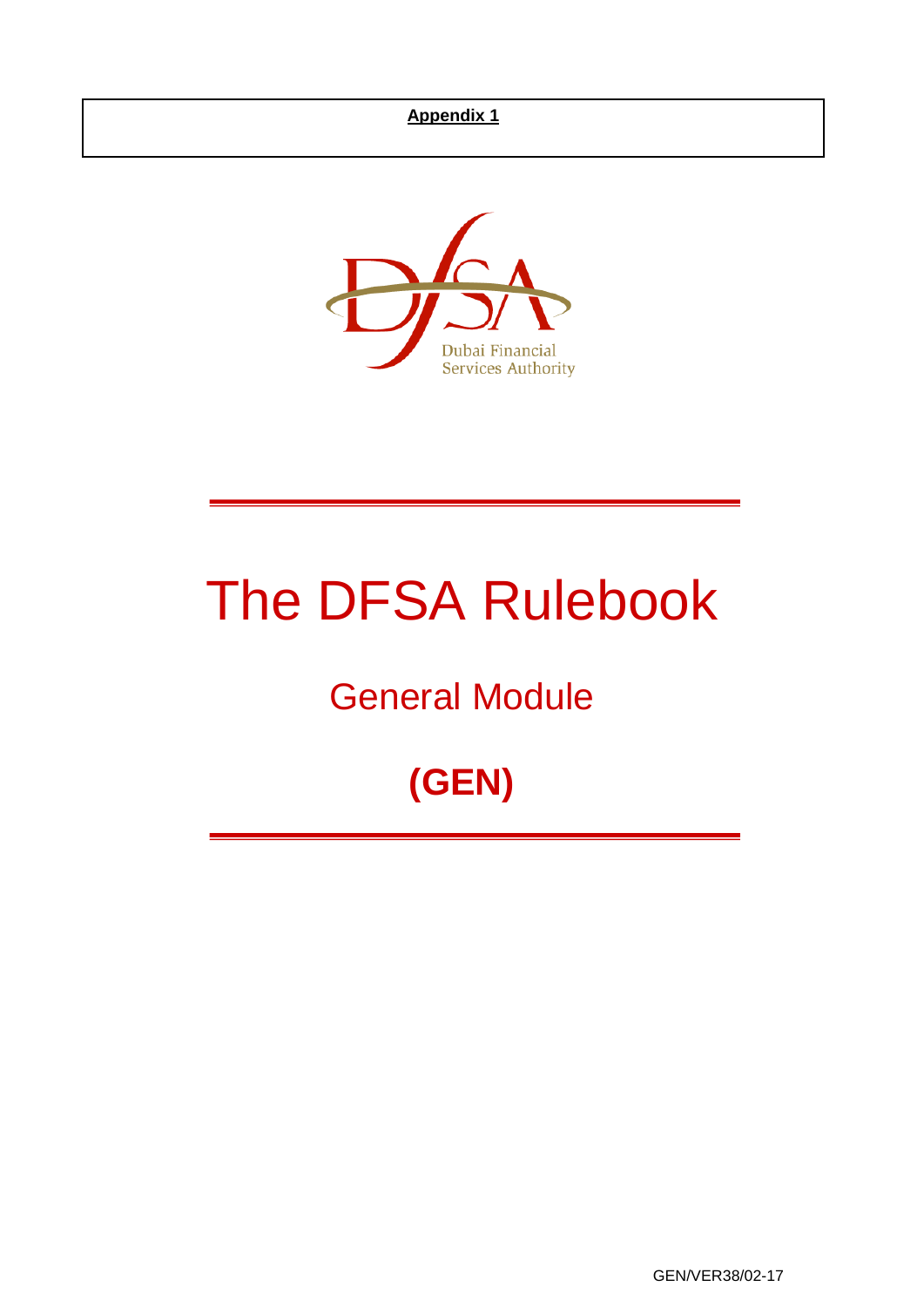

# The DFSA Rulebook

## General Module

## **(GEN)**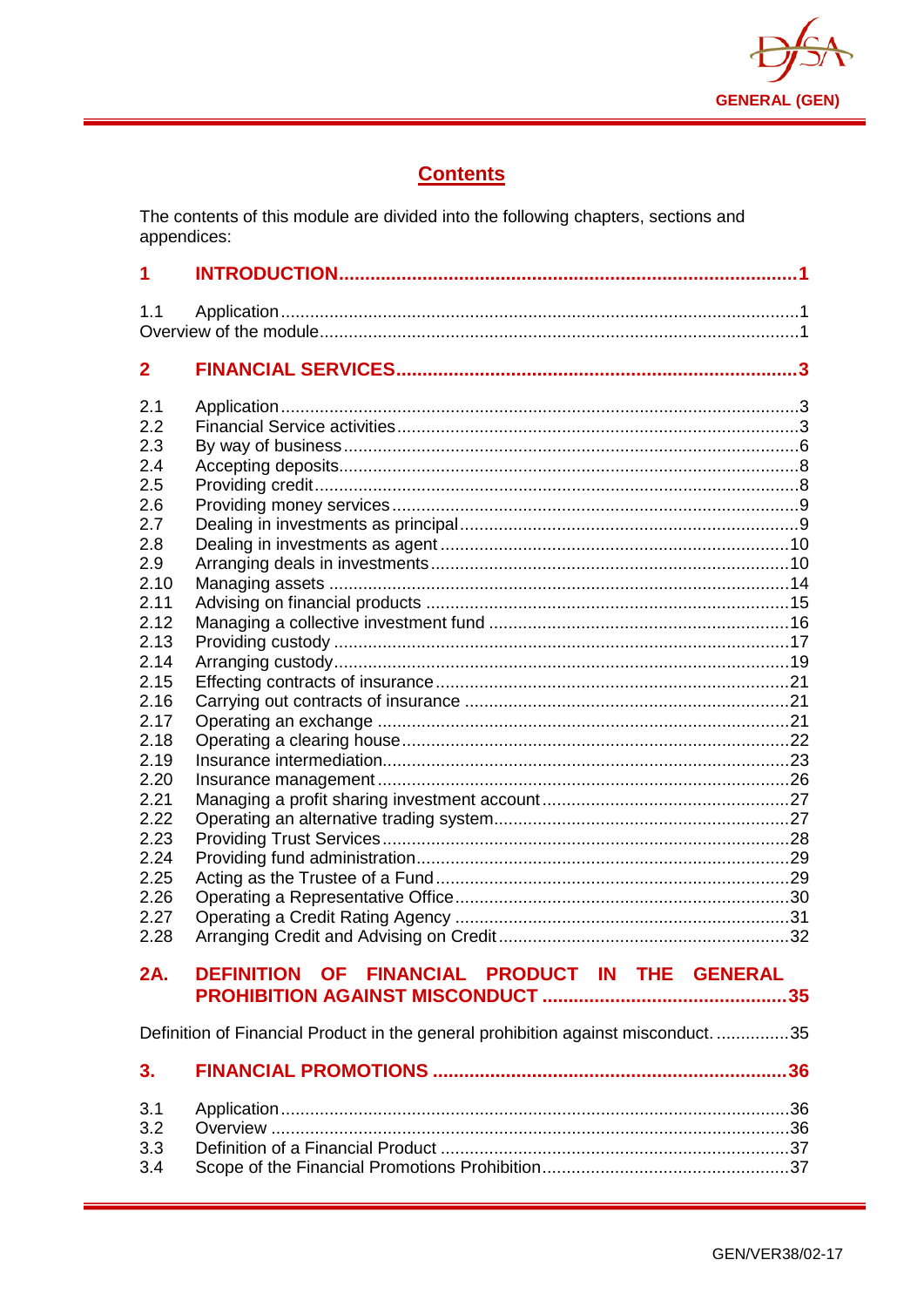

## **Contents**

The contents of this module are divided into the following chapters, sections and appendices:

| 1                                                                                                                                                                                           |                                                |  |  |  |  |
|---------------------------------------------------------------------------------------------------------------------------------------------------------------------------------------------|------------------------------------------------|--|--|--|--|
| 1.1                                                                                                                                                                                         |                                                |  |  |  |  |
| $\overline{2}$                                                                                                                                                                              |                                                |  |  |  |  |
| 2.1<br>2.2<br>2.3<br>2.4<br>2.5<br>2.6<br>2.7<br>2.8<br>2.9<br>2.10<br>2.11<br>2.12<br>2.13<br>2.14<br>2.15<br>2.16<br>2.17<br>2.18<br>2.19<br>2.20<br>2.21<br>2.22<br>2.23<br>2.24<br>2.25 |                                                |  |  |  |  |
| 2.26<br>2.27<br>2.28                                                                                                                                                                        |                                                |  |  |  |  |
| 2A.                                                                                                                                                                                         | DEFINITION OF FINANCIAL PRODUCT IN THE GENERAL |  |  |  |  |
| Definition of Financial Product in the general prohibition against misconduct35                                                                                                             |                                                |  |  |  |  |
| 3.                                                                                                                                                                                          |                                                |  |  |  |  |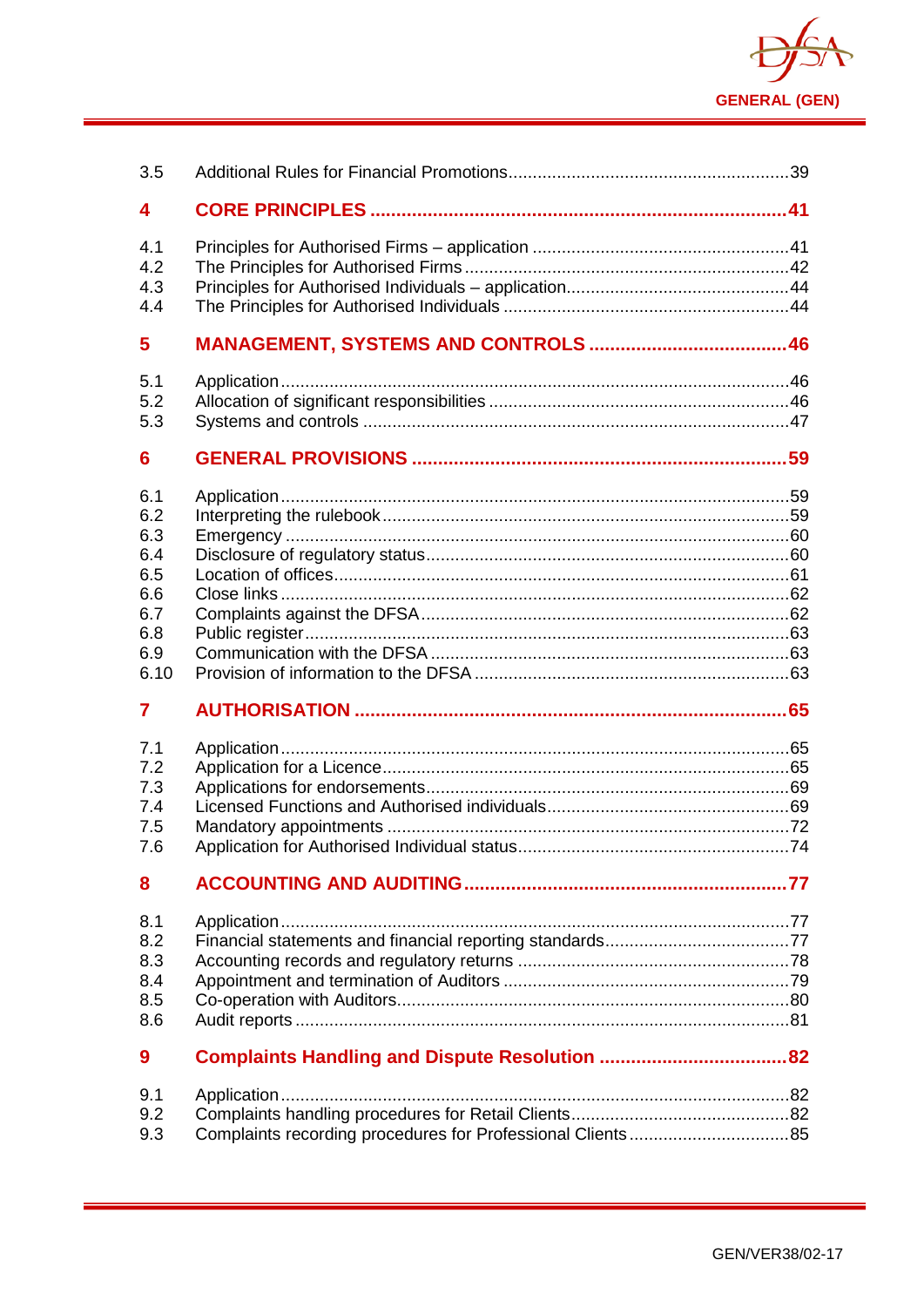

| 3.5                                                                                                                |  |
|--------------------------------------------------------------------------------------------------------------------|--|
| 4                                                                                                                  |  |
| 4.1<br>4.2<br>4.3<br>4.4                                                                                           |  |
| 5                                                                                                                  |  |
| 5.1<br>5.2<br>5.3                                                                                                  |  |
| 6                                                                                                                  |  |
| 6.1<br>6.2<br>6.3<br>6.4<br>6.5<br>6.6<br>6.7<br>6.8<br>6.9<br>6.10<br>7<br>7.1<br>7.2<br>7.3<br>7.4<br>7.5<br>7.6 |  |
| 8                                                                                                                  |  |
| 8.1<br>8.2<br>8.3<br>8.4<br>8.5<br>8.6                                                                             |  |
| 9                                                                                                                  |  |
| 9.1<br>9.2<br>9.3                                                                                                  |  |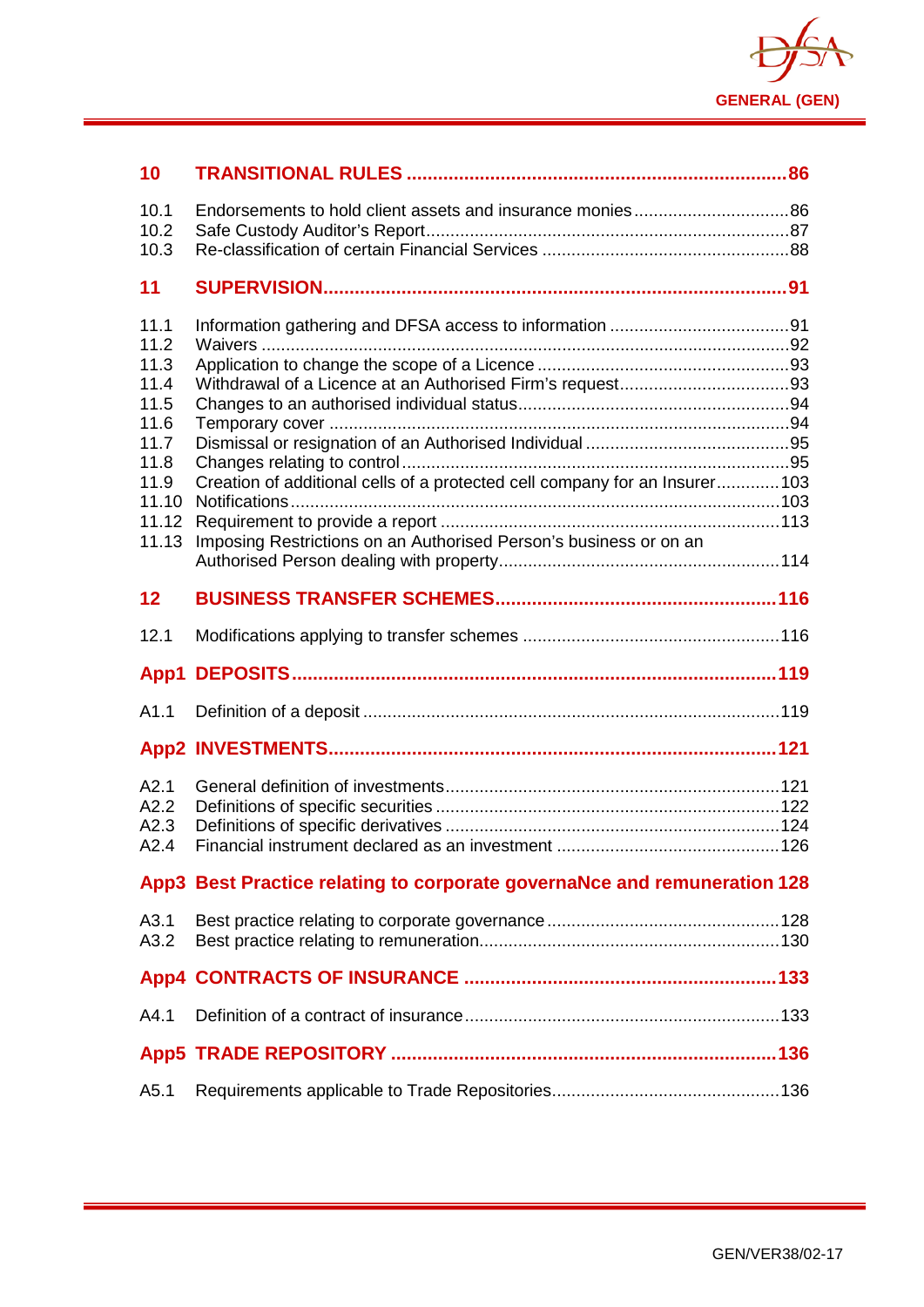

| 10           |                                                                            |  |
|--------------|----------------------------------------------------------------------------|--|
| 10.1<br>10.2 |                                                                            |  |
| 10.3         |                                                                            |  |
| 11           |                                                                            |  |
|              |                                                                            |  |
| 11.1<br>11.2 |                                                                            |  |
| 11.3         |                                                                            |  |
| 11.4         |                                                                            |  |
| 11.5<br>11.6 |                                                                            |  |
| 11.7         |                                                                            |  |
| 11.8         |                                                                            |  |
| 11.9         | Creation of additional cells of a protected cell company for an Insurer103 |  |
| 11.10        |                                                                            |  |
| 11.12        |                                                                            |  |
| 11.13        | Imposing Restrictions on an Authorised Person's business or on an          |  |
|              |                                                                            |  |
| 12           |                                                                            |  |
| 12.1         |                                                                            |  |
|              |                                                                            |  |
| A1.1         |                                                                            |  |
|              |                                                                            |  |
| A2.1         |                                                                            |  |
| A2.2         |                                                                            |  |
| A2.3         |                                                                            |  |
| A2.4         |                                                                            |  |
|              | App3 Best Practice relating to corporate governaNce and remuneration 128   |  |
| A3.1         |                                                                            |  |
| A3.2         |                                                                            |  |
|              |                                                                            |  |
| A4.1         |                                                                            |  |
|              |                                                                            |  |
| A5.1         |                                                                            |  |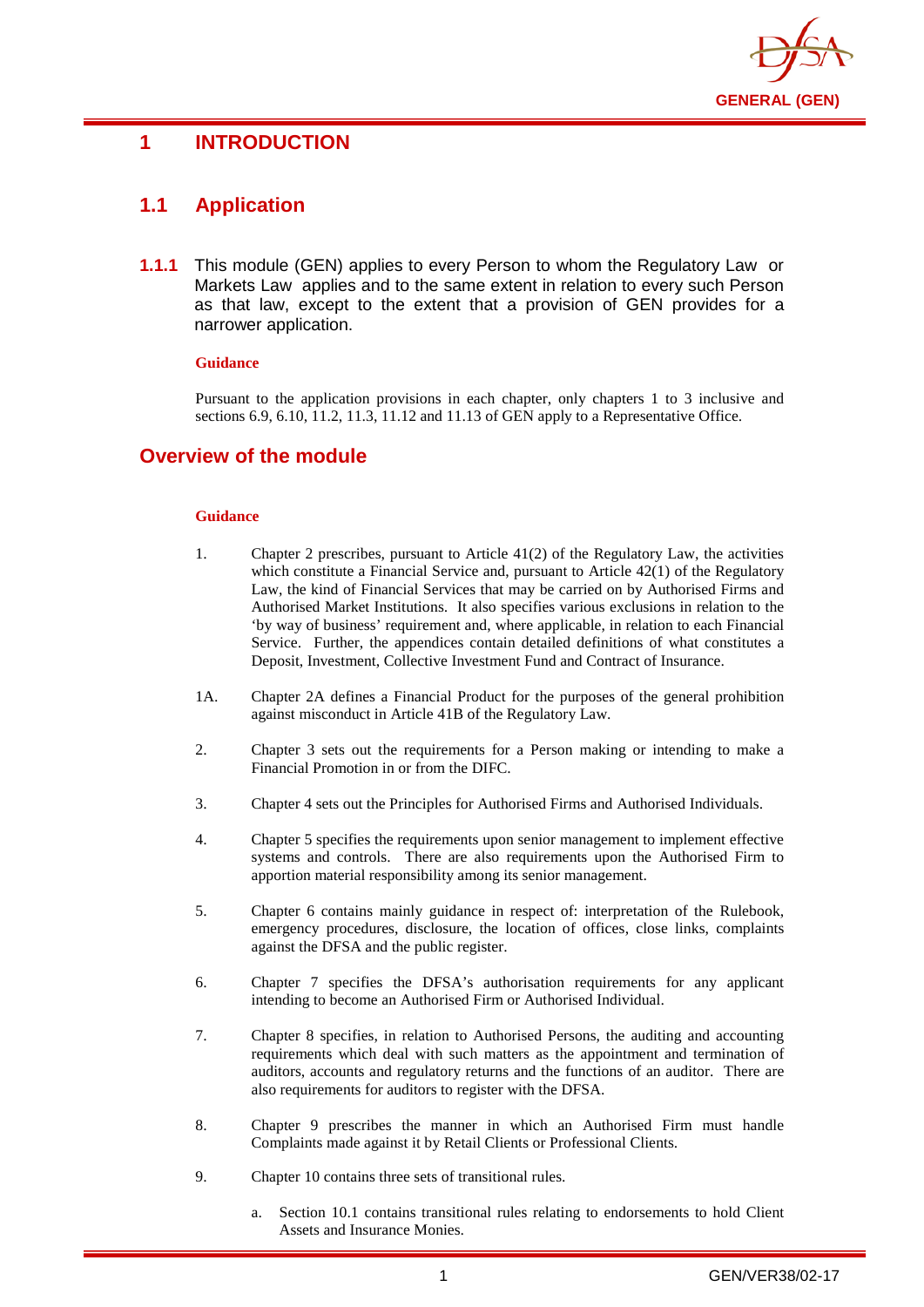

## <span id="page-4-0"></span>**1 INTRODUCTION**

## <span id="page-4-1"></span>**1.1 Application**

**1.1.1** This module (GEN) applies to every Person to whom the Regulatory Law or Markets Law applies and to the same extent in relation to every such Person as that law, except to the extent that a provision of GEN provides for a narrower application.

#### **Guidance**

Pursuant to the application provisions in each chapter, only chapters 1 to 3 inclusive and sections 6.9, 6.10, 11.2, 11.3, 11.12 and 11.13 of GEN apply to a Representative Office.

## <span id="page-4-2"></span>**Overview of the module**

#### **Guidance**

- 1. Chapter 2 prescribes, pursuant to Article 41(2) of the Regulatory Law, the activities which constitute a Financial Service and, pursuant to Article 42(1) of the Regulatory Law, the kind of Financial Services that may be carried on by Authorised Firms and Authorised Market Institutions. It also specifies various exclusions in relation to the 'by way of business' requirement and, where applicable, in relation to each Financial Service. Further, the appendices contain detailed definitions of what constitutes a Deposit, Investment, Collective Investment Fund and Contract of Insurance.
- 1A. Chapter 2A defines a Financial Product for the purposes of the general prohibition against misconduct in Article 41B of the Regulatory Law.
- 2. Chapter 3 sets out the requirements for a Person making or intending to make a Financial Promotion in or from the DIFC.
- 3. Chapter 4 sets out the Principles for Authorised Firms and Authorised Individuals.
- 4. Chapter 5 specifies the requirements upon senior management to implement effective systems and controls. There are also requirements upon the Authorised Firm to apportion material responsibility among its senior management.
- 5. Chapter 6 contains mainly guidance in respect of: interpretation of the Rulebook, emergency procedures, disclosure, the location of offices, close links, complaints against the DFSA and the public register.
- 6. Chapter 7 specifies the DFSA's authorisation requirements for any applicant intending to become an Authorised Firm or Authorised Individual.
- 7. Chapter 8 specifies, in relation to Authorised Persons, the auditing and accounting requirements which deal with such matters as the appointment and termination of auditors, accounts and regulatory returns and the functions of an auditor. There are also requirements for auditors to register with the DFSA.
- 8. Chapter 9 prescribes the manner in which an Authorised Firm must handle Complaints made against it by Retail Clients or Professional Clients.
- 9. Chapter 10 contains three sets of transitional rules.
	- a. Section 10.1 contains transitional rules relating to endorsements to hold Client Assets and Insurance Monies.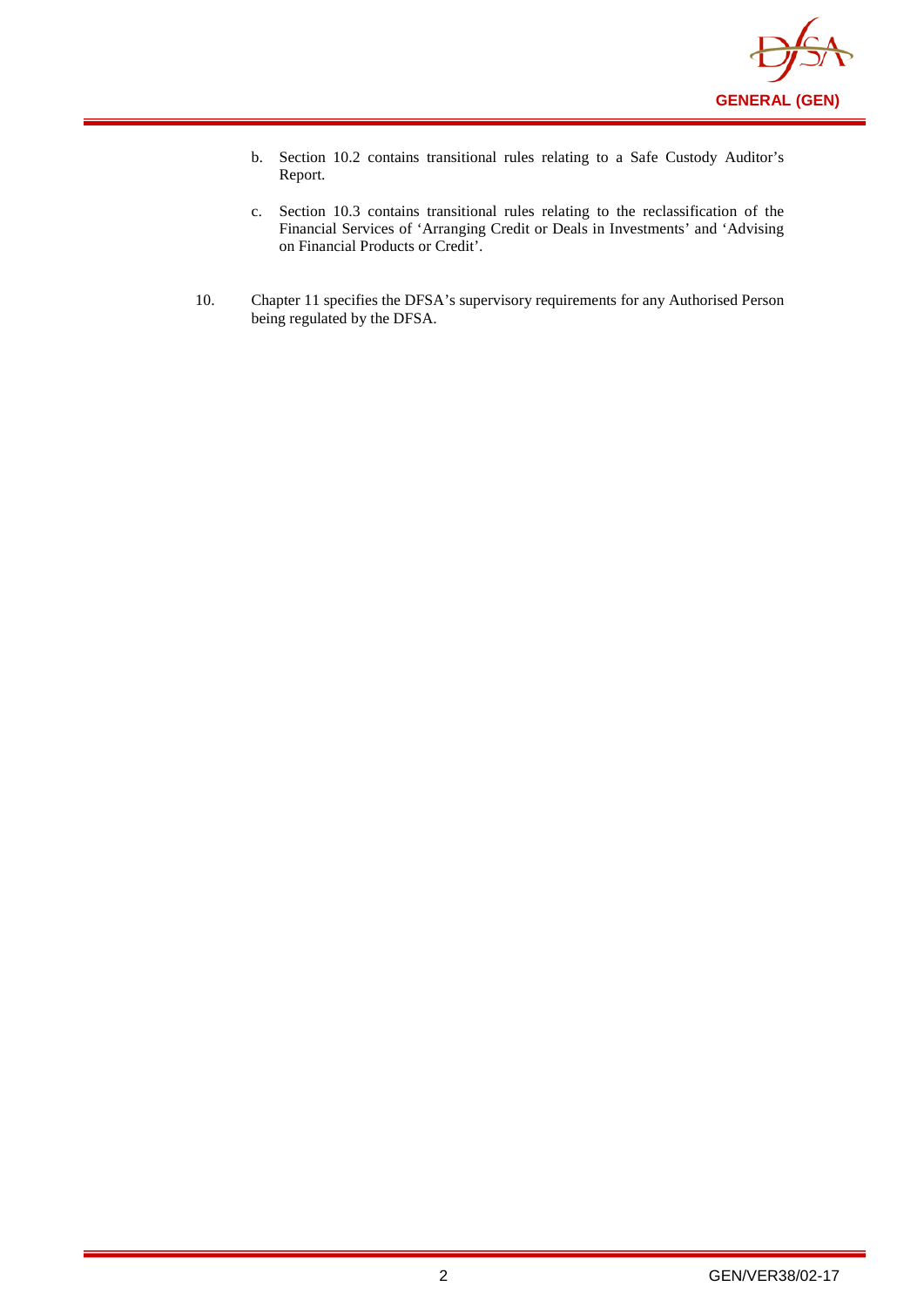

- b. Section 10.2 contains transitional rules relating to a Safe Custody Auditor's Report.
- c. Section 10.3 contains transitional rules relating to the reclassification of the Financial Services of 'Arranging Credit or Deals in Investments' and 'Advising on Financial Products or Credit'.
- 10. Chapter 11 specifies the DFSA's supervisory requirements for any Authorised Person being regulated by the DFSA.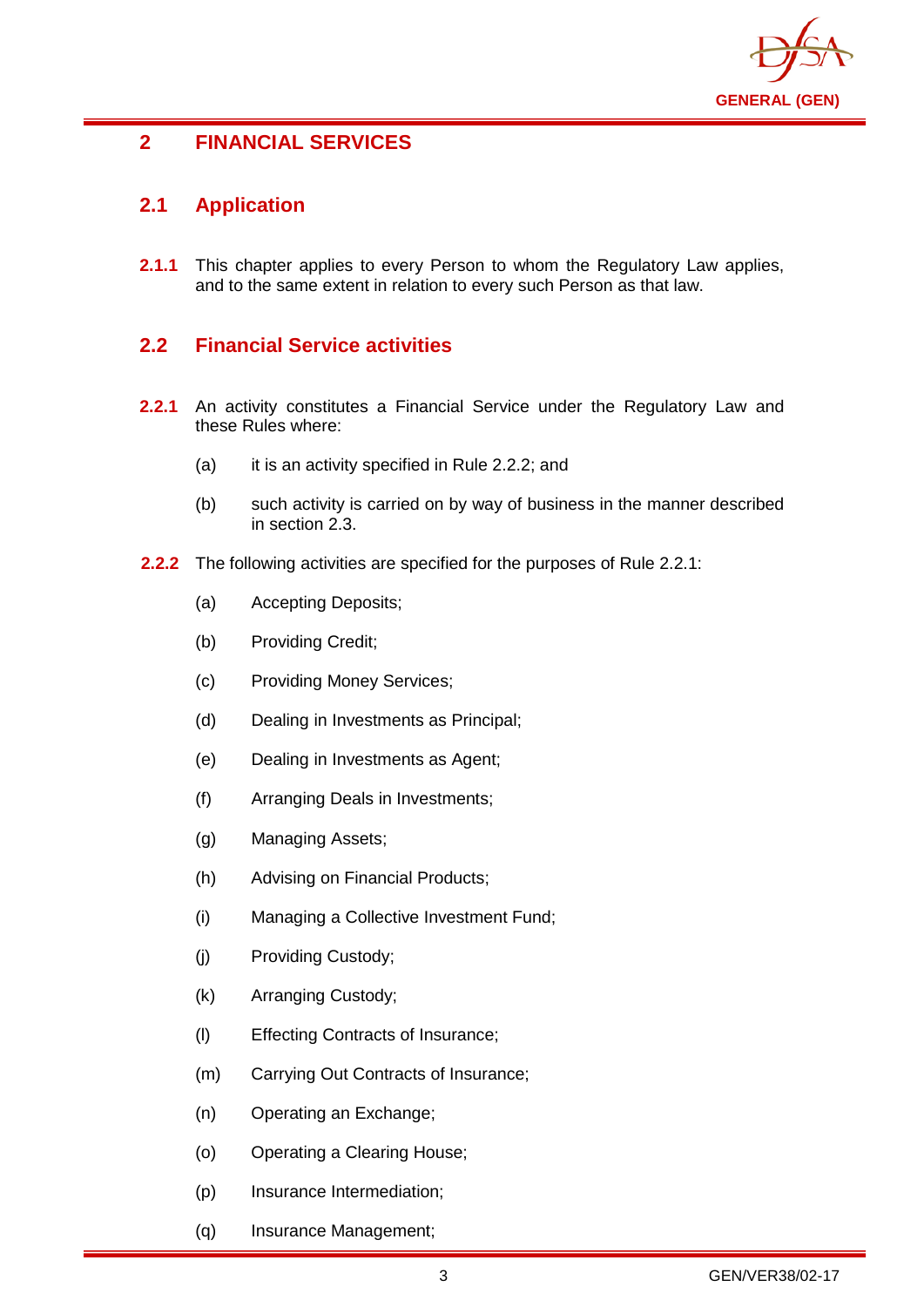

## <span id="page-6-0"></span>**2 FINANCIAL SERVICES**

## <span id="page-6-1"></span>**2.1 Application**

**2.1.1** This chapter applies to every Person to whom the Regulatory Law applies, and to the same extent in relation to every such Person as that law.

## <span id="page-6-2"></span>**2.2 Financial Service activities**

- **2.2.1** An activity constitutes a Financial Service under the Regulatory Law and these Rules where:
	- (a) it is an activity specified in Rule 2.2.2; and
	- (b) such activity is carried on by way of business in the manner described in section 2.3.
- **2.2.2** The following activities are specified for the purposes of Rule 2.2.1:
	- (a) Accepting Deposits;
	- (b) Providing Credit;
	- (c) Providing Money Services;
	- (d) Dealing in Investments as Principal;
	- (e) Dealing in Investments as Agent;
	- (f) Arranging Deals in Investments;
	- (g) Managing Assets;
	- (h) Advising on Financial Products;
	- (i) Managing a Collective Investment Fund;
	- (j) Providing Custody;
	- (k) Arranging Custody;
	- (l) Effecting Contracts of Insurance;
	- (m) Carrying Out Contracts of Insurance;
	- (n) Operating an Exchange;
	- (o) Operating a Clearing House;
	- (p) Insurance Intermediation;
	- (q) Insurance Management;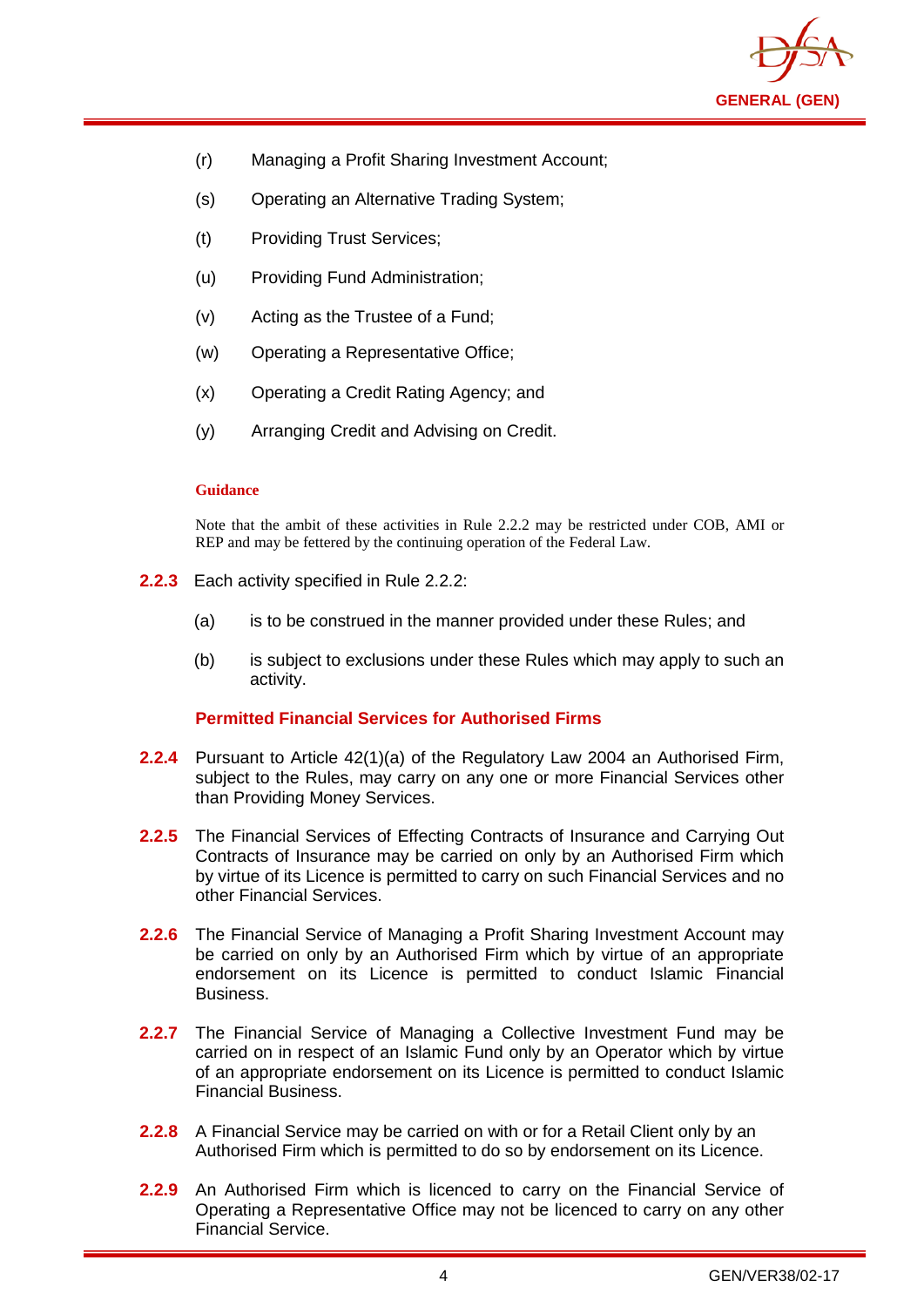

- (r) Managing a Profit Sharing Investment Account;
- (s) Operating an Alternative Trading System;
- (t) Providing Trust Services;
- (u) Providing Fund Administration;
- (v) Acting as the Trustee of a Fund;
- (w) Operating a Representative Office;
- (x) Operating a Credit Rating Agency; and
- (y) Arranging Credit and Advising on Credit.

Note that the ambit of these activities in Rule 2.2.2 may be restricted under COB, AMI or REP and may be fettered by the continuing operation of the Federal Law.

- **2.2.3** Each activity specified in Rule 2.2.2:
	- (a) is to be construed in the manner provided under these Rules; and
	- (b) is subject to exclusions under these Rules which may apply to such an activity.

#### **Permitted Financial Services for Authorised Firms**

- **2.2.4** Pursuant to Article 42(1)(a) of the Regulatory Law 2004 an Authorised Firm, subject to the Rules, may carry on any one or more Financial Services other than Providing Money Services.
- **2.2.5** The Financial Services of Effecting Contracts of Insurance and Carrying Out Contracts of Insurance may be carried on only by an Authorised Firm which by virtue of its Licence is permitted to carry on such Financial Services and no other Financial Services.
- **2.2.6** The Financial Service of Managing a Profit Sharing Investment Account may be carried on only by an Authorised Firm which by virtue of an appropriate endorsement on its Licence is permitted to conduct Islamic Financial Business.
- **2.2.7** The Financial Service of Managing a Collective Investment Fund may be carried on in respect of an Islamic Fund only by an Operator which by virtue of an appropriate endorsement on its Licence is permitted to conduct Islamic Financial Business.
- **2.2.8** A Financial Service may be carried on with or for a Retail Client only by an Authorised Firm which is permitted to do so by endorsement on its Licence.
- **2.2.9** An Authorised Firm which is licenced to carry on the Financial Service of Operating a Representative Office may not be licenced to carry on any other Financial Service.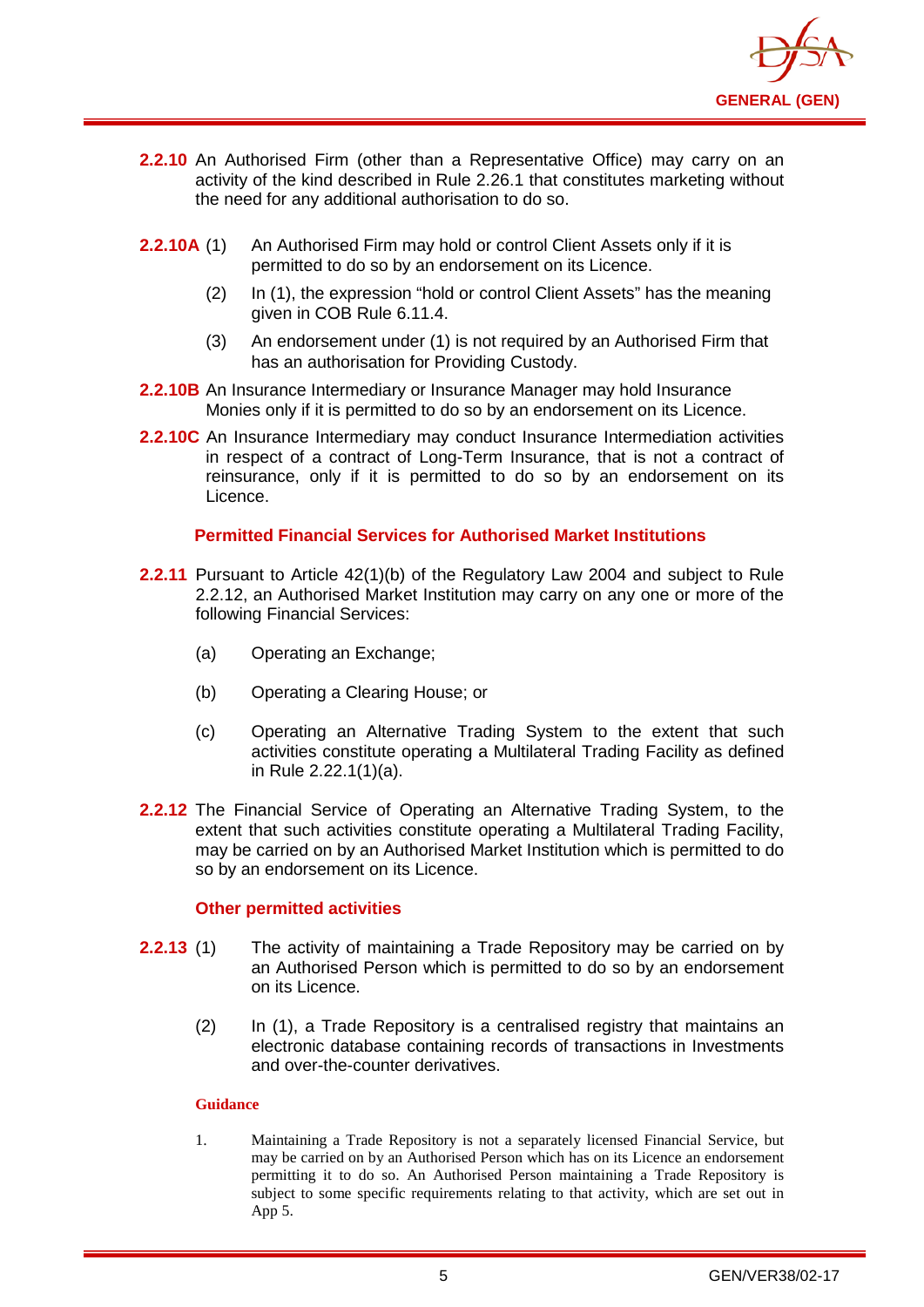

- **2.2.10** An Authorised Firm (other than a Representative Office) may carry on an activity of the kind described in Rule 2.26.1 that constitutes marketing without the need for any additional authorisation to do so.
- **2.2.10A** (1) An Authorised Firm may hold or control Client Assets only if it is permitted to do so by an endorsement on its Licence.
	- (2) In (1), the expression "hold or control Client Assets" has the meaning given in COB Rule 6.11.4.
	- (3) An endorsement under (1) is not required by an Authorised Firm that has an authorisation for Providing Custody.
- **2.2.10B** An Insurance Intermediary or Insurance Manager may hold Insurance Monies only if it is permitted to do so by an endorsement on its Licence.
- **2.2.10C** An Insurance Intermediary may conduct Insurance Intermediation activities in respect of a contract of Long-Term Insurance, that is not a contract of reinsurance, only if it is permitted to do so by an endorsement on its Licence.

#### **Permitted Financial Services for Authorised Market Institutions**

- **2.2.11** Pursuant to Article 42(1)(b) of the Regulatory Law 2004 and subject to Rule 2.2.12, an Authorised Market Institution may carry on any one or more of the following Financial Services:
	- (a) Operating an Exchange;
	- (b) Operating a Clearing House; or
	- (c) Operating an Alternative Trading System to the extent that such activities constitute operating a Multilateral Trading Facility as defined in Rule 2.22.1(1)(a).
- **2.2.12** The Financial Service of Operating an Alternative Trading System, to the extent that such activities constitute operating a Multilateral Trading Facility, may be carried on by an Authorised Market Institution which is permitted to do so by an endorsement on its Licence.

#### **Other permitted activities**

- **2.2.13** (1) The activity of maintaining a Trade Repository may be carried on by an Authorised Person which is permitted to do so by an endorsement on its Licence.
	- (2) In (1), a Trade Repository is a centralised registry that maintains an electronic database containing records of transactions in Investments and over-the-counter derivatives.

#### **Guidance**

1. Maintaining a Trade Repository is not a separately licensed Financial Service, but may be carried on by an Authorised Person which has on its Licence an endorsement permitting it to do so. An Authorised Person maintaining a Trade Repository is subject to some specific requirements relating to that activity, which are set out in App 5.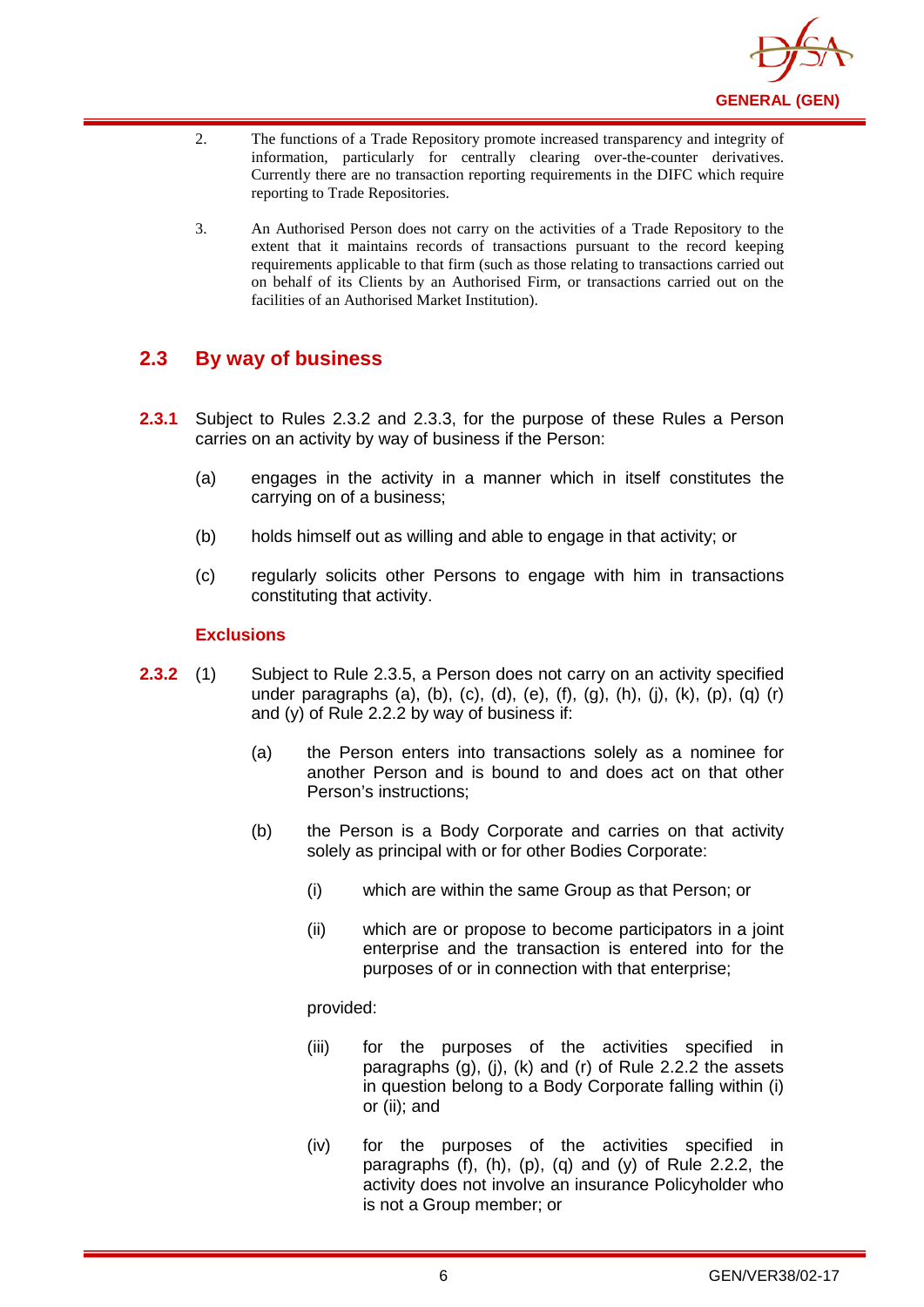

- 2. The functions of a Trade Repository promote increased transparency and integrity of information, particularly for centrally clearing over-the-counter derivatives. Currently there are no transaction reporting requirements in the DIFC which require reporting to Trade Repositories.
- 3. An Authorised Person does not carry on the activities of a Trade Repository to the extent that it maintains records of transactions pursuant to the record keeping requirements applicable to that firm (such as those relating to transactions carried out on behalf of its Clients by an Authorised Firm, or transactions carried out on the facilities of an Authorised Market Institution).

## <span id="page-9-0"></span>**2.3 By way of business**

- **2.3.1** Subject to Rules 2.3.2 and 2.3.3, for the purpose of these Rules a Person carries on an activity by way of business if the Person:
	- (a) engages in the activity in a manner which in itself constitutes the carrying on of a business;
	- (b) holds himself out as willing and able to engage in that activity; or
	- (c) regularly solicits other Persons to engage with him in transactions constituting that activity.

#### **Exclusions**

- **2.3.2** (1) Subject to Rule 2.3.5, a Person does not carry on an activity specified under paragraphs (a), (b), (c), (d), (e), (f), (g), (h), (j), (k), (p), (q) (r) and (y) of Rule 2.2.2 by way of business if:
	- (a) the Person enters into transactions solely as a nominee for another Person and is bound to and does act on that other Person's instructions;
	- (b) the Person is a Body Corporate and carries on that activity solely as principal with or for other Bodies Corporate:
		- (i) which are within the same Group as that Person; or
		- (ii) which are or propose to become participators in a joint enterprise and the transaction is entered into for the purposes of or in connection with that enterprise;

#### provided:

- (iii) for the purposes of the activities specified in paragraphs (g), (j), (k) and (r) of Rule 2.2.2 the assets in question belong to a Body Corporate falling within (i) or (ii); and
- (iv) for the purposes of the activities specified in paragraphs  $(f)$ ,  $(h)$ ,  $(p)$ ,  $(q)$  and  $(y)$  of Rule 2.2.2, the activity does not involve an insurance Policyholder who is not a Group member; or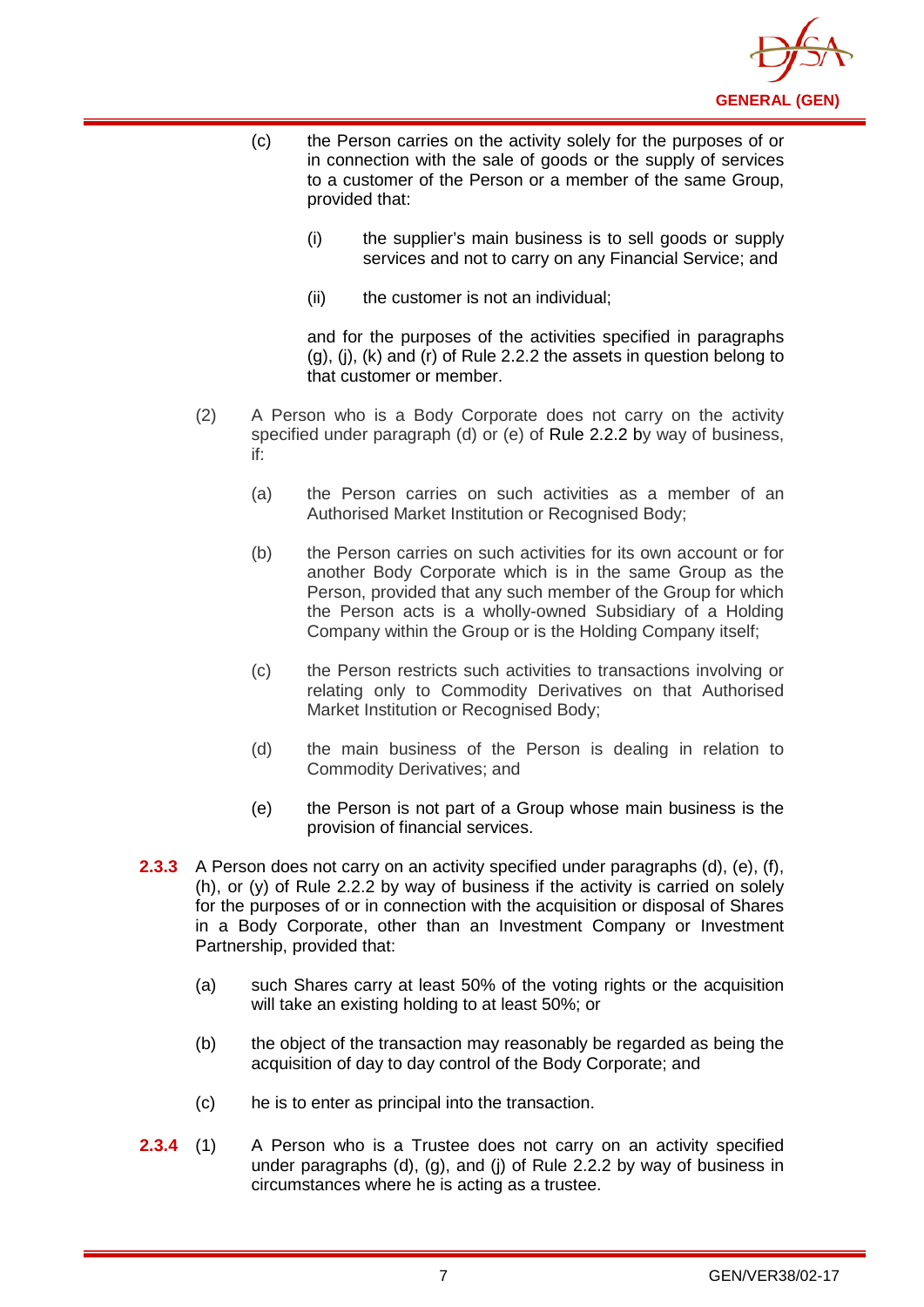

- (c) the Person carries on the activity solely for the purposes of or in connection with the sale of goods or the supply of services to a customer of the Person or a member of the same Group, provided that:
	- (i) the supplier's main business is to sell goods or supply services and not to carry on any Financial Service; and
	- (ii) the customer is not an individual;

and for the purposes of the activities specified in paragraphs  $(q)$ ,  $(i)$ ,  $(k)$  and  $(r)$  of Rule 2.2.2 the assets in question belong to that customer or member.

- (2) A Person who is a Body Corporate does not carry on the activity specified under paragraph (d) or (e) of [Rule 2.2.2](http://www.complinet.com/dfsa/display/display.html?rbid=1547&element_id=1854) by way of business, if:
	- (a) the Person carries on such activities as a member of an Authorised Market Institution or Recognised Body;
	- (b) the Person carries on such activities for its own account or for another Body Corporate which is in the same Group as the Person, provided that any such member of the Group for which the Person acts is a wholly-owned Subsidiary of a Holding Company within the Group or is the Holding Company itself;
	- (c) the Person restricts such activities to transactions involving or relating only to Commodity Derivatives on that Authorised Market Institution or Recognised Body;
	- (d) the main business of the Person is dealing in relation to Commodity Derivatives; and
	- (e) the Person is not part of a Group whose main business is the provision of financial services.
- **2.3.3** A Person does not carry on an activity specified under paragraphs (d), (e), (f), (h), or (y) of Rule 2.2.2 by way of business if the activity is carried on solely for the purposes of or in connection with the acquisition or disposal of Shares in a Body Corporate, other than an Investment Company or Investment Partnership, provided that:
	- (a) such Shares carry at least 50% of the voting rights or the acquisition will take an existing holding to at least 50%; or
	- (b) the object of the transaction may reasonably be regarded as being the acquisition of day to day control of the Body Corporate; and
	- (c) he is to enter as principal into the transaction.
- **2.3.4** (1) A Person who is a Trustee does not carry on an activity specified under paragraphs (d), (g), and (j) of Rule 2.2.2 by way of business in circumstances where he is acting as a trustee.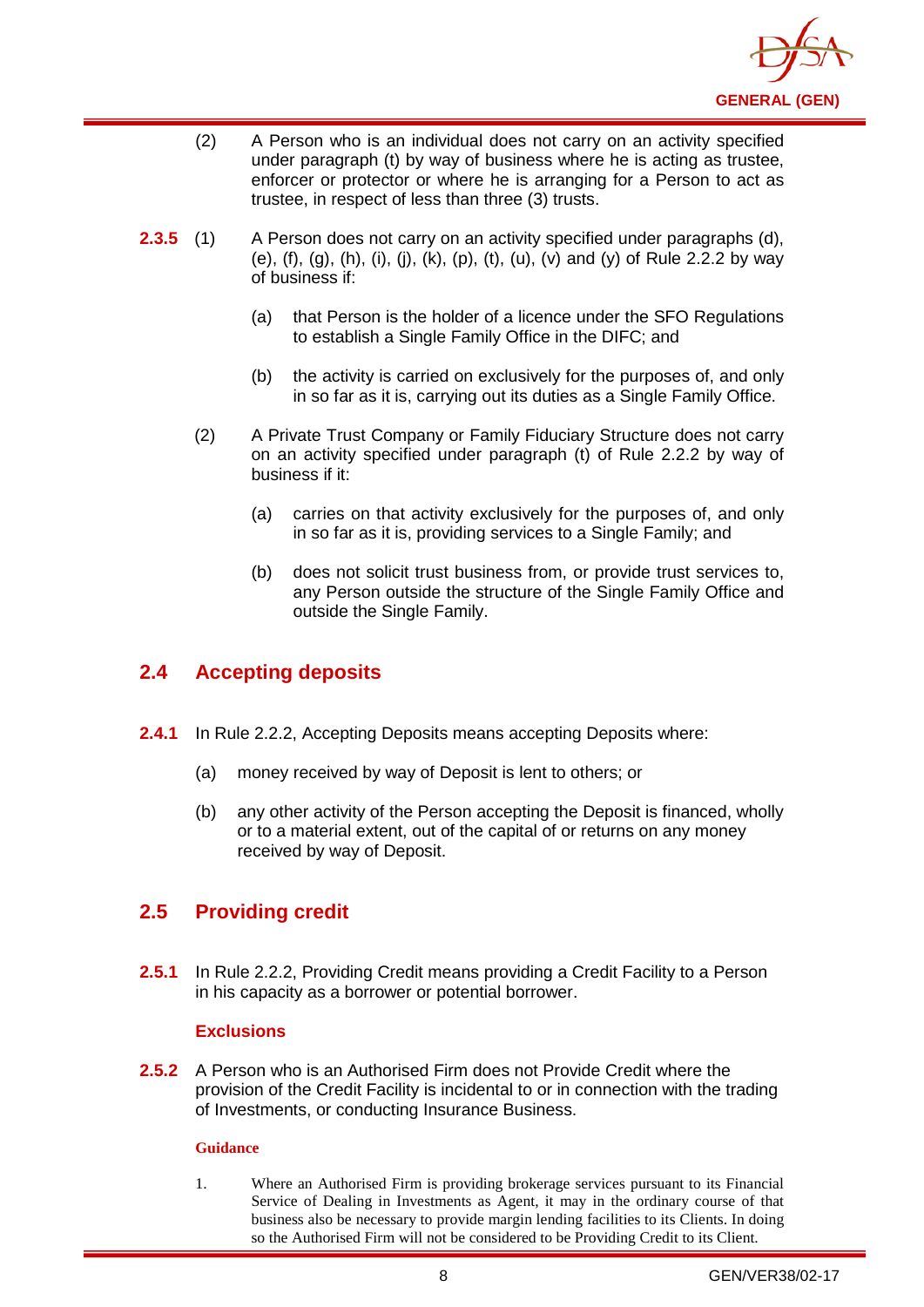

- (2) A Person who is an individual does not carry on an activity specified under paragraph (t) by way of business where he is acting as trustee, enforcer or protector or where he is arranging for a Person to act as trustee, in respect of less than three (3) trusts.
- **2.3.5** (1) A Person does not carry on an activity specified under paragraphs (d), (e), (f), (g), (h), (i), (i), (k), (p), (t), (u), (v) and (y) of Rule 2.2.2 by way of business if:
	- (a) that Person is the holder of a licence under the SFO Regulations to establish a Single Family Office in the DIFC; and
	- (b) the activity is carried on exclusively for the purposes of, and only in so far as it is, carrying out its duties as a Single Family Office.
	- (2) A Private Trust Company or Family Fiduciary Structure does not carry on an activity specified under paragraph (t) of Rule 2.2.2 by way of business if it:
		- (a) carries on that activity exclusively for the purposes of, and only in so far as it is, providing services to a Single Family; and
		- (b) does not solicit trust business from, or provide trust services to, any Person outside the structure of the Single Family Office and outside the Single Family.

## <span id="page-11-0"></span>**2.4 Accepting deposits**

- **2.4.1** In Rule 2.2.2, Accepting Deposits means accepting Deposits where:
	- (a) money received by way of Deposit is lent to others; or
	- (b) any other activity of the Person accepting the Deposit is financed, wholly or to a material extent, out of the capital of or returns on any money received by way of Deposit.

## <span id="page-11-1"></span>**2.5 Providing credit**

**2.5.1** In Rule 2.2.2, Providing Credit means providing a Credit Facility to a Person in his capacity as a borrower or potential borrower.

### **Exclusions**

**2.5.2** A Person who is an Authorised Firm does not Provide Credit where the provision of the Credit Facility is incidental to or in connection with the trading of Investments, or conducting Insurance Business.

#### **Guidance**

1. Where an Authorised Firm is providing brokerage services pursuant to its Financial Service of Dealing in Investments as Agent, it may in the ordinary course of that business also be necessary to provide margin lending facilities to its Clients. In doing so the Authorised Firm will not be considered to be Providing Credit to its Client.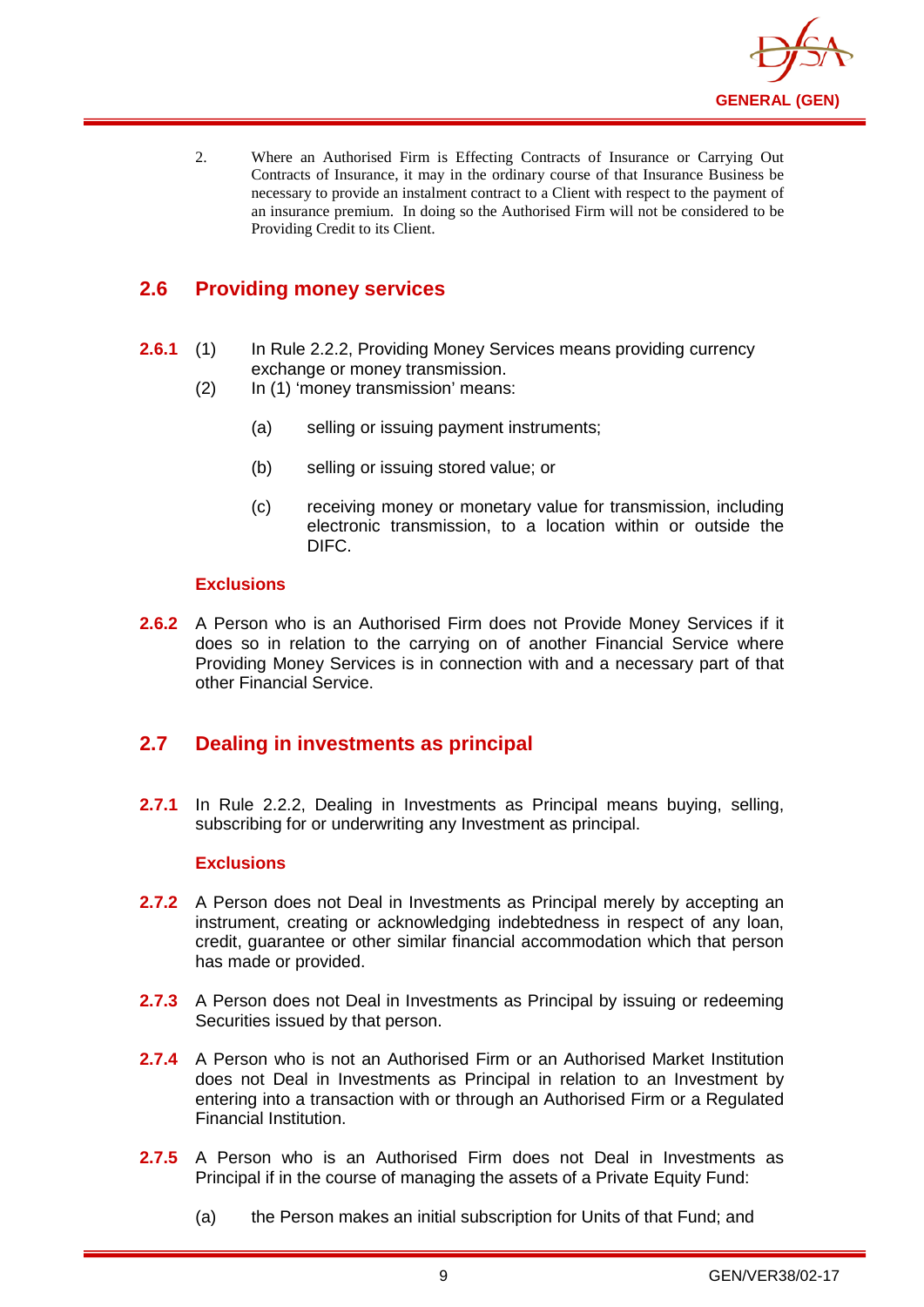

2. Where an Authorised Firm is Effecting Contracts of Insurance or Carrying Out Contracts of Insurance, it may in the ordinary course of that Insurance Business be necessary to provide an instalment contract to a Client with respect to the payment of an insurance premium. In doing so the Authorised Firm will not be considered to be Providing Credit to its Client.

## <span id="page-12-0"></span>**2.6 Providing money services**

- **2.6.1** (1) In Rule 2.2.2, Providing Money Services means providing currency exchange or money transmission.
	- (2) In (1) 'money transmission' means:
		- (a) selling or issuing payment instruments;
		- (b) selling or issuing stored value; or
		- (c) receiving money or monetary value for transmission, including electronic transmission, to a location within or outside the DIFC.

#### **Exclusions**

**2.6.2** A Person who is an Authorised Firm does not Provide Money Services if it does so in relation to the carrying on of another Financial Service where Providing Money Services is in connection with and a necessary part of that other Financial Service.

## <span id="page-12-1"></span>**2.7 Dealing in investments as principal**

**2.7.1** In Rule 2.2.2, Dealing in Investments as Principal means buying, selling, subscribing for or underwriting any Investment as principal.

#### **Exclusions**

- **2.7.2** A Person does not Deal in Investments as Principal merely by accepting an instrument, creating or acknowledging indebtedness in respect of any loan, credit, guarantee or other similar financial accommodation which that person has made or provided.
- **2.7.3** A Person does not Deal in Investments as Principal by issuing or redeeming Securities issued by that person.
- **2.7.4** A Person who is not an Authorised Firm or an Authorised Market Institution does not Deal in Investments as Principal in relation to an Investment by entering into a transaction with or through an Authorised Firm or a Regulated Financial Institution.
- **2.7.5** A Person who is an Authorised Firm does not Deal in Investments as Principal if in the course of managing the assets of a Private Equity Fund:
	- (a) the Person makes an initial subscription for Units of that Fund; and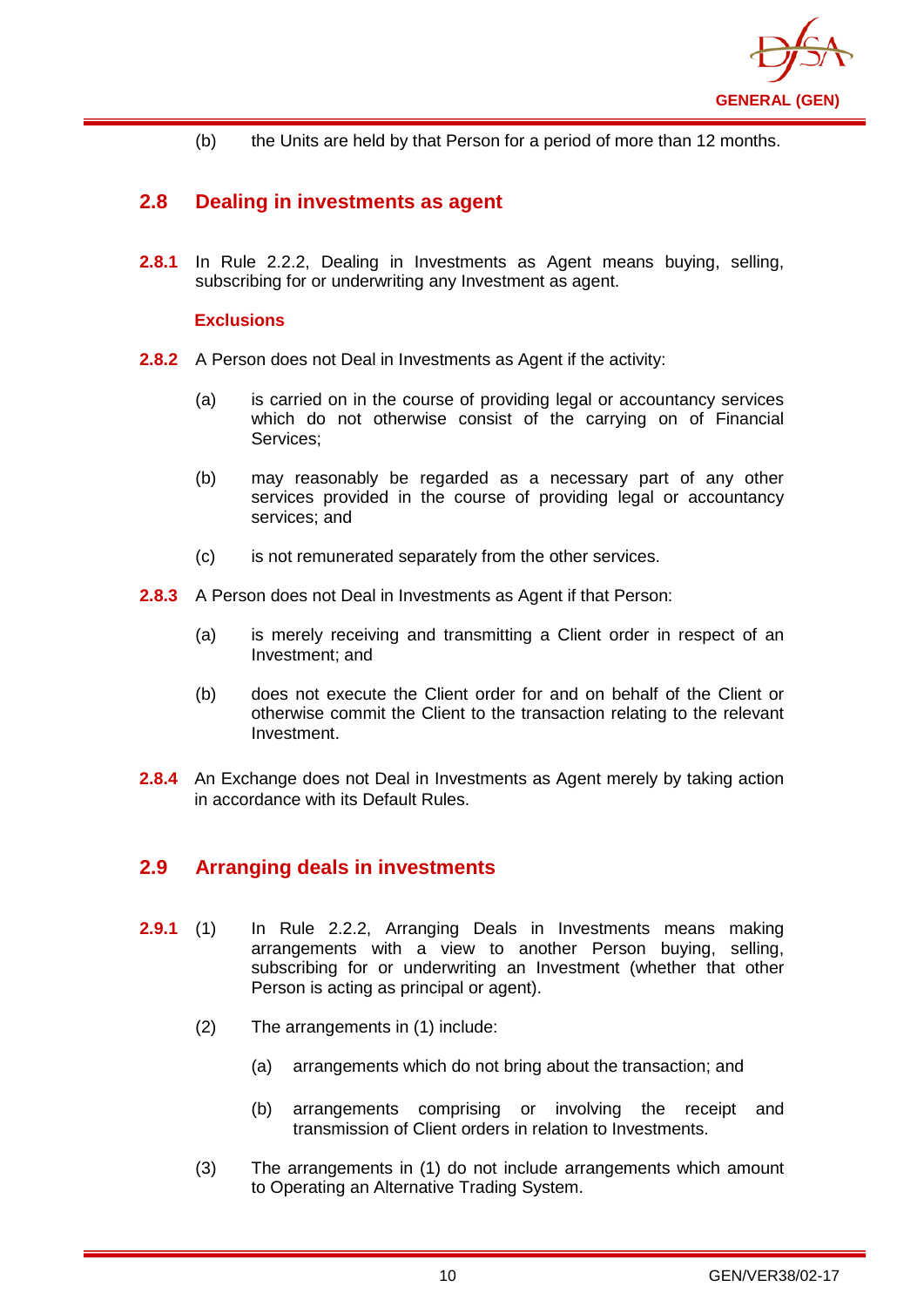

(b) the Units are held by that Person for a period of more than 12 months.

## <span id="page-13-0"></span>**2.8 Dealing in investments as agent**

**2.8.1** In Rule 2.2.2, Dealing in Investments as Agent means buying, selling, subscribing for or underwriting any Investment as agent.

#### **Exclusions**

- **2.8.2** A Person does not Deal in Investments as Agent if the activity:
	- (a) is carried on in the course of providing legal or accountancy services which do not otherwise consist of the carrying on of Financial Services;
	- (b) may reasonably be regarded as a necessary part of any other services provided in the course of providing legal or accountancy services; and
	- (c) is not remunerated separately from the other services.
- **2.8.3** A Person does not Deal in Investments as Agent if that Person:
	- (a) is merely receiving and transmitting a Client order in respect of an Investment; and
	- (b) does not execute the Client order for and on behalf of the Client or otherwise commit the Client to the transaction relating to the relevant Investment.
- **2.8.4** An Exchange does not Deal in Investments as Agent merely by taking action in accordance with its Default Rules.

## <span id="page-13-1"></span>**2.9 Arranging deals in investments**

- **2.9.1** (1) In Rule 2.2.2, Arranging Deals in Investments means making arrangements with a view to another Person buying, selling, subscribing for or underwriting an Investment (whether that other Person is acting as principal or agent).
	- (2) The arrangements in (1) include:
		- (a) arrangements which do not bring about the transaction; and
		- (b) arrangements comprising or involving the receipt and transmission of Client orders in relation to Investments.
	- (3) The arrangements in (1) do not include arrangements which amount to Operating an Alternative Trading System.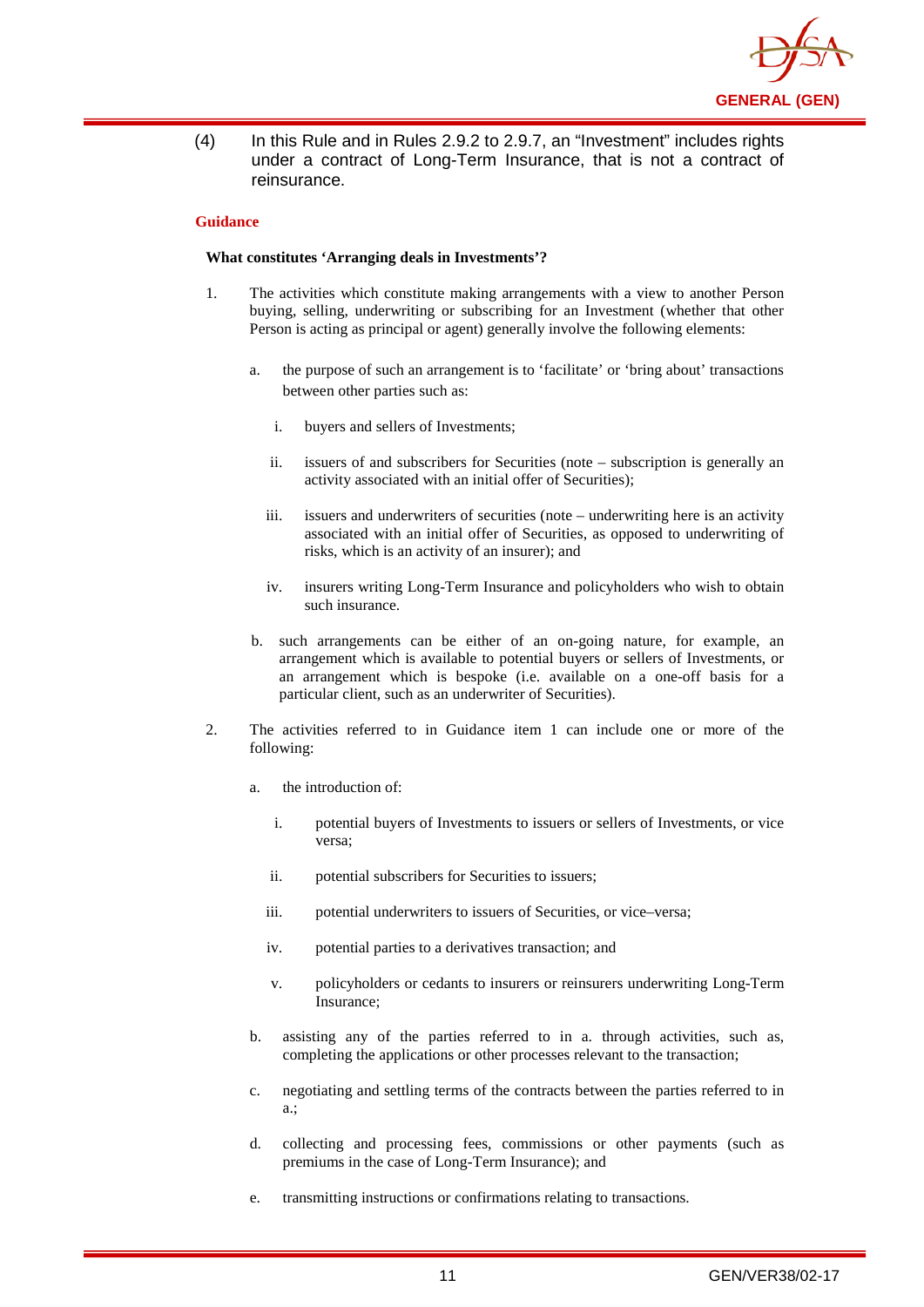

(4) In this Rule and in Rules 2.9.2 to 2.9.7, an "Investment" includes rights under a contract of Long-Term Insurance, that is not a contract of reinsurance.

#### **Guidance**

#### **What constitutes 'Arranging deals in Investments'?**

- 1. The activities which constitute making arrangements with a view to another Person buying, selling, underwriting or subscribing for an Investment (whether that other Person is acting as principal or agent) generally involve the following elements:
	- a. the purpose of such an arrangement is to 'facilitate' or 'bring about' transactions between other parties such as:
		- i. buyers and sellers of Investments;
		- ii. issuers of and subscribers for Securities (note subscription is generally an activity associated with an initial offer of Securities);
		- iii. issuers and underwriters of securities (note underwriting here is an activity associated with an initial offer of Securities, as opposed to underwriting of risks, which is an activity of an insurer); and
		- iv. insurers writing Long-Term Insurance and policyholders who wish to obtain such insurance.
	- b. such arrangements can be either of an on-going nature, for example, an arrangement which is available to potential buyers or sellers of Investments, or an arrangement which is bespoke (i.e. available on a one-off basis for a particular client, such as an underwriter of Securities).
- 2. The activities referred to in Guidance item 1 can include one or more of the following:
	- a. the introduction of:
		- i. potential buyers of Investments to issuers or sellers of Investments, or vice versa;
		- ii. potential subscribers for Securities to issuers;
		- iii. potential underwriters to issuers of Securities, or vice–versa;
		- iv. potential parties to a derivatives transaction; and
		- v. policyholders or cedants to insurers or reinsurers underwriting Long-Term Insurance;
	- b. assisting any of the parties referred to in a. through activities, such as, completing the applications or other processes relevant to the transaction;
	- c. negotiating and settling terms of the contracts between the parties referred to in a.;
	- d. collecting and processing fees, commissions or other payments (such as premiums in the case of Long-Term Insurance); and
	- e. transmitting instructions or confirmations relating to transactions.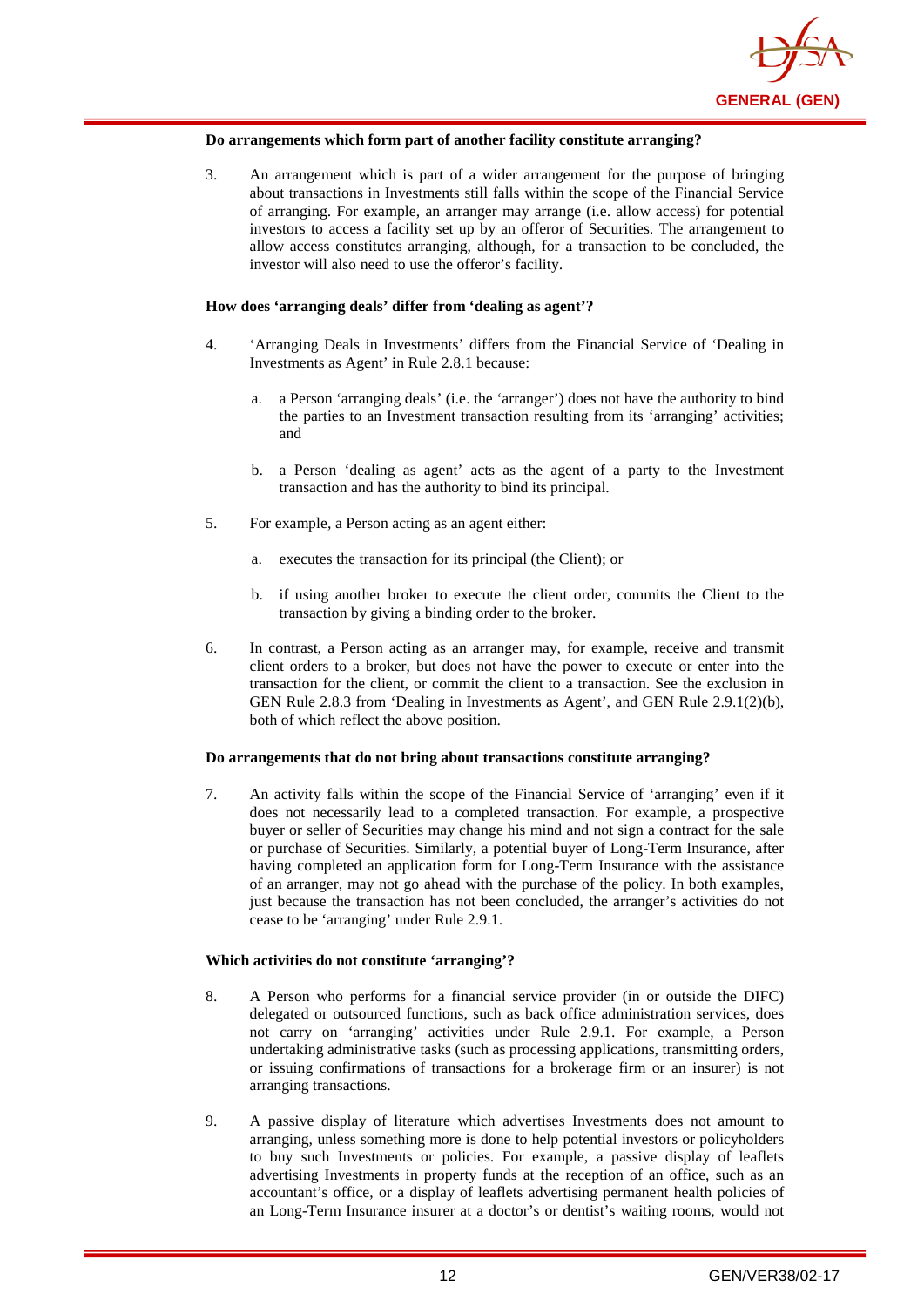

#### **Do arrangements which form part of another facility constitute arranging?**

3. An arrangement which is part of a wider arrangement for the purpose of bringing about transactions in Investments still falls within the scope of the Financial Service of arranging. For example, an arranger may arrange (i.e. allow access) for potential investors to access a facility set up by an offeror of Securities. The arrangement to allow access constitutes arranging, although, for a transaction to be concluded, the investor will also need to use the offeror's facility.

#### **How does 'arranging deals' differ from 'dealing as agent'?**

- 4. 'Arranging Deals in Investments' differs from the Financial Service of 'Dealing in Investments as Agent' in Rule 2.8.1 because:
	- a. a Person 'arranging deals' (i.e. the 'arranger') does not have the authority to bind the parties to an Investment transaction resulting from its 'arranging' activities; and
	- b. a Person 'dealing as agent' acts as the agent of a party to the Investment transaction and has the authority to bind its principal.
- 5. For example, a Person acting as an agent either:
	- a. executes the transaction for its principal (the Client); or
	- b. if using another broker to execute the client order, commits the Client to the transaction by giving a binding order to the broker.
- 6. In contrast, a Person acting as an arranger may, for example, receive and transmit client orders to a broker, but does not have the power to execute or enter into the transaction for the client, or commit the client to a transaction. See the exclusion in GEN Rule 2.8.3 from 'Dealing in Investments as Agent', and GEN Rule 2.9.1(2)(b), both of which reflect the above position.

#### **Do arrangements that do not bring about transactions constitute arranging?**

7. An activity falls within the scope of the Financial Service of 'arranging' even if it does not necessarily lead to a completed transaction. For example, a prospective buyer or seller of Securities may change his mind and not sign a contract for the sale or purchase of Securities. Similarly, a potential buyer of Long-Term Insurance, after having completed an application form for Long-Term Insurance with the assistance of an arranger, may not go ahead with the purchase of the policy. In both examples, just because the transaction has not been concluded, the arranger's activities do not cease to be 'arranging' under Rule 2.9.1.

#### **Which activities do not constitute 'arranging'?**

- 8. A Person who performs for a financial service provider (in or outside the DIFC) delegated or outsourced functions, such as back office administration services, does not carry on 'arranging' activities under Rule 2.9.1. For example, a Person undertaking administrative tasks (such as processing applications, transmitting orders, or issuing confirmations of transactions for a brokerage firm or an insurer) is not arranging transactions.
- 9. A passive display of literature which advertises Investments does not amount to arranging, unless something more is done to help potential investors or policyholders to buy such Investments or policies. For example, a passive display of leaflets advertising Investments in property funds at the reception of an office, such as an accountant's office, or a display of leaflets advertising permanent health policies of an Long-Term Insurance insurer at a doctor's or dentist's waiting rooms, would not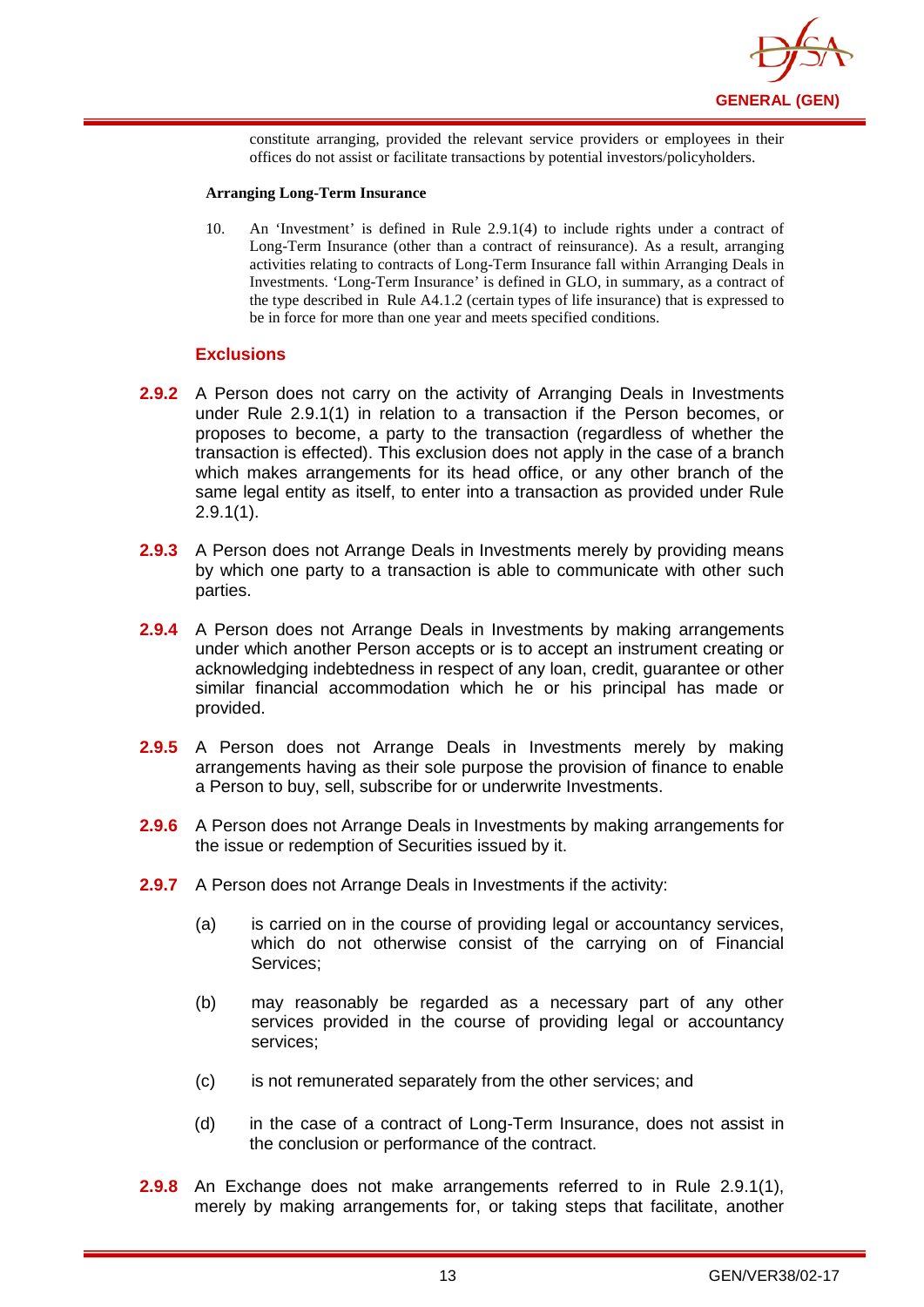

constitute arranging, provided the relevant service providers or employees in their offices do not assist or facilitate transactions by potential investors/policyholders.

#### **Arranging Long-Term Insurance**

10. An 'Investment' is defined in Rule 2.9.1(4) to include rights under a contract of Long-Term Insurance (other than a contract of reinsurance). As a result, arranging activities relating to contracts of Long-Term Insurance fall within Arranging Deals in Investments. 'Long-Term Insurance' is defined in GLO, in summary, as a contract of the type described in Rule A4.1.2 (certain types of life insurance) that is expressed to be in force for more than one year and meets specified conditions.

#### **Exclusions**

- **2.9.2** A Person does not carry on the activity of Arranging Deals in Investments under Rule 2.9.1(1) in relation to a transaction if the Person becomes, or proposes to become, a party to the transaction (regardless of whether the transaction is effected). This exclusion does not apply in the case of a branch which makes arrangements for its head office, or any other branch of the same legal entity as itself, to enter into a transaction as provided under Rule 2.9.1(1).
- **2.9.3** A Person does not Arrange Deals in Investments merely by providing means by which one party to a transaction is able to communicate with other such parties.
- **2.9.4** A Person does not Arrange Deals in Investments by making arrangements under which another Person accepts or is to accept an instrument creating or acknowledging indebtedness in respect of any loan, credit, guarantee or other similar financial accommodation which he or his principal has made or provided.
- **2.9.5** A Person does not Arrange Deals in Investments merely by making arrangements having as their sole purpose the provision of finance to enable a Person to buy, sell, subscribe for or underwrite Investments.
- **2.9.6** A Person does not Arrange Deals in Investments by making arrangements for the issue or redemption of Securities issued by it.
- **2.9.7** A Person does not Arrange Deals in Investments if the activity:
	- (a) is carried on in the course of providing legal or accountancy services, which do not otherwise consist of the carrying on of Financial Services;
	- (b) may reasonably be regarded as a necessary part of any other services provided in the course of providing legal or accountancy services;
	- (c) is not remunerated separately from the other services; and
	- (d) in the case of a contract of Long-Term Insurance, does not assist in the conclusion or performance of the contract.
- **2.9.8** An Exchange does not make arrangements referred to in Rule 2.9.1(1), merely by making arrangements for, or taking steps that facilitate, another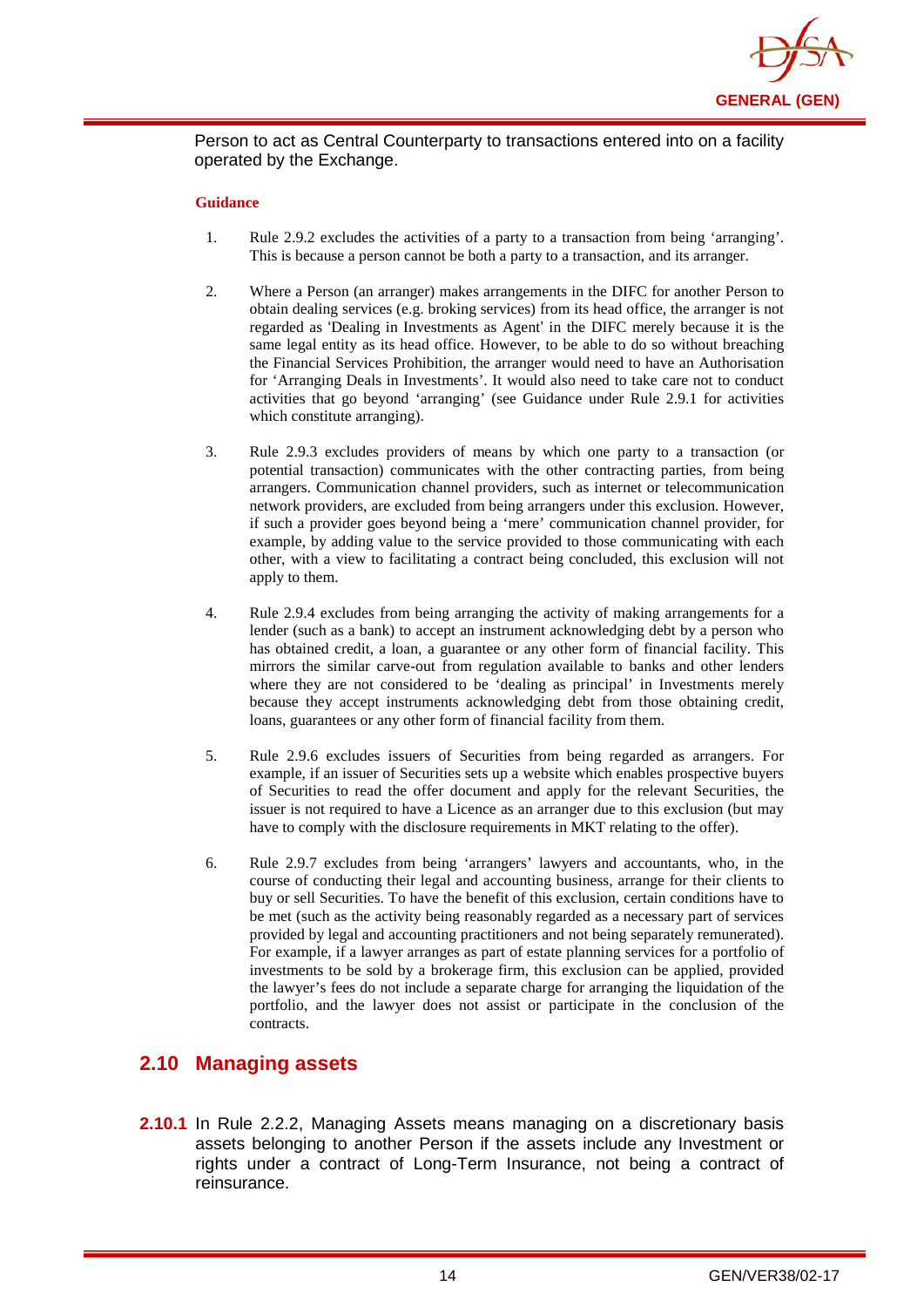

Person to act as Central Counterparty to transactions entered into on a facility operated by the Exchange.

#### **Guidance**

- 1. Rule 2.9.2 excludes the activities of a party to a transaction from being 'arranging'. This is because a person cannot be both a party to a transaction, and its arranger.
- 2. Where a Person (an arranger) makes arrangements in the DIFC for another Person to obtain dealing services (e.g. broking services) from its head office, the arranger is not regarded as 'Dealing in Investments as Agent' in the DIFC merely because it is the same legal entity as its head office. However, to be able to do so without breaching the Financial Services Prohibition, the arranger would need to have an Authorisation for 'Arranging Deals in Investments'. It would also need to take care not to conduct activities that go beyond 'arranging' (see Guidance under Rule 2.9.1 for activities which constitute arranging).
- 3. Rule 2.9.3 excludes providers of means by which one party to a transaction (or potential transaction) communicates with the other contracting parties, from being arrangers. Communication channel providers, such as internet or telecommunication network providers, are excluded from being arrangers under this exclusion. However, if such a provider goes beyond being a 'mere' communication channel provider, for example, by adding value to the service provided to those communicating with each other, with a view to facilitating a contract being concluded, this exclusion will not apply to them.
- 4. Rule 2.9.4 excludes from being arranging the activity of making arrangements for a lender (such as a bank) to accept an instrument acknowledging debt by a person who has obtained credit, a loan, a guarantee or any other form of financial facility. This mirrors the similar carve-out from regulation available to banks and other lenders where they are not considered to be 'dealing as principal' in Investments merely because they accept instruments acknowledging debt from those obtaining credit, loans, guarantees or any other form of financial facility from them.
- 5. Rule 2.9.6 excludes issuers of Securities from being regarded as arrangers. For example, if an issuer of Securities sets up a website which enables prospective buyers of Securities to read the offer document and apply for the relevant Securities, the issuer is not required to have a Licence as an arranger due to this exclusion (but may have to comply with the disclosure requirements in MKT relating to the offer).
- 6. Rule 2.9.7 excludes from being 'arrangers' lawyers and accountants, who, in the course of conducting their legal and accounting business, arrange for their clients to buy or sell Securities. To have the benefit of this exclusion, certain conditions have to be met (such as the activity being reasonably regarded as a necessary part of services provided by legal and accounting practitioners and not being separately remunerated). For example, if a lawyer arranges as part of estate planning services for a portfolio of investments to be sold by a brokerage firm, this exclusion can be applied, provided the lawyer's fees do not include a separate charge for arranging the liquidation of the portfolio, and the lawyer does not assist or participate in the conclusion of the contracts.

### <span id="page-17-0"></span>**2.10 Managing assets**

**2.10.1** In Rule 2.2.2, Managing Assets means managing on a discretionary basis assets belonging to another Person if the assets include any Investment or rights under a contract of Long-Term Insurance, not being a contract of reinsurance.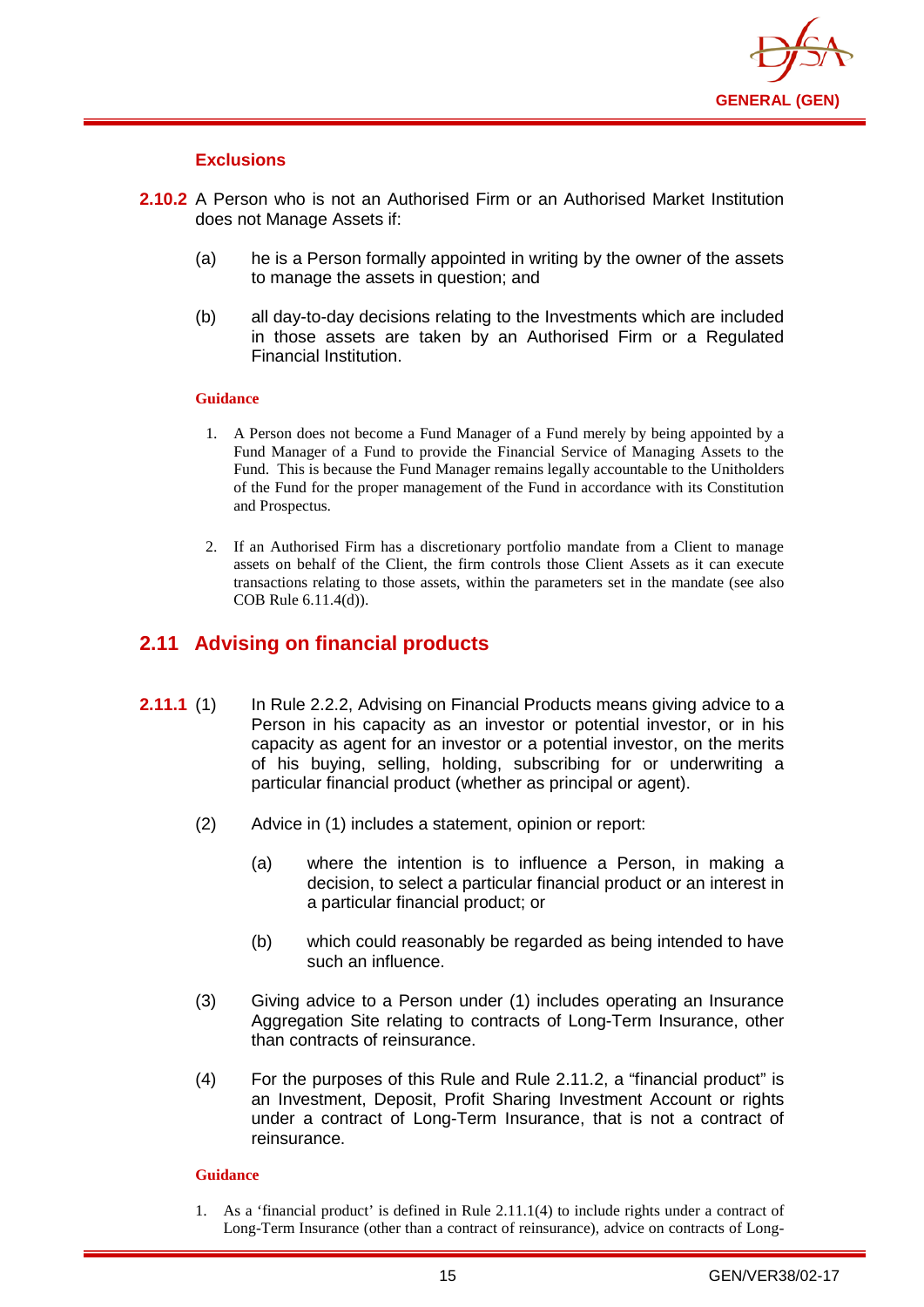

#### **Exclusions**

- **2.10.2** A Person who is not an Authorised Firm or an Authorised Market Institution does not Manage Assets if:
	- (a) he is a Person formally appointed in writing by the owner of the assets to manage the assets in question; and
	- (b) all day-to-day decisions relating to the Investments which are included in those assets are taken by an Authorised Firm or a Regulated Financial Institution.

#### **Guidance**

- 1. A Person does not become a Fund Manager of a Fund merely by being appointed by a Fund Manager of a Fund to provide the Financial Service of Managing Assets to the Fund. This is because the Fund Manager remains legally accountable to the Unitholders of the Fund for the proper management of the Fund in accordance with its Constitution and Prospectus.
- 2. If an Authorised Firm has a discretionary portfolio mandate from a Client to manage assets on behalf of the Client, the firm controls those Client Assets as it can execute transactions relating to those assets, within the parameters set in the mandate (see also COB Rule 6.11.4(d)).

## <span id="page-18-0"></span>**2.11 Advising on financial products**

- **2.11.1** (1) In Rule 2.2.2, Advising on Financial Products means giving advice to a Person in his capacity as an investor or potential investor, or in his capacity as agent for an investor or a potential investor, on the merits of his buying, selling, holding, subscribing for or underwriting a particular financial product (whether as principal or agent).
	- (2) Advice in (1) includes a statement, opinion or report:
		- (a) where the intention is to influence a Person, in making a decision, to select a particular financial product or an interest in a particular financial product; or
		- (b) which could reasonably be regarded as being intended to have such an influence.
	- (3) Giving advice to a Person under (1) includes operating an Insurance Aggregation Site relating to contracts of Long-Term Insurance, other than contracts of reinsurance.
	- (4) For the purposes of this Rule and Rule 2.11.2, a "financial product" is an Investment, Deposit, Profit Sharing Investment Account or rights under a contract of Long-Term Insurance, that is not a contract of reinsurance.

#### **Guidance**

1. As a 'financial product' is defined in Rule 2.11.1(4) to include rights under a contract of Long-Term Insurance (other than a contract of reinsurance), advice on contracts of Long-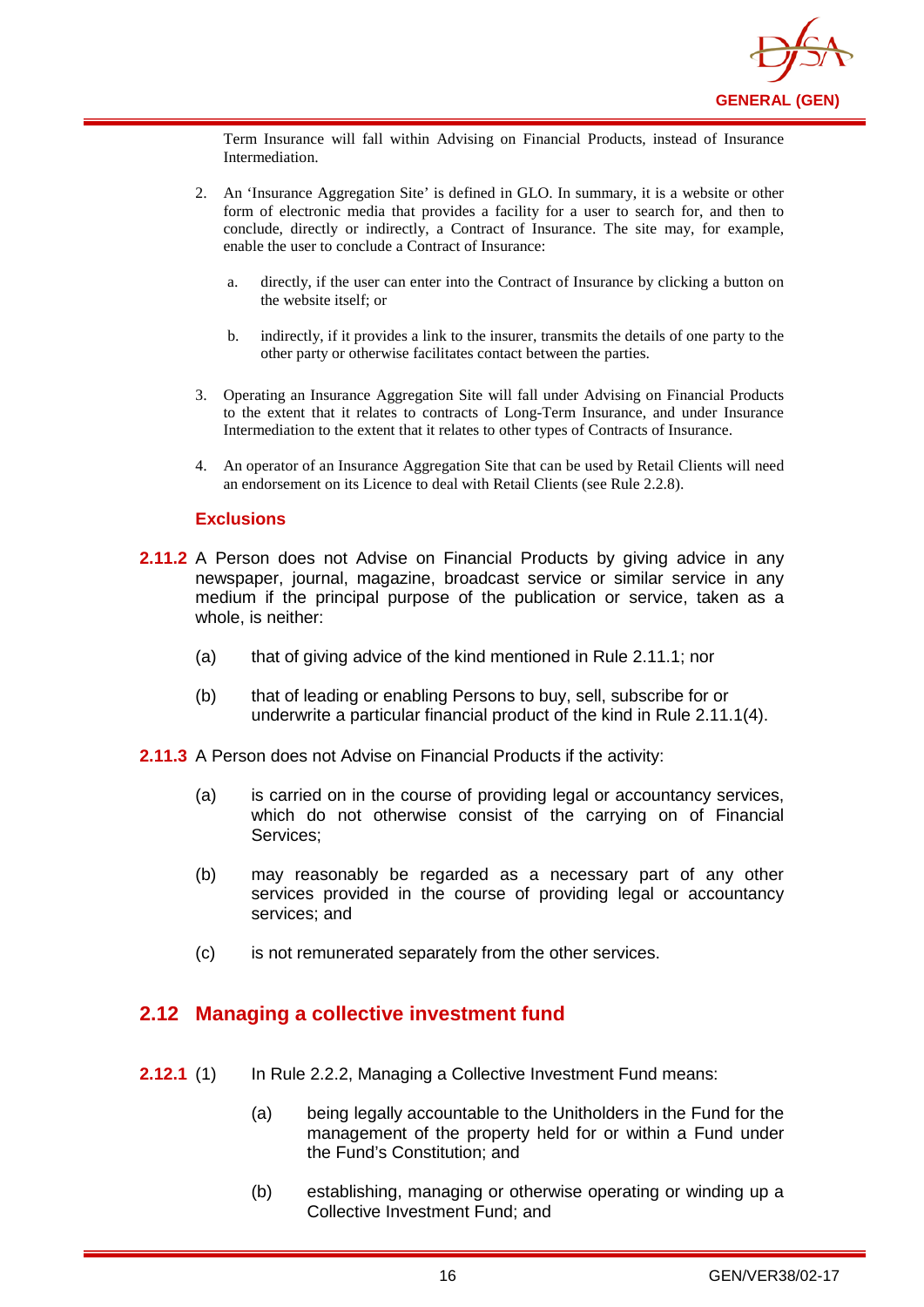

Term Insurance will fall within Advising on Financial Products, instead of Insurance Intermediation.

- 2. An 'Insurance Aggregation Site' is defined in GLO. In summary, it is a website or other form of electronic media that provides a facility for a user to search for, and then to conclude, directly or indirectly, a Contract of Insurance. The site may, for example, enable the user to conclude a Contract of Insurance:
	- a. directly, if the user can enter into the Contract of Insurance by clicking a button on the website itself; or
	- b. indirectly, if it provides a link to the insurer, transmits the details of one party to the other party or otherwise facilitates contact between the parties.
- 3. Operating an Insurance Aggregation Site will fall under Advising on Financial Products to the extent that it relates to contracts of Long-Term Insurance, and under Insurance Intermediation to the extent that it relates to other types of Contracts of Insurance.
- 4. An operator of an Insurance Aggregation Site that can be used by Retail Clients will need an endorsement on its Licence to deal with Retail Clients (see Rule 2.2.8).

#### **Exclusions**

- **2.11.2** A Person does not Advise on Financial Products by giving advice in any newspaper, journal, magazine, broadcast service or similar service in any medium if the principal purpose of the publication or service, taken as a whole, is neither:
	- (a) that of giving advice of the kind mentioned in Rule 2.11.1; nor
	- (b) that of leading or enabling Persons to buy, sell, subscribe for or underwrite a particular financial product of the kind in Rule 2.11.1(4).
- **2.11.3** A Person does not Advise on Financial Products if the activity:
	- (a) is carried on in the course of providing legal or accountancy services, which do not otherwise consist of the carrying on of Financial Services;
	- (b) may reasonably be regarded as a necessary part of any other services provided in the course of providing legal or accountancy services; and
	- (c) is not remunerated separately from the other services.

## <span id="page-19-0"></span>**2.12 Managing a collective investment fund**

- **2.12.1** (1) In Rule 2.2.2, Managing a Collective Investment Fund means:
	- (a) being legally accountable to the Unitholders in the Fund for the management of the property held for or within a Fund under the Fund's Constitution; and
	- (b) establishing, managing or otherwise operating or winding up a Collective Investment Fund; and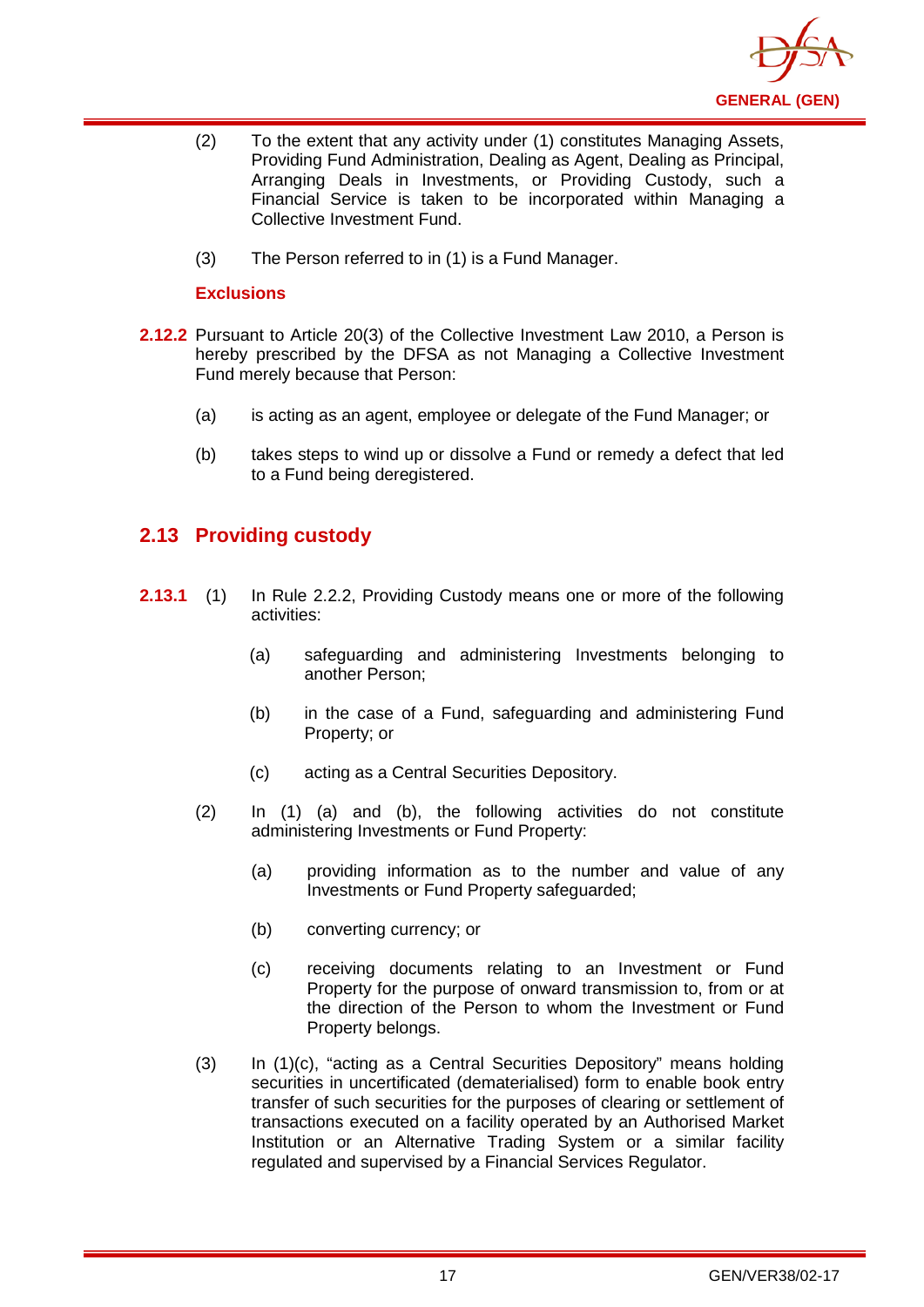

- (2) To the extent that any activity under (1) constitutes Managing Assets, Providing Fund Administration, Dealing as Agent, Dealing as Principal, Arranging Deals in Investments, or Providing Custody, such a Financial Service is taken to be incorporated within Managing a Collective Investment Fund.
- (3) The Person referred to in (1) is a Fund Manager.

### **Exclusions**

- **2.12.2** Pursuant to Article 20(3) of the Collective Investment Law 2010, a Person is hereby prescribed by the DFSA as not Managing a Collective Investment Fund merely because that Person:
	- (a) is acting as an agent, employee or delegate of the Fund Manager; or
	- (b) takes steps to wind up or dissolve a Fund or remedy a defect that led to a Fund being deregistered.

## <span id="page-20-0"></span>**2.13 Providing custody**

- **2.13.1** (1) In Rule 2.2.2, Providing Custody means one or more of the following activities:
	- (a) safeguarding and administering Investments belonging to another Person;
	- (b) in the case of a Fund, safeguarding and administering Fund Property; or
	- (c) acting as a Central Securities Depository.
	- (2) In (1) (a) and (b), the following activities do not constitute administering Investments or Fund Property:
		- (a) providing information as to the number and value of any Investments or Fund Property safeguarded;
		- (b) converting currency; or
		- (c) receiving documents relating to an Investment or Fund Property for the purpose of onward transmission to, from or at the direction of the Person to whom the Investment or Fund Property belongs.
	- (3) In (1)(c), "acting as a Central Securities Depository" means holding securities in uncertificated (dematerialised) form to enable [book entry](http://en.wikipedia.org/wiki/Book_entry) transfer of such securities for the purposes of clearing or settlement of transactions executed on a facility operated by an Authorised Market Institution or an Alternative Trading System or a similar facility regulated and supervised by a Financial Services Regulator.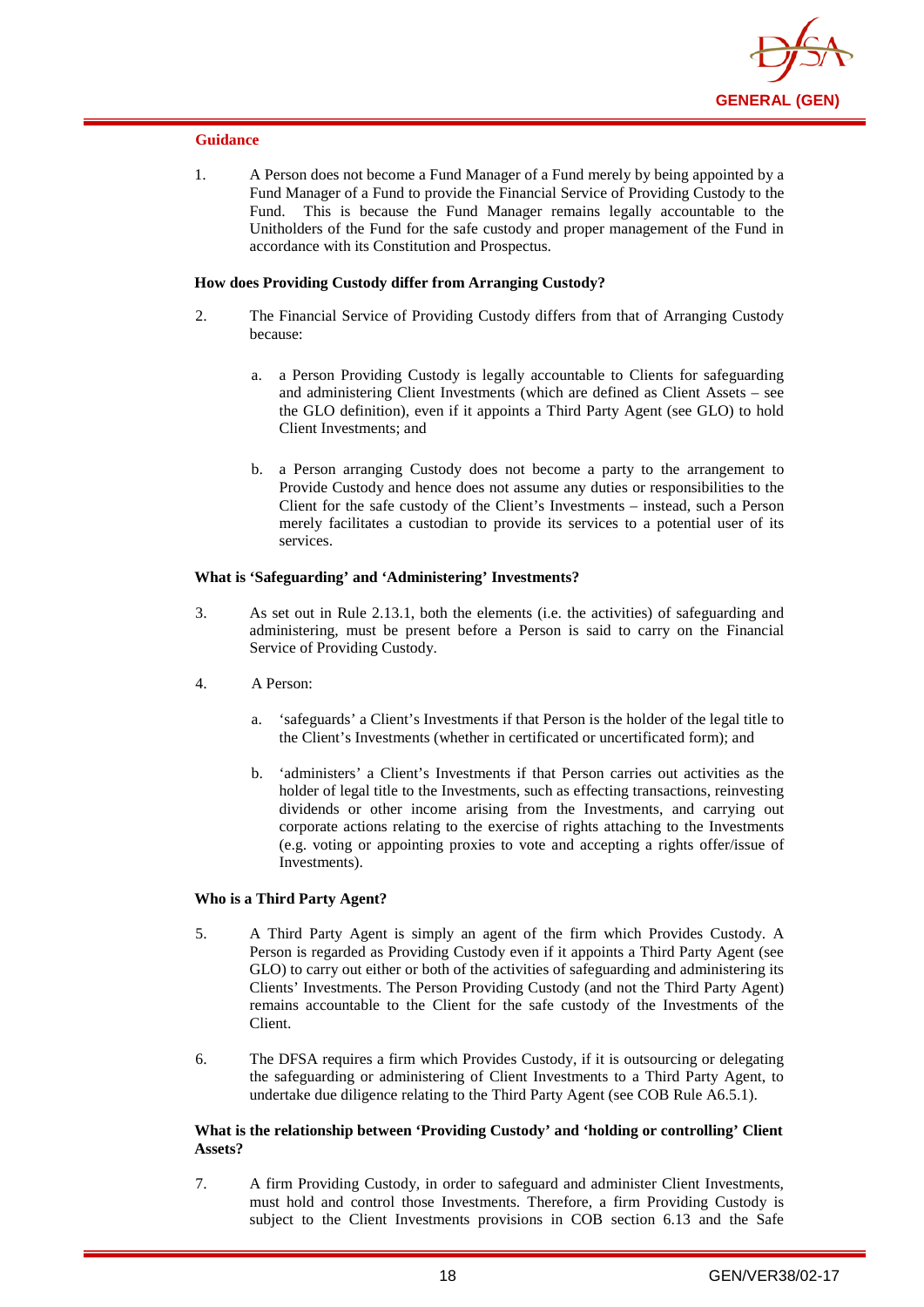

1. A Person does not become a Fund Manager of a Fund merely by being appointed by a Fund Manager of a Fund to provide the Financial Service of Providing Custody to the Fund. This is because the Fund Manager remains legally accountable to the Unitholders of the Fund for the safe custody and proper management of the Fund in accordance with its Constitution and Prospectus.

#### **How does Providing Custody differ from Arranging Custody?**

- 2. The Financial Service of Providing Custody differs from that of Arranging Custody because:
	- a. a Person Providing Custody is legally accountable to Clients for safeguarding and administering Client Investments (which are defined as Client Assets – see the GLO definition), even if it appoints a Third Party Agent (see GLO) to hold Client Investments; and
	- b. a Person arranging Custody does not become a party to the arrangement to Provide Custody and hence does not assume any duties or responsibilities to the Client for the safe custody of the Client's Investments – instead, such a Person merely facilitates a custodian to provide its services to a potential user of its services.

#### **What is 'Safeguarding' and 'Administering' Investments?**

- 3. As set out in Rule 2.13.1, both the elements (i.e. the activities) of safeguarding and administering, must be present before a Person is said to carry on the Financial Service of Providing Custody.
- 4. A Person:
	- a. 'safeguards' a Client's Investments if that Person is the holder of the legal title to the Client's Investments (whether in certificated or uncertificated form); and
	- b. 'administers' a Client's Investments if that Person carries out activities as the holder of legal title to the Investments, such as effecting transactions, reinvesting dividends or other income arising from the Investments, and carrying out corporate actions relating to the exercise of rights attaching to the Investments (e.g. voting or appointing proxies to vote and accepting a rights offer/issue of Investments).

#### **Who is a Third Party Agent?**

- 5. A Third Party Agent is simply an agent of the firm which Provides Custody. A Person is regarded as Providing Custody even if it appoints a Third Party Agent (see GLO) to carry out either or both of the activities of safeguarding and administering its Clients' Investments. The Person Providing Custody (and not the Third Party Agent) remains accountable to the Client for the safe custody of the Investments of the Client.
- 6. The DFSA requires a firm which Provides Custody, if it is outsourcing or delegating the safeguarding or administering of Client Investments to a Third Party Agent, to undertake due diligence relating to the Third Party Agent (see COB Rule A6.5.1).

#### **What is the relationship between 'Providing Custody' and 'holding or controlling' Client Assets?**

7. A firm Providing Custody, in order to safeguard and administer Client Investments, must hold and control those Investments. Therefore, a firm Providing Custody is subject to the Client Investments provisions in COB section 6.13 and the Safe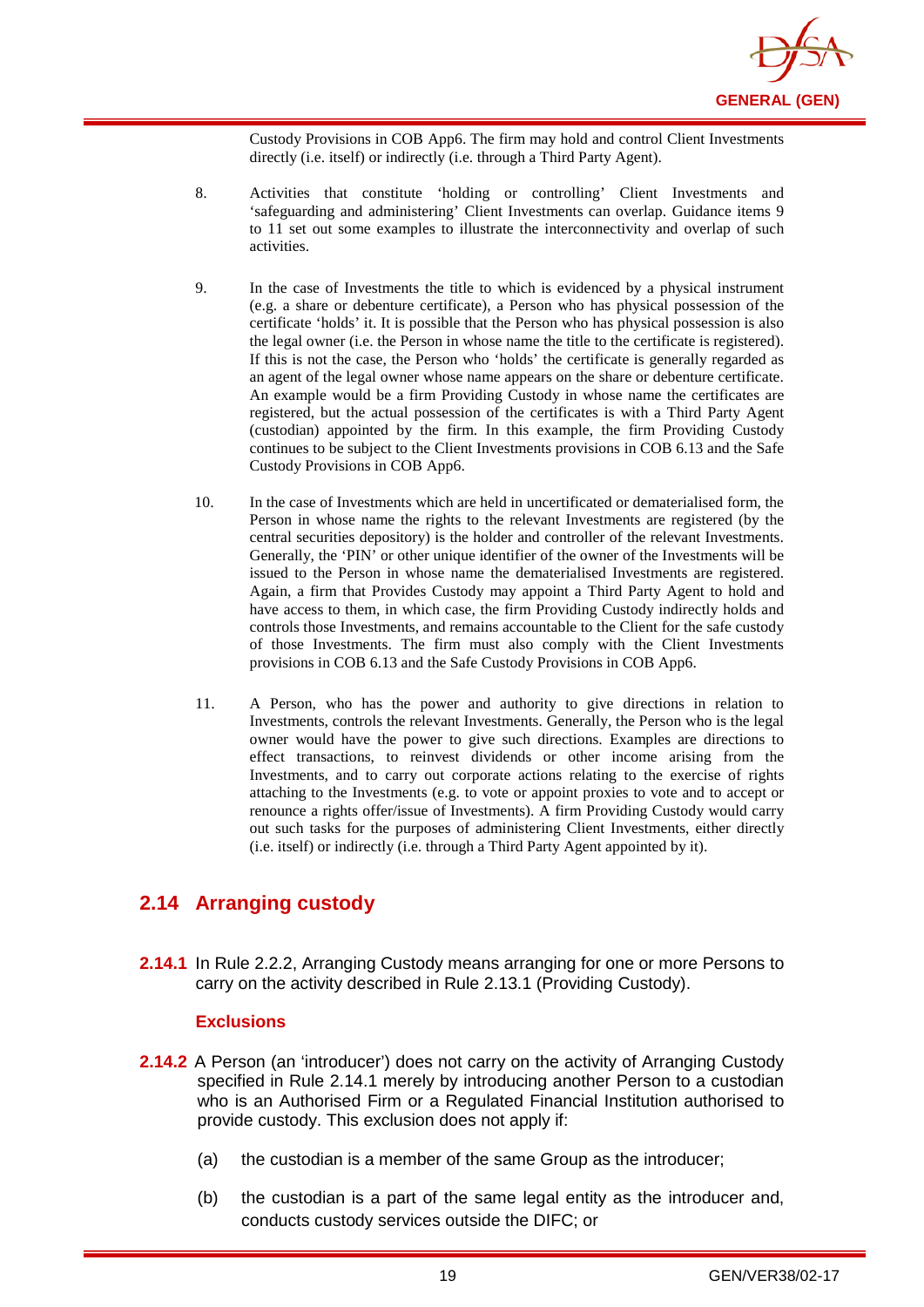

Custody Provisions in COB App6. The firm may hold and control Client Investments directly (i.e. itself) or indirectly (i.e. through a Third Party Agent).

- 8. Activities that constitute 'holding or controlling' Client Investments and 'safeguarding and administering' Client Investments can overlap. Guidance items 9 to 11 set out some examples to illustrate the interconnectivity and overlap of such activities.
- 9. In the case of Investments the title to which is evidenced by a physical instrument (e.g. a share or debenture certificate), a Person who has physical possession of the certificate 'holds' it. It is possible that the Person who has physical possession is also the legal owner (i.e. the Person in whose name the title to the certificate is registered). If this is not the case, the Person who 'holds' the certificate is generally regarded as an agent of the legal owner whose name appears on the share or debenture certificate. An example would be a firm Providing Custody in whose name the certificates are registered, but the actual possession of the certificates is with a Third Party Agent (custodian) appointed by the firm. In this example, the firm Providing Custody continues to be subject to the Client Investments provisions in COB 6.13 and the Safe Custody Provisions in COB App6.
- 10. In the case of Investments which are held in uncertificated or dematerialised form, the Person in whose name the rights to the relevant Investments are registered (by the central securities depository) is the holder and controller of the relevant Investments. Generally, the 'PIN' or other unique identifier of the owner of the Investments will be issued to the Person in whose name the dematerialised Investments are registered. Again, a firm that Provides Custody may appoint a Third Party Agent to hold and have access to them, in which case, the firm Providing Custody indirectly holds and controls those Investments, and remains accountable to the Client for the safe custody of those Investments. The firm must also comply with the Client Investments provisions in COB 6.13 and the Safe Custody Provisions in COB App6.
- 11. A Person, who has the power and authority to give directions in relation to Investments, controls the relevant Investments. Generally, the Person who is the legal owner would have the power to give such directions. Examples are directions to effect transactions, to reinvest dividends or other income arising from the Investments, and to carry out corporate actions relating to the exercise of rights attaching to the Investments (e.g. to vote or appoint proxies to vote and to accept or renounce a rights offer/issue of Investments). A firm Providing Custody would carry out such tasks for the purposes of administering Client Investments, either directly (i.e. itself) or indirectly (i.e. through a Third Party Agent appointed by it).

## <span id="page-22-0"></span>**2.14 Arranging custody**

**2.14.1** In Rule 2.2.2, Arranging Custody means arranging for one or more Persons to carry on the activity described in Rule 2.13.1 (Providing Custody).

#### **Exclusions**

- **2.14.2** A Person (an 'introducer') does not carry on the activity of Arranging Custody specified in Rule 2.14.1 merely by introducing another Person to a custodian who is an Authorised Firm or a Regulated Financial Institution authorised to provide custody. This exclusion does not apply if:
	- (a) the custodian is a member of the same Group as the introducer;
	- (b) the custodian is a part of the same legal entity as the introducer and, conducts custody services outside the DIFC; or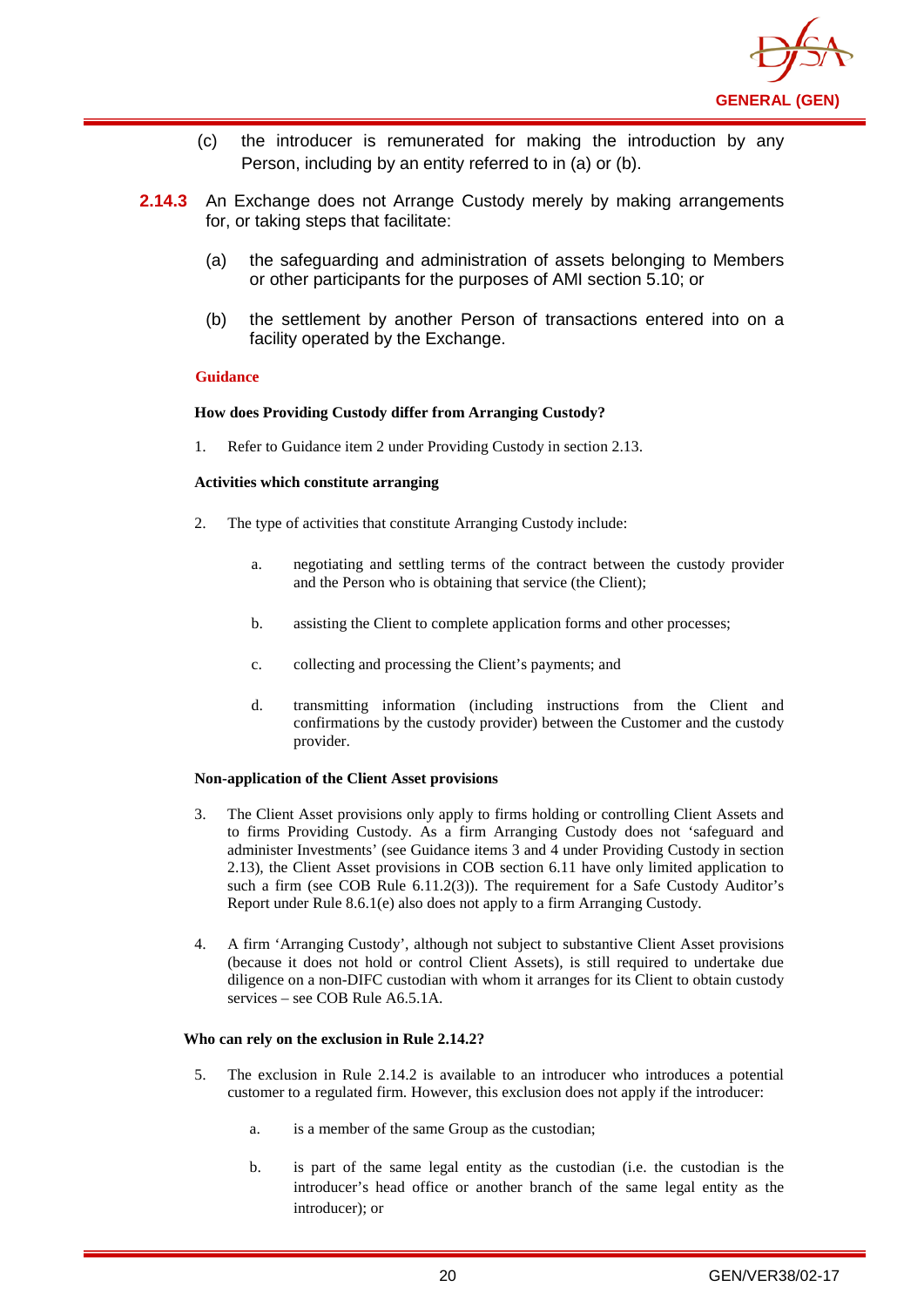

- (c) the introducer is remunerated for making the introduction by any Person, including by an entity referred to in (a) or (b).
- **2.14.3** An Exchange does not Arrange Custody merely by making arrangements for, or taking steps that facilitate:
	- (a) the safeguarding and administration of assets belonging to Members or other participants for the purposes of AMI section 5.10; or
	- (b) the settlement by another Person of transactions entered into on a facility operated by the Exchange.

#### **How does Providing Custody differ from Arranging Custody?**

1. Refer to Guidance item 2 under Providing Custody in section 2.13.

#### **Activities which constitute arranging**

- 2. The type of activities that constitute Arranging Custody include:
	- a. negotiating and settling terms of the contract between the custody provider and the Person who is obtaining that service (the Client);
	- b. assisting the Client to complete application forms and other processes;
	- c. collecting and processing the Client's payments; and
	- d. transmitting information (including instructions from the Client and confirmations by the custody provider) between the Customer and the custody provider.

#### **Non-application of the Client Asset provisions**

- 3. The Client Asset provisions only apply to firms holding or controlling Client Assets and to firms Providing Custody. As a firm Arranging Custody does not 'safeguard and administer Investments' (see Guidance items 3 and 4 under Providing Custody in section 2.13), the Client Asset provisions in COB section 6.11 have only limited application to such a firm (see COB Rule 6.11.2(3)). The requirement for a Safe Custody Auditor's Report under Rule 8.6.1(e) also does not apply to a firm Arranging Custody.
- 4. A firm 'Arranging Custody', although not subject to substantive Client Asset provisions (because it does not hold or control Client Assets), is still required to undertake due diligence on a non-DIFC custodian with whom it arranges for its Client to obtain custody services – see COB Rule A6.5.1A.

#### **Who can rely on the exclusion in Rule 2.14.2?**

- 5. The exclusion in Rule 2.14.2 is available to an introducer who introduces a potential customer to a regulated firm. However, this exclusion does not apply if the introducer:
	- a. is a member of the same Group as the custodian;
	- b. is part of the same legal entity as the custodian (i.e. the custodian is the introducer's head office or another branch of the same legal entity as the introducer); or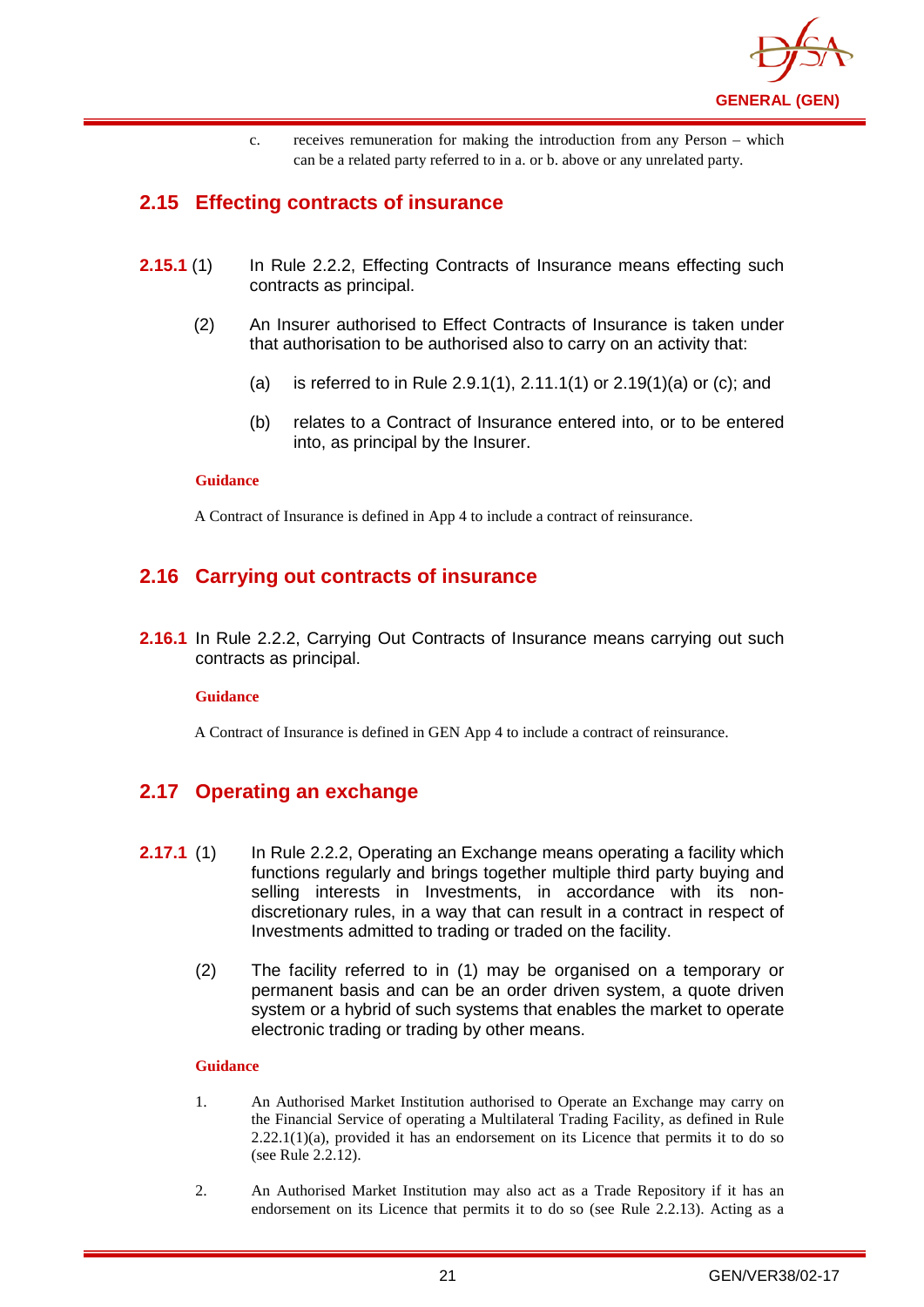

c. receives remuneration for making the introduction from any Person – which can be a related party referred to in a. or b. above or any unrelated party.

## <span id="page-24-0"></span>**2.15 Effecting contracts of insurance**

- **2.15.1** (1) In Rule 2.2.2, Effecting Contracts of Insurance means effecting such contracts as principal.
	- (2) An Insurer authorised to Effect Contracts of Insurance is taken under that authorisation to be authorised also to carry on an activity that:
		- (a) is referred to in Rule 2.9.1(1), 2.11.1(1) or 2.19(1)(a) or (c); and
		- (b) relates to a Contract of Insurance entered into, or to be entered into, as principal by the Insurer.

#### **Guidance**

A Contract of Insurance is defined in App 4 to include a contract of reinsurance.

## <span id="page-24-1"></span>**2.16 Carrying out contracts of insurance**

**2.16.1** In Rule 2.2.2, Carrying Out Contracts of Insurance means carrying out such contracts as principal.

#### **Guidance**

A Contract of Insurance is defined in GEN App 4 to include a contract of reinsurance.

## <span id="page-24-2"></span>**2.17 Operating an exchange**

- **2.17.1** (1) In Rule 2.2.2, Operating an Exchange means operating a facility which functions regularly and brings together multiple third party buying and selling interests in Investments, in accordance with its nondiscretionary rules, in a way that can result in a contract in respect of Investments admitted to trading or traded on the facility.
	- (2) The facility referred to in (1) may be organised on a temporary or permanent basis and can be an order driven system, a quote driven system or a hybrid of such systems that enables the market to operate electronic trading or trading by other means.

#### **Guidance**

- 1. An Authorised Market Institution authorised to Operate an Exchange may carry on the Financial Service of operating a Multilateral Trading Facility, as defined in Rule 2.22.1(1)(a), provided it has an endorsement on its Licence that permits it to do so (see Rule 2.2.12).
- 2. An Authorised Market Institution may also act as a Trade Repository if it has an endorsement on its Licence that permits it to do so (see Rule 2.2.13). Acting as a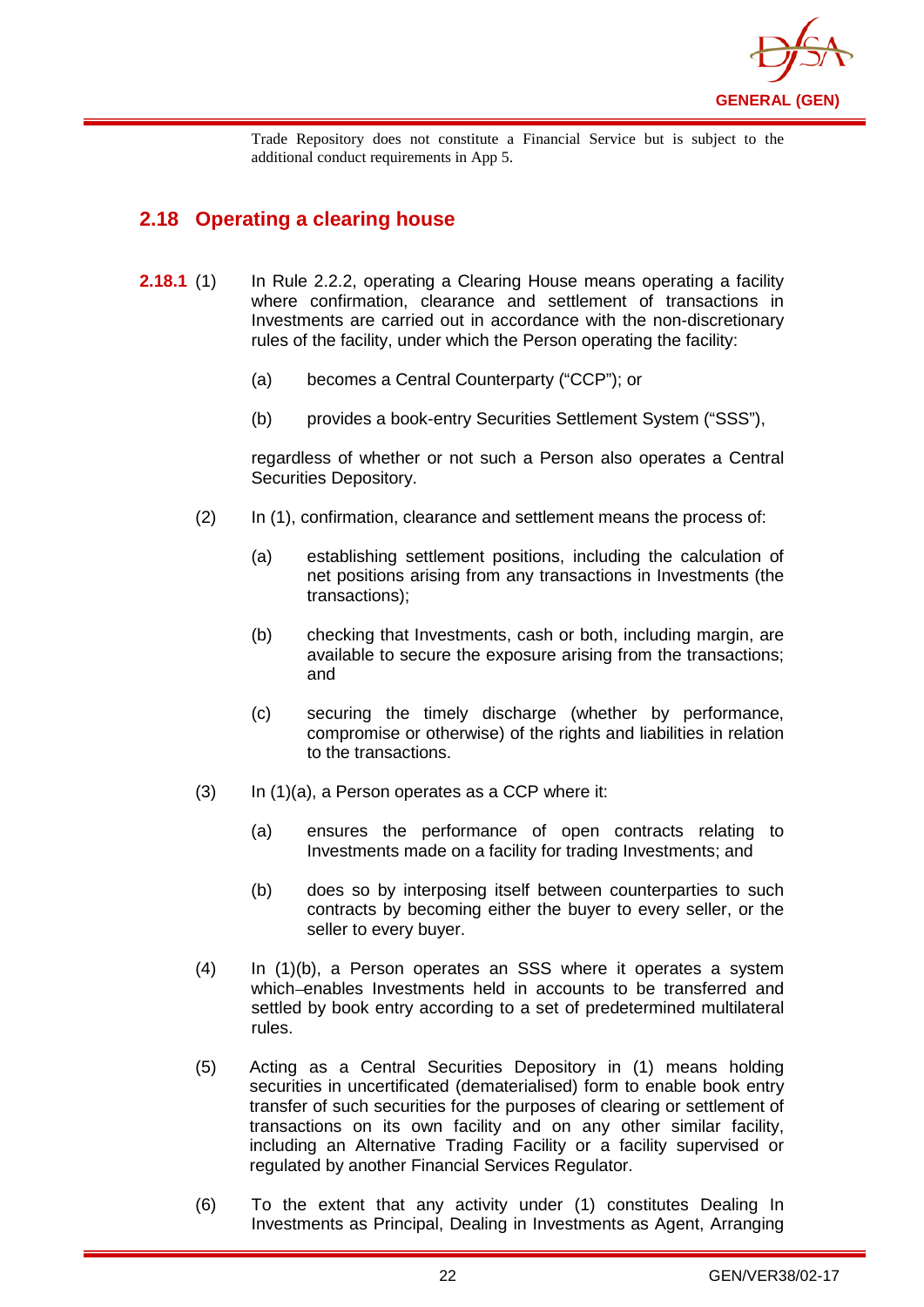

Trade Repository does not constitute a Financial Service but is subject to the additional conduct requirements in App 5.

## <span id="page-25-0"></span>**2.18 Operating a clearing house**

- **2.18.1** (1) In Rule 2.2.2, operating a Clearing House means operating a facility where confirmation, clearance and settlement of transactions in Investments are carried out in accordance with the non-discretionary rules of the facility, under which the Person operating the facility:
	- (a) becomes a Central Counterparty ("CCP"); or
	- (b) provides a book-entry Securities Settlement System ("SSS"),

regardless of whether or not such a Person also operates a Central Securities Depository.

- (2) In (1), confirmation, clearance and settlement means the process of:
	- (a) establishing settlement positions, including the calculation of net positions arising from any transactions in Investments (the transactions);
	- (b) checking that Investments, cash or both, including margin, are available to secure the exposure arising from the transactions; and
	- (c) securing the timely discharge (whether by performance, compromise or otherwise) of the rights and liabilities in relation to the transactions.
- $(3)$  In  $(1)(a)$ , a Person operates as a CCP where it:
	- (a) ensures the performance of open contracts relating to Investments made on a facility for trading Investments; and
	- (b) does so by interposing itself between counterparties to such contracts by becoming either the buyer to every seller, or the seller to every buyer.
- (4) In (1)(b), a Person operates an SSS where it operates a system which-enables Investments held in accounts to be transferred and settled by book entry according to a set of predetermined multilateral rules.
- (5) Acting as a Central Securities Depository in (1) means holding securities in uncertificated (dematerialised) form to enable [book entry](http://en.wikipedia.org/wiki/Book_entry) transfer of such securities for the purposes of clearing or settlement of transactions on its own facility and on any other similar facility, including an Alternative Trading Facility or a facility supervised or regulated by another Financial Services Regulator.
- (6) To the extent that any activity under (1) constitutes Dealing In Investments as Principal, Dealing in Investments as Agent, Arranging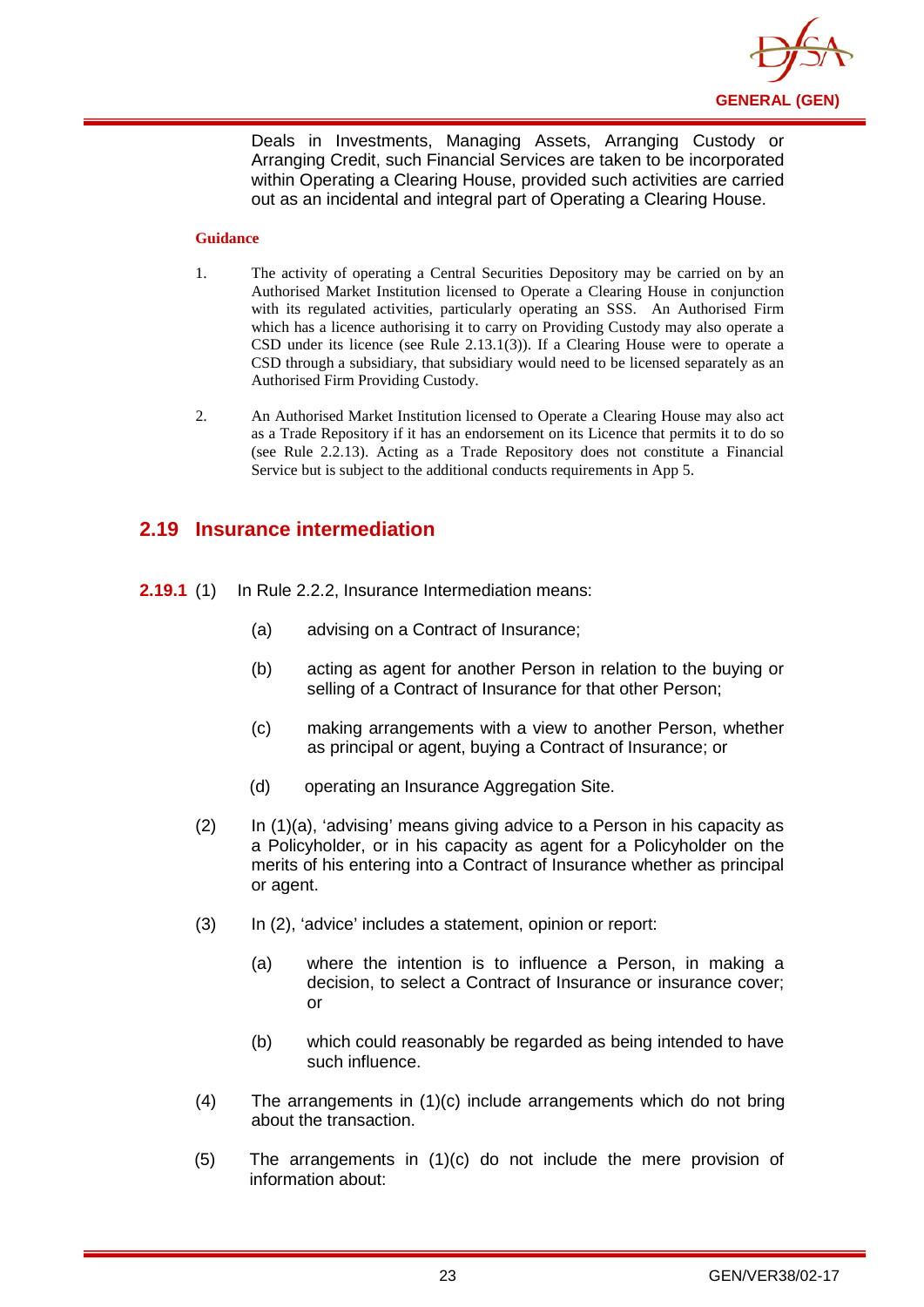

Deals in Investments, Managing Assets, Arranging Custody or Arranging Credit, such Financial Services are taken to be incorporated within Operating a Clearing House, provided such activities are carried out as an incidental and integral part of Operating a Clearing House.

#### **Guidance**

- 1. The activity of operating a Central Securities Depository may be carried on by an Authorised Market Institution licensed to Operate a Clearing House in conjunction with its regulated activities, particularly operating an SSS. An Authorised Firm which has a licence authorising it to carry on Providing Custody may also operate a CSD under its licence (see Rule 2.13.1(3)). If a Clearing House were to operate a CSD through a subsidiary, that subsidiary would need to be licensed separately as an Authorised Firm Providing Custody.
- 2. An Authorised Market Institution licensed to Operate a Clearing House may also act as a Trade Repository if it has an endorsement on its Licence that permits it to do so (see Rule 2.2.13). Acting as a Trade Repository does not constitute a Financial Service but is subject to the additional conducts requirements in App 5.

## <span id="page-26-0"></span>**2.19 Insurance intermediation**

- **2.19.1** (1) In Rule 2.2.2, Insurance Intermediation means:
	- (a) advising on a Contract of Insurance;
	- (b) acting as agent for another Person in relation to the buying or selling of a Contract of Insurance for that other Person;
	- (c) making arrangements with a view to another Person, whether as principal or agent, buying a Contract of Insurance; or
	- (d) operating an Insurance Aggregation Site.
	- $(2)$  In  $(1)(a)$ , 'advising' means giving advice to a Person in his capacity as a Policyholder, or in his capacity as agent for a Policyholder on the merits of his entering into a Contract of Insurance whether as principal or agent.
	- (3) In (2), 'advice' includes a statement, opinion or report:
		- (a) where the intention is to influence a Person, in making a decision, to select a Contract of Insurance or insurance cover; or
		- (b) which could reasonably be regarded as being intended to have such influence.
	- (4) The arrangements in (1)(c) include arrangements which do not bring about the transaction.
	- (5) The arrangements in (1)(c) do not include the mere provision of information about: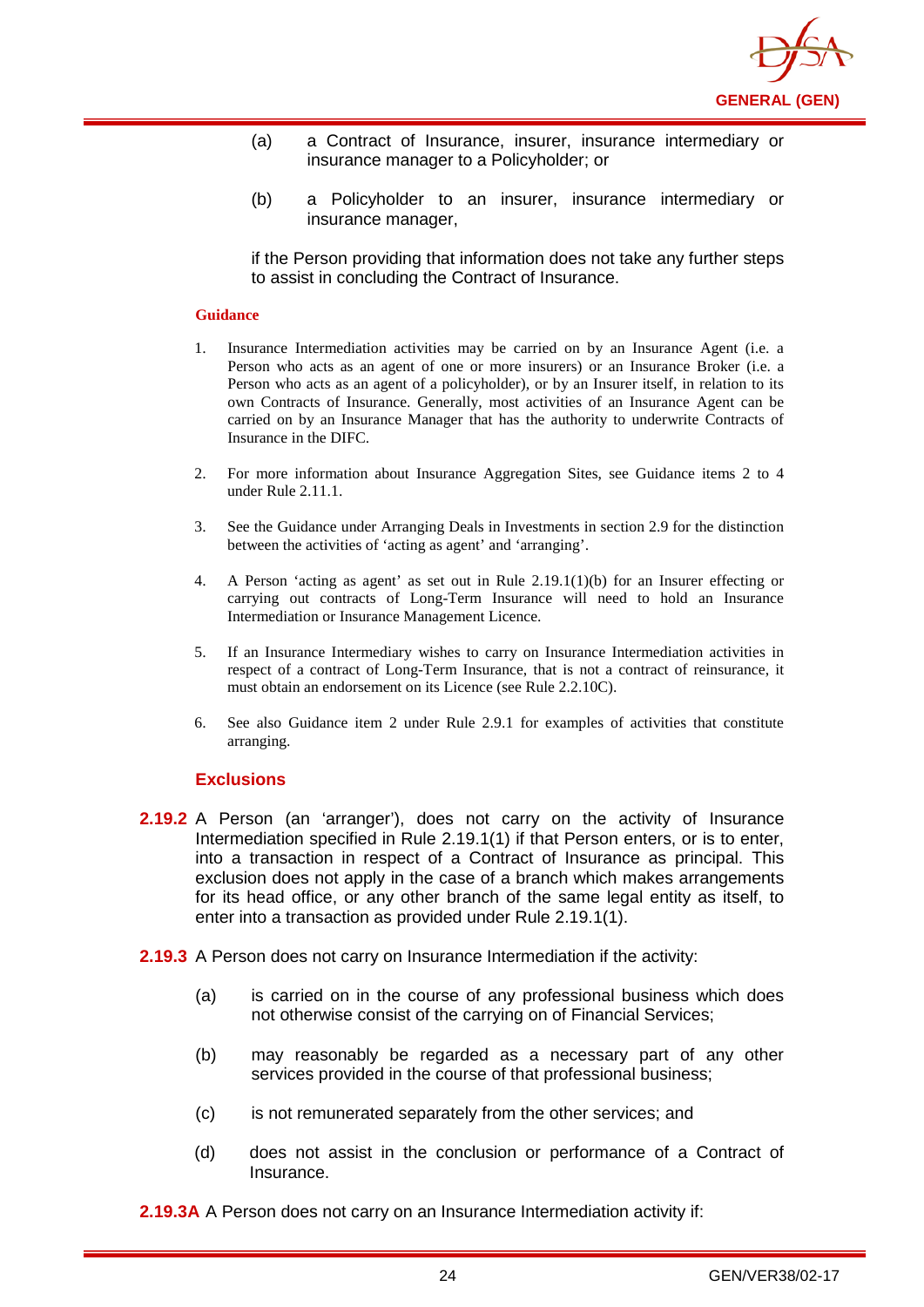

- (a) a Contract of Insurance, insurer, insurance intermediary or insurance manager to a Policyholder; or
- (b) a Policyholder to an insurer, insurance intermediary or insurance manager,

if the Person providing that information does not take any further steps to assist in concluding the Contract of Insurance.

#### **Guidance**

- 1. Insurance Intermediation activities may be carried on by an Insurance Agent (i.e. a Person who acts as an agent of one or more insurers) or an Insurance Broker (i.e. a Person who acts as an agent of a policyholder), or by an Insurer itself, in relation to its own Contracts of Insurance. Generally, most activities of an Insurance Agent can be carried on by an Insurance Manager that has the authority to underwrite Contracts of Insurance in the DIFC.
- 2. For more information about Insurance Aggregation Sites, see Guidance items 2 to 4 under Rule 2.11.1.
- 3. See the Guidance under Arranging Deals in Investments in section 2.9 for the distinction between the activities of 'acting as agent' and 'arranging'.
- 4. A Person 'acting as agent' as set out in Rule 2.19.1(1)(b) for an Insurer effecting or carrying out contracts of Long-Term Insurance will need to hold an Insurance Intermediation or Insurance Management Licence.
- 5. If an Insurance Intermediary wishes to carry on Insurance Intermediation activities in respect of a contract of Long-Term Insurance, that is not a contract of reinsurance, it must obtain an endorsement on its Licence (see Rule 2.2.10C).
- 6. See also Guidance item 2 under Rule 2.9.1 for examples of activities that constitute arranging.

#### **Exclusions**

- **2.19.2** A Person (an 'arranger'), does not carry on the activity of Insurance Intermediation specified in Rule 2.19.1(1) if that Person enters, or is to enter, into a transaction in respect of a Contract of Insurance as principal. This exclusion does not apply in the case of a branch which makes arrangements for its head office, or any other branch of the same legal entity as itself, to enter into a transaction as provided under Rule 2.19.1(1).
- **2.19.3** A Person does not carry on Insurance Intermediation if the activity:
	- (a) is carried on in the course of any professional business which does not otherwise consist of the carrying on of Financial Services;
	- (b) may reasonably be regarded as a necessary part of any other services provided in the course of that professional business;
	- (c) is not remunerated separately from the other services; and
	- (d) does not assist in the conclusion or performance of a Contract of Insurance.

**2.19.3A** A Person does not carry on an Insurance Intermediation activity if: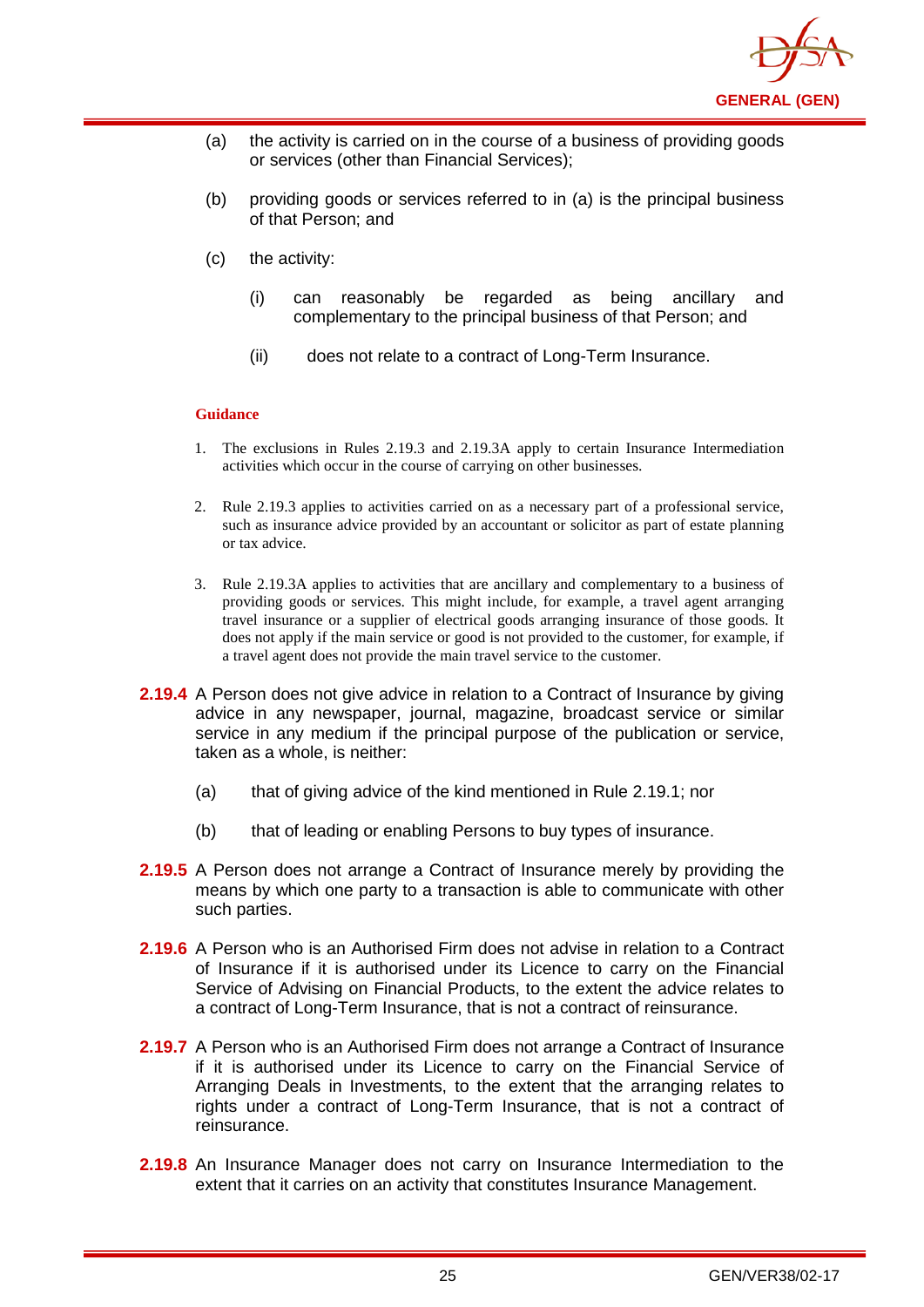

- (a) the activity is carried on in the course of a business of providing goods or services (other than Financial Services);
- (b) providing goods or services referred to in (a) is the principal business of that Person; and
- (c) the activity:
	- (i) can reasonably be regarded as being ancillary and complementary to the principal business of that Person; and
	- (ii) does not relate to a contract of Long-Term Insurance.

- 1. The exclusions in Rules 2.19.3 and 2.19.3A apply to certain Insurance Intermediation activities which occur in the course of carrying on other businesses.
- 2. Rule 2.19.3 applies to activities carried on as a necessary part of a professional service, such as insurance advice provided by an accountant or solicitor as part of estate planning or tax advice.
- 3. Rule 2.19.3A applies to activities that are ancillary and complementary to a business of providing goods or services. This might include, for example, a travel agent arranging travel insurance or a supplier of electrical goods arranging insurance of those goods. It does not apply if the main service or good is not provided to the customer, for example, if a travel agent does not provide the main travel service to the customer.
- **2.19.4** A Person does not give advice in relation to a Contract of Insurance by giving advice in any newspaper, journal, magazine, broadcast service or similar service in any medium if the principal purpose of the publication or service, taken as a whole, is neither:
	- (a) that of giving advice of the kind mentioned in Rule 2.19.1; nor
	- (b) that of leading or enabling Persons to buy types of insurance.
- **2.19.5** A Person does not arrange a Contract of Insurance merely by providing the means by which one party to a transaction is able to communicate with other such parties.
- **2.19.6** A Person who is an Authorised Firm does not advise in relation to a Contract of Insurance if it is authorised under its Licence to carry on the Financial Service of Advising on Financial Products, to the extent the advice relates to a contract of Long-Term Insurance, that is not a contract of reinsurance.
- **2.19.7** A Person who is an Authorised Firm does not arrange a Contract of Insurance if it is authorised under its Licence to carry on the Financial Service of Arranging Deals in Investments, to the extent that the arranging relates to rights under a contract of Long-Term Insurance, that is not a contract of reinsurance.
- **2.19.8** An Insurance Manager does not carry on Insurance Intermediation to the extent that it carries on an activity that constitutes Insurance Management.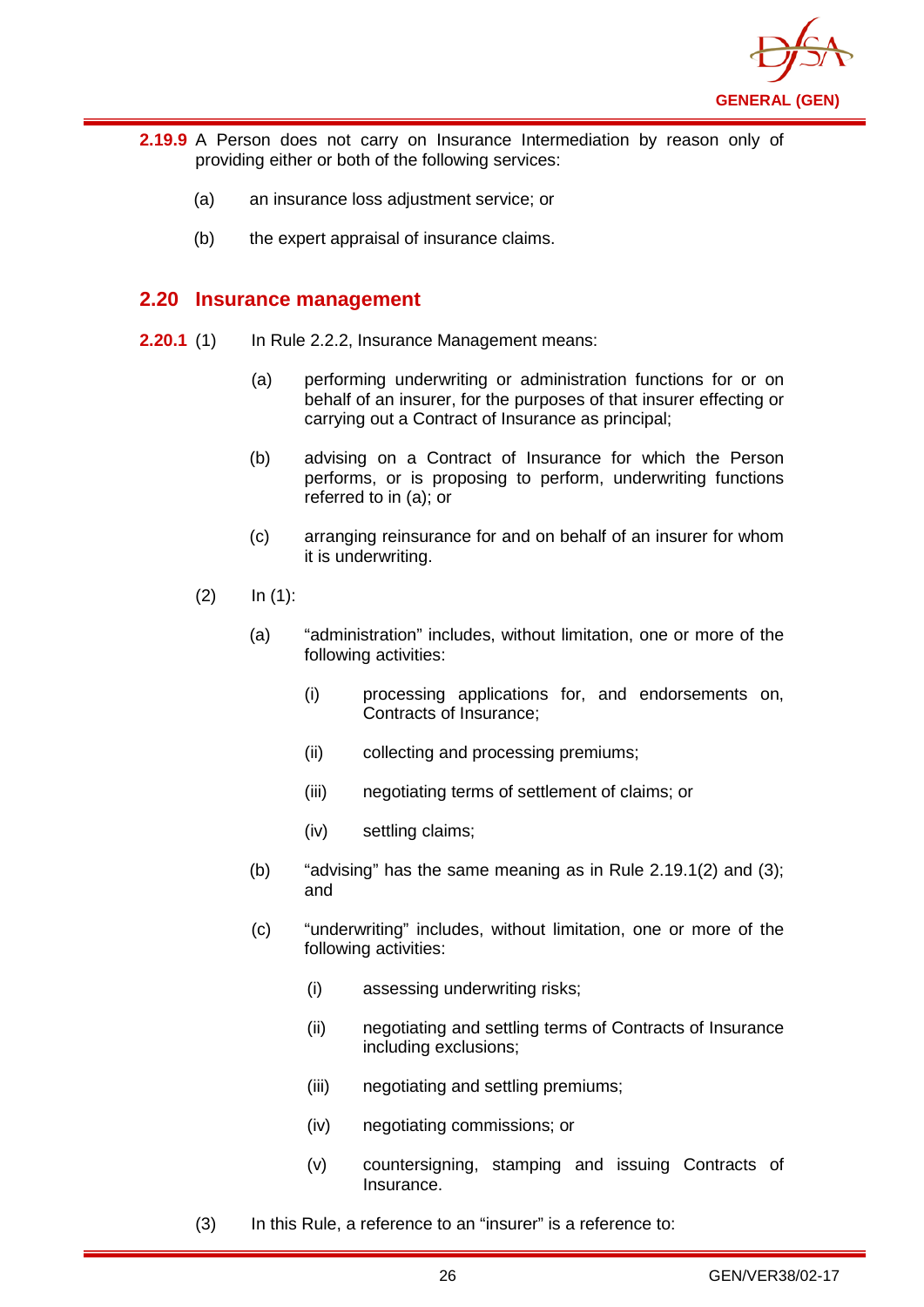

- **2.19.9** A Person does not carry on Insurance Intermediation by reason only of providing either or both of the following services:
	- (a) an insurance loss adjustment service; or
	- (b) the expert appraisal of insurance claims.

## <span id="page-29-0"></span>**2.20 Insurance management**

- **2.20.1** (1) In Rule 2.2.2, Insurance Management means:
	- (a) performing underwriting or administration functions for or on behalf of an insurer, for the purposes of that insurer effecting or carrying out a Contract of Insurance as principal;
	- (b) advising on a Contract of Insurance for which the Person performs, or is proposing to perform, underwriting functions referred to in (a); or
	- (c) arranging reinsurance for and on behalf of an insurer for whom it is underwriting.
	- $(2)$  In  $(1)$ :
		- (a) "administration" includes, without limitation, one or more of the following activities:
			- (i) processing applications for, and endorsements on, Contracts of Insurance;
			- (ii) collecting and processing premiums;
			- (iii) negotiating terms of settlement of claims; or
			- (iv) settling claims;
		- (b) "advising" has the same meaning as in Rule  $2.19.1(2)$  and  $(3)$ ; and
		- (c) "underwriting" includes, without limitation, one or more of the following activities:
			- (i) assessing underwriting risks;
			- (ii) negotiating and settling terms of Contracts of Insurance including exclusions;
			- (iii) negotiating and settling premiums;
			- (iv) negotiating commissions; or
			- (v) countersigning, stamping and issuing Contracts of Insurance.
	- (3) In this Rule, a reference to an "insurer" is a reference to: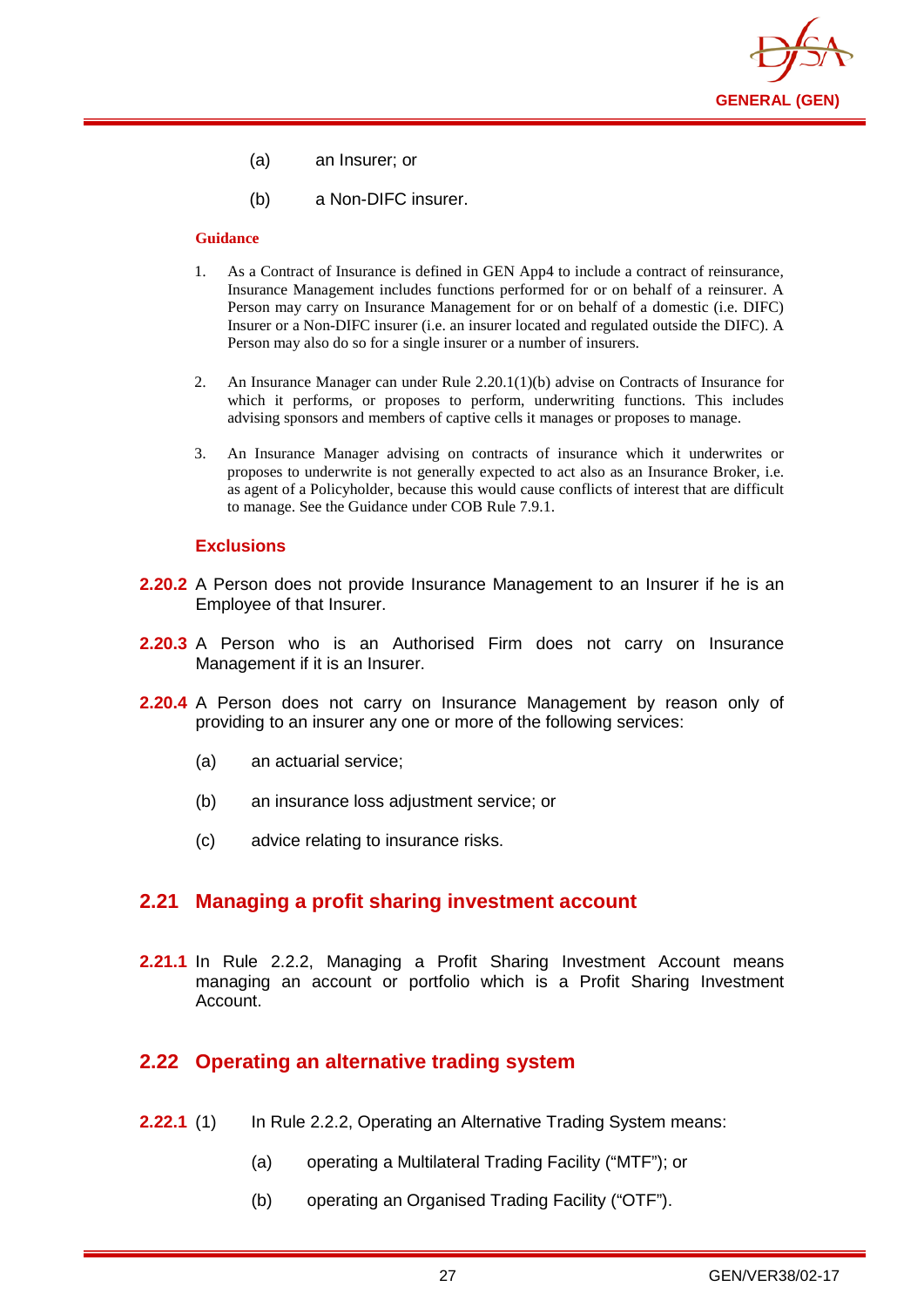

- (a) an Insurer; or
- (b) a Non-DIFC insurer.

- 1. As a Contract of Insurance is defined in GEN App4 to include a contract of reinsurance, Insurance Management includes functions performed for or on behalf of a reinsurer. A Person may carry on Insurance Management for or on behalf of a domestic (i.e. DIFC) Insurer or a Non-DIFC insurer (i.e. an insurer located and regulated outside the DIFC). A Person may also do so for a single insurer or a number of insurers.
- 2. An Insurance Manager can under Rule 2.20.1(1)(b) advise on Contracts of Insurance for which it performs, or proposes to perform, underwriting functions. This includes advising sponsors and members of captive cells it manages or proposes to manage.
- 3. An Insurance Manager advising on contracts of insurance which it underwrites or proposes to underwrite is not generally expected to act also as an Insurance Broker, i.e. as agent of a Policyholder, because this would cause conflicts of interest that are difficult to manage. See the Guidance under COB Rule 7.9.1.

#### **Exclusions**

- **2.20.2** A Person does not provide Insurance Management to an Insurer if he is an Employee of that Insurer.
- **2.20.3** A Person who is an Authorised Firm does not carry on Insurance Management if it is an Insurer.
- **2.20.4** A Person does not carry on Insurance Management by reason only of providing to an insurer any one or more of the following services:
	- (a) an actuarial service;
	- (b) an insurance loss adjustment service; or
	- (c) advice relating to insurance risks.

#### <span id="page-30-0"></span>**2.21 Managing a profit sharing investment account**

**2.21.1** In Rule 2.2.2, Managing a Profit Sharing Investment Account means managing an account or portfolio which is a Profit Sharing Investment Account.

## <span id="page-30-1"></span>**2.22 Operating an alternative trading system**

- **2.22.1** (1) In Rule 2.2.2, Operating an Alternative Trading System means:
	- (a) operating a Multilateral Trading Facility ("MTF"); or
	- (b) operating an Organised Trading Facility ("OTF").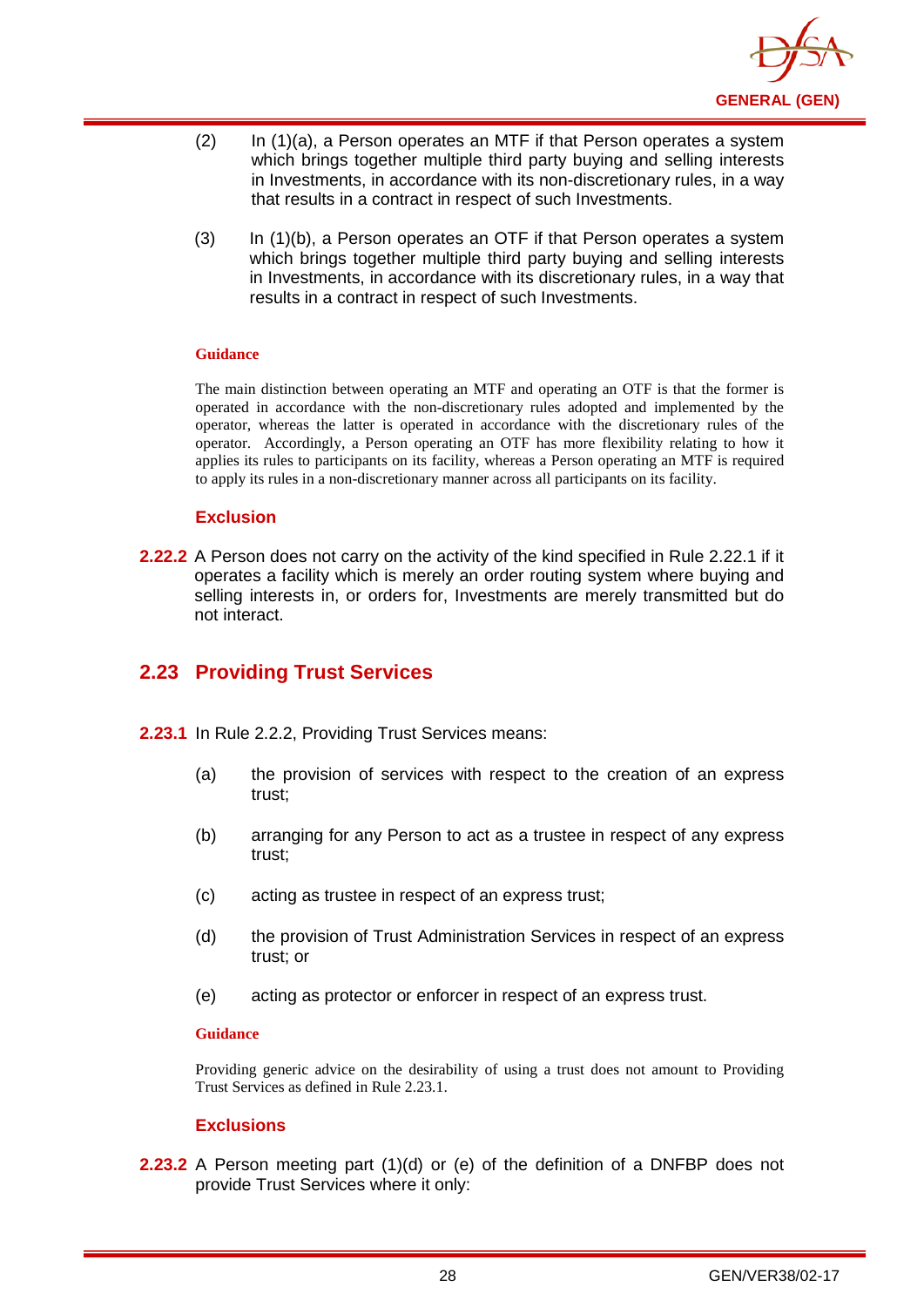

- (2) In (1)(a), a Person operates an MTF if that Person operates a system which brings together multiple third party buying and selling interests in Investments, in accordance with its non-discretionary rules, in a way that results in a contract in respect of such Investments.
- (3) In (1)(b), a Person operates an OTF if that Person operates a system which brings together multiple third party buying and selling interests in Investments, in accordance with its discretionary rules, in a way that results in a contract in respect of such Investments.

The main distinction between operating an MTF and operating an OTF is that the former is operated in accordance with the non-discretionary rules adopted and implemented by the operator, whereas the latter is operated in accordance with the discretionary rules of the operator. Accordingly, a Person operating an OTF has more flexibility relating to how it applies its rules to participants on its facility, whereas a Person operating an MTF is required to apply its rules in a non-discretionary manner across all participants on its facility.

#### **Exclusion**

**2.22.2** A Person does not carry on the activity of the kind specified in Rule 2.22.1 if it operates a facility which is merely an order routing system where buying and selling interests in, or orders for, Investments are merely transmitted but do not interact.

## <span id="page-31-0"></span>**2.23 Providing Trust Services**

- **2.23.1** In Rule 2.2.2, Providing Trust Services means:
	- (a) the provision of services with respect to the creation of an express trust;
	- (b) arranging for any Person to act as a trustee in respect of any express trust;
	- (c) acting as trustee in respect of an express trust;
	- (d) the provision of Trust Administration Services in respect of an express trust; or
	- (e) acting as protector or enforcer in respect of an express trust.

#### **Guidance**

Providing generic advice on the desirability of using a trust does not amount to Providing Trust Services as defined in Rule 2.23.1.

#### **Exclusions**

**2.23.2** A Person meeting part (1)(d) or (e) of the definition of a DNFBP does not provide Trust Services where it only: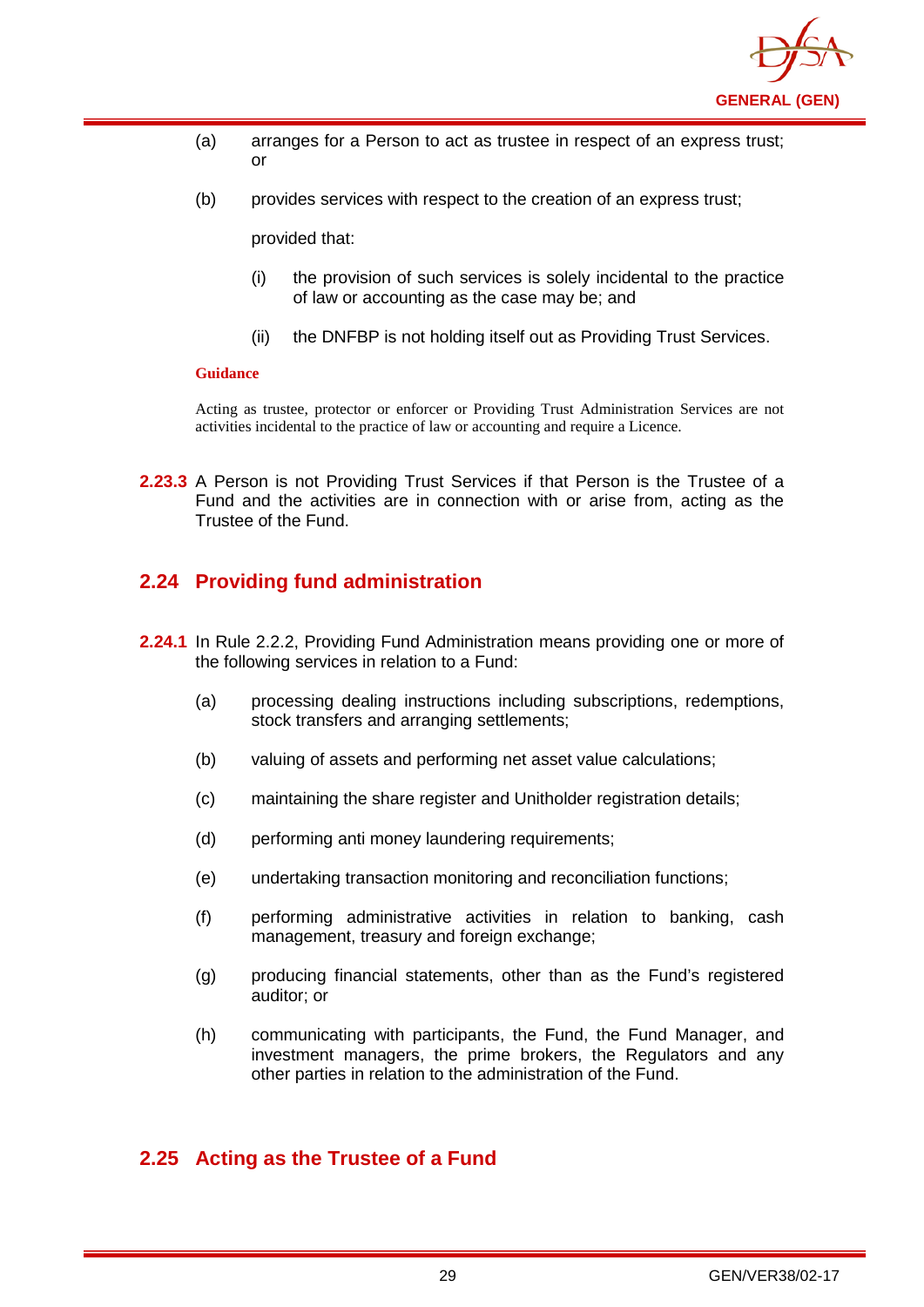

- (a) arranges for a Person to act as trustee in respect of an express trust; or
- (b) provides services with respect to the creation of an express trust;

provided that:

- (i) the provision of such services is solely incidental to the practice of law or accounting as the case may be; and
- (ii) the DNFBP is not holding itself out as Providing Trust Services.

#### **Guidance**

Acting as trustee, protector or enforcer or Providing Trust Administration Services are not activities incidental to the practice of law or accounting and require a Licence.

**2.23.3** A Person is not Providing Trust Services if that Person is the Trustee of a Fund and the activities are in connection with or arise from, acting as the Trustee of the Fund.

## <span id="page-32-0"></span>**2.24 Providing fund administration**

- **2.24.1** In Rule 2.2.2, Providing Fund Administration means providing one or more of the following services in relation to a Fund:
	- (a) processing dealing instructions including subscriptions, redemptions, stock transfers and arranging settlements;
	- (b) valuing of assets and performing net asset value calculations;
	- (c) maintaining the share register and Unitholder registration details;
	- (d) performing anti money laundering requirements;
	- (e) undertaking transaction monitoring and reconciliation functions;
	- (f) performing administrative activities in relation to banking, cash management, treasury and foreign exchange;
	- (g) producing financial statements, other than as the Fund's registered auditor; or
	- (h) communicating with participants, the Fund, the Fund Manager, and investment managers, the prime brokers, the Regulators and any other parties in relation to the administration of the Fund.

## <span id="page-32-1"></span>**2.25 Acting as the Trustee of a Fund**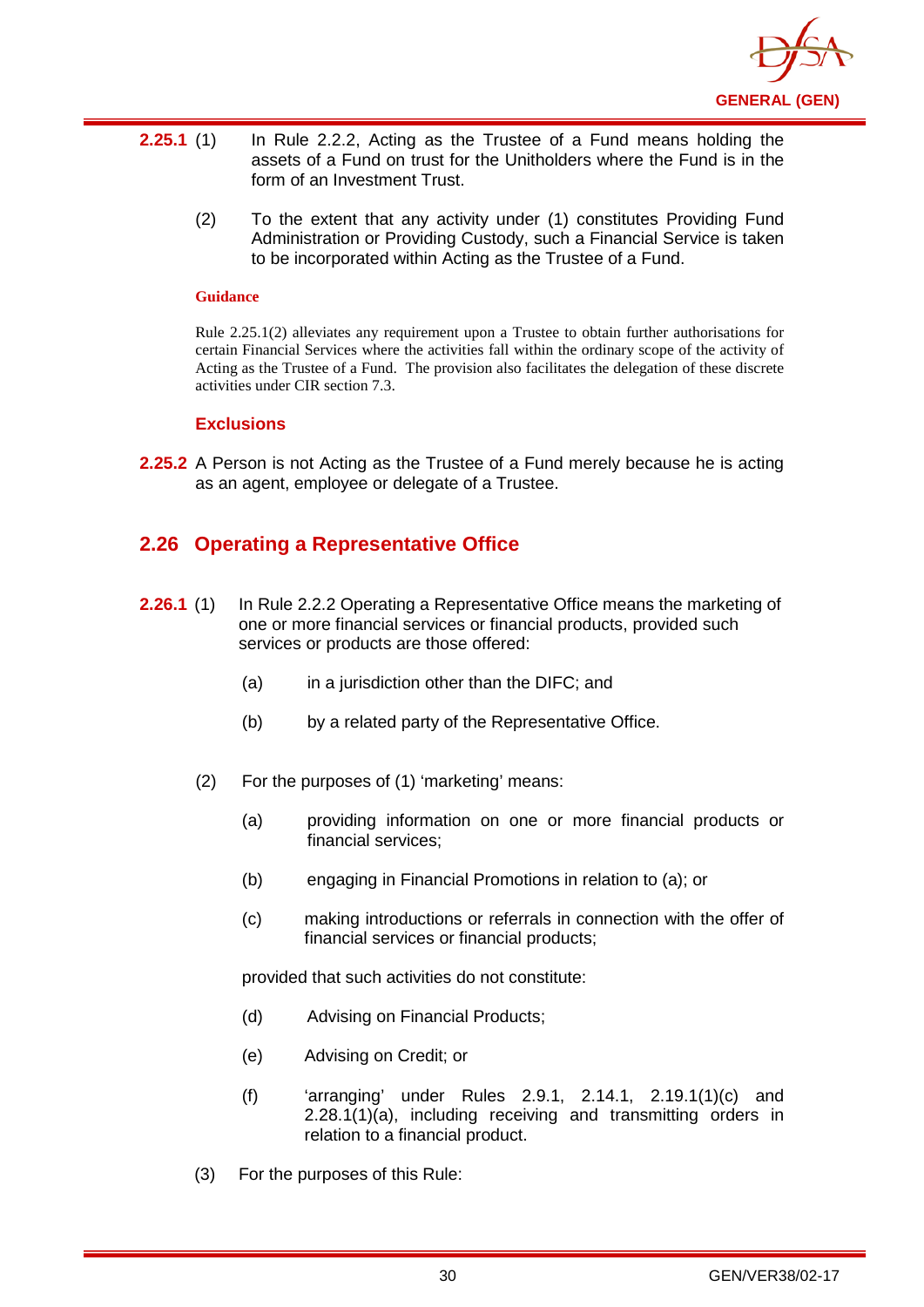

- **2.25.1** (1) In Rule 2.2.2, Acting as the Trustee of a Fund means holding the assets of a Fund on trust for the Unitholders where the Fund is in the form of an Investment Trust.
	- (2) To the extent that any activity under (1) constitutes Providing Fund Administration or Providing Custody, such a Financial Service is taken to be incorporated within Acting as the Trustee of a Fund.

Rule 2.25.1(2) alleviates any requirement upon a Trustee to obtain further authorisations for certain Financial Services where the activities fall within the ordinary scope of the activity of Acting as the Trustee of a Fund. The provision also facilitates the delegation of these discrete activities under CIR section 7.3.

#### **Exclusions**

**2.25.2** A Person is not Acting as the Trustee of a Fund merely because he is acting as an agent, employee or delegate of a Trustee.

## <span id="page-33-0"></span>**2.26 Operating a Representative Office**

- **2.26.1** (1) In Rule 2.2.2 Operating a Representative Office means the marketing of one or more financial services or financial products, provided such services or products are those offered:
	- (a) in a jurisdiction other than the DIFC; and
	- (b) by a related party of the Representative Office.
	- (2) For the purposes of (1) 'marketing' means:
		- (a) providing information on one or more financial products or financial services;
		- (b) engaging in Financial Promotions in relation to (a); or
		- (c) making introductions or referrals in connection with the offer of financial services or financial products;

provided that such activities do not constitute:

- (d) Advising on Financial Products;
- (e) Advising on Credit; or
- (f) 'arranging' under Rules 2.9.1, 2.14.1, 2.19.1(1)(c) and 2.28.1(1)(a), including receiving and transmitting orders in relation to a financial product.
- (3) For the purposes of this Rule: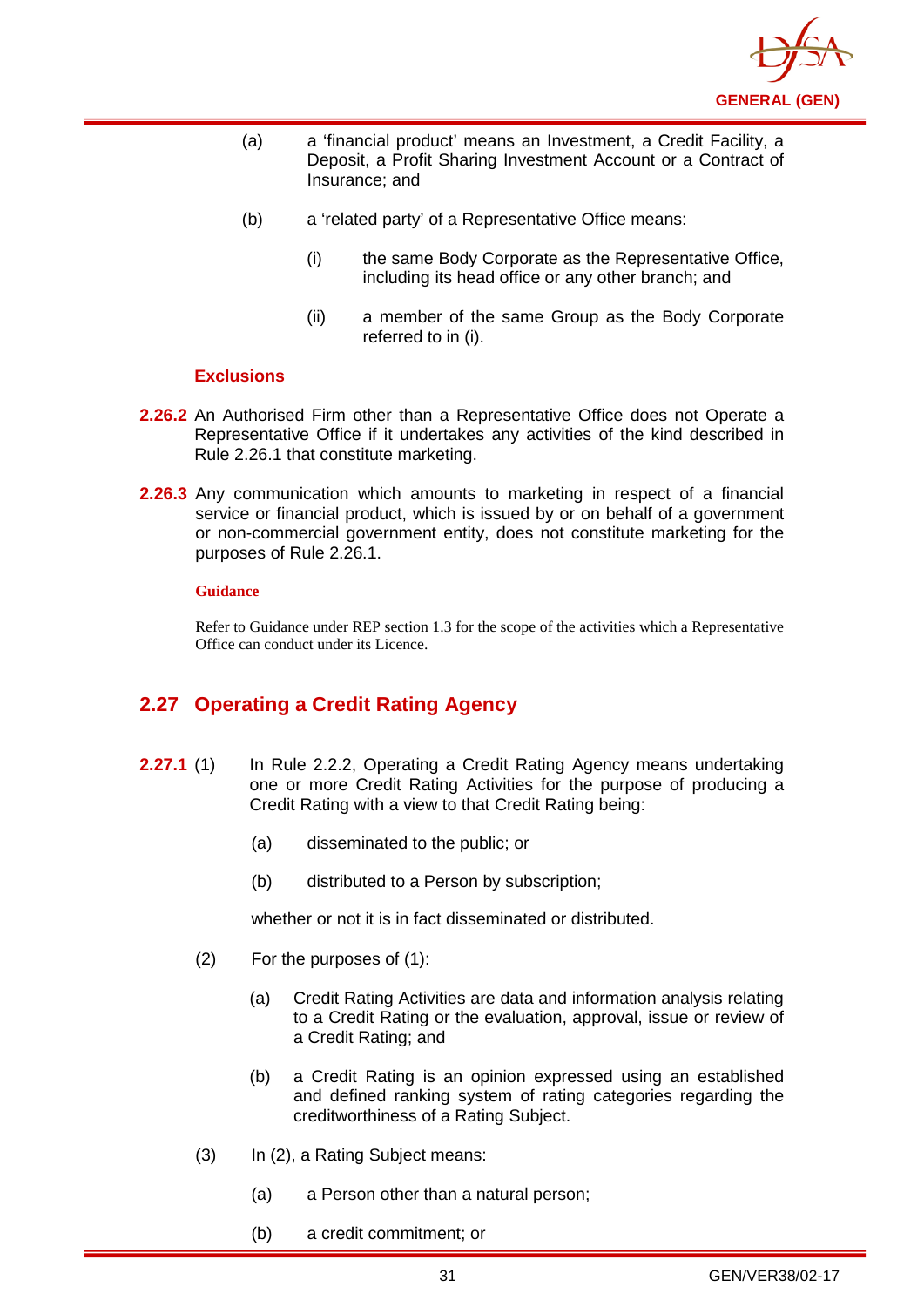

- (a) a 'financial product' means an Investment, a Credit Facility, a Deposit, a Profit Sharing Investment Account or a Contract of Insurance; and
- (b) a 'related party' of a Representative Office means:
	- (i) the same Body Corporate as the Representative Office, including its head office or any other branch; and
	- (ii) a member of the same Group as the Body Corporate referred to in (i).

#### **Exclusions**

- **2.26.2** An Authorised Firm other than a Representative Office does not Operate a Representative Office if it undertakes any activities of the kind described in Rule 2.26.1 that constitute marketing.
- **2.26.3** Any communication which amounts to marketing in respect of a financial service or financial product, which is issued by or on behalf of a government or non-commercial government entity, does not constitute marketing for the purposes of Rule 2.26.1.

#### **Guidance**

Refer to Guidance under REP section 1.3 for the scope of the activities which a Representative Office can conduct under its Licence.

## <span id="page-34-0"></span>**2.27 Operating a Credit Rating Agency**

- **2.27.1** (1) In Rule 2.2.2, Operating a Credit Rating Agency means undertaking one or more Credit Rating Activities for the purpose of producing a Credit Rating with a view to that Credit Rating being:
	- (a) disseminated to the public; or
	- (b) distributed to a Person by subscription;

whether or not it is in fact disseminated or distributed.

- (2) For the purposes of (1):
	- (a) Credit Rating Activities are data and information analysis relating to a Credit Rating or the evaluation, approval, issue or review of a Credit Rating; and
	- (b) a Credit Rating is an opinion expressed using an established and defined ranking system of rating categories regarding the creditworthiness of a Rating Subject.
- (3) In (2), a Rating Subject means:
	- (a) a Person other than a natural person;
	- (b) a credit commitment; or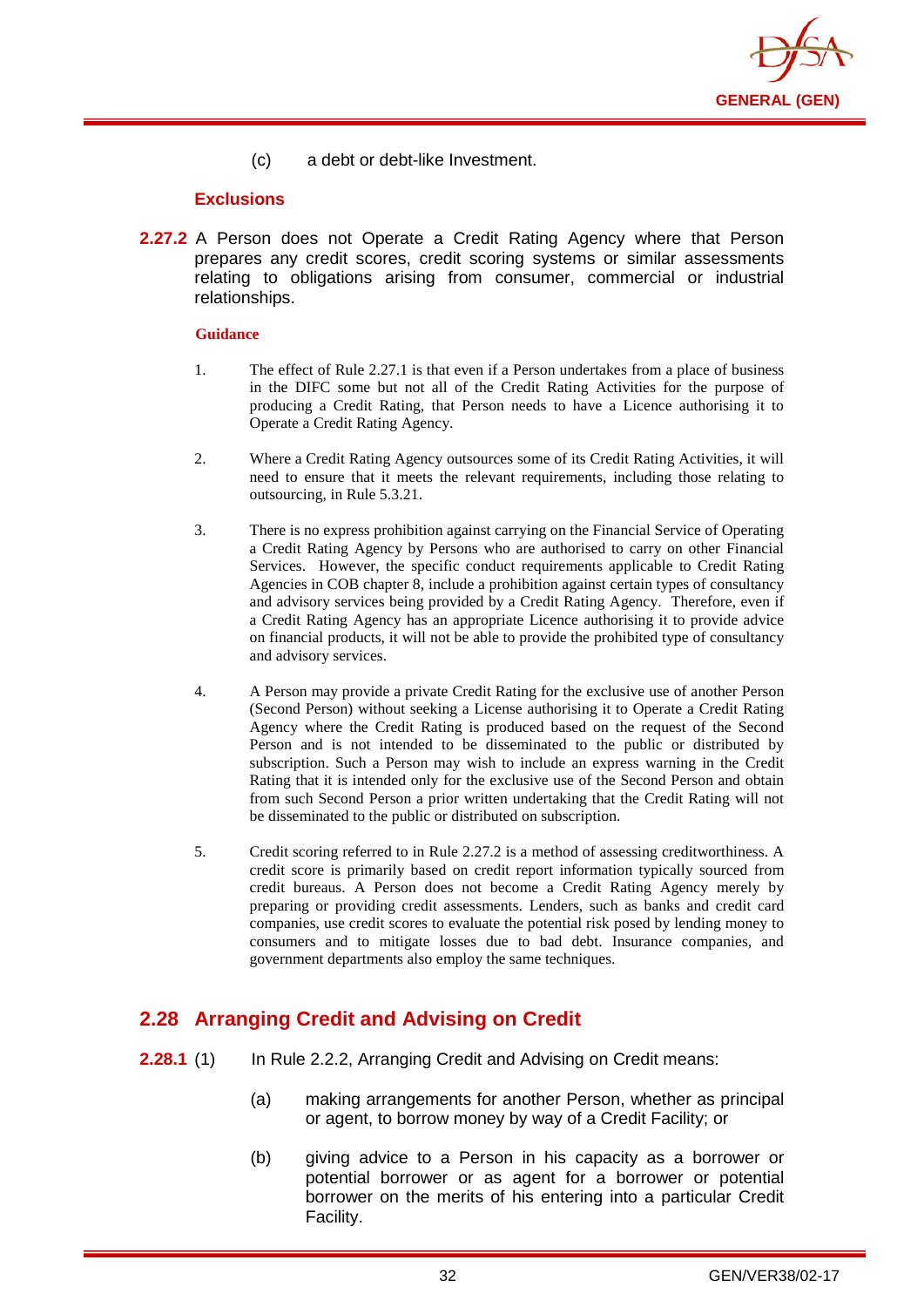

(c) a debt or debt-like Investment.

#### **Exclusions**

**2.27.2** A Person does not Operate a Credit Rating Agency where that Person prepares any credit scores, credit scoring systems or similar assessments relating to obligations arising from consumer, commercial or industrial relationships.

#### **Guidance**

- 1. The effect of Rule 2.27.1 is that even if a Person undertakes from a place of business in the DIFC some but not all of the Credit Rating Activities for the purpose of producing a Credit Rating, that Person needs to have a Licence authorising it to Operate a Credit Rating Agency.
- 2. Where a Credit Rating Agency outsources some of its Credit Rating Activities, it will need to ensure that it meets the relevant requirements, including those relating to outsourcing, in Rule 5.3.21.
- 3. There is no express prohibition against carrying on the Financial Service of Operating a Credit Rating Agency by Persons who are authorised to carry on other Financial Services. However, the specific conduct requirements applicable to Credit Rating Agencies in COB chapter 8, include a prohibition against certain types of consultancy and advisory services being provided by a Credit Rating Agency. Therefore, even if a Credit Rating Agency has an appropriate Licence authorising it to provide advice on financial products, it will not be able to provide the prohibited type of consultancy and advisory services.
- 4. A Person may provide a private Credit Rating for the exclusive use of another Person (Second Person) without seeking a License authorising it to Operate a Credit Rating Agency where the Credit Rating is produced based on the request of the Second Person and is not intended to be disseminated to the public or distributed by subscription. Such a Person may wish to include an express warning in the Credit Rating that it is intended only for the exclusive use of the Second Person and obtain from such Second Person a prior written undertaking that the Credit Rating will not be disseminated to the public or distributed on subscription.
- 5. Credit scoring referred to in Rule 2.27.2 is a method of assessing creditworthiness. A credit score is primarily based on credit report information typically sourced from credit bureaus. A Person does not become a Credit Rating Agency merely by preparing or providing credit assessments. Lenders, such as banks and credit card companies, use credit scores to evaluate the potential risk posed by lending money to consumers and to mitigate losses due to bad debt. Insurance companies, and government departments also employ the same techniques.

## <span id="page-35-0"></span>**2.28 Arranging Credit and Advising on Credit**

- **2.28.1** (1) In Rule 2.2.2, Arranging Credit and Advising on Credit means:
	- (a) making arrangements for another Person, whether as principal or agent, to borrow money by way of a Credit Facility; or
	- (b) giving advice to a Person in his capacity as a borrower or potential borrower or as agent for a borrower or potential borrower on the merits of his entering into a particular Credit Facility.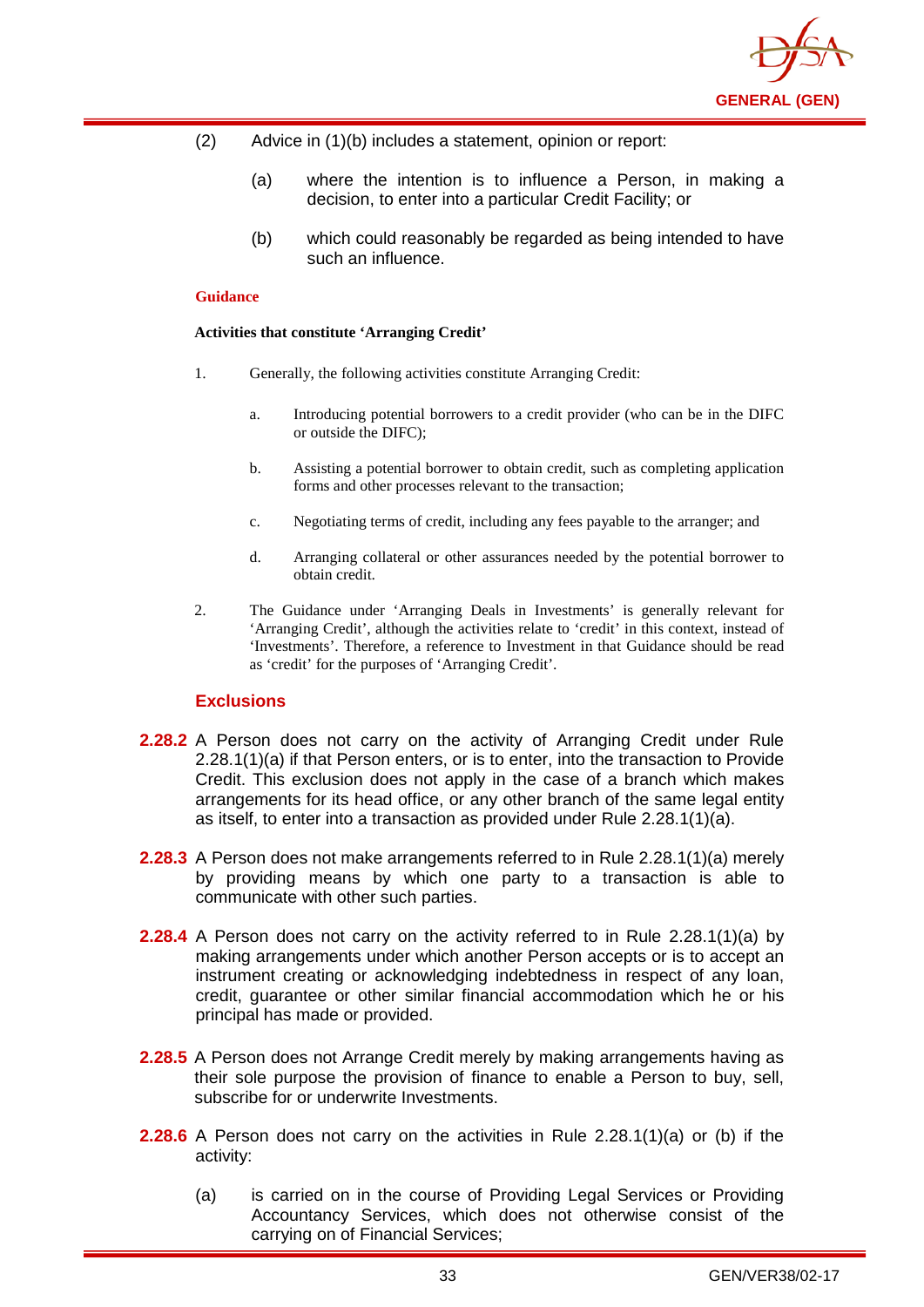

- (2) Advice in (1)(b) includes a statement, opinion or report:
	- (a) where the intention is to influence a Person, in making a decision, to enter into a particular Credit Facility; or
	- (b) which could reasonably be regarded as being intended to have such an influence.

#### **Activities that constitute 'Arranging Credit'**

- 1. Generally, the following activities constitute Arranging Credit:
	- a. Introducing potential borrowers to a credit provider (who can be in the DIFC or outside the DIFC);
	- b. Assisting a potential borrower to obtain credit, such as completing application forms and other processes relevant to the transaction;
	- c. Negotiating terms of credit, including any fees payable to the arranger; and
	- d. Arranging collateral or other assurances needed by the potential borrower to obtain credit.
- 2. The Guidance under 'Arranging Deals in Investments' is generally relevant for 'Arranging Credit', although the activities relate to 'credit' in this context, instead of 'Investments'. Therefore, a reference to Investment in that Guidance should be read as 'credit' for the purposes of 'Arranging Credit'.

## **Exclusions**

- **2.28.2** A Person does not carry on the activity of Arranging Credit under Rule 2.28.1(1)(a) if that Person enters, or is to enter, into the transaction to Provide Credit. This exclusion does not apply in the case of a branch which makes arrangements for its head office, or any other branch of the same legal entity as itself, to enter into a transaction as provided under Rule 2.28.1(1)(a).
- **2.28.3** A Person does not make arrangements referred to in Rule 2.28.1(1)(a) merely by providing means by which one party to a transaction is able to communicate with other such parties.
- **2.28.4** A Person does not carry on the activity referred to in Rule 2.28.1(1)(a) by making arrangements under which another Person accepts or is to accept an instrument creating or acknowledging indebtedness in respect of any loan, credit, guarantee or other similar financial accommodation which he or his principal has made or provided.
- **2.28.5** A Person does not Arrange Credit merely by making arrangements having as their sole purpose the provision of finance to enable a Person to buy, sell, subscribe for or underwrite Investments.
- **2.28.6** A Person does not carry on the activities in Rule 2.28.1(1)(a) or (b) if the activity:
	- (a) is carried on in the course of Providing Legal Services or Providing Accountancy Services, which does not otherwise consist of the carrying on of Financial Services;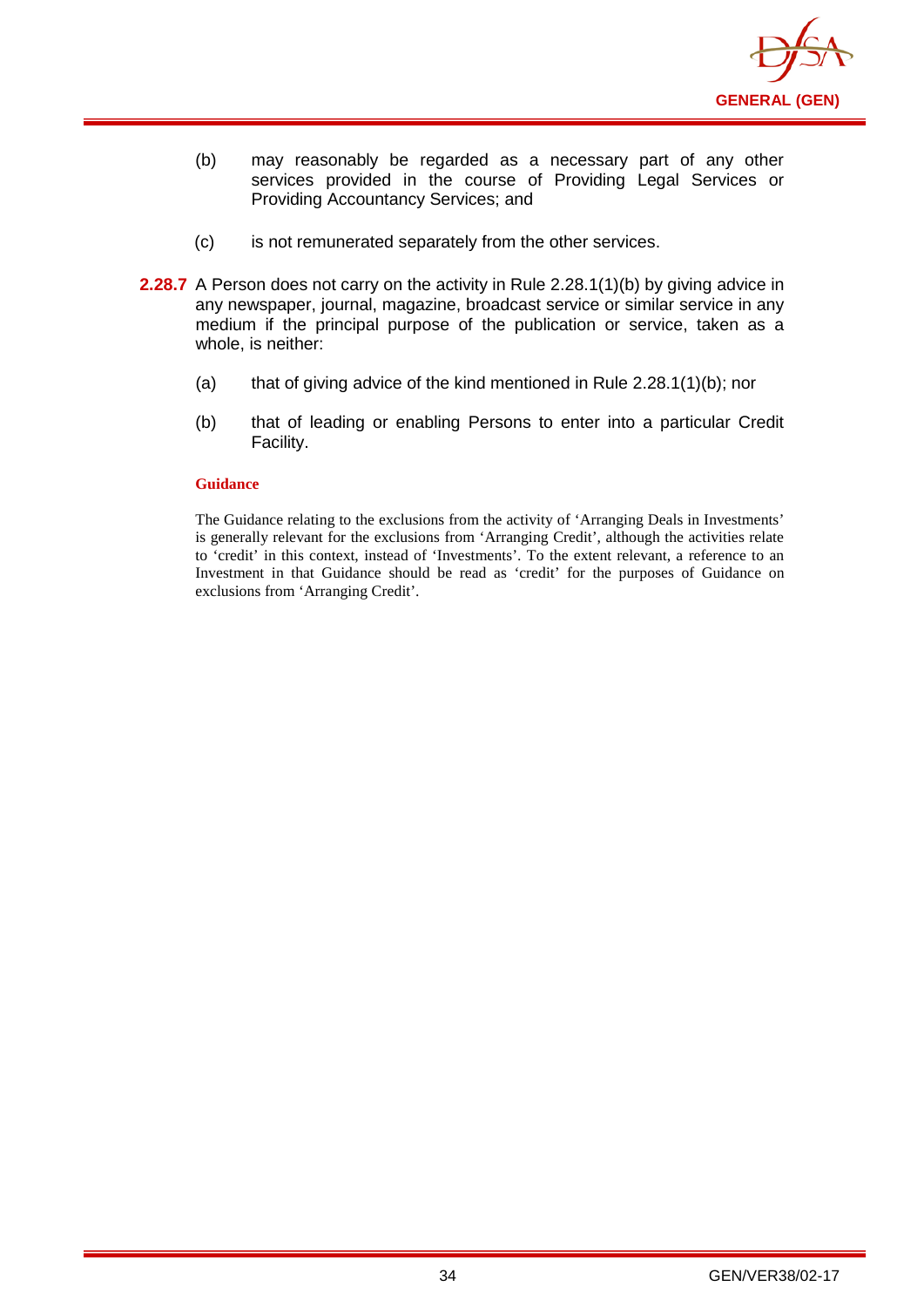

- (b) may reasonably be regarded as a necessary part of any other services provided in the course of Providing Legal Services or Providing Accountancy Services; and
- (c) is not remunerated separately from the other services.
- **2.28.7** A Person does not carry on the activity in Rule 2.28.1(1)(b) by giving advice in any newspaper, journal, magazine, broadcast service or similar service in any medium if the principal purpose of the publication or service, taken as a whole, is neither:
	- (a) that of giving advice of the kind mentioned in Rule 2.28.1(1)(b); nor
	- (b) that of leading or enabling Persons to enter into a particular Credit Facility.

The Guidance relating to the exclusions from the activity of 'Arranging Deals in Investments' is generally relevant for the exclusions from 'Arranging Credit', although the activities relate to 'credit' in this context, instead of 'Investments'. To the extent relevant, a reference to an Investment in that Guidance should be read as 'credit' for the purposes of Guidance on exclusions from 'Arranging Credit'.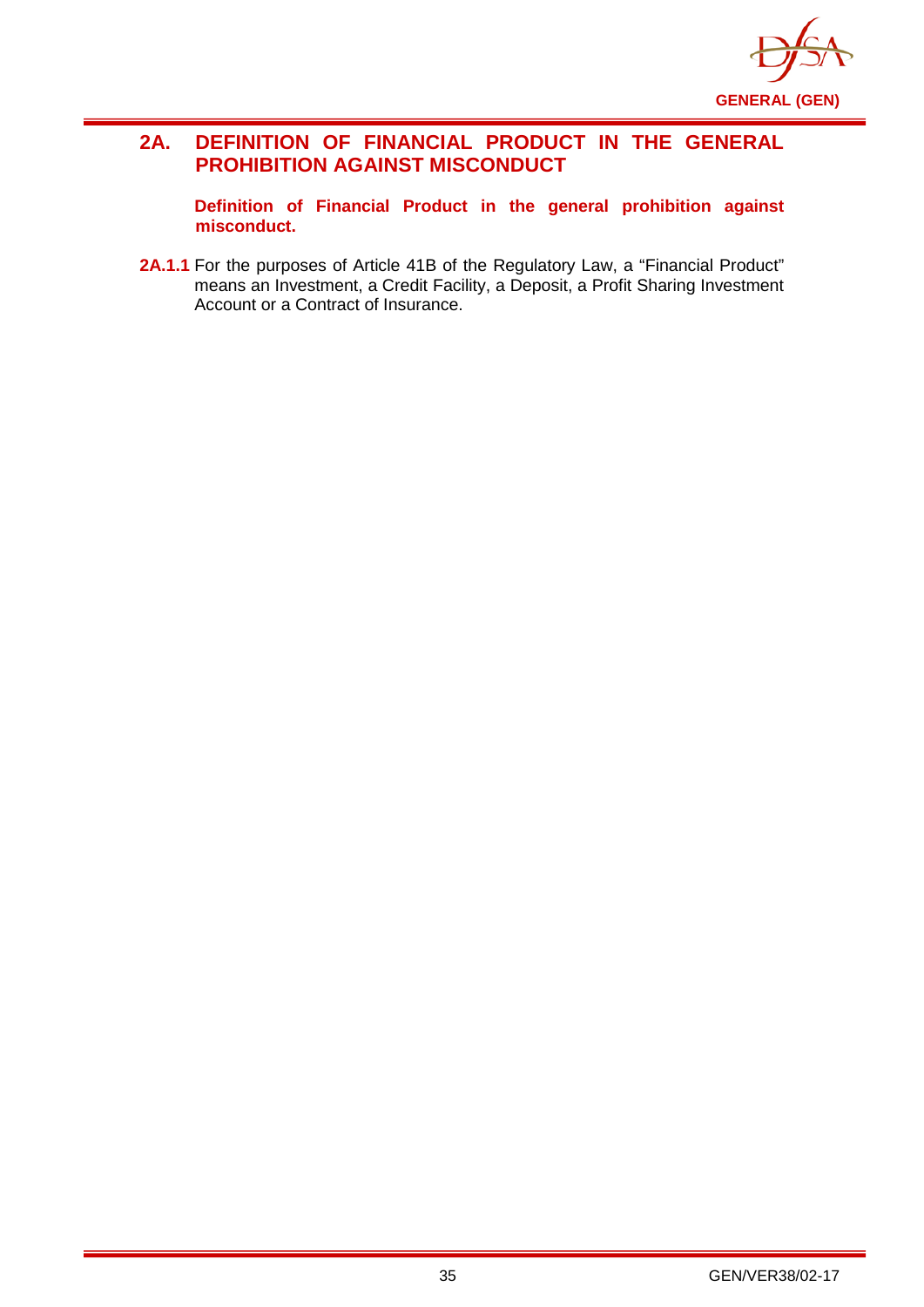

## **2A. DEFINITION OF FINANCIAL PRODUCT IN THE GENERAL PROHIBITION AGAINST MISCONDUCT**

**Definition of Financial Product in the general prohibition against misconduct.**

2A.1.1 For the purposes of Article 41B of the Regulatory Law, a "Financial Product" means an Investment, a Credit Facility, a Deposit, a Profit Sharing Investment Account or a Contract of Insurance.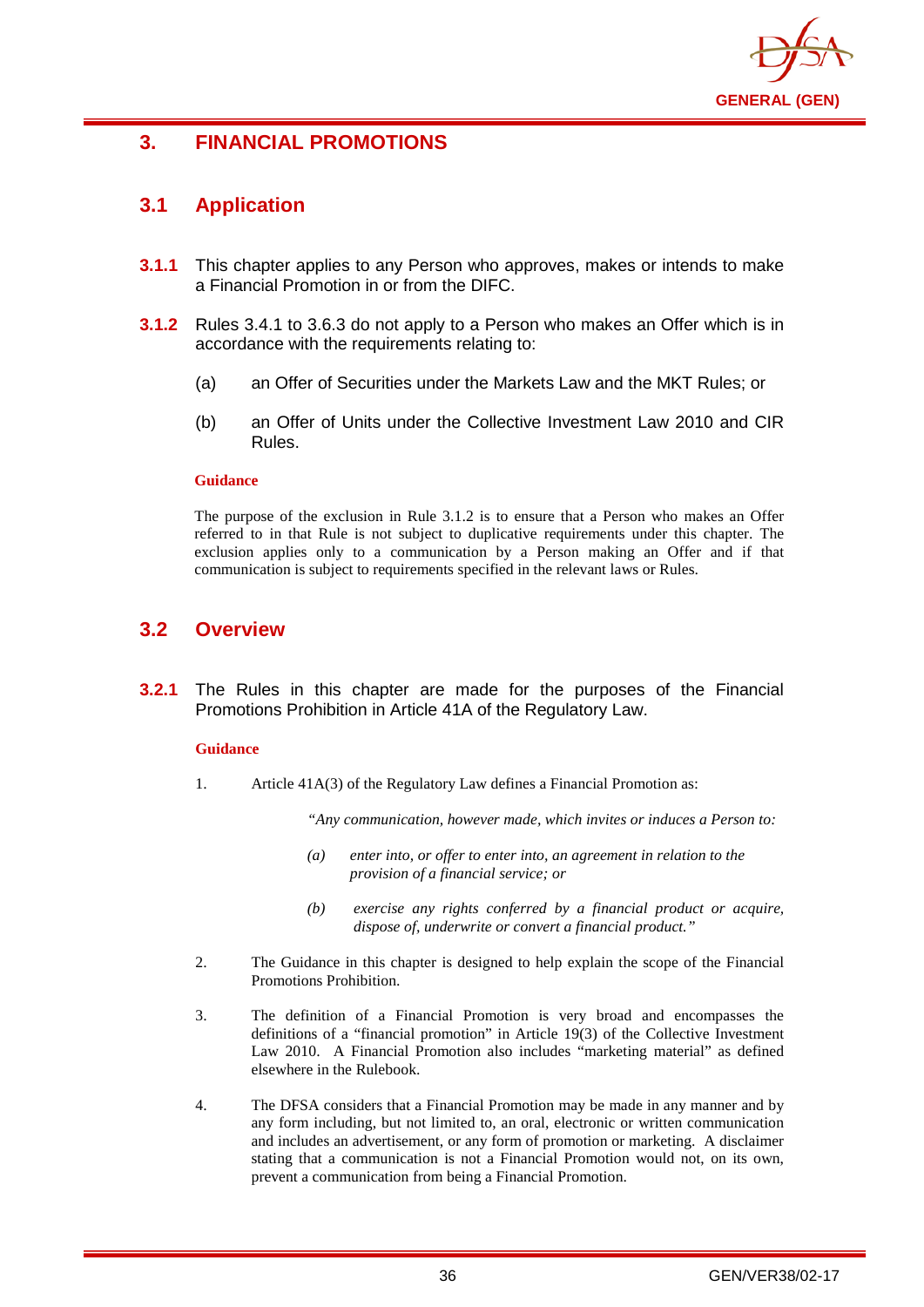

## **3. FINANCIAL PROMOTIONS**

## **3.1 Application**

- **3.1.1** This chapter applies to any Person who approves, makes or intends to make a Financial Promotion in or from the DIFC.
- **3.1.2** Rules 3.4.1 to 3.6.3 do not apply to a Person who makes an Offer which is in accordance with the requirements relating to:
	- (a) an Offer of Securities under the Markets Law and the MKT Rules; or
	- (b) an Offer of Units under the Collective Investment Law 2010 and CIR Rules.

### **Guidance**

The purpose of the exclusion in Rule 3.1.2 is to ensure that a Person who makes an Offer referred to in that Rule is not subject to duplicative requirements under this chapter. The exclusion applies only to a communication by a Person making an Offer and if that communication is subject to requirements specified in the relevant laws or Rules.

## **3.2 Overview**

**3.2.1** The Rules in this chapter are made for the purposes of the Financial Promotions Prohibition in Article 41A of the Regulatory Law.

### **Guidance**

1. Article 41A(3) of the Regulatory Law defines a Financial Promotion as:

*"Any communication, however made, which invites or induces a Person to:*

- *(a) enter into, or offer to enter into, an agreement in relation to the provision of a financial service; or*
- *(b) exercise any rights conferred by a financial product or acquire, dispose of, underwrite or convert a financial product."*
- 2. The Guidance in this chapter is designed to help explain the scope of the Financial Promotions Prohibition.
- 3. The definition of a Financial Promotion is very broad and encompasses the definitions of a "financial promotion" in Article 19(3) of the Collective Investment Law 2010. A Financial Promotion also includes "marketing material" as defined elsewhere in the Rulebook.
- 4. The DFSA considers that a Financial Promotion may be made in any manner and by any form including, but not limited to, an oral, electronic or written communication and includes an advertisement, or any form of promotion or marketing. A disclaimer stating that a communication is not a Financial Promotion would not, on its own, prevent a communication from being a Financial Promotion.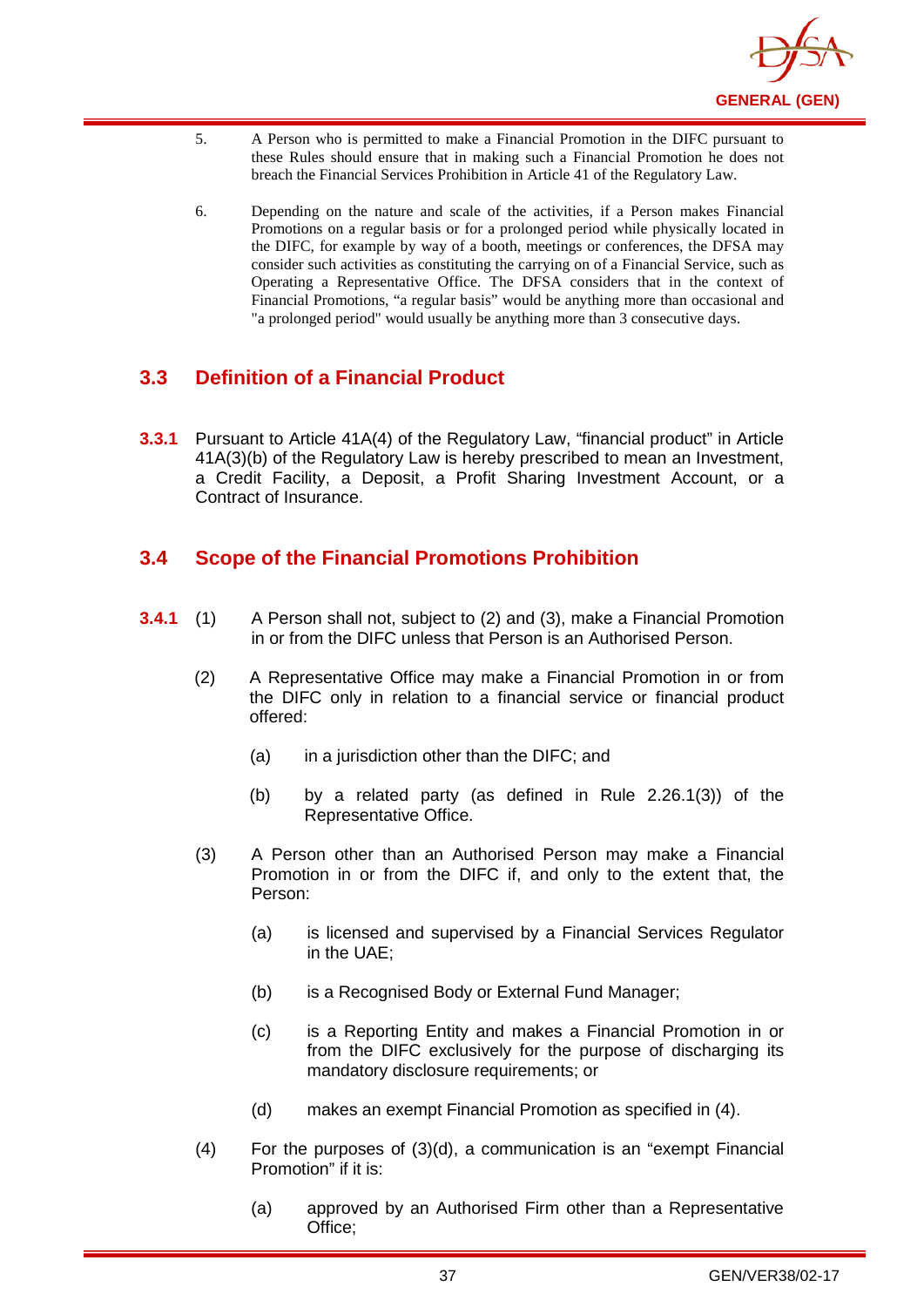

- 5. A Person who is permitted to make a Financial Promotion in the DIFC pursuant to these Rules should ensure that in making such a Financial Promotion he does not breach the Financial Services Prohibition in Article 41 of the Regulatory Law.
- 6. Depending on the nature and scale of the activities, if a Person makes Financial Promotions on a regular basis or for a prolonged period while physically located in the DIFC, for example by way of a booth, meetings or conferences, the DFSA may consider such activities as constituting the carrying on of a Financial Service, such as Operating a Representative Office. The DFSA considers that in the context of Financial Promotions, "a regular basis" would be anything more than occasional and "a prolonged period" would usually be anything more than 3 consecutive days.

# **3.3 Definition of a Financial Product**

**3.3.1** Pursuant to Article 41A(4) of the Regulatory Law, "financial product" in Article 41A(3)(b) of the Regulatory Law is hereby prescribed to mean an Investment, a Credit Facility, a Deposit, a Profit Sharing Investment Account, or a Contract of Insurance.

# **3.4 Scope of the Financial Promotions Prohibition**

- **3.4.1** (1) A Person shall not, subject to (2) and (3), make a Financial Promotion in or from the DIFC unless that Person is an Authorised Person.
	- (2) A Representative Office may make a Financial Promotion in or from the DIFC only in relation to a financial service or financial product offered:
		- (a) in a jurisdiction other than the DIFC; and
		- (b) by a related party (as defined in Rule 2.26.1(3)) of the Representative Office.
	- (3) A Person other than an Authorised Person may make a Financial Promotion in or from the DIFC if, and only to the extent that, the Person:
		- (a) is licensed and supervised by a Financial Services Regulator in the UAE;
		- (b) is a Recognised Body or External Fund Manager;
		- (c) is a Reporting Entity and makes a Financial Promotion in or from the DIFC exclusively for the purpose of discharging its mandatory disclosure requirements; or
		- (d) makes an exempt Financial Promotion as specified in (4).
	- (4) For the purposes of (3)(d), a communication is an "exempt Financial Promotion" if it is:
		- (a) approved by an Authorised Firm other than a Representative Office;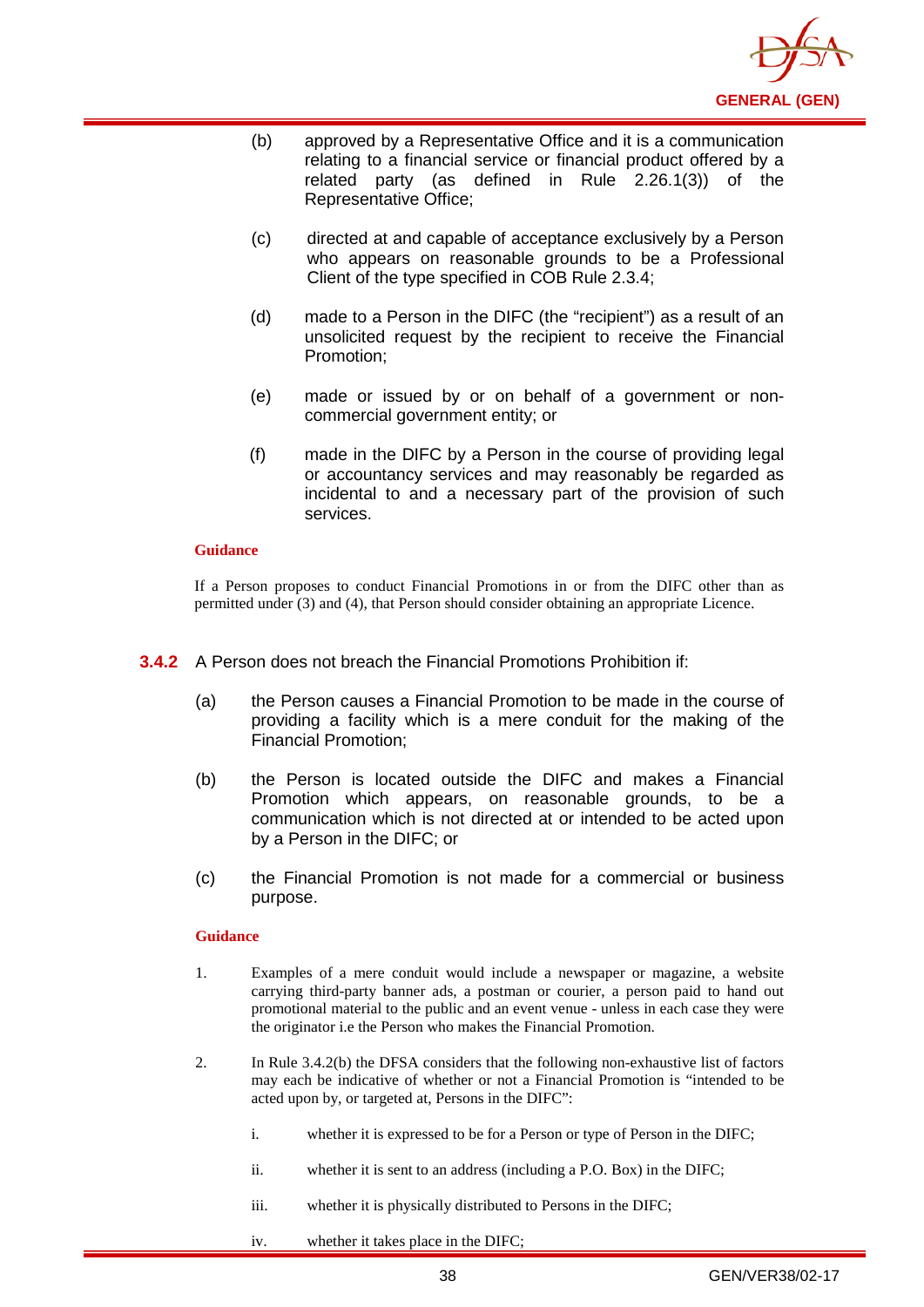

- (b) approved by a Representative Office and it is a communication relating to a financial service or financial product offered by a related party (as defined in Rule 2.26.1(3)) of the Representative Office;
- (c) directed at and capable of acceptance exclusively by a Person who appears on reasonable grounds to be a Professional Client of the type specified in COB Rule 2.3.4;
- (d) made to a Person in the DIFC (the "recipient") as a result of an unsolicited request by the recipient to receive the Financial Promotion;
- (e) made or issued by or on behalf of a government or noncommercial government entity; or
- (f) made in the DIFC by a Person in the course of providing legal or accountancy services and may reasonably be regarded as incidental to and a necessary part of the provision of such services.

If a Person proposes to conduct Financial Promotions in or from the DIFC other than as permitted under (3) and (4), that Person should consider obtaining an appropriate Licence.

- **3.4.2** A Person does not breach the Financial Promotions Prohibition if:
	- (a) the Person causes a Financial Promotion to be made in the course of providing a facility which is a mere conduit for the making of the Financial Promotion;
	- (b) the Person is located outside the DIFC and makes a Financial Promotion which appears, on reasonable grounds, to be a communication which is not directed at or intended to be acted upon by a Person in the DIFC; or
	- (c) the Financial Promotion is not made for a commercial or business purpose.

#### **Guidance**

- 1. Examples of a mere conduit would include a newspaper or magazine, a website carrying third-party banner ads, a postman or courier, a person paid to hand out promotional material to the public and an event venue - unless in each case they were the originator i.e the Person who makes the Financial Promotion.
- 2. In Rule 3.4.2(b) the DFSA considers that the following non-exhaustive list of factors may each be indicative of whether or not a Financial Promotion is "intended to be acted upon by, or targeted at, Persons in the DIFC":
	- i. whether it is expressed to be for a Person or type of Person in the DIFC;
	- ii. whether it is sent to an address (including a P.O. Box) in the DIFC;
	- iii. whether it is physically distributed to Persons in the DIFC;
	- iv. whether it takes place in the DIFC;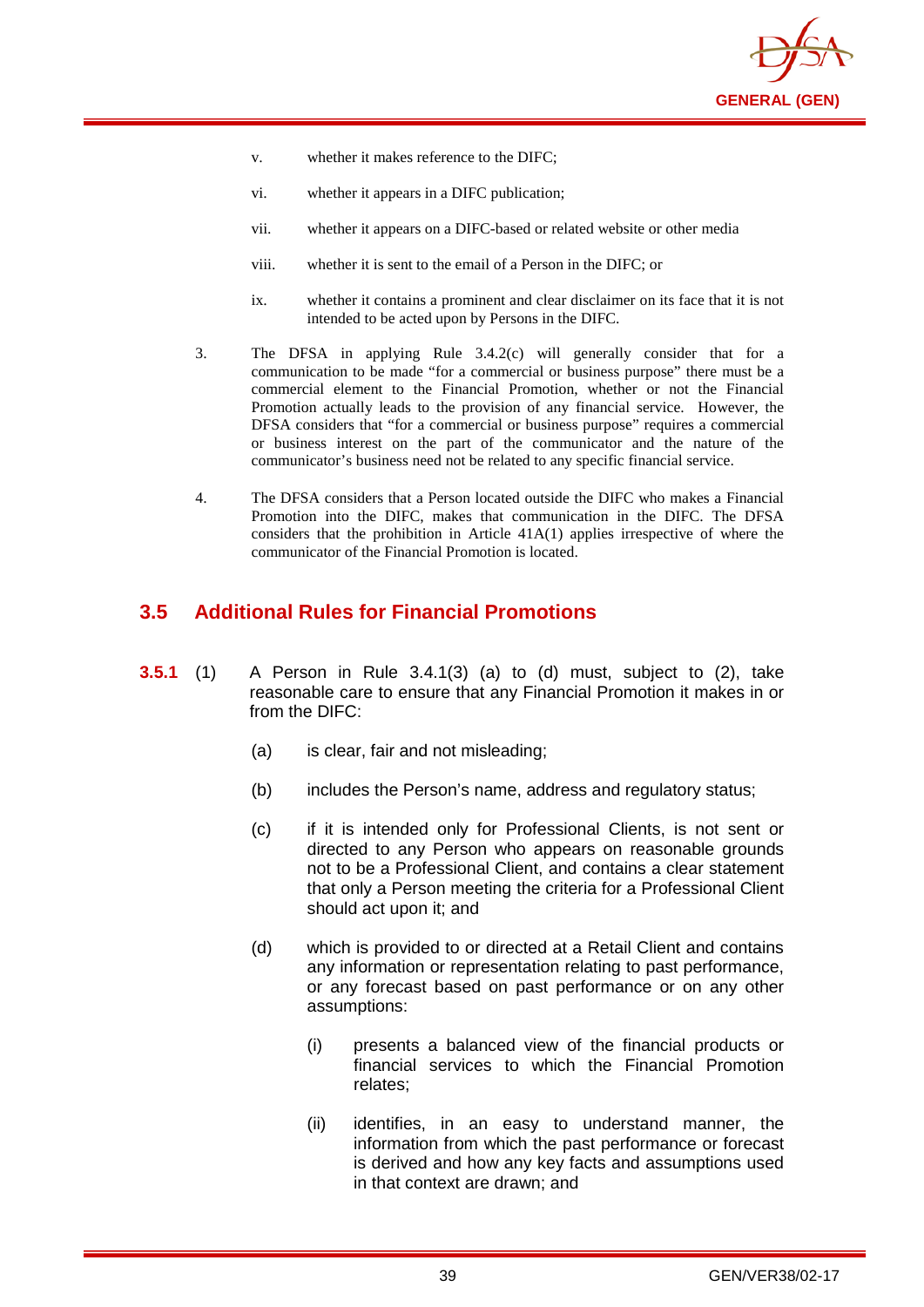

- v. whether it makes reference to the DIFC;
- vi. whether it appears in a DIFC publication;
- vii. whether it appears on a DIFC-based or related website or other media
- viii. whether it is sent to the email of a Person in the DIFC; or
- ix. whether it contains a prominent and clear disclaimer on its face that it is not intended to be acted upon by Persons in the DIFC.
- 3. The DFSA in applying Rule 3.4.2(c) will generally consider that for a communication to be made "for a commercial or business purpose" there must be a commercial element to the Financial Promotion, whether or not the Financial Promotion actually leads to the provision of any financial service. However, the DFSA considers that "for a commercial or business purpose" requires a commercial or business interest on the part of the communicator and the nature of the communicator's business need not be related to any specific financial service.
- 4. The DFSA considers that a Person located outside the DIFC who makes a Financial Promotion into the DIFC, makes that communication in the DIFC. The DFSA considers that the prohibition in Article 41A(1) applies irrespective of where the communicator of the Financial Promotion is located.

## **3.5 Additional Rules for Financial Promotions**

- **3.5.1** (1) A Person in Rule 3.4.1(3) (a) to (d) must, subject to (2), take reasonable care to ensure that any Financial Promotion it makes in or from the DIFC:
	- (a) is clear, fair and not misleading;
	- (b) includes the Person's name, address and regulatory status;
	- (c) if it is intended only for Professional Clients, is not sent or directed to any Person who appears on reasonable grounds not to be a Professional Client, and contains a clear statement that only a Person meeting the criteria for a Professional Client should act upon it; and
	- (d) which is provided to or directed at a Retail Client and contains any information or representation relating to past performance, or any forecast based on past performance or on any other assumptions:
		- (i) presents a balanced view of the financial products or financial services to which the Financial Promotion relates;
		- (ii) identifies, in an easy to understand manner, the information from which the past performance or forecast is derived and how any key facts and assumptions used in that context are drawn; and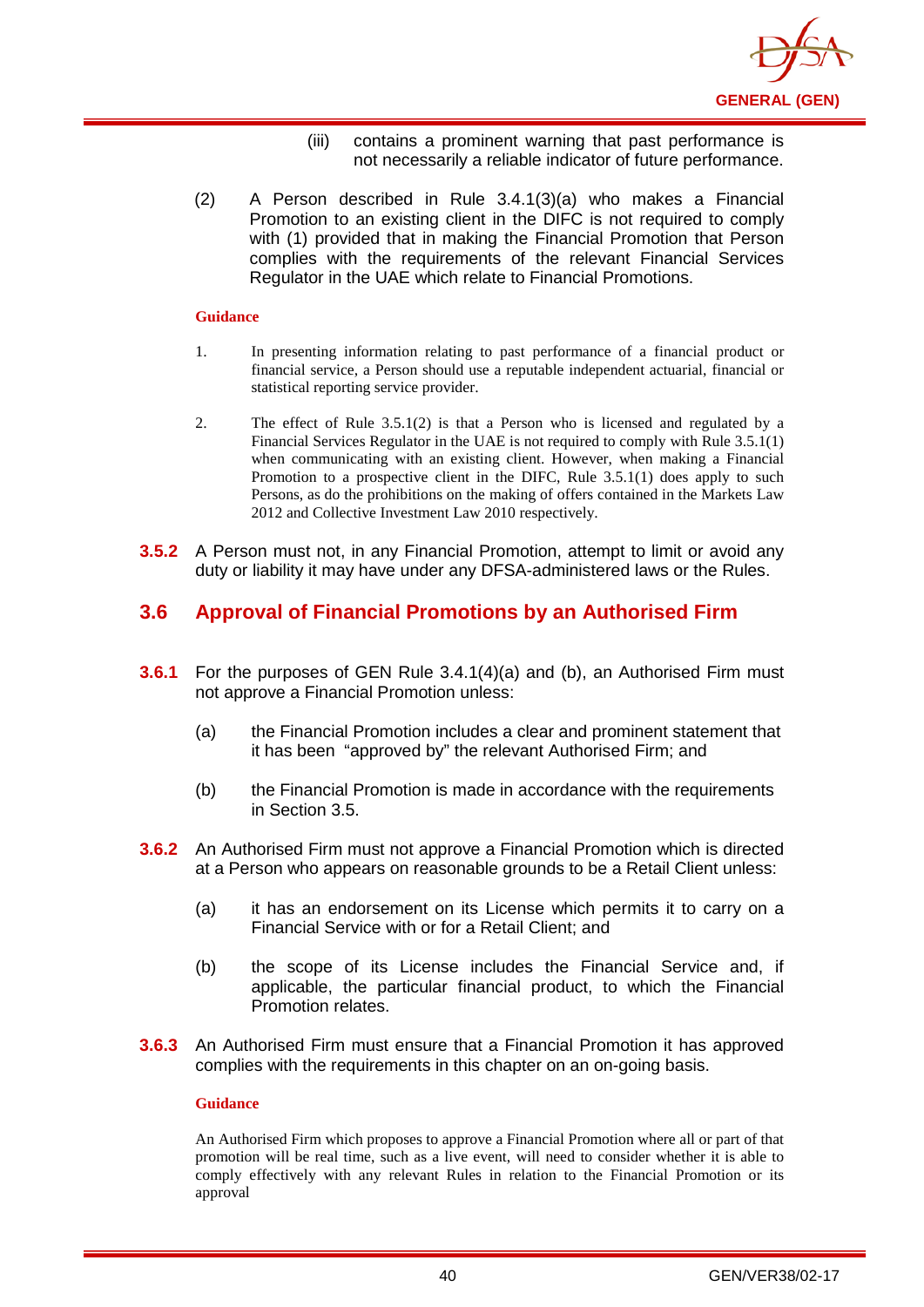

- (iii) contains a prominent warning that past performance is not necessarily a reliable indicator of future performance.
- (2) A Person described in Rule 3.4.1(3)(a) who makes a Financial Promotion to an existing client in the DIFC is not required to comply with (1) provided that in making the Financial Promotion that Person complies with the requirements of the relevant Financial Services Regulator in the UAE which relate to Financial Promotions.

- 1. In presenting information relating to past performance of a financial product or financial service, a Person should use a reputable independent actuarial, financial or statistical reporting service provider.
- 2. The effect of Rule 3.5.1(2) is that a Person who is licensed and regulated by a Financial Services Regulator in the UAE is not required to comply with Rule 3.5.1(1) when communicating with an existing client. However, when making a Financial Promotion to a prospective client in the DIFC, Rule 3.5.1(1) does apply to such Persons, as do the prohibitions on the making of offers contained in the Markets Law 2012 and Collective Investment Law 2010 respectively.
- **3.5.2** A Person must not, in any Financial Promotion, attempt to limit or avoid any duty or liability it may have under any DFSA-administered laws or the Rules.

## **3.6 Approval of Financial Promotions by an Authorised Firm**

- **3.6.1** For the purposes of GEN Rule 3.4.1(4)(a) and (b), an Authorised Firm must not approve a Financial Promotion unless:
	- (a) the Financial Promotion includes a clear and prominent statement that it has been "approved by" the relevant Authorised Firm; and
	- (b) the Financial Promotion is made in accordance with the requirements in Section 3.5.
- **3.6.2** An Authorised Firm must not approve a Financial Promotion which is directed at a Person who appears on reasonable grounds to be a Retail Client unless:
	- (a) it has an endorsement on its License which permits it to carry on a Financial Service with or for a Retail Client; and
	- (b) the scope of its License includes the Financial Service and, if applicable, the particular financial product, to which the Financial Promotion relates.
- **3.6.3** An Authorised Firm must ensure that a Financial Promotion it has approved complies with the requirements in this chapter on an on-going basis.

#### **Guidance**

An Authorised Firm which proposes to approve a Financial Promotion where all or part of that promotion will be real time, such as a live event, will need to consider whether it is able to comply effectively with any relevant Rules in relation to the Financial Promotion or its approval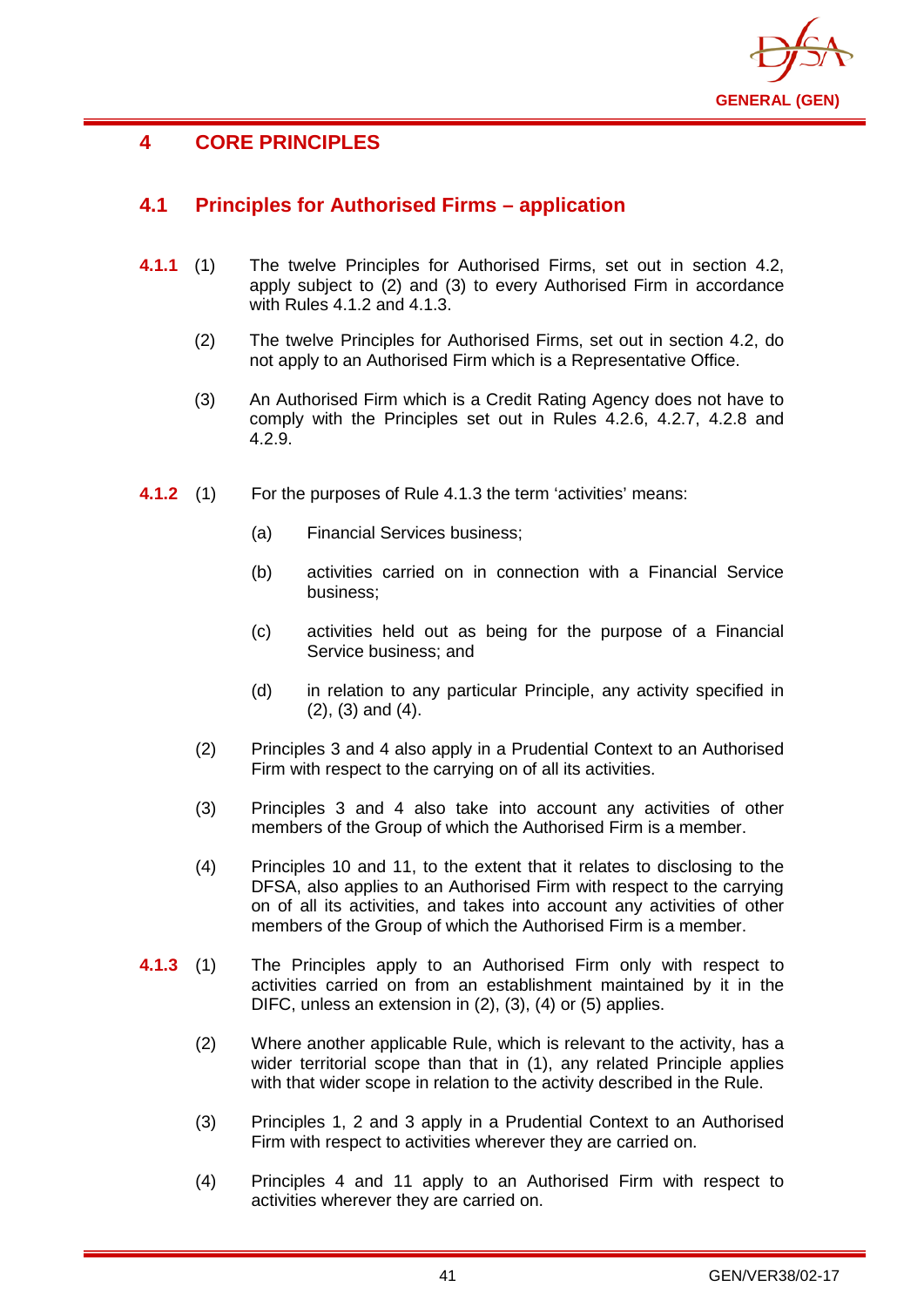

# **4 CORE PRINCIPLES**

## **4.1 Principles for Authorised Firms – application**

- **4.1.1** (1) The twelve Principles for Authorised Firms, set out in section 4.2, apply subject to (2) and (3) to every Authorised Firm in accordance with Rules 4.1.2 and 4.1.3.
	- (2) The twelve Principles for Authorised Firms, set out in section 4.2, do not apply to an Authorised Firm which is a Representative Office.
	- (3) An Authorised Firm which is a Credit Rating Agency does not have to comply with the Principles set out in Rules 4.2.6, 4.2.7, 4.2.8 and 4.2.9.
- **4.1.2** (1) For the purposes of Rule 4.1.3 the term 'activities' means:
	- (a) Financial Services business;
	- (b) activities carried on in connection with a Financial Service business;
	- (c) activities held out as being for the purpose of a Financial Service business; and
	- (d) in relation to any particular Principle, any activity specified in (2), (3) and (4).
	- (2) Principles 3 and 4 also apply in a Prudential Context to an Authorised Firm with respect to the carrying on of all its activities.
	- (3) Principles 3 and 4 also take into account any activities of other members of the Group of which the Authorised Firm is a member.
	- (4) Principles 10 and 11, to the extent that it relates to disclosing to the DFSA, also applies to an Authorised Firm with respect to the carrying on of all its activities, and takes into account any activities of other members of the Group of which the Authorised Firm is a member.
- **4.1.3** (1) The Principles apply to an Authorised Firm only with respect to activities carried on from an establishment maintained by it in the DIFC, unless an extension in (2), (3), (4) or (5) applies.
	- (2) Where another applicable Rule, which is relevant to the activity, has a wider territorial scope than that in (1), any related Principle applies with that wider scope in relation to the activity described in the Rule.
	- (3) Principles 1, 2 and 3 apply in a Prudential Context to an Authorised Firm with respect to activities wherever they are carried on.
	- (4) Principles 4 and 11 apply to an Authorised Firm with respect to activities wherever they are carried on.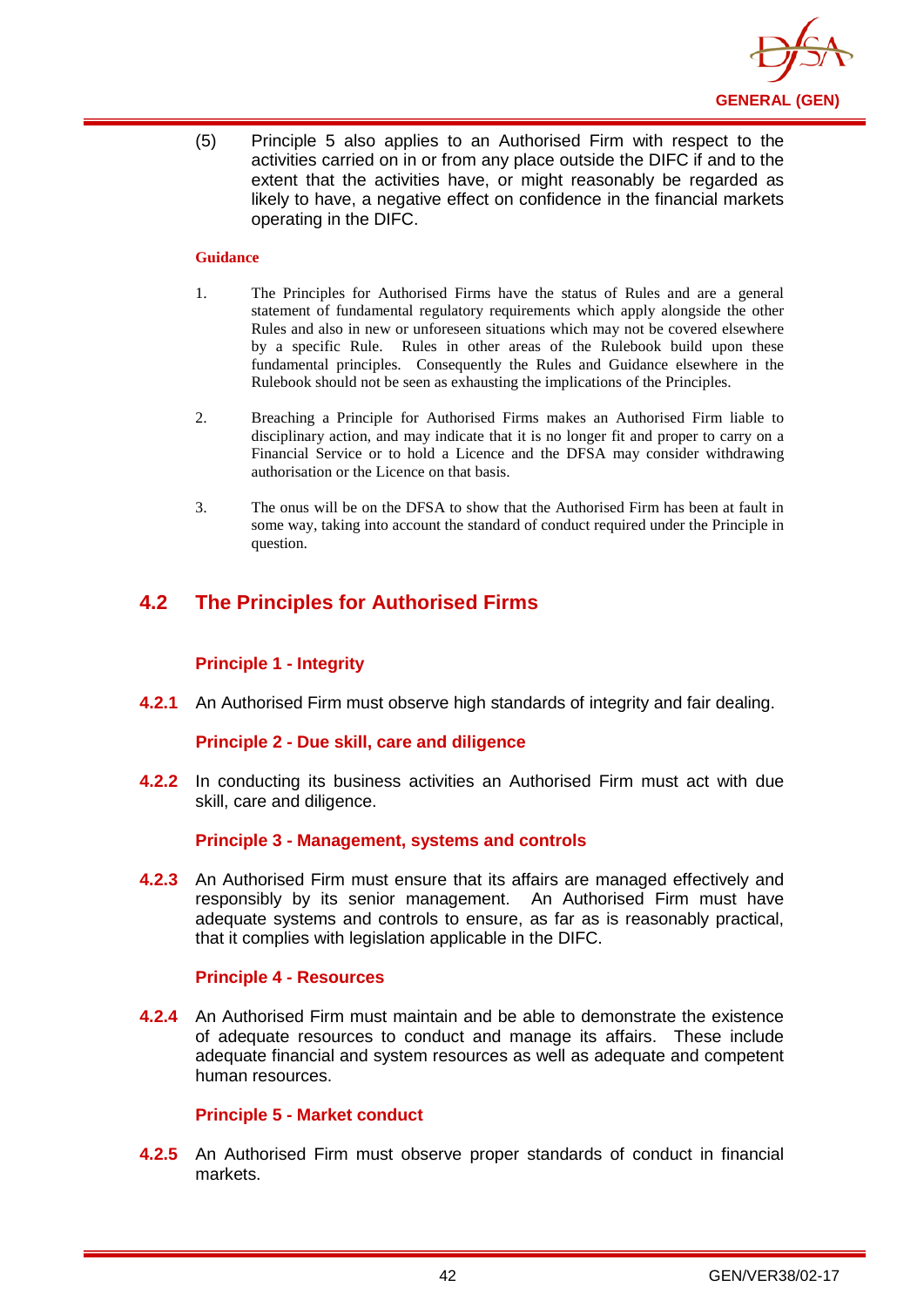

(5) Principle 5 also applies to an Authorised Firm with respect to the activities carried on in or from any place outside the DIFC if and to the extent that the activities have, or might reasonably be regarded as likely to have, a negative effect on confidence in the financial markets operating in the DIFC.

### **Guidance**

- 1. The Principles for Authorised Firms have the status of Rules and are a general statement of fundamental regulatory requirements which apply alongside the other Rules and also in new or unforeseen situations which may not be covered elsewhere by a specific Rule. Rules in other areas of the Rulebook build upon these fundamental principles. Consequently the Rules and Guidance elsewhere in the Rulebook should not be seen as exhausting the implications of the Principles.
- 2. Breaching a Principle for Authorised Firms makes an Authorised Firm liable to disciplinary action, and may indicate that it is no longer fit and proper to carry on a Financial Service or to hold a Licence and the DFSA may consider withdrawing authorisation or the Licence on that basis.
- 3. The onus will be on the DFSA to show that the Authorised Firm has been at fault in some way, taking into account the standard of conduct required under the Principle in question.

## **4.2 The Principles for Authorised Firms**

### **Principle 1 - Integrity**

**4.2.1** An Authorised Firm must observe high standards of integrity and fair dealing.

### **Principle 2 - Due skill, care and diligence**

**4.2.2** In conducting its business activities an Authorised Firm must act with due skill, care and diligence.

### **Principle 3 - Management, systems and controls**

**4.2.3** An Authorised Firm must ensure that its affairs are managed effectively and responsibly by its senior management. An Authorised Firm must have adequate systems and controls to ensure, as far as is reasonably practical, that it complies with legislation applicable in the DIFC.

### **Principle 4 - Resources**

**4.2.4** An Authorised Firm must maintain and be able to demonstrate the existence of adequate resources to conduct and manage its affairs. These include adequate financial and system resources as well as adequate and competent human resources.

### **Principle 5 - Market conduct**

**4.2.5** An Authorised Firm must observe proper standards of conduct in financial markets.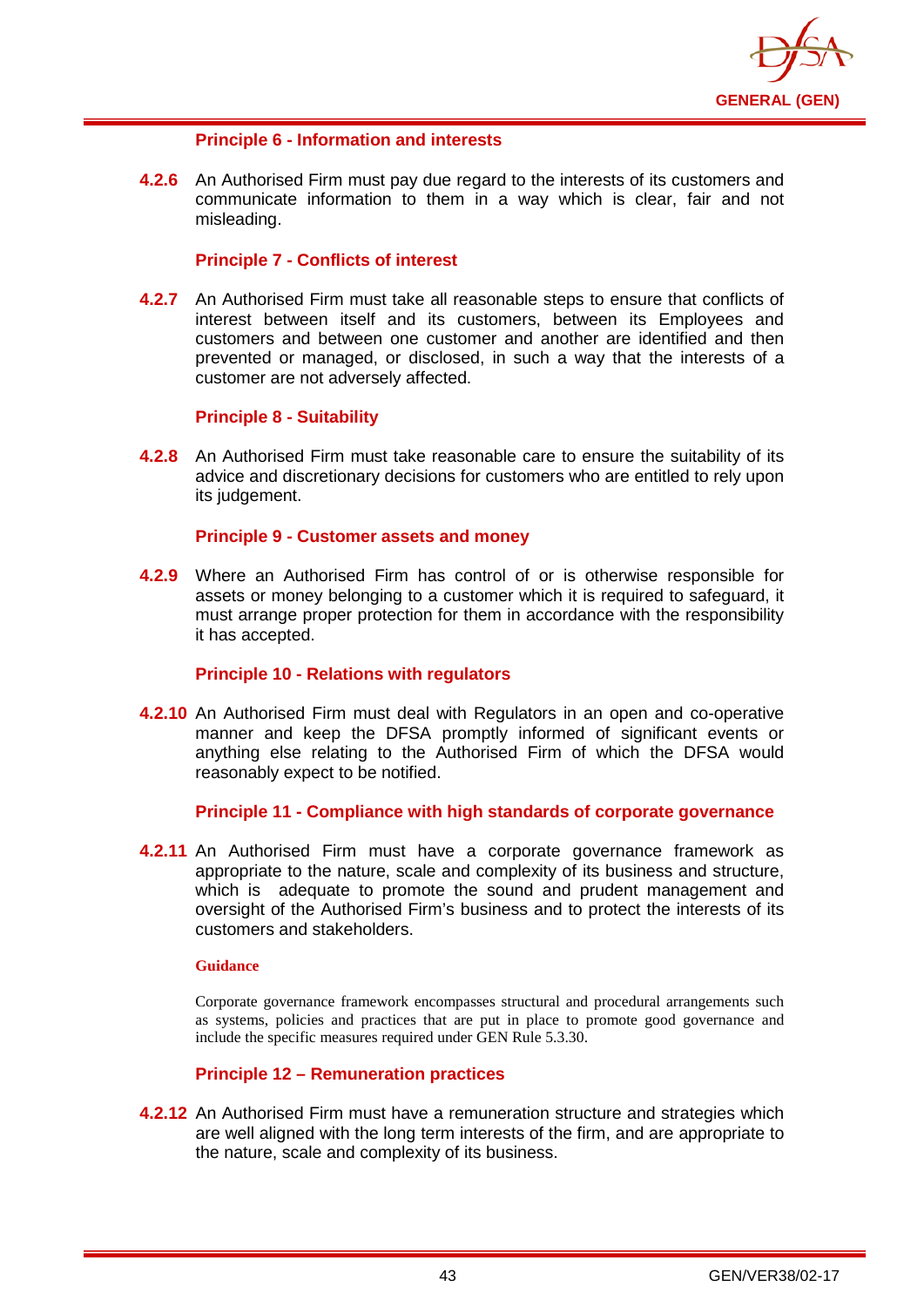

## **Principle 6 - Information and interests**

**4.2.6** An Authorised Firm must pay due regard to the interests of its customers and communicate information to them in a way which is clear, fair and not misleading.

## **Principle 7 - Conflicts of interest**

**4.2.7** An Authorised Firm must take all reasonable steps to ensure that conflicts of interest between itself and its customers, between its Employees and customers and between one customer and another are identified and then prevented or managed, or disclosed, in such a way that the interests of a customer are not adversely affected.

### **Principle 8 - Suitability**

**4.2.8** An Authorised Firm must take reasonable care to ensure the suitability of its advice and discretionary decisions for customers who are entitled to rely upon its judgement.

### **Principle 9 - Customer assets and money**

**4.2.9** Where an Authorised Firm has control of or is otherwise responsible for assets or money belonging to a customer which it is required to safeguard, it must arrange proper protection for them in accordance with the responsibility it has accepted.

### **Principle 10 - Relations with regulators**

**4.2.10** An Authorised Firm must deal with Regulators in an open and co-operative manner and keep the DFSA promptly informed of significant events or anything else relating to the Authorised Firm of which the DFSA would reasonably expect to be notified.

### **Principle 11 - Compliance with high standards of corporate governance**

**4.2.11** An Authorised Firm must have a corporate governance framework as appropriate to the nature, scale and complexity of its business and structure, which is adequate to promote the sound and prudent management and oversight of the Authorised Firm's business and to protect the interests of its customers and stakeholders.

#### **Guidance**

Corporate governance framework encompasses structural and procedural arrangements such as systems, policies and practices that are put in place to promote good governance and include the specific measures required under GEN Rule 5.3.30.

## **Principle 12 – Remuneration practices**

**4.2.12** An Authorised Firm must have a remuneration structure and strategies which are well aligned with the long term interests of the firm, and are appropriate to the nature, scale and complexity of its business.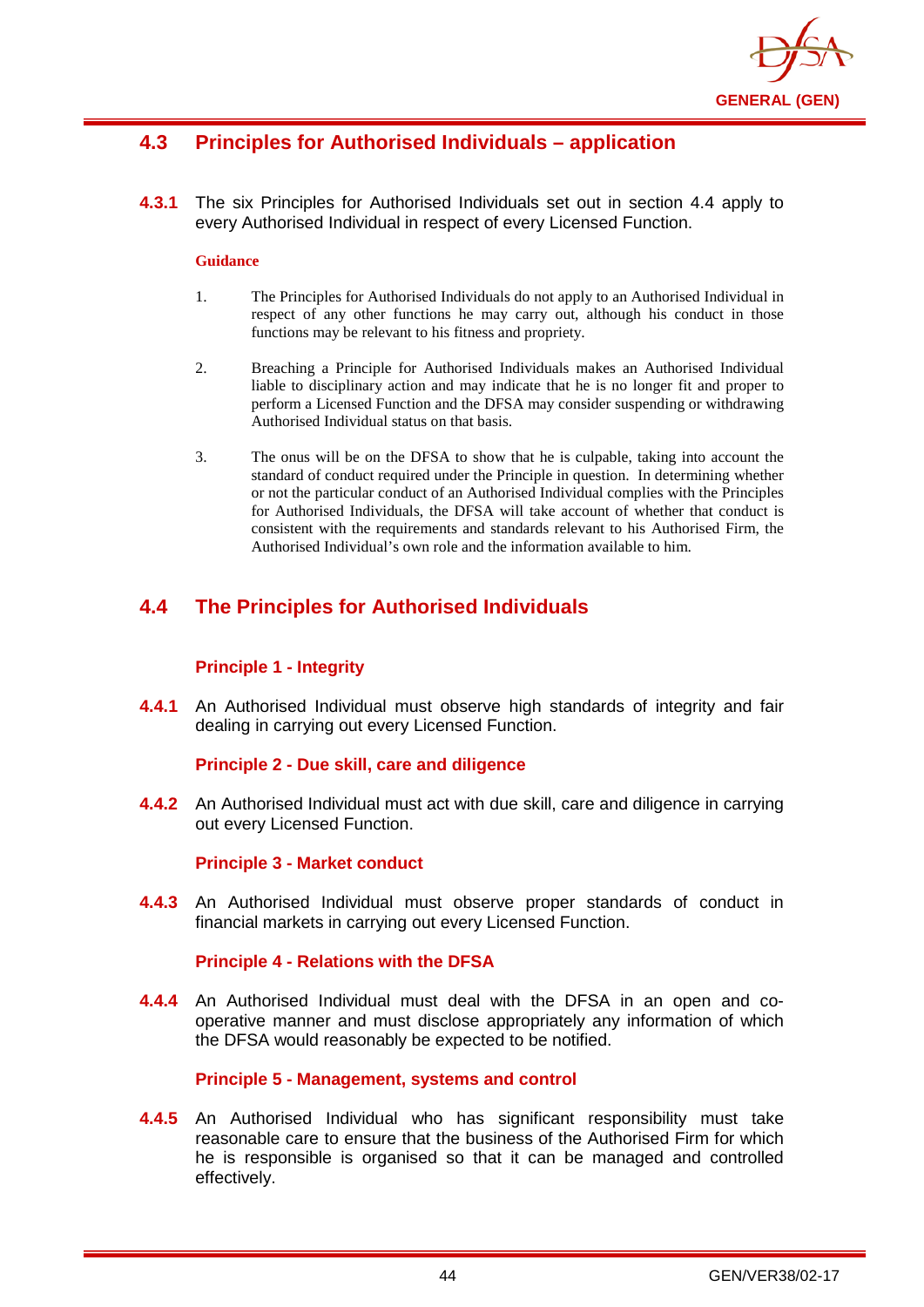

## **4.3 Principles for Authorised Individuals – application**

**4.3.1** The six Principles for Authorised Individuals set out in section 4.4 apply to every Authorised Individual in respect of every Licensed Function.

#### **Guidance**

- 1. The Principles for Authorised Individuals do not apply to an Authorised Individual in respect of any other functions he may carry out, although his conduct in those functions may be relevant to his fitness and propriety.
- 2. Breaching a Principle for Authorised Individuals makes an Authorised Individual liable to disciplinary action and may indicate that he is no longer fit and proper to perform a Licensed Function and the DFSA may consider suspending or withdrawing Authorised Individual status on that basis.
- 3. The onus will be on the DFSA to show that he is culpable, taking into account the standard of conduct required under the Principle in question. In determining whether or not the particular conduct of an Authorised Individual complies with the Principles for Authorised Individuals, the DFSA will take account of whether that conduct is consistent with the requirements and standards relevant to his Authorised Firm, the Authorised Individual's own role and the information available to him.

## **4.4 The Principles for Authorised Individuals**

## **Principle 1 - Integrity**

**4.4.1** An Authorised Individual must observe high standards of integrity and fair dealing in carrying out every Licensed Function.

### **Principle 2 - Due skill, care and diligence**

**4.4.2** An Authorised Individual must act with due skill, care and diligence in carrying out every Licensed Function.

### **Principle 3 - Market conduct**

**4.4.3** An Authorised Individual must observe proper standards of conduct in financial markets in carrying out every Licensed Function.

### **Principle 4 - Relations with the DFSA**

**4.4.4** An Authorised Individual must deal with the DFSA in an open and cooperative manner and must disclose appropriately any information of which the DFSA would reasonably be expected to be notified.

### **Principle 5 - Management, systems and control**

**4.4.5** An Authorised Individual who has significant responsibility must take reasonable care to ensure that the business of the Authorised Firm for which he is responsible is organised so that it can be managed and controlled effectively.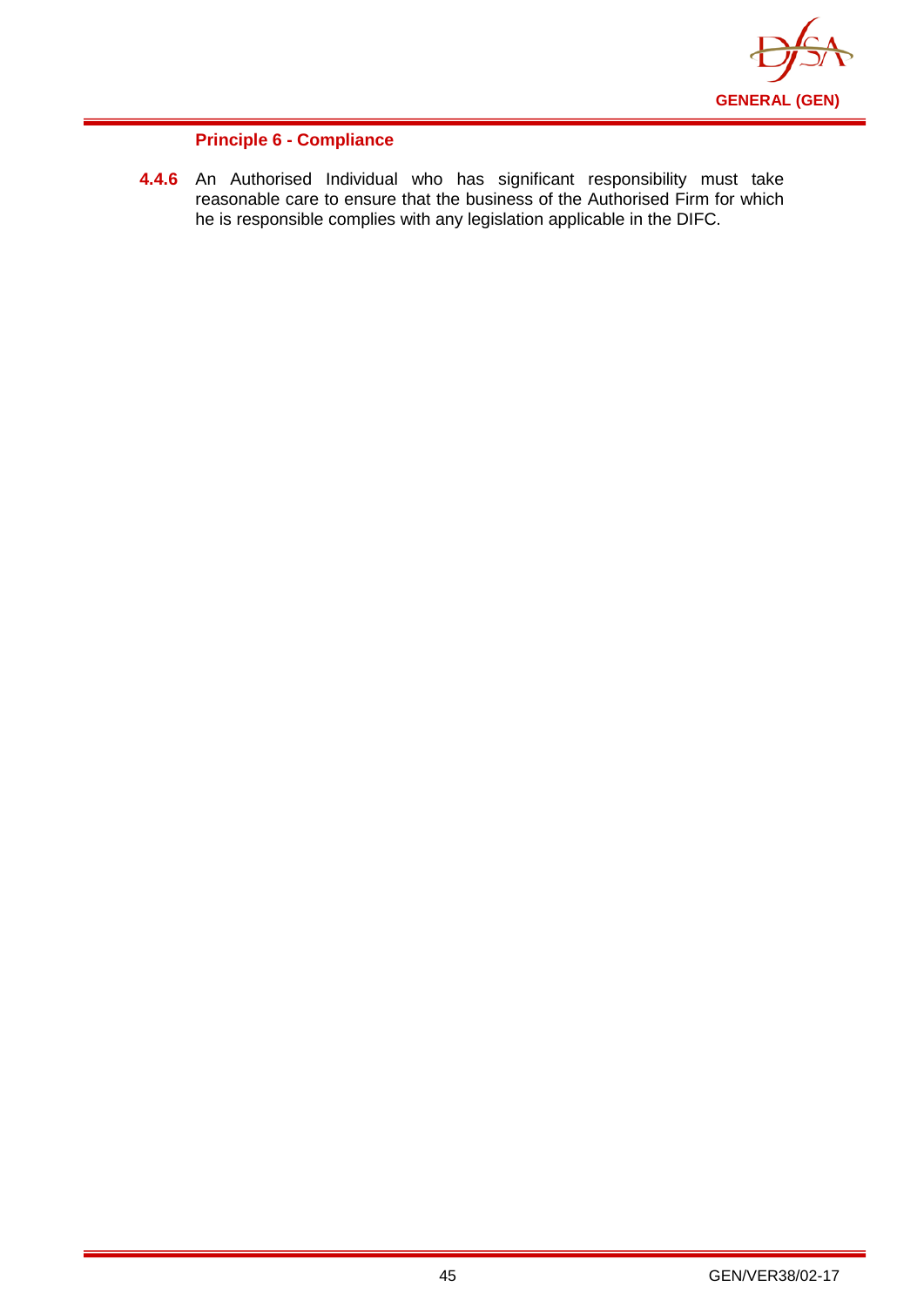

## **Principle 6 - Compliance**

**4.4.6** An Authorised Individual who has significant responsibility must take reasonable care to ensure that the business of the Authorised Firm for which he is responsible complies with any legislation applicable in the DIFC.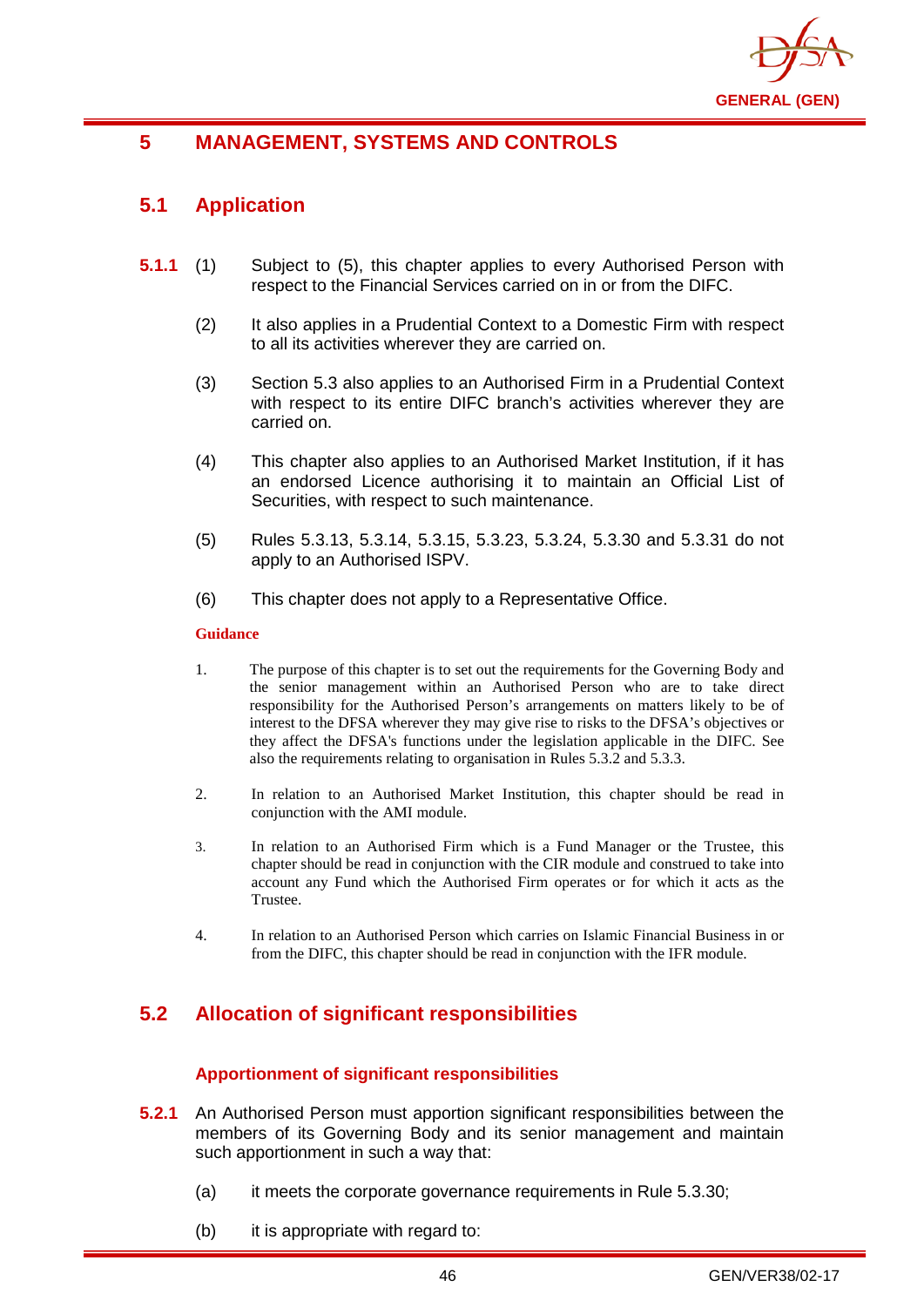

## **5 MANAGEMENT, SYSTEMS AND CONTROLS**

## **5.1 Application**

- **5.1.1** (1) Subject to (5), this chapter applies to every Authorised Person with respect to the Financial Services carried on in or from the DIFC.
	- (2) It also applies in a Prudential Context to a Domestic Firm with respect to all its activities wherever they are carried on.
	- (3) Section 5.3 also applies to an Authorised Firm in a Prudential Context with respect to its entire DIFC branch's activities wherever they are carried on.
	- (4) This chapter also applies to an Authorised Market Institution, if it has an endorsed Licence authorising it to maintain an Official List of Securities, with respect to such maintenance.
	- (5) Rules 5.3.13, 5.3.14, 5.3.15, 5.3.23, 5.3.24, 5.3.30 and 5.3.31 do not apply to an Authorised ISPV.
	- (6) This chapter does not apply to a Representative Office.

#### **Guidance**

- 1. The purpose of this chapter is to set out the requirements for the Governing Body and the senior management within an Authorised Person who are to take direct responsibility for the [Authorised Person's](http://www.fsa.gov.uk/handbook/hbk_glossary.pdf) arrangements on matters likely to be of interest to the DFSA wherever they may give rise to risks to the DFSA's objectives or they affect [the DFSA's](http://www.fsa.gov.uk/handbook/hbk_glossary.pdf) functions under the legislation applicable in the DIFC. See also the requirements relating to organisation in Rules 5.3.2 and 5.3.3.
- 2. In relation to an Authorised Market Institution, this chapter should be read in conjunction with the AMI module.
- 3. In relation to an Authorised Firm which is a Fund Manager or the Trustee, this chapter should be read in conjunction with the CIR module and construed to take into account any Fund which the Authorised Firm operates or for which it acts as the Trustee.
- 4. In relation to an Authorised Person which carries on Islamic Financial Business in or from the DIFC, this chapter should be read in conjunction with the IFR module.

## **5.2 Allocation of significant responsibilities**

## **Apportionment of significant responsibilities**

- **5.2.1** An Authorised Person must apportion significant responsibilities between the members of its Governing Body and its senior management and maintain such apportionment in such a way that:
	- (a) it meets the corporate governance requirements in Rule 5.3.30;
	- (b) it is appropriate with regard to: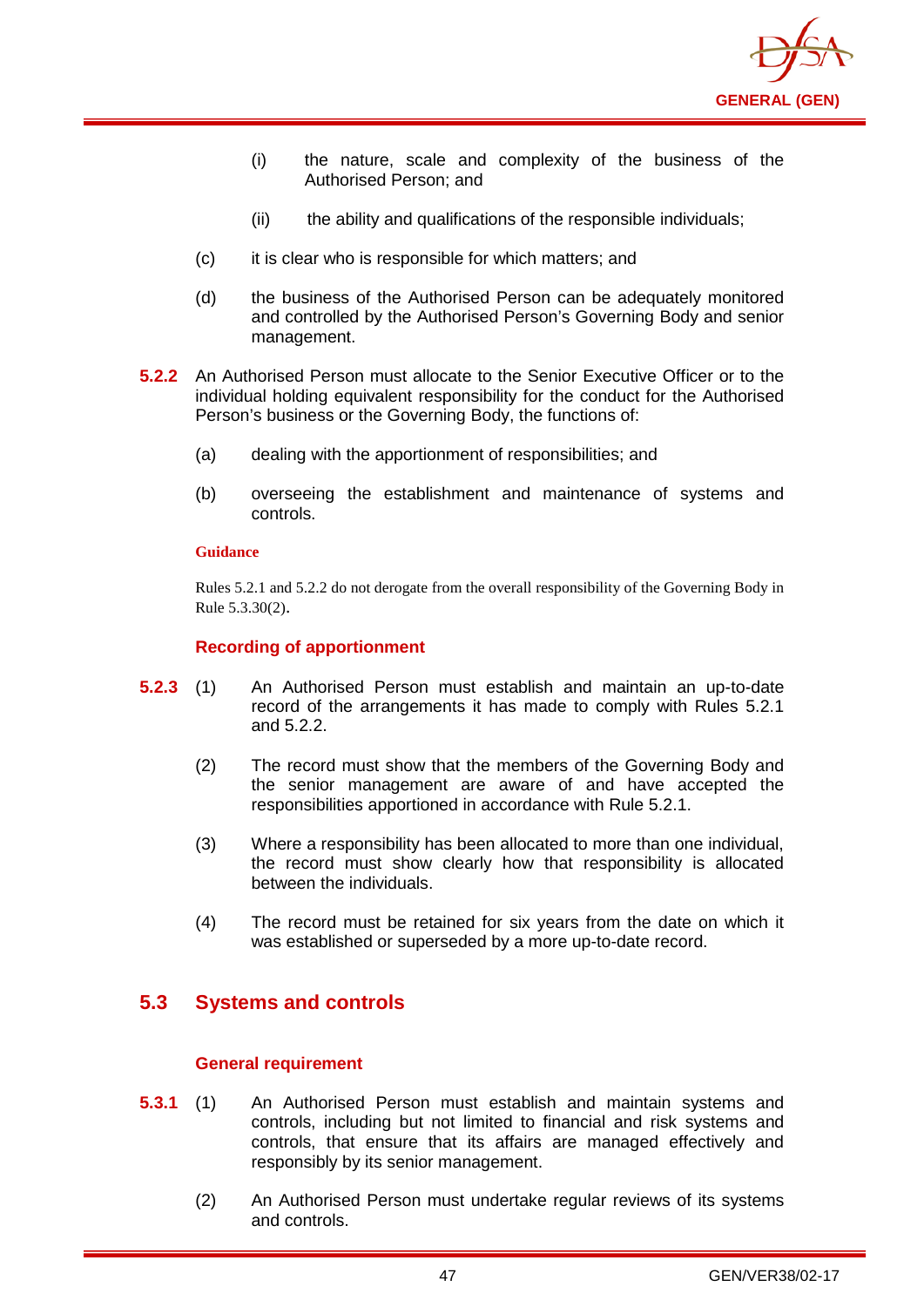

- (i) the nature, scale and complexity of the business of the Authorised Person; and
- (ii) the ability and qualifications of the responsible individuals;
- (c) it is clear who is responsible for which matters; and
- (d) the business of the Authorised Person can be adequately monitored and controlled by the Authorised Person's Governing Body and senior management.
- **5.2.2** An Authorised Person must allocate to the Senior Executive Officer or to the individual holding equivalent responsibility for the conduct for the Authorised Person's business or the Governing Body, the functions of:
	- (a) dealing with the apportionment of responsibilities; and
	- (b) overseeing the establishment and maintenance of systems and controls.

Rules 5.2.1 and 5.2.2 do not derogate from the overall responsibility of the Governing Body in Rule 5.3.30(2).

### **Recording of apportionment**

- **5.2.3** (1) An Authorised Person must establish and maintain an up-to-date record of the arrangements it has made to comply with Rules 5.2.1 and 5.2.2.
	- (2) The record must show that the members of the Governing Body and the senior management are aware of and have accepted the responsibilities apportioned in accordance with Rule 5.2.1.
	- (3) Where a responsibility has been allocated to more than one individual, the record must show clearly how that responsibility is allocated between the individuals.
	- (4) The record must be retained for six years from the date on which it was established or superseded by a more up-to-date record.

## **5.3 Systems and controls**

### **General requirement**

- **5.3.1** (1) An Authorised Person must establish and maintain systems and controls, including but not limited to financial and risk systems and controls, that ensure that its affairs are managed effectively and responsibly by its senior management.
	- (2) An Authorised Person must undertake regular reviews of its systems and controls.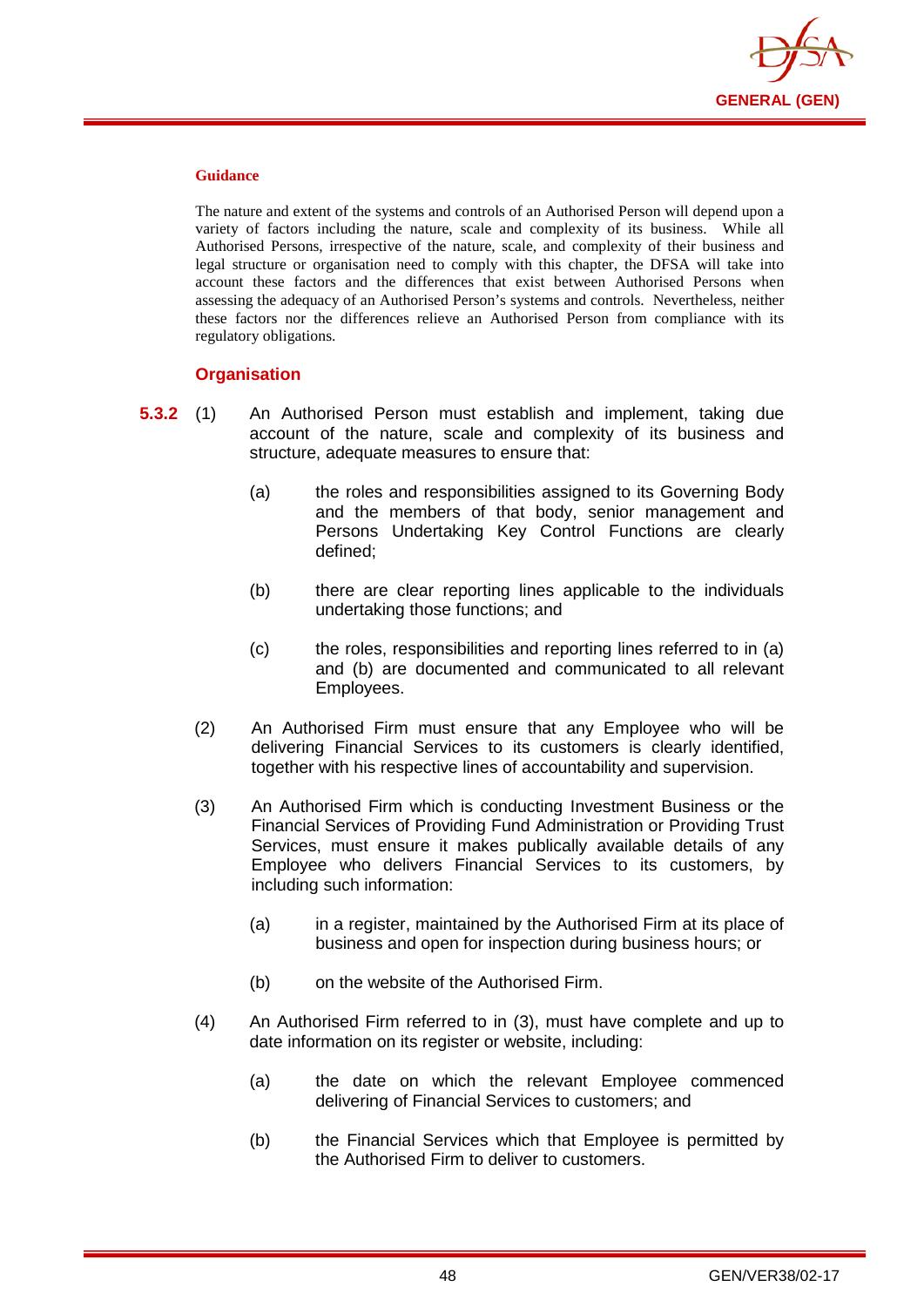

The nature and extent of the systems and controls of an Authorised Person will depend upon a variety of factors including the nature, scale and complexity of its business. While all Authorised Persons, irrespective of the nature, scale, and complexity of their business and legal structure or organisation need to comply with this chapter, the DFSA will take into account these factors and the differences that exist between Authorised Persons when assessing the adequacy of an Authorised Person's systems and controls. Nevertheless, neither these factors nor the differences relieve an Authorised Person from compliance with its regulatory obligations.

### **Organisation**

- **5.3.2** (1) An Authorised Person must establish and implement, taking due account of the nature, scale and complexity of its business and structure, adequate measures to ensure that:
	- (a) the roles and responsibilities assigned to its Governing Body and the members of that body, senior management and Persons Undertaking Key Control Functions are clearly defined;
	- (b) there are clear reporting lines applicable to the individuals undertaking those functions; and
	- (c) the roles, responsibilities and reporting lines referred to in (a) and (b) are documented and communicated to all relevant Employees.
	- (2) An Authorised Firm must ensure that any Employee who will be delivering Financial Services to its customers is clearly identified, together with his respective lines of accountability and supervision.
	- (3) An Authorised Firm which is conducting Investment Business or the Financial Services of Providing Fund Administration or Providing Trust Services, must ensure it makes publically available details of any Employee who delivers Financial Services to its customers, by including such information:
		- (a) in a register, maintained by the Authorised Firm at its place of business and open for inspection during business hours; or
		- (b) on the website of the Authorised Firm.
	- (4) An Authorised Firm referred to in (3), must have complete and up to date information on its register or website, including:
		- (a) the date on which the relevant Employee commenced delivering of Financial Services to customers; and
		- (b) the Financial Services which that Employee is permitted by the Authorised Firm to deliver to customers.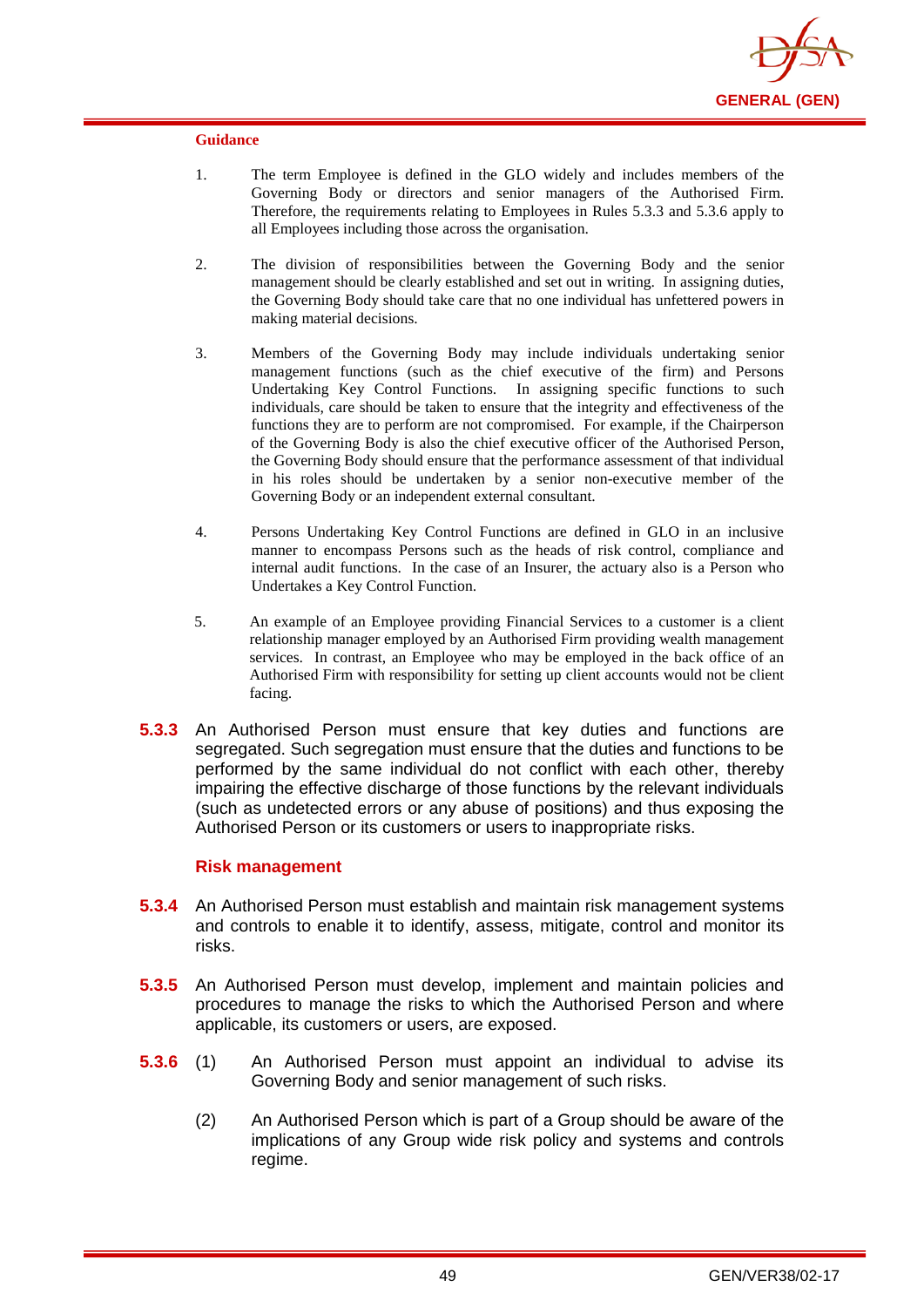

- 1. The term Employee is defined in the GLO widely and includes members of the Governing Body or directors and senior managers of the Authorised Firm. Therefore, the requirements relating to Employees in Rules 5.3.3 and 5.3.6 apply to all Employees including those across the organisation.
- 2. The division of responsibilities between the Governing Body and the senior management should be clearly established and set out in writing. In assigning duties, the Governing Body should take care that no one individual has unfettered powers in making material decisions.
- 3. Members of the Governing Body may include individuals undertaking senior management functions (such as the chief executive of the firm) and Persons Undertaking Key Control Functions. In assigning specific functions to such individuals, care should be taken to ensure that the integrity and effectiveness of the functions they are to perform are not compromised. For example, if the Chairperson of the Governing Body is also the chief executive officer of the Authorised Person, the Governing Body should ensure that the performance assessment of that individual in his roles should be undertaken by a senior non-executive member of the Governing Body or an independent external consultant.
- 4. Persons Undertaking Key Control Functions are defined in GLO in an inclusive manner to encompass Persons such as the heads of risk control, compliance and internal audit functions. In the case of an Insurer, the actuary also is a Person who Undertakes a Key Control Function.
- 5. An example of an Employee providing Financial Services to a customer is a client relationship manager employed by an Authorised Firm providing wealth management services. In contrast, an Employee who may be employed in the back office of an Authorised Firm with responsibility for setting up client accounts would not be client facing.
- **5.3.3** An Authorised Person must ensure that key duties and functions are segregated. Such segregation must ensure that the duties and functions to be performed by the same individual do not conflict with each other, thereby impairing the effective discharge of those functions by the relevant individuals (such as undetected errors or any abuse of positions) and thus exposing the Authorised Person or its customers or users to inappropriate risks.

### **Risk management**

- **5.3.4** An Authorised Person must establish and maintain risk management systems and controls to enable it to identify, assess, mitigate, control and monitor its risks.
- **5.3.5** An Authorised Person must develop, implement and maintain policies and procedures to manage the risks to which the Authorised Person and where applicable, its customers or users, are exposed.
- **5.3.6** (1) An Authorised Person must appoint an individual to advise its Governing Body and senior management of such risks.
	- (2) An Authorised Person which is part of a Group should be aware of the implications of any Group wide risk policy and systems and controls regime.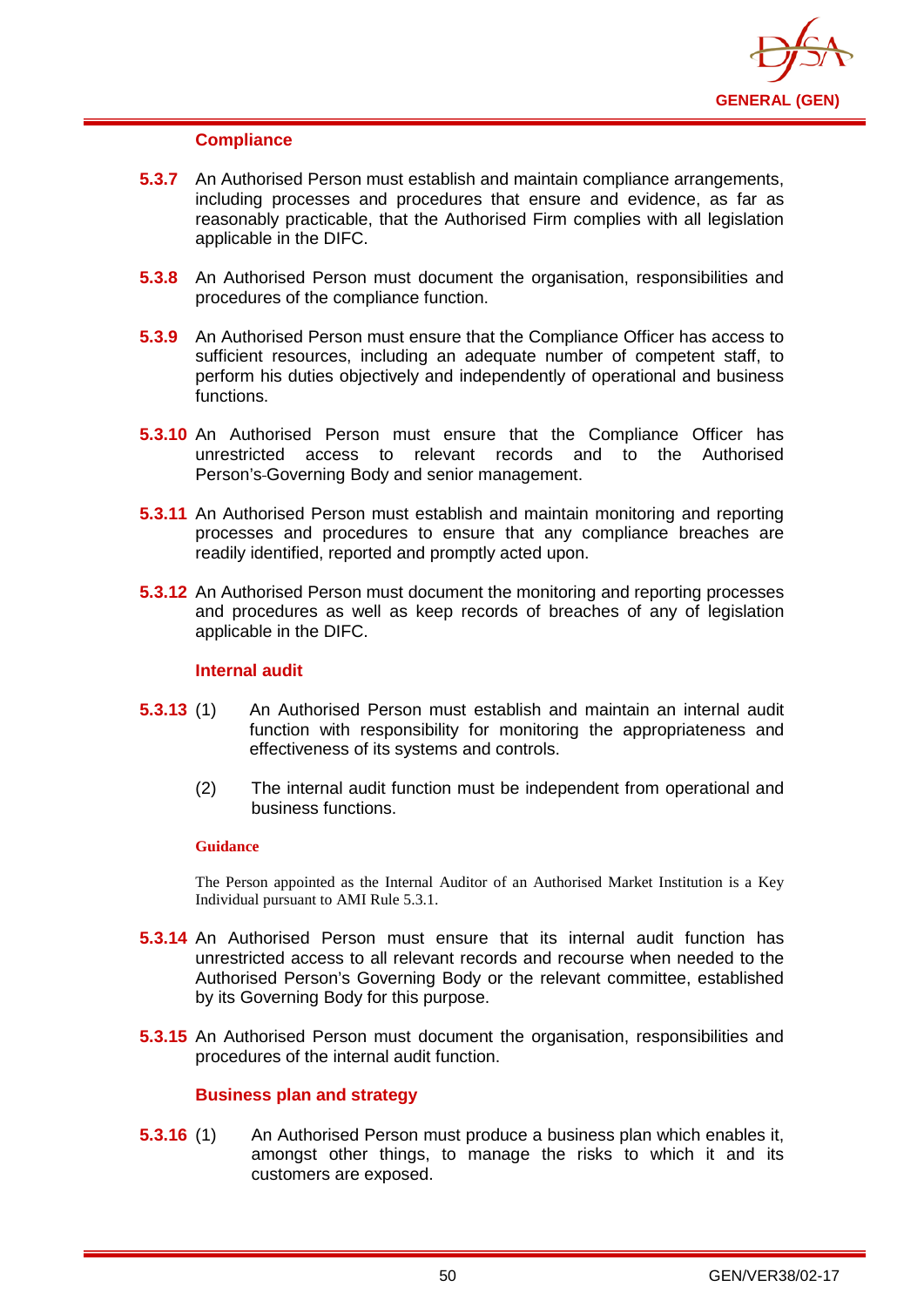

### **Compliance**

- **5.3.7** An Authorised Person must establish and maintain compliance arrangements, including processes and procedures that ensure and evidence, as far as reasonably practicable, that the Authorised Firm complies with all legislation applicable in the DIFC.
- **5.3.8** An Authorised Person must document the organisation, responsibilities and procedures of the compliance function.
- **5.3.9** An Authorised Person must ensure that the Compliance Officer has access to sufficient resources, including an adequate number of competent staff, to perform his duties objectively and independently of operational and business functions.
- **5.3.10** An Authorised Person must ensure that the Compliance Officer has unrestricted access to relevant records and to the Authorised Person's Governing Body and senior management.
- **5.3.11** An Authorised Person must establish and maintain monitoring and reporting processes and procedures to ensure that any compliance breaches are readily identified, reported and promptly acted upon.
- **5.3.12** An Authorised Person must document the monitoring and reporting processes and procedures as well as keep records of breaches of any of legislation applicable in the DIFC.

### **Internal audit**

- **5.3.13** (1) An Authorised Person must establish and maintain an internal audit function with responsibility for monitoring the appropriateness and effectiveness of its systems and controls.
	- (2) The internal audit function must be independent from operational and business functions.

#### **Guidance**

The Person appointed as the Internal Auditor of an Authorised Market Institution is a Key Individual pursuant to AMI Rule 5.3.1.

- **5.3.14** An Authorised Person must ensure that its internal audit function has unrestricted access to all relevant records and recourse when needed to the Authorised Person's Governing Body or the relevant committee, established by its Governing Body for this purpose.
- **5.3.15** An Authorised Person must document the organisation, responsibilities and procedures of the internal audit function.

### **Business plan and strategy**

**5.3.16** (1) An Authorised Person must produce a business plan which enables it, amongst other things, to manage the risks to which it and its customers are exposed.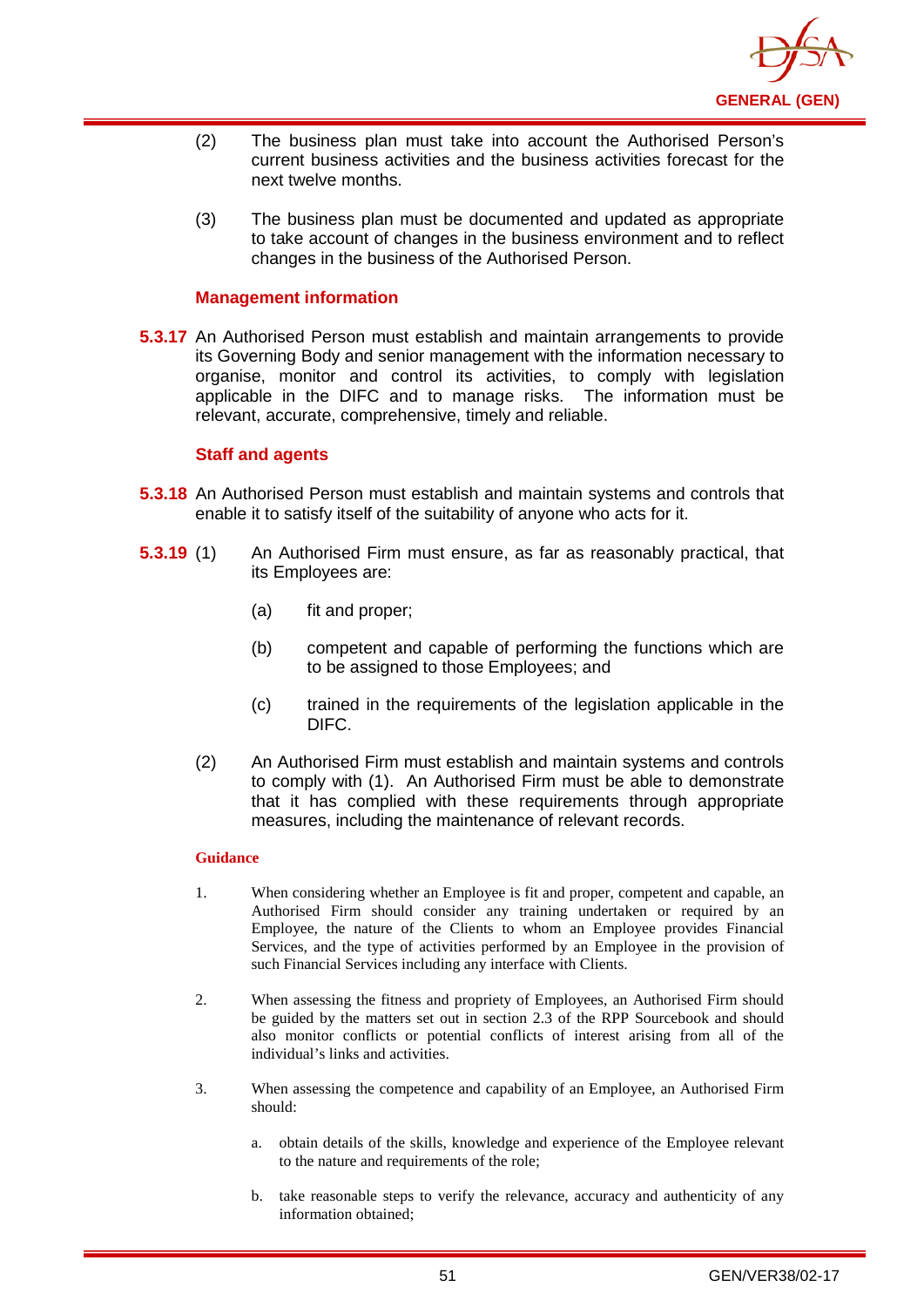

- (2) The business plan must take into account the Authorised Person's current business activities and the business activities forecast for the next twelve months.
- (3) The business plan must be documented and updated as appropriate to take account of changes in the business environment and to reflect changes in the business of the Authorised Person.

### **Management information**

**5.3.17** An Authorised Person must establish and maintain arrangements to provide its Governing Body and senior management with the information necessary to organise, monitor and control its activities, to comply with legislation applicable in the DIFC and to manage risks. The information must be relevant, accurate, comprehensive, timely and reliable.

### **Staff and agents**

- **5.3.18** An Authorised Person must establish and maintain systems and controls that enable it to satisfy itself of the suitability of anyone who acts for it.
- **5.3.19** (1) An Authorised Firm must ensure, as far as reasonably practical, that its Employees are:
	- (a) fit and proper;
	- (b) competent and capable of performing the functions which are to be assigned to those Employees; and
	- (c) trained in the requirements of the legislation applicable in the DIFC.
	- (2) An Authorised Firm must establish and maintain systems and controls to comply with (1). An Authorised Firm must be able to demonstrate that it has complied with these requirements through appropriate measures, including the maintenance of relevant records.

#### **Guidance**

- 1. When considering whether an Employee is fit and proper, competent and capable, an Authorised Firm should consider any training undertaken or required by an Employee, the nature of the Clients to whom an Employee provides Financial Services, and the type of activities performed by an Employee in the provision of such Financial Services including any interface with Clients.
- 2. When assessing the fitness and propriety of Employees, an Authorised Firm should be guided by the matters set out in section 2.3 of the RPP Sourcebook and should also monitor conflicts or potential conflicts of interest arising from all of the individual's links and activities.
- 3. When assessing the competence and capability of an Employee, an Authorised Firm should:
	- a. obtain details of the skills, knowledge and experience of the Employee relevant to the nature and requirements of the role;
	- b. take reasonable steps to verify the relevance, accuracy and authenticity of any information obtained;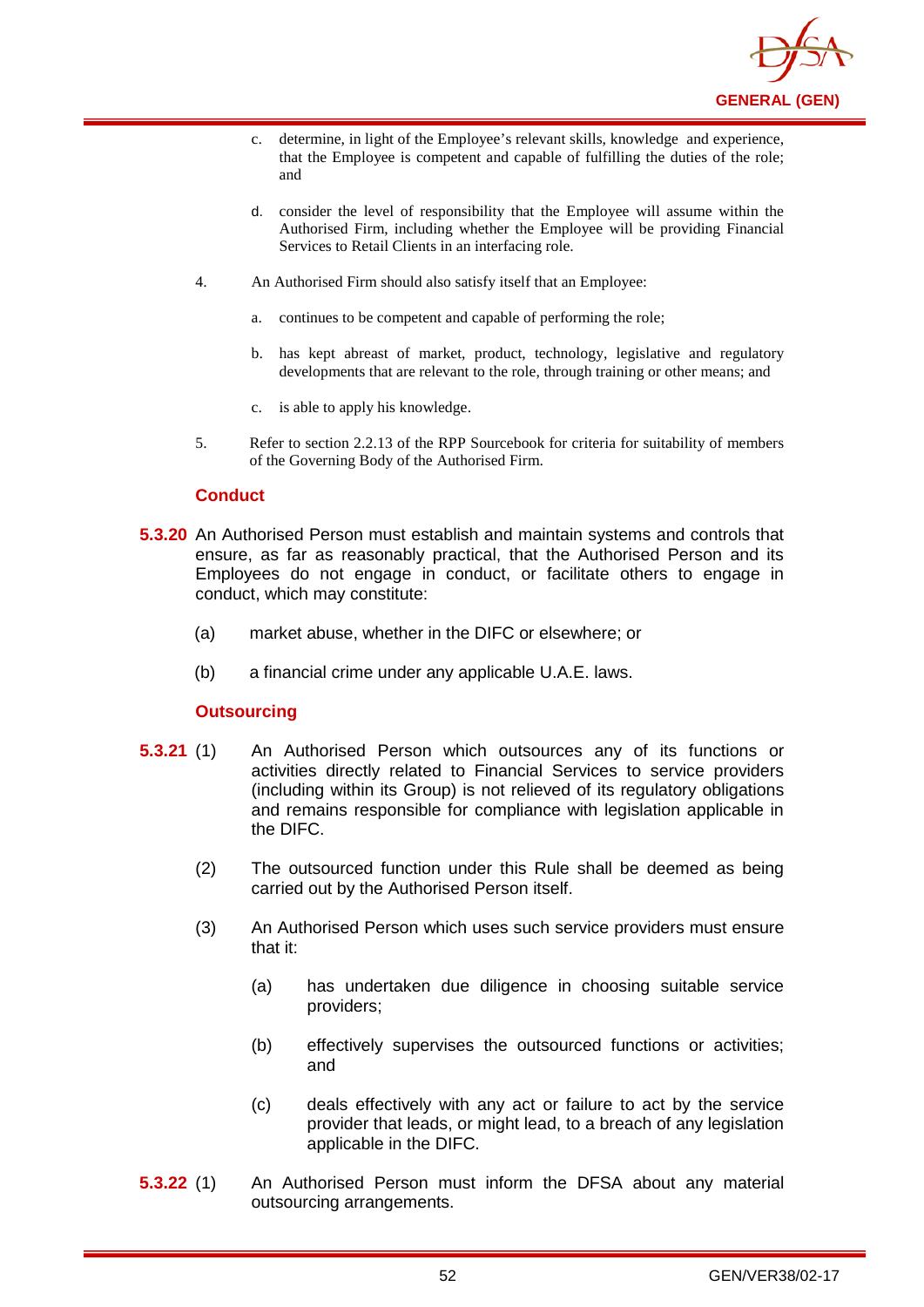

- c. determine, in light of the Employee's relevant skills, knowledge and experience, that the Employee is competent and capable of fulfilling the duties of the role; and
- d. consider the level of responsibility that the Employee will assume within the Authorised Firm, including whether the Employee will be providing Financial Services to Retail Clients in an interfacing role.
- 4. An Authorised Firm should also satisfy itself that an Employee:
	- a. continues to be competent and capable of performing the role;
	- b. has kept abreast of market, product, technology, legislative and regulatory developments that are relevant to the role, through training or other means; and
	- c. is able to apply his knowledge.
- 5. Refer to section 2.2.13 of the RPP Sourcebook for criteria for suitability of members of the Governing Body of the Authorised Firm.

### **Conduct**

- **5.3.20** An Authorised Person must establish and maintain systems and controls that ensure, as far as reasonably practical, that the Authorised Person and its Employees do not engage in conduct, or facilitate others to engage in conduct, which may constitute:
	- (a) market abuse, whether in the DIFC or elsewhere; or
	- (b) a financial crime under any applicable U.A.E. laws.

## **Outsourcing**

- **5.3.21** (1) An Authorised Person which outsources any of its functions or activities directly related to Financial Services to service providers (including within its Group) is not relieved of its regulatory obligations and remains responsible for compliance with legislation applicable in the DIFC.
	- (2) The outsourced function under this Rule shall be deemed as being carried out by the Authorised Person itself.
	- (3) An Authorised Person which uses such service providers must ensure that it:
		- (a) has undertaken due diligence in choosing suitable service providers;
		- (b) effectively supervises the outsourced functions or activities; and
		- (c) deals effectively with any act or failure to act by the service provider that leads, or might lead, to a breach of any legislation applicable in the DIFC.
- **5.3.22** (1) An Authorised Person must inform the DFSA about any material outsourcing arrangements.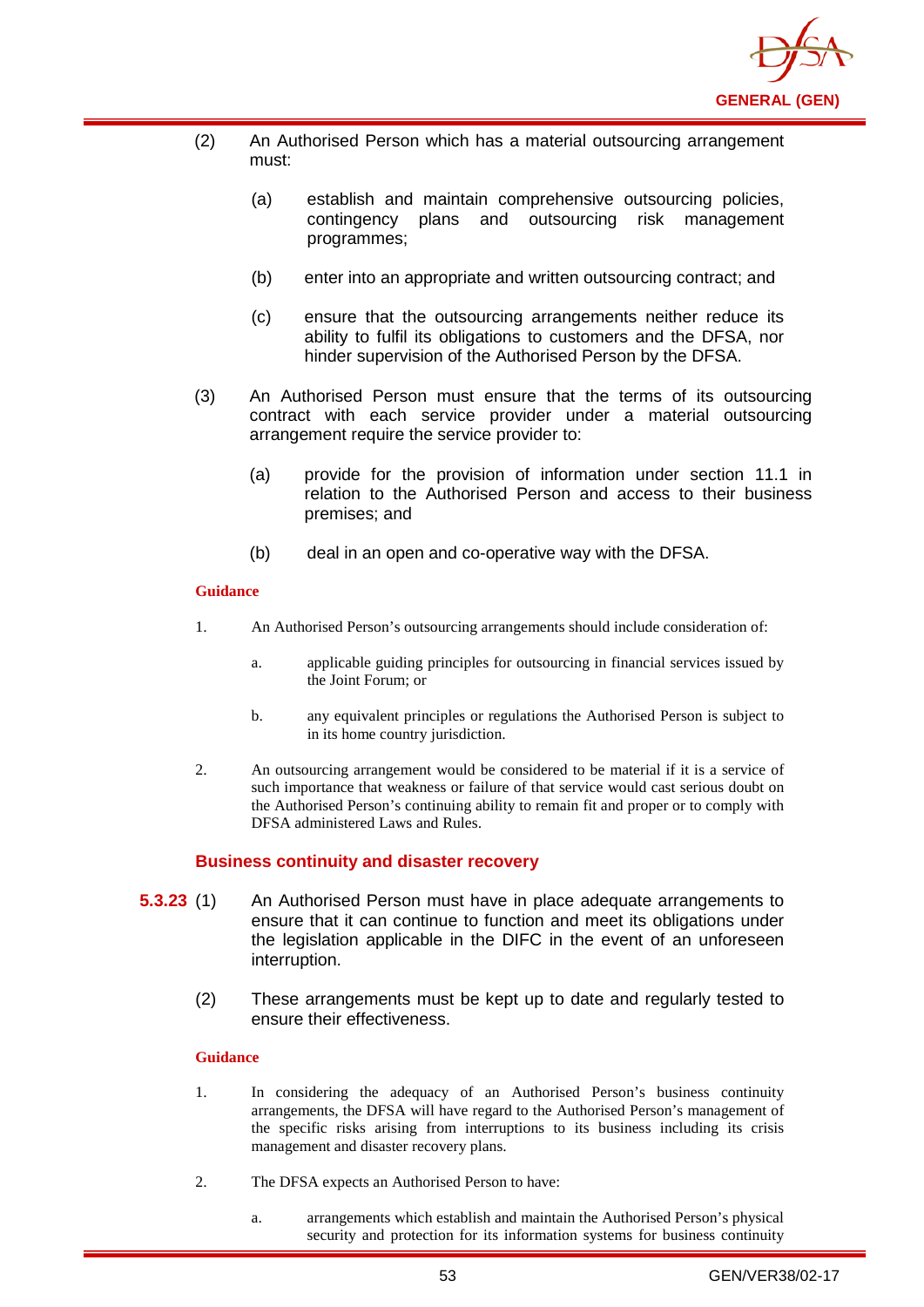

- (2) An Authorised Person which has a material outsourcing arrangement must:
	- (a) establish and maintain comprehensive outsourcing policies, contingency plans and outsourcing risk management programmes;
	- (b) enter into an appropriate and written outsourcing contract; and
	- (c) ensure that the outsourcing arrangements neither reduce its ability to fulfil its obligations to customers and the DFSA, nor hinder supervision of the Authorised Person by the DFSA.
- (3) An Authorised Person must ensure that the terms of its outsourcing contract with each service provider under a material outsourcing arrangement require the service provider to:
	- (a) provide for the provision of information under section 11.1 in relation to the Authorised Person and access to their business premises; and
	- (b) deal in an open and co-operative way with the DFSA.

- 1. An Authorised Person's outsourcing arrangements should include consideration of:
	- a. applicable guiding principles for outsourcing in financial services issued by the Joint Forum; or
	- b. any equivalent principles or regulations the Authorised Person is subject to in its home country jurisdiction.
- 2. An outsourcing arrangement would be considered to be material if it is a service of such importance that weakness or failure of that service would cast serious doubt on the Authorised Person's continuing ability to remain fit and proper or to comply with DFSA administered Laws and Rules.

## **Business continuity and disaster recovery**

- **5.3.23** (1) An Authorised Person must have in place adequate arrangements to ensure that it can continue to function and meet its obligations under the legislation applicable in the DIFC in the event of an unforeseen interruption.
	- (2) These arrangements must be kept up to date and regularly tested to ensure their effectiveness.

### **Guidance**

- 1. In considering the adequacy of an Authorised Person's business continuity arrangements, the DFSA will have regard to the Authorised Person's management of the specific risks arising from interruptions to its business including its crisis management and disaster recovery plans.
- 2. The DFSA expects an Authorised Person to have:
	- a. arrangements which establish and maintain the Authorised Person's physical security and protection for its information systems for business continuity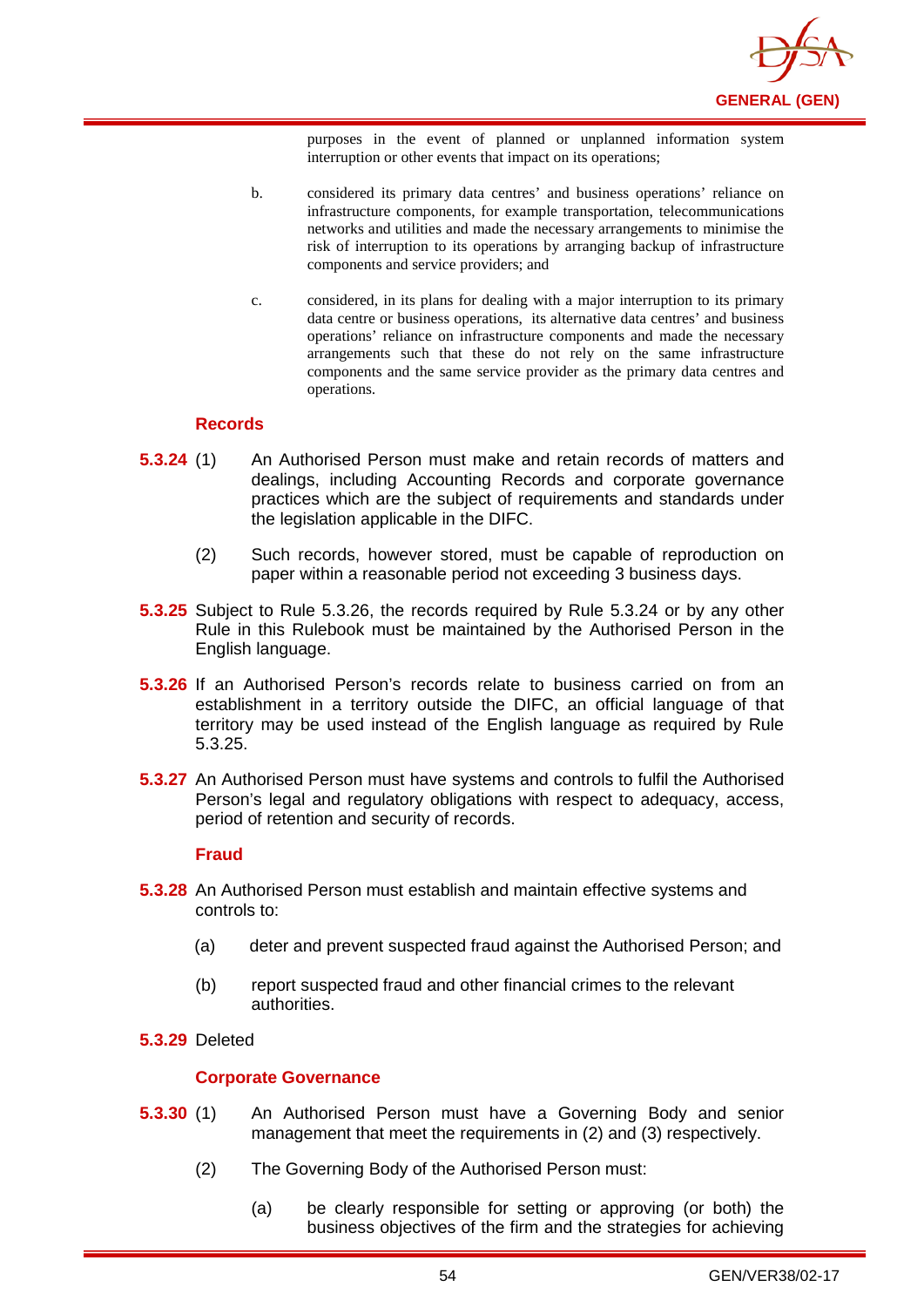

purposes in the event of planned or unplanned information system interruption or other events that impact on its operations;

- b. considered its primary data centres' and business operations' reliance on infrastructure components, for example transportation, telecommunications networks and utilities and made the necessary arrangements to minimise the risk of interruption to its operations by arranging backup of infrastructure components and service providers; and
- c. considered, in its plans for dealing with a major interruption to its primary data centre or business operations, its alternative data centres' and business operations' reliance on infrastructure components and made the necessary arrangements such that these do not rely on the same infrastructure components and the same service provider as the primary data centres and operations.

### **Records**

- **5.3.24** (1) An Authorised Person must make and retain records of matters and dealings, including Accounting Records and corporate governance practices which are the subject of requirements and standards under the legislation applicable in the DIFC.
	- (2) Such records, however stored, must be capable of reproduction on paper within a reasonable period not exceeding 3 business days.
- **5.3.25** Subject to Rule 5.3.26, the records required by Rule 5.3.24 or by any other Rule in this Rulebook must be maintained by the Authorised Person in the English language.
- **5.3.26** If an Authorised Person's records relate to business carried on from an establishment in a territory outside the DIFC, an official language of that territory may be used instead of the English language as required by Rule 5.3.25.
- **5.3.27** An Authorised Person must have systems and controls to fulfil the Authorised Person's legal and regulatory obligations with respect to adequacy, access, period of retention and security of records.

#### **Fraud**

- **5.3.28** An Authorised Person must establish and maintain effective systems and controls to:
	- (a) deter and prevent suspected fraud against the Authorised Person; and
	- (b) report suspected fraud and other financial crimes to the relevant authorities.
- **5.3.29** Deleted

### **Corporate Governance**

- **5.3.30** (1) An Authorised Person must have a Governing Body and senior management that meet the requirements in (2) and (3) respectively.
	- (2) The Governing Body of the Authorised Person must:
		- (a) be clearly responsible for setting or approving (or both) the business objectives of the firm and the strategies for achieving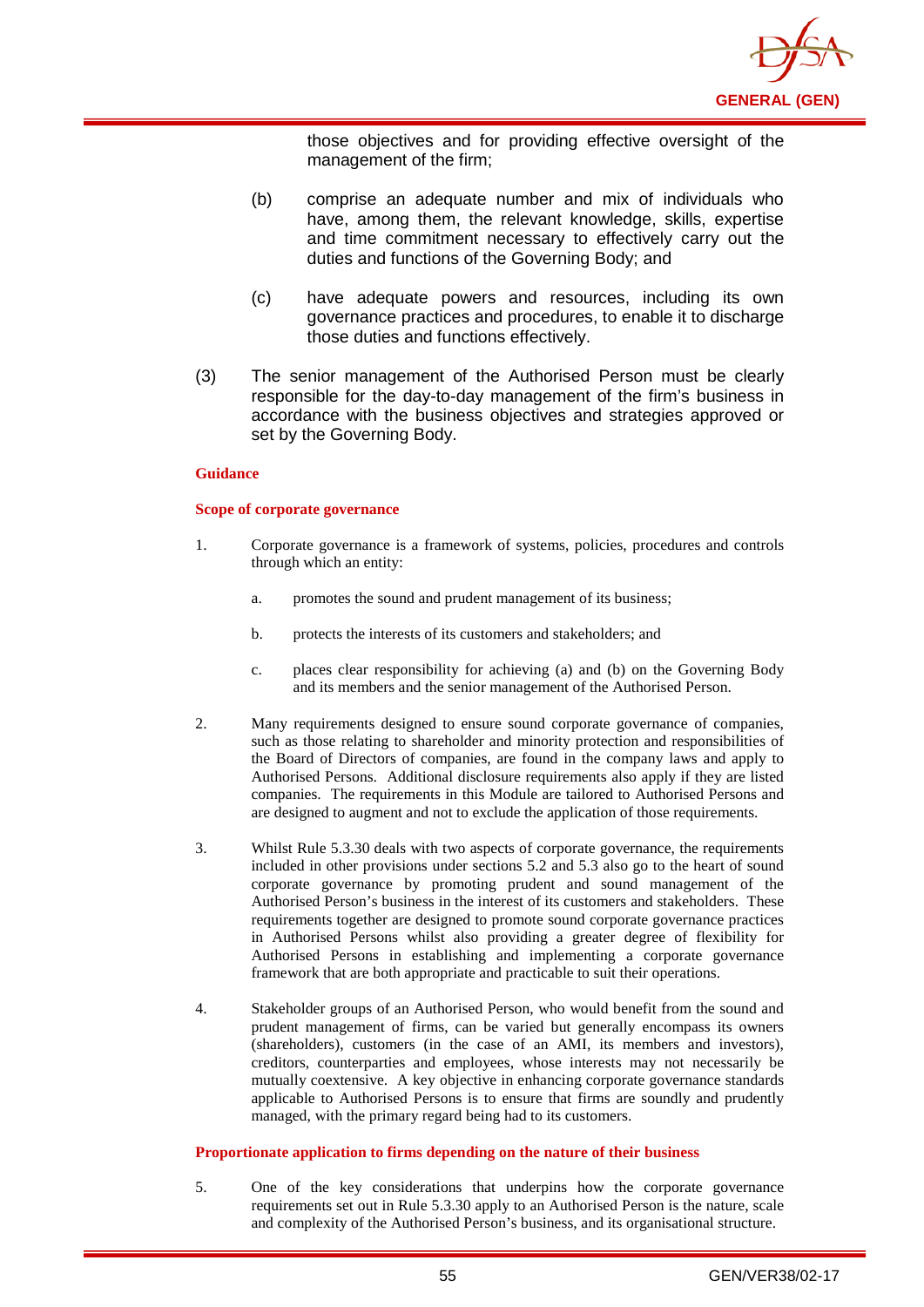

those objectives and for providing effective oversight of the management of the firm;

- (b) comprise an adequate number and mix of individuals who have, among them, the relevant knowledge, skills, expertise and time commitment necessary to effectively carry out the duties and functions of the Governing Body; and
- (c) have adequate powers and resources, including its own governance practices and procedures, to enable it to discharge those duties and functions effectively.
- (3) The senior management of the Authorised Person must be clearly responsible for the day-to-day management of the firm's business in accordance with the business objectives and strategies approved or set by the Governing Body.

#### **Guidance**

#### **Scope of corporate governance**

- 1. Corporate governance is a framework of systems, policies, procedures and controls through which an entity:
	- a. promotes the sound and prudent management of its business;
	- b. protects the interests of its customers and stakeholders; and
	- c. places clear responsibility for achieving (a) and (b) on the Governing Body and its members and the senior management of the Authorised Person.
- 2. Many requirements designed to ensure sound corporate governance of companies, such as those relating to shareholder and minority protection and responsibilities of the Board of Directors of companies, are found in the company laws and apply to Authorised Persons. Additional disclosure requirements also apply if they are listed companies. The requirements in this Module are tailored to Authorised Persons and are designed to augment and not to exclude the application of those requirements.
- 3. Whilst Rule 5.3.30 deals with two aspects of corporate governance, the requirements included in other provisions under sections 5.2 and 5.3 also go to the heart of sound corporate governance by promoting prudent and sound management of the Authorised Person's business in the interest of its customers and stakeholders. These requirements together are designed to promote sound corporate governance practices in Authorised Persons whilst also providing a greater degree of flexibility for Authorised Persons in establishing and implementing a corporate governance framework that are both appropriate and practicable to suit their operations.
- 4. Stakeholder groups of an Authorised Person, who would benefit from the sound and prudent management of firms, can be varied but generally encompass its owners (shareholders), customers (in the case of an AMI, its members and investors), creditors, counterparties and employees, whose interests may not necessarily be mutually coextensive. A key objective in enhancing corporate governance standards applicable to Authorised Persons is to ensure that firms are soundly and prudently managed, with the primary regard being had to its customers.

#### **Proportionate application to firms depending on the nature of their business**

5. One of the key considerations that underpins how the corporate governance requirements set out in Rule 5.3.30 apply to an Authorised Person is the nature, scale and complexity of the Authorised Person's business, and its organisational structure.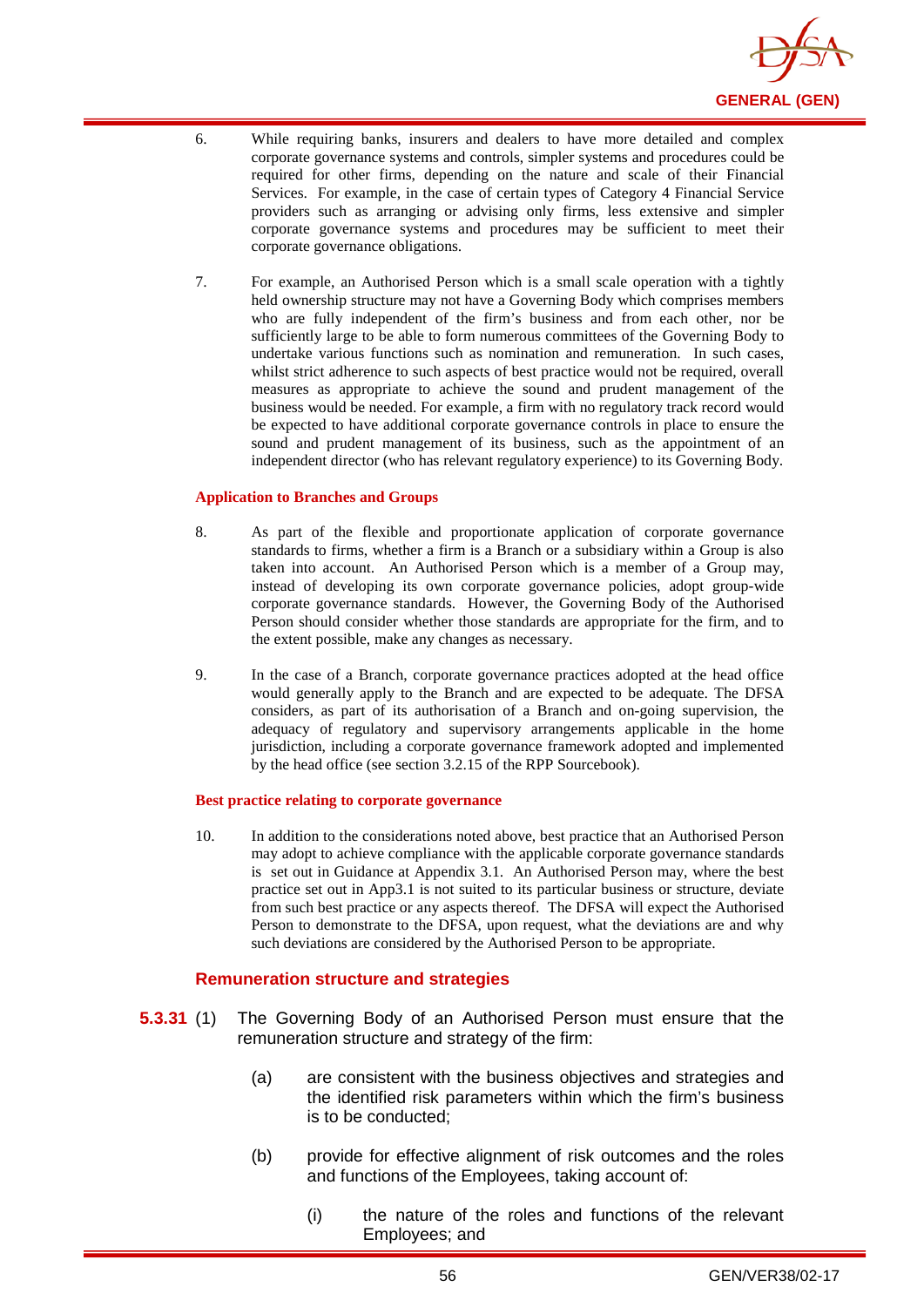

- 6. While requiring banks, insurers and dealers to have more detailed and complex corporate governance systems and controls, simpler systems and procedures could be required for other firms, depending on the nature and scale of their Financial Services. For example, in the case of certain types of Category 4 Financial Service providers such as arranging or advising only firms, less extensive and simpler corporate governance systems and procedures may be sufficient to meet their corporate governance obligations.
- 7. For example, an Authorised Person which is a small scale operation with a tightly held ownership structure may not have a Governing Body which comprises members who are fully independent of the firm's business and from each other, nor be sufficiently large to be able to form numerous committees of the Governing Body to undertake various functions such as nomination and remuneration. In such cases, whilst strict adherence to such aspects of best practice would not be required, overall measures as appropriate to achieve the sound and prudent management of the business would be needed. For example, a firm with no regulatory track record would be expected to have additional corporate governance controls in place to ensure the sound and prudent management of its business, such as the appointment of an independent director (who has relevant regulatory experience) to its Governing Body.

#### **Application to Branches and Groups**

- 8. As part of the flexible and proportionate application of corporate governance standards to firms, whether a firm is a Branch or a subsidiary within a Group is also taken into account. An Authorised Person which is a member of a Group may, instead of developing its own corporate governance policies, adopt group-wide corporate governance standards. However, the Governing Body of the Authorised Person should consider whether those standards are appropriate for the firm, and to the extent possible, make any changes as necessary.
- 9. In the case of a Branch, corporate governance practices adopted at the head office would generally apply to the Branch and are expected to be adequate. The DFSA considers, as part of its authorisation of a Branch and on-going supervision, the adequacy of regulatory and supervisory arrangements applicable in the home jurisdiction, including a corporate governance framework adopted and implemented by the head office (see section 3.2.15 of the RPP Sourcebook).

#### **Best practice relating to corporate governance**

10. In addition to the considerations noted above, best practice that an Authorised Person may adopt to achieve compliance with the applicable corporate governance standards is set out in Guidance at Appendix 3.1. An Authorised Person may, where the best practice set out in App3.1 is not suited to its particular business or structure, deviate from such best practice or any aspects thereof. The DFSA will expect the Authorised Person to demonstrate to the DFSA, upon request, what the deviations are and why such deviations are considered by the Authorised Person to be appropriate.

### **Remuneration structure and strategies**

- **5.3.31** (1) The Governing Body of an Authorised Person must ensure that the remuneration structure and strategy of the firm:
	- (a) are consistent with the business objectives and strategies and the identified risk parameters within which the firm's business is to be conducted;
	- (b) provide for effective alignment of risk outcomes and the roles and functions of the Employees, taking account of:
		- (i) the nature of the roles and functions of the relevant Employees; and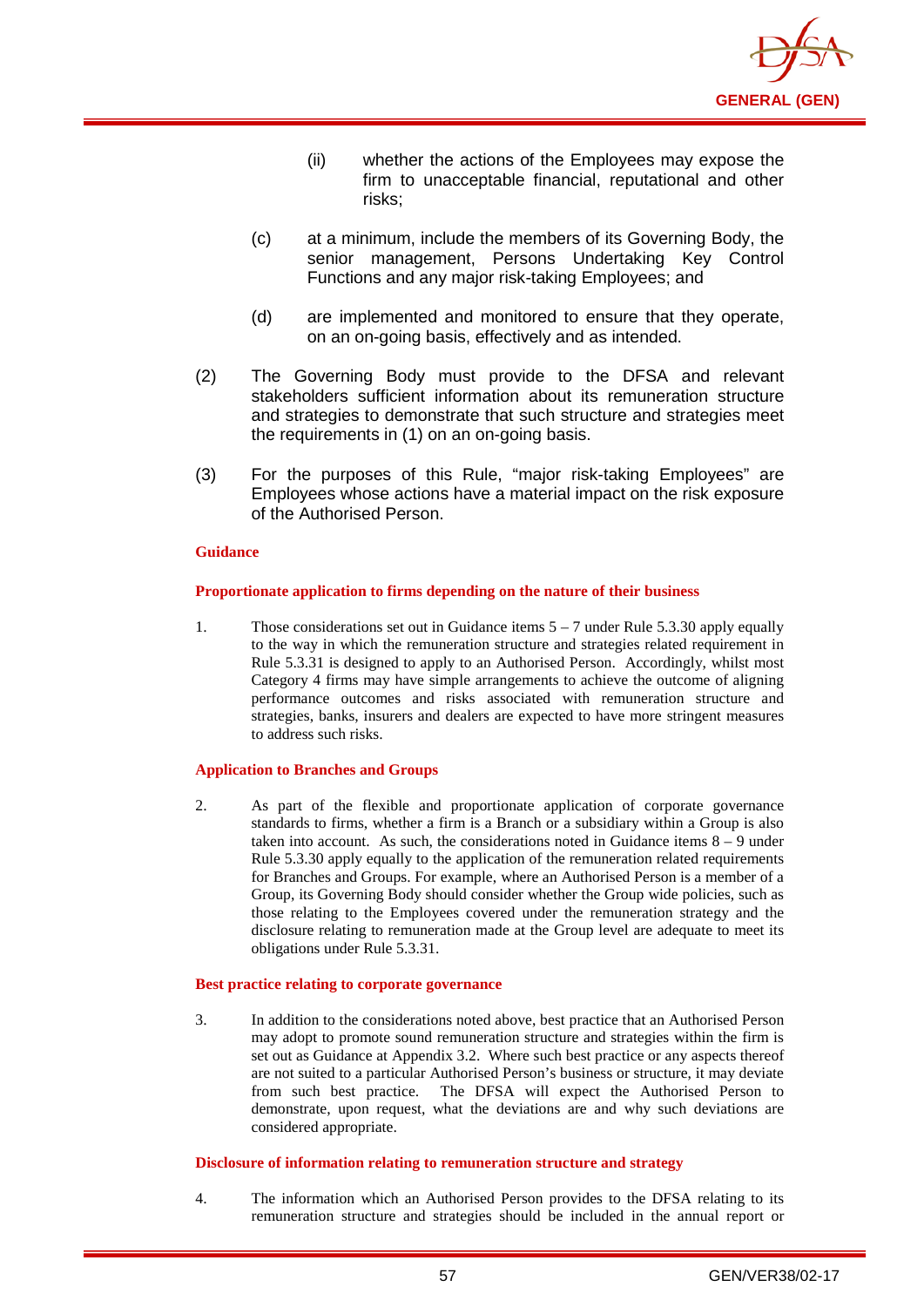

- (ii) whether the actions of the Employees may expose the firm to unacceptable financial, reputational and other risks;
- (c) at a minimum, include the members of its Governing Body, the senior management, Persons Undertaking Key Control Functions and any major risk-taking Employees; and
- (d) are implemented and monitored to ensure that they operate, on an on-going basis, effectively and as intended.
- (2) The Governing Body must provide to the DFSA and relevant stakeholders sufficient information about its remuneration structure and strategies to demonstrate that such structure and strategies meet the requirements in (1) on an on-going basis.
- (3) For the purposes of this Rule, "major risk-taking Employees" are Employees whose actions have a material impact on the risk exposure of the Authorised Person.

#### **Proportionate application to firms depending on the nature of their business**

1. Those considerations set out in Guidance items 5 – 7 under Rule 5.3.30 apply equally to the way in which the remuneration structure and strategies related requirement in Rule 5.3.31 is designed to apply to an Authorised Person. Accordingly, whilst most Category 4 firms may have simple arrangements to achieve the outcome of aligning performance outcomes and risks associated with remuneration structure and strategies, banks, insurers and dealers are expected to have more stringent measures to address such risks.

#### **Application to Branches and Groups**

2. As part of the flexible and proportionate application of corporate governance standards to firms, whether a firm is a Branch or a subsidiary within a Group is also taken into account. As such, the considerations noted in Guidance items 8 – 9 under Rule 5.3.30 apply equally to the application of the remuneration related requirements for Branches and Groups. For example, where an Authorised Person is a member of a Group, its Governing Body should consider whether the Group wide policies, such as those relating to the Employees covered under the remuneration strategy and the disclosure relating to remuneration made at the Group level are adequate to meet its obligations under Rule 5.3.31.

#### **Best practice relating to corporate governance**

3. In addition to the considerations noted above, best practice that an Authorised Person may adopt to promote sound remuneration structure and strategies within the firm is set out as Guidance at Appendix 3.2. Where such best practice or any aspects thereof are not suited to a particular Authorised Person's business or structure, it may deviate from such best practice. The DFSA will expect the Authorised Person to demonstrate, upon request, what the deviations are and why such deviations are considered appropriate.

#### **Disclosure of information relating to remuneration structure and strategy**

4. The information which an Authorised Person provides to the DFSA relating to its remuneration structure and strategies should be included in the annual report or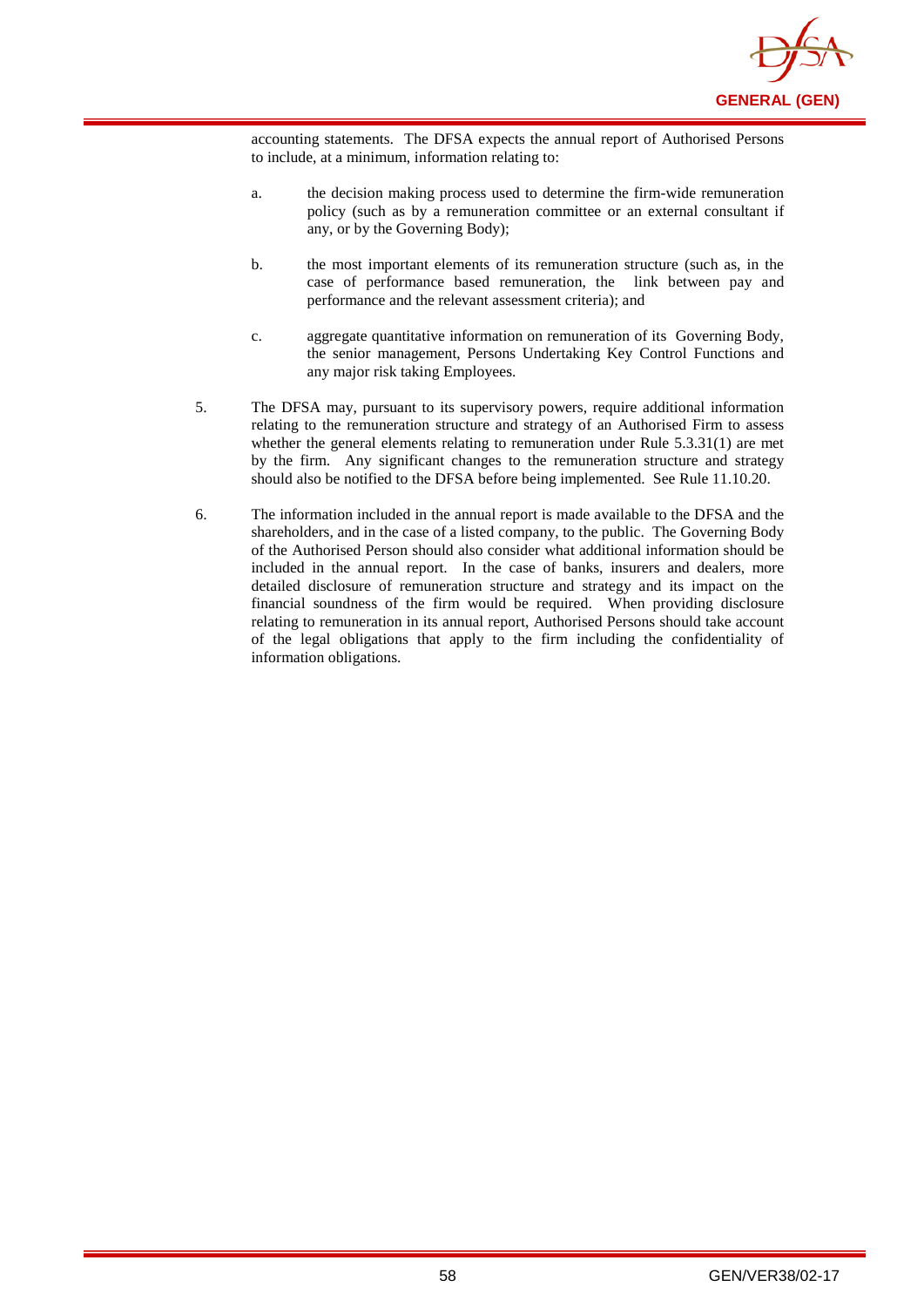

accounting statements. The DFSA expects the annual report of Authorised Persons to include, at a minimum, information relating to:

- a. the decision making process used to determine the firm-wide remuneration policy (such as by a remuneration committee or an external consultant if any, or by the Governing Body);
- b. the most important elements of its remuneration structure (such as, in the case of performance based remuneration, the link between pay and performance and the relevant assessment criteria); and
- c. aggregate quantitative information on remuneration of its Governing Body, the senior management, Persons Undertaking Key Control Functions and any major risk taking Employees.
- 5. The DFSA may, pursuant to its supervisory powers, require additional information relating to the remuneration structure and strategy of an Authorised Firm to assess whether the general elements relating to remuneration under Rule 5.3.31(1) are met by the firm. Any significant changes to the remuneration structure and strategy should also be notified to the DFSA before being implemented. See Rule 11.10.20.
- 6. The information included in the annual report is made available to the DFSA and the shareholders, and in the case of a listed company, to the public. The Governing Body of the Authorised Person should also consider what additional information should be included in the annual report. In the case of banks, insurers and dealers, more detailed disclosure of remuneration structure and strategy and its impact on the financial soundness of the firm would be required. When providing disclosure relating to remuneration in its annual report, Authorised Persons should take account of the legal obligations that apply to the firm including the confidentiality of information obligations.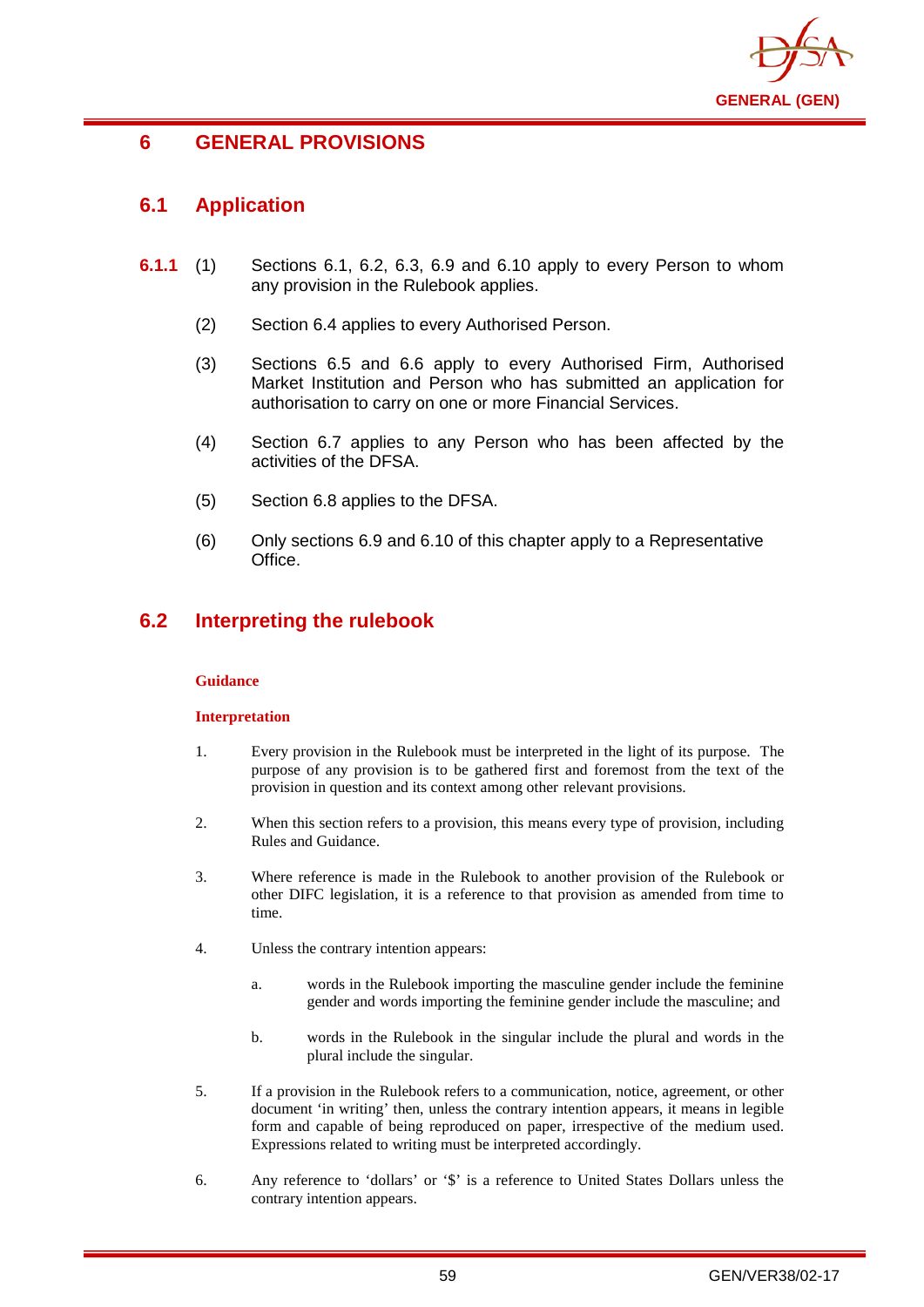

## **6 GENERAL PROVISIONS**

## **6.1 Application**

- **6.1.1** (1) Sections 6.1, 6.2, 6.3, 6.9 and 6.10 apply to every Person to whom any provision in the Rulebook applies.
	- (2) Section 6.4 applies to every Authorised Person.
	- (3) Sections 6.5 and 6.6 apply to every Authorised Firm, Authorised Market Institution and Person who has submitted an application for authorisation to carry on one or more Financial Services.
	- (4) Section 6.7 applies to any Person who has been affected by the activities of the DFSA.
	- (5) Section 6.8 applies to the DFSA.
	- (6) Only sections 6.9 and 6.10 of this chapter apply to a Representative Office.

## **6.2 Interpreting the rulebook**

### **Guidance**

### **Interpretation**

- 1. Every provision in the Rulebook must be interpreted in the light of its purpose. The purpose of any provision is to be gathered first and foremost from the text of the provision in question and its context among other relevant provisions.
- 2. When this section refers to a provision, this means every type of provision, including Rules and Guidance.
- 3. Where reference is made in the Rulebook to another provision of the Rulebook or other DIFC legislation, it is a reference to that provision as amended from time to time.
- 4. Unless the contrary intention appears:
	- a. words in the Rulebook importing the masculine gender include the feminine gender and words importing the feminine gender include the masculine; and
	- b. words in the Rulebook in the singular include the plural and words in the plural include the singular.
- 5. If a provision in the Rulebook refers to a communication, notice, agreement, or other document 'in writing' then, unless the contrary intention appears, it means in legible form and capable of being reproduced on paper, irrespective of the medium used. Expressions related to writing must be interpreted accordingly.
- 6. Any reference to 'dollars' or '\$' is a reference to United States Dollars unless the contrary intention appears.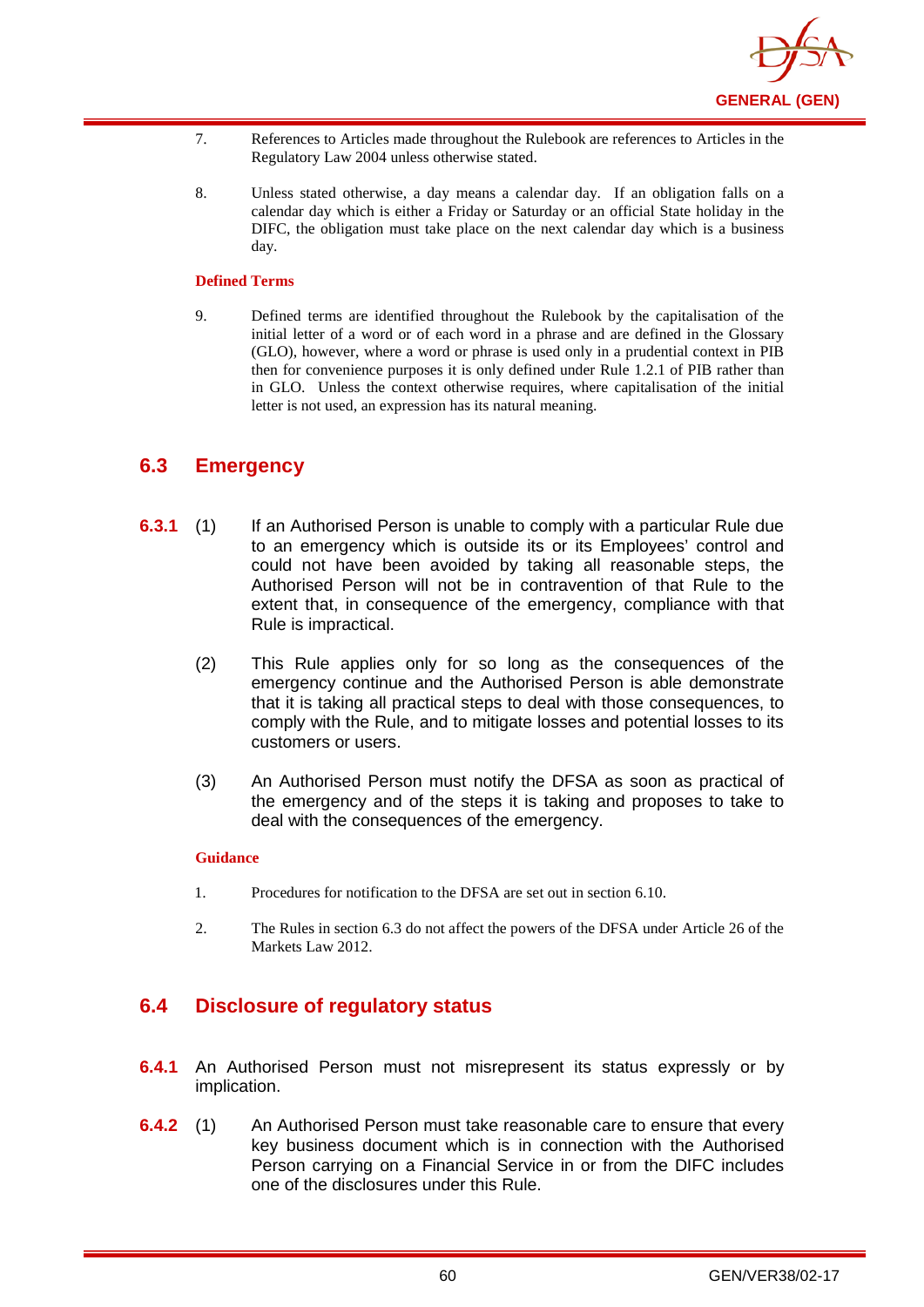

- 7. References to Articles made throughout the Rulebook are references to Articles in the Regulatory Law 2004 unless otherwise stated.
- 8. Unless stated otherwise, a day means a calendar day. If an obligation falls on a calendar day which is either a Friday or Saturday or an official State holiday in the DIFC, the obligation must take place on the next calendar day which is a business day.

#### **Defined Terms**

9. Defined terms are identified throughout the Rulebook by the capitalisation of the initial letter of a word or of each word in a phrase and are defined in the Glossary (GLO), however, where a word or phrase is used only in a prudential context in PIB then for convenience purposes it is only defined under Rule 1.2.1 of PIB rather than in GLO. Unless the context otherwise requires, where capitalisation of the initial letter is not used, an expression has its natural meaning.

## **6.3 Emergency**

- **6.3.1** (1) If an Authorised Person is unable to comply with a particular Rule due to an emergency which is outside its or its Employees' control and could not have been avoided by taking all reasonable steps, the Authorised Person will not be in contravention of that Rule to the extent that, in consequence of the emergency, compliance with that Rule is impractical.
	- (2) This Rule applies only for so long as the consequences of the emergency continue and the Authorised Person is able demonstrate that it is taking all practical steps to deal with those consequences, to comply with the Rule, and to mitigate losses and potential losses to its customers or users.
	- (3) An Authorised Person must notify the DFSA as soon as practical of the emergency and of the steps it is taking and proposes to take to deal with the consequences of the emergency.

#### **Guidance**

- 1. Procedures for notification to the DFSA are set out in section 6.10.
- 2. The Rules in section 6.3 do not affect the powers of the DFSA under Article 26 of the Markets Law 2012.

## **6.4 Disclosure of regulatory status**

- **6.4.1** An Authorised Person must not misrepresent its status expressly or by implication.
- **6.4.2** (1) An Authorised Person must take reasonable care to ensure that every key business document which is in connection with the Authorised Person carrying on a Financial Service in or from the DIFC includes one of the disclosures under this Rule.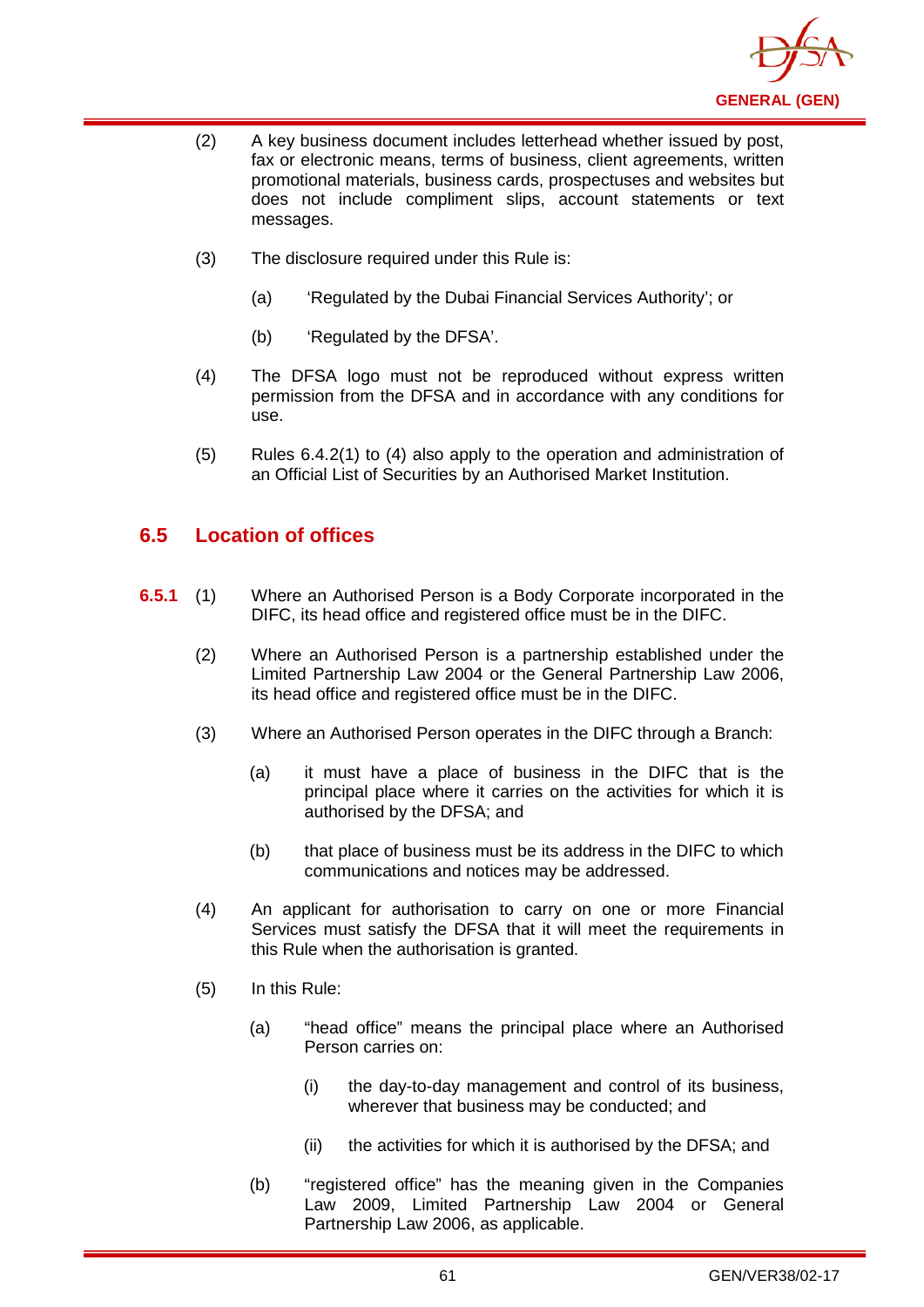

- (2) A key business document includes letterhead whether issued by post, fax or electronic means, terms of business, client agreements, written promotional materials, business cards, prospectuses and websites but does not include compliment slips, account statements or text messages.
- (3) The disclosure required under this Rule is:
	- (a) 'Regulated by the Dubai Financial Services Authority'; or
	- (b) 'Regulated by the DFSA'.
- (4) The DFSA logo must not be reproduced without express written permission from the DFSA and in accordance with any conditions for use.
- (5) Rules 6.4.2(1) to (4) also apply to the operation and administration of an Official List of Securities by an Authorised Market Institution.

## **6.5 Location of offices**

- **6.5.1** (1) Where an Authorised Person is a Body Corporate incorporated in the DIFC, its head office and registered office must be in the DIFC.
	- (2) Where an Authorised Person is a partnership established under the Limited Partnership Law 2004 or the General Partnership Law 2006, its head office and registered office must be in the DIFC.
	- (3) Where an Authorised Person operates in the DIFC through a Branch:
		- (a) it must have a place of business in the DIFC that is the principal place where it carries on the activities for which it is authorised by the DFSA; and
		- (b) that place of business must be its address in the DIFC to which communications and notices may be addressed.
	- (4) An applicant for authorisation to carry on one or more Financial Services must satisfy the DFSA that it will meet the requirements in this Rule when the authorisation is granted.
	- (5) In this Rule:
		- (a) "head office" means the principal place where an Authorised Person carries on:
			- (i) the day-to-day management and control of its business, wherever that business may be conducted; and
			- (ii) the activities for which it is authorised by the DFSA; and
		- (b) "registered office" has the meaning given in the Companies Law 2009, Limited Partnership Law 2004 or General Partnership Law 2006, as applicable.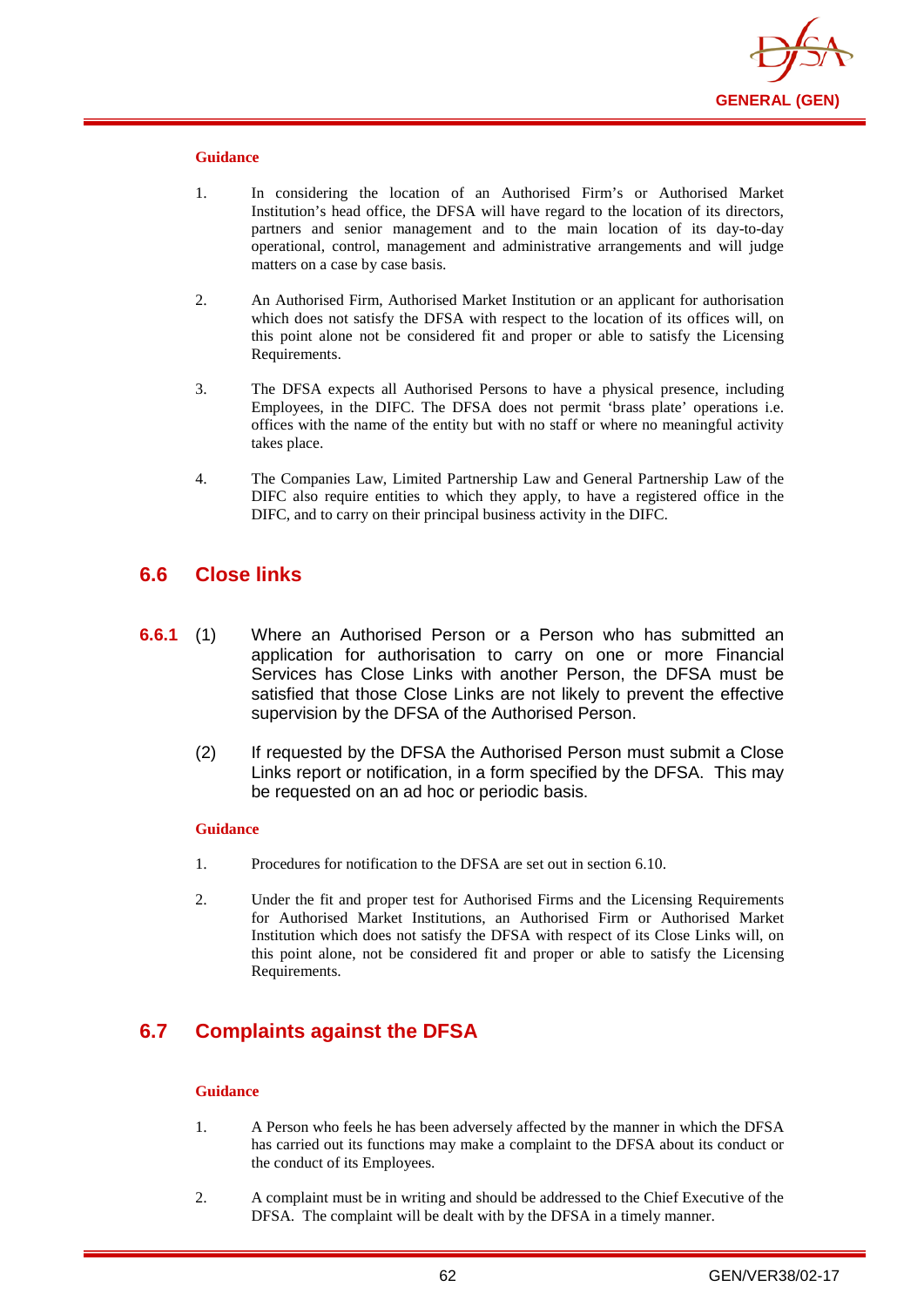

- 1. In considering the location of an Authorised Firm's or Authorised Market Institution's head office, the DFSA will have regard to the location of its directors, partners and senior management and to the main location of its day-to-day operational, control, management and administrative arrangements and will judge matters on a case by case basis.
- 2. An Authorised Firm, Authorised Market Institution or an applicant for authorisation which does not satisfy the DFSA with respect to the location of its offices will, on this point alone not be considered fit and proper or able to satisfy the Licensing Requirements.
- 3. The DFSA expects all Authorised Persons to have a physical presence, including Employees, in the DIFC. The DFSA does not permit 'brass plate' operations i.e. offices with the name of the entity but with no staff or where no meaningful activity takes place.
- 4. The Companies Law, Limited Partnership Law and General Partnership Law of the DIFC also require entities to which they apply, to have a registered office in the DIFC, and to carry on their principal business activity in the DIFC.

## **6.6 Close links**

- **6.6.1** (1) Where an Authorised Person or a Person who has submitted an application for authorisation to carry on one or more Financial Services has Close Links with another Person, the DFSA must be satisfied that those Close Links are not likely to prevent the effective supervision by the DFSA of the Authorised Person.
	- (2) If requested by the DFSA the Authorised Person must submit a Close Links report or notification, in a form specified by the DFSA. This may be requested on an ad hoc or periodic basis.

#### **Guidance**

- 1. Procedures for notification to the DFSA are set out in section 6.10.
- 2. Under the fit and proper test for Authorised Firms and the Licensing Requirements for Authorised Market Institutions, an Authorised Firm or Authorised Market Institution which does not satisfy the DFSA with respect of its Close Links will, on this point alone, not be considered fit and proper or able to satisfy the Licensing Requirements.

## **6.7 Complaints against the DFSA**

#### **Guidance**

- 1. A Person who feels he has been adversely affected by the manner in which the DFSA has carried out its functions may make a complaint to the DFSA about its conduct or the conduct of its Employees.
- 2. A complaint must be in writing and should be addressed to the Chief Executive of the DFSA. The complaint will be dealt with by the DFSA in a timely manner.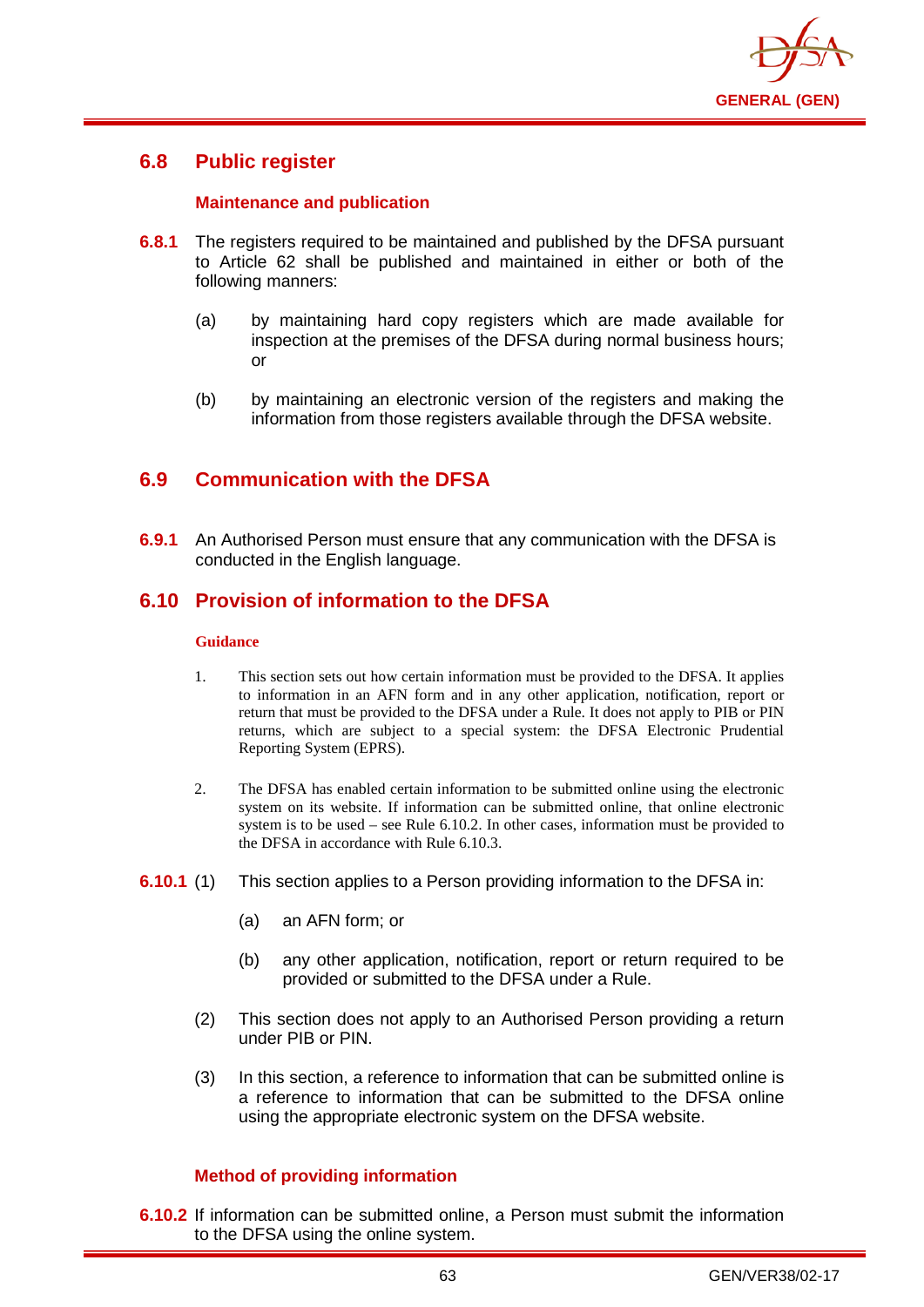

## **6.8 Public register**

### **Maintenance and publication**

- **6.8.1** The registers required to be maintained and published by the DFSA pursuant to Article 62 shall be published and maintained in either or both of the following manners:
	- (a) by maintaining hard copy registers which are made available for inspection at the premises of the DFSA during normal business hours; or
	- (b) by maintaining an electronic version of the registers and making the information from those registers available through the DFSA website.

## **6.9 Communication with the DFSA**

**6.9.1** An Authorised Person must ensure that any communication with the DFSA is conducted in the English language.

## **6.10 Provision of information to the DFSA**

#### **Guidance**

- 1. This section sets out how certain information must be provided to the DFSA. It applies to information in an AFN form and in any other application, notification, report or return that must be provided to the DFSA under a Rule. It does not apply to PIB or PIN returns, which are subject to a special system: the DFSA Electronic Prudential Reporting System (EPRS).
- 2. The DFSA has enabled certain information to be submitted online using the electronic system on its website. If information can be submitted online, that online electronic system is to be used – see Rule 6.10.2. In other cases, information must be provided to the DFSA in accordance with Rule 6.10.3.
- **6.10.1** (1) This section applies to a Person providing information to the DFSA in:
	- (a) an AFN form; or
	- (b) any other application, notification, report or return required to be provided or submitted to the DFSA under a Rule.
	- (2) This section does not apply to an Authorised Person providing a return under PIB or PIN.
	- (3) In this section, a reference to information that can be submitted online is a reference to information that can be submitted to the DFSA online using the appropriate electronic system on the DFSA website.

## **Method of providing information**

**6.10.2** If information can be submitted online, a Person must submit the information to the DFSA using the online system.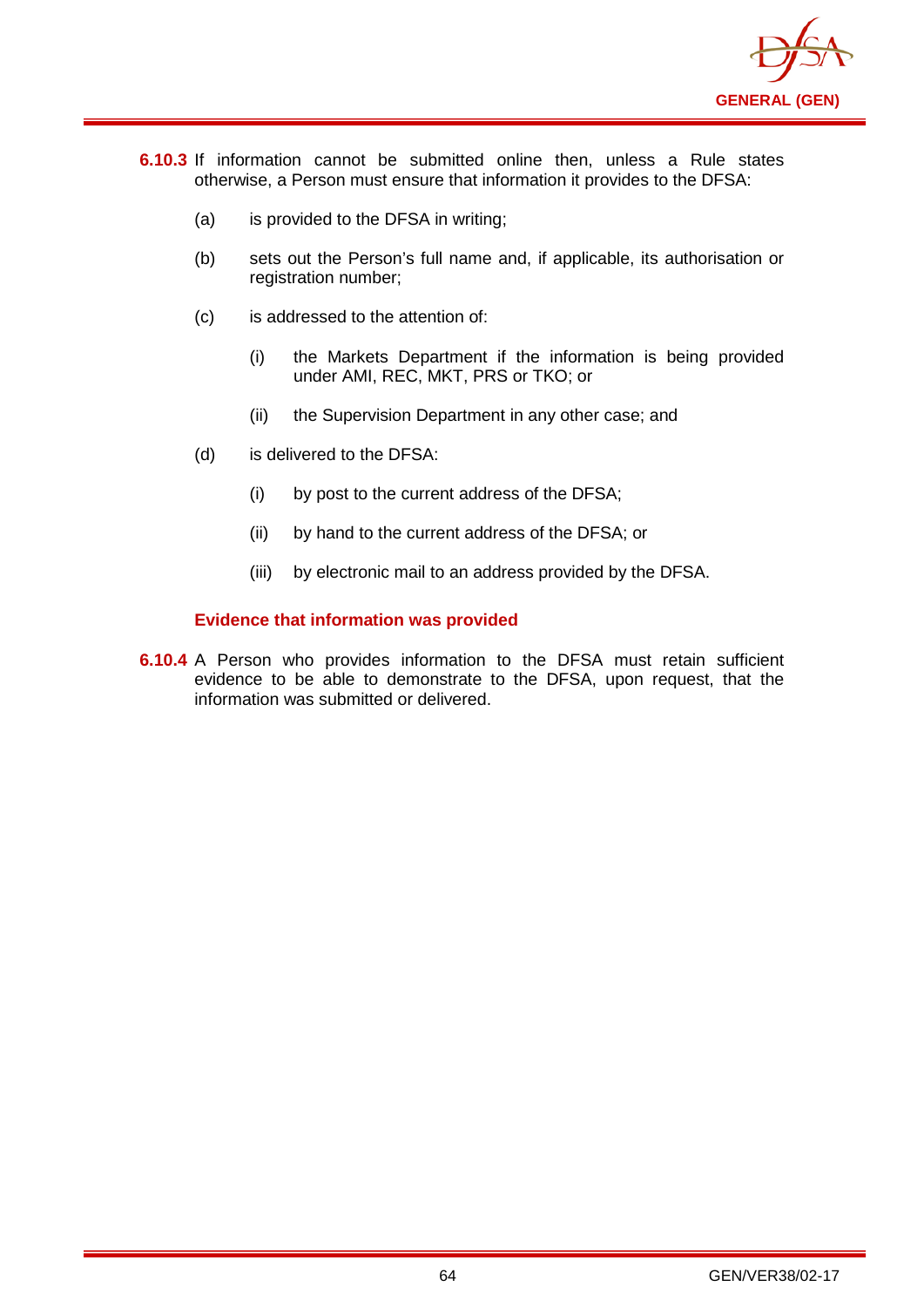

- **6.10.3** If information cannot be submitted online then, unless a Rule states otherwise, a Person must ensure that information it provides to the DFSA:
	- (a) is provided to the DFSA in writing;
	- (b) sets out the Person's full name and, if applicable, its authorisation or registration number;
	- (c) is addressed to the attention of:
		- (i) the Markets Department if the information is being provided under AMI, REC, MKT, PRS or TKO; or
		- (ii) the Supervision Department in any other case; and
	- (d) is delivered to the DFSA:
		- (i) by post to the current address of the DFSA;
		- (ii) by hand to the current address of the DFSA; or
		- (iii) by electronic mail to an address provided by the DFSA.

### **Evidence that information was provided**

**6.10.4** A Person who provides information to the DFSA must retain sufficient evidence to be able to demonstrate to the DFSA, upon request, that the information was submitted or delivered.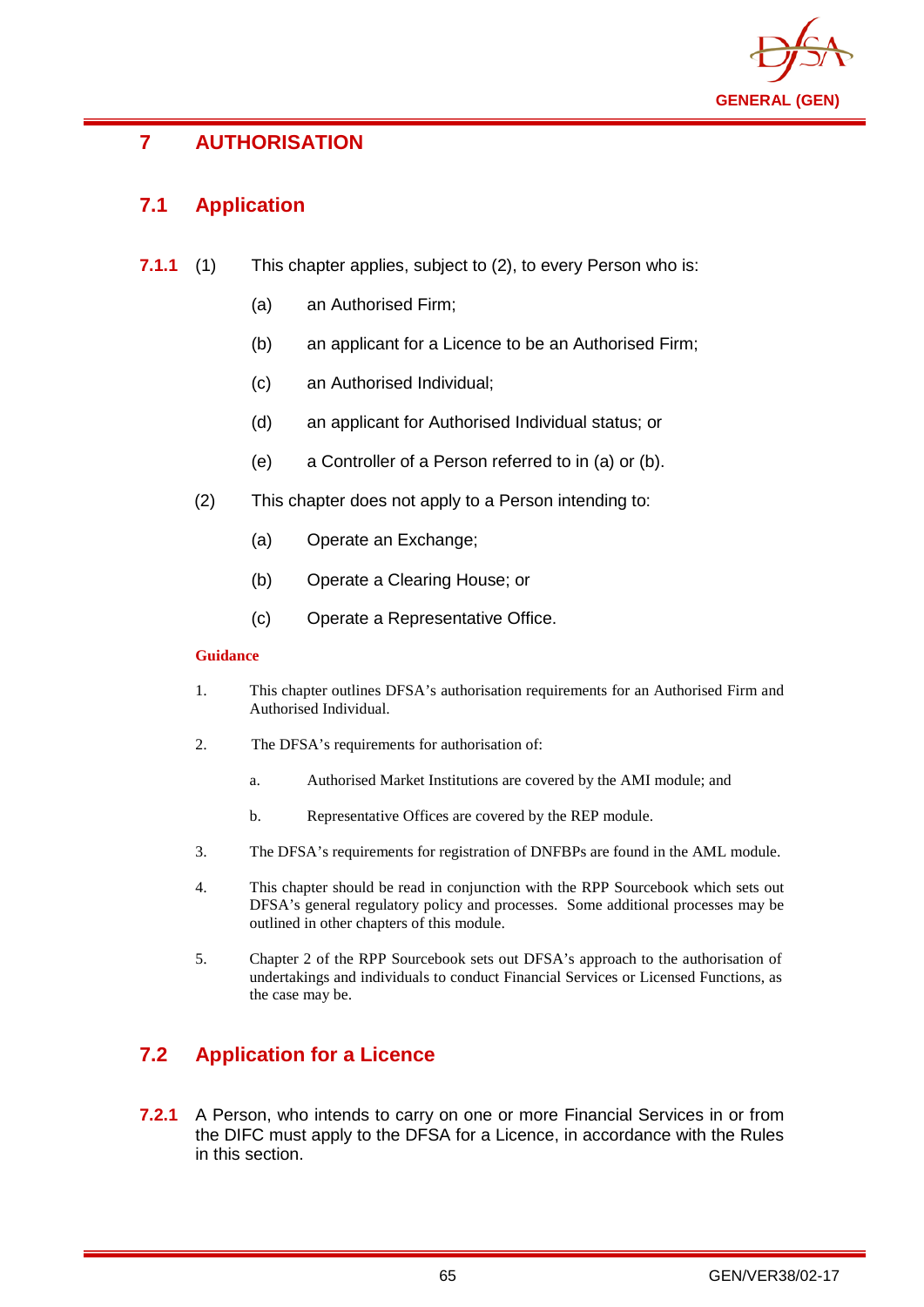

# **7 AUTHORISATION**

# **7.1 Application**

- **7.1.1** (1) This chapter applies, subject to (2), to every Person who is:
	- (a) an Authorised Firm;
	- (b) an applicant for a Licence to be an Authorised Firm;
	- (c) an Authorised Individual;
	- (d) an applicant for Authorised Individual status; or
	- (e) a Controller of a Person referred to in (a) or (b).
	- (2) This chapter does not apply to a Person intending to:
		- (a) Operate an Exchange;
		- (b) Operate a Clearing House; or
		- (c) Operate a Representative Office.

### **Guidance**

- 1. This chapter outlines DFSA's authorisation requirements for an Authorised Firm and Authorised Individual.
- 2. The DFSA's requirements for authorisation of:
	- a. Authorised Market Institutions are covered by the AMI module; and
	- b. Representative Offices are covered by the REP module.
- 3. The DFSA's requirements for registration of DNFBPs are found in the AML module.
- 4. This chapter should be read in conjunction with the RPP Sourcebook which sets out DFSA's general regulatory policy and processes. Some additional processes may be outlined in other chapters of this module.
- 5. Chapter 2 of the RPP Sourcebook sets out DFSA's approach to the authorisation of undertakings and individuals to conduct Financial Services or Licensed Functions, as the case may be.

# **7.2 Application for a Licence**

**7.2.1** A Person, who intends to carry on one or more Financial Services in or from the DIFC must apply to the DFSA for a Licence, in accordance with the Rules in this section.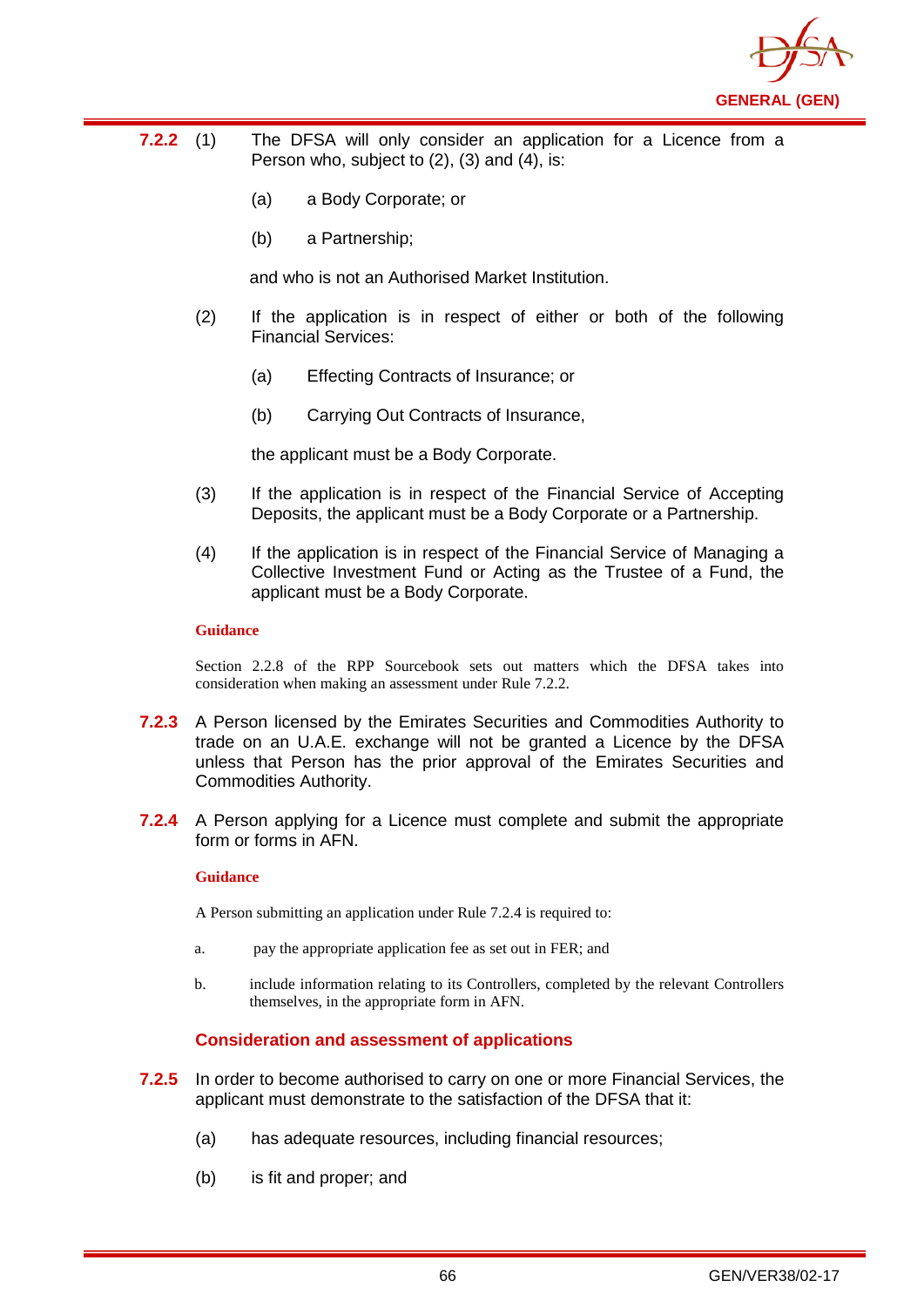

- **7.2.2** (1) The DFSA will only consider an application for a Licence from a Person who, subject to (2), (3) and (4), is:
	- (a) a Body Corporate; or
	- (b) a Partnership;

and who is not an Authorised Market Institution.

- (2) If the application is in respect of either or both of the following Financial Services:
	- (a) Effecting Contracts of Insurance; or
	- (b) Carrying Out Contracts of Insurance,

the applicant must be a Body Corporate.

- (3) If the application is in respect of the Financial Service of Accepting Deposits, the applicant must be a Body Corporate or a Partnership.
- (4) If the application is in respect of the Financial Service of Managing a Collective Investment Fund or Acting as the Trustee of a Fund, the applicant must be a Body Corporate.

#### **Guidance**

Section 2.2.8 of the RPP Sourcebook sets out matters which the DFSA takes into consideration when making an assessment under Rule 7.2.2.

- **7.2.3** A Person licensed by the Emirates Securities and Commodities Authority to trade on an U.A.E. exchange will not be granted a Licence by the DFSA unless that Person has the prior approval of the Emirates Securities and Commodities Authority.
- **7.2.4** A Person applying for a Licence must complete and submit the appropriate form or forms in AFN.

#### **Guidance**

A Person submitting an application under Rule 7.2.4 is required to:

- a. pay the appropriate application fee as set out in FER; and
- b. include information relating to its Controllers, completed by the relevant Controllers themselves, in the appropriate form in AFN.

### **Consideration and assessment of applications**

- **7.2.5** In order to become authorised to carry on one or more Financial Services, the applicant must demonstrate to the satisfaction of the DFSA that it:
	- (a) has adequate resources, including financial resources;
	- (b) is fit and proper; and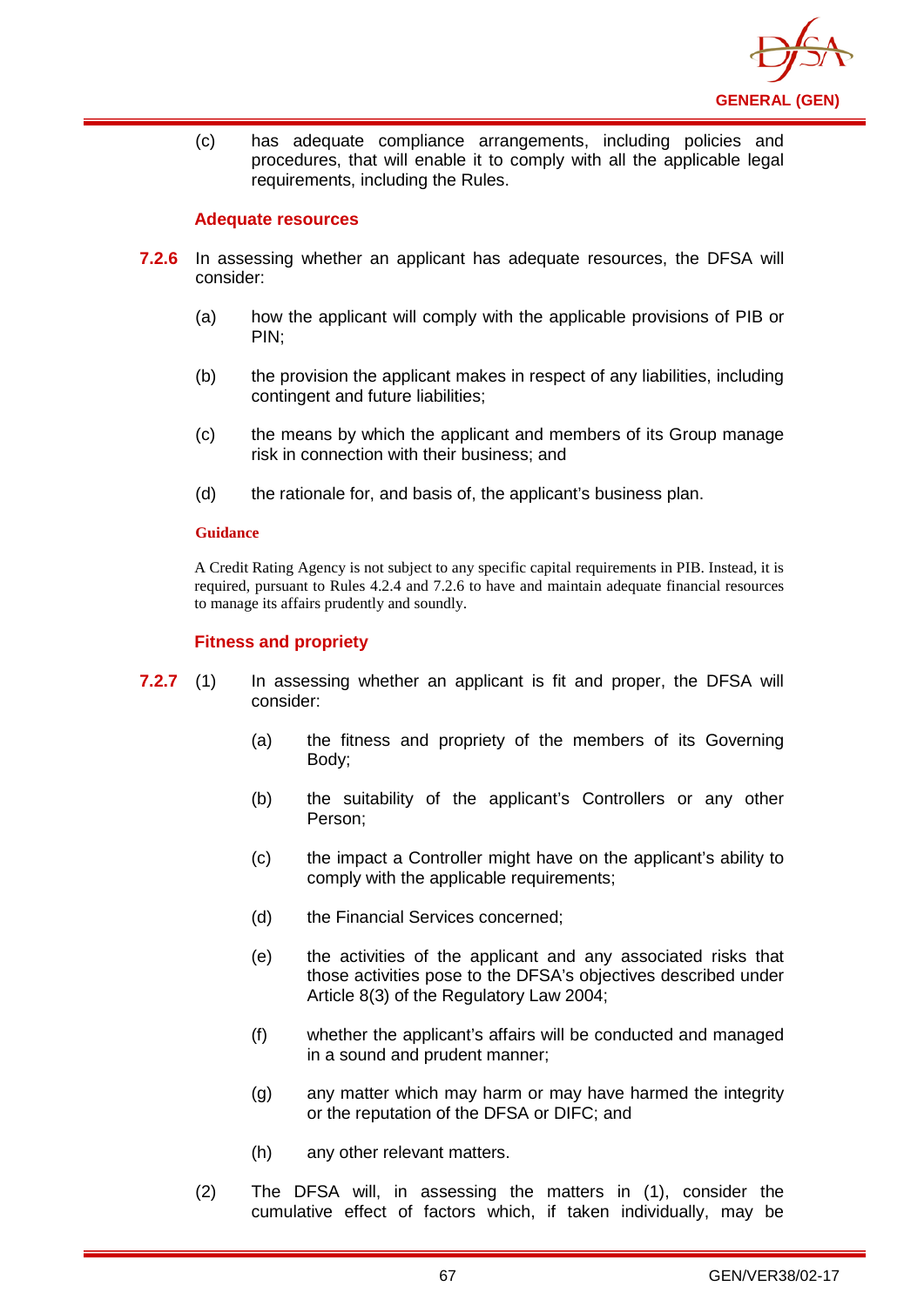

(c) has adequate compliance arrangements, including policies and procedures, that will enable it to comply with all the applicable legal requirements, including the Rules.

### **Adequate resources**

- **7.2.6** In assessing whether an applicant has adequate resources, the DFSA will consider:
	- (a) how the applicant will comply with the applicable provisions of PIB or PIN;
	- (b) the provision the applicant makes in respect of any liabilities, including contingent and future liabilities;
	- (c) the means by which the applicant and members of its Group manage risk in connection with their business; and
	- (d) the rationale for, and basis of, the applicant's business plan.

#### **Guidance**

A Credit Rating Agency is not subject to any specific capital requirements in PIB. Instead, it is required, pursuant to Rules 4.2.4 and 7.2.6 to have and maintain adequate financial resources to manage its affairs prudently and soundly.

### **Fitness and propriety**

- **7.2.7** (1) In assessing whether an applicant is fit and proper, the DFSA will consider:
	- (a) the fitness and propriety of the members of its Governing Body;
	- (b) the suitability of the applicant's Controllers or any other Person;
	- (c) the impact a Controller might have on the applicant's ability to comply with the applicable requirements:
	- (d) the Financial Services concerned;
	- (e) the activities of the applicant and any associated risks that those activities pose to the DFSA's objectives described under Article 8(3) of the Regulatory Law 2004;
	- (f) whether the applicant's affairs will be conducted and managed in a sound and prudent manner;
	- (g) any matter which may harm or may have harmed the integrity or the reputation of the DFSA or DIFC; and
	- (h) any other relevant matters.
	- (2) The DFSA will, in assessing the matters in (1), consider the cumulative effect of factors which, if taken individually, may be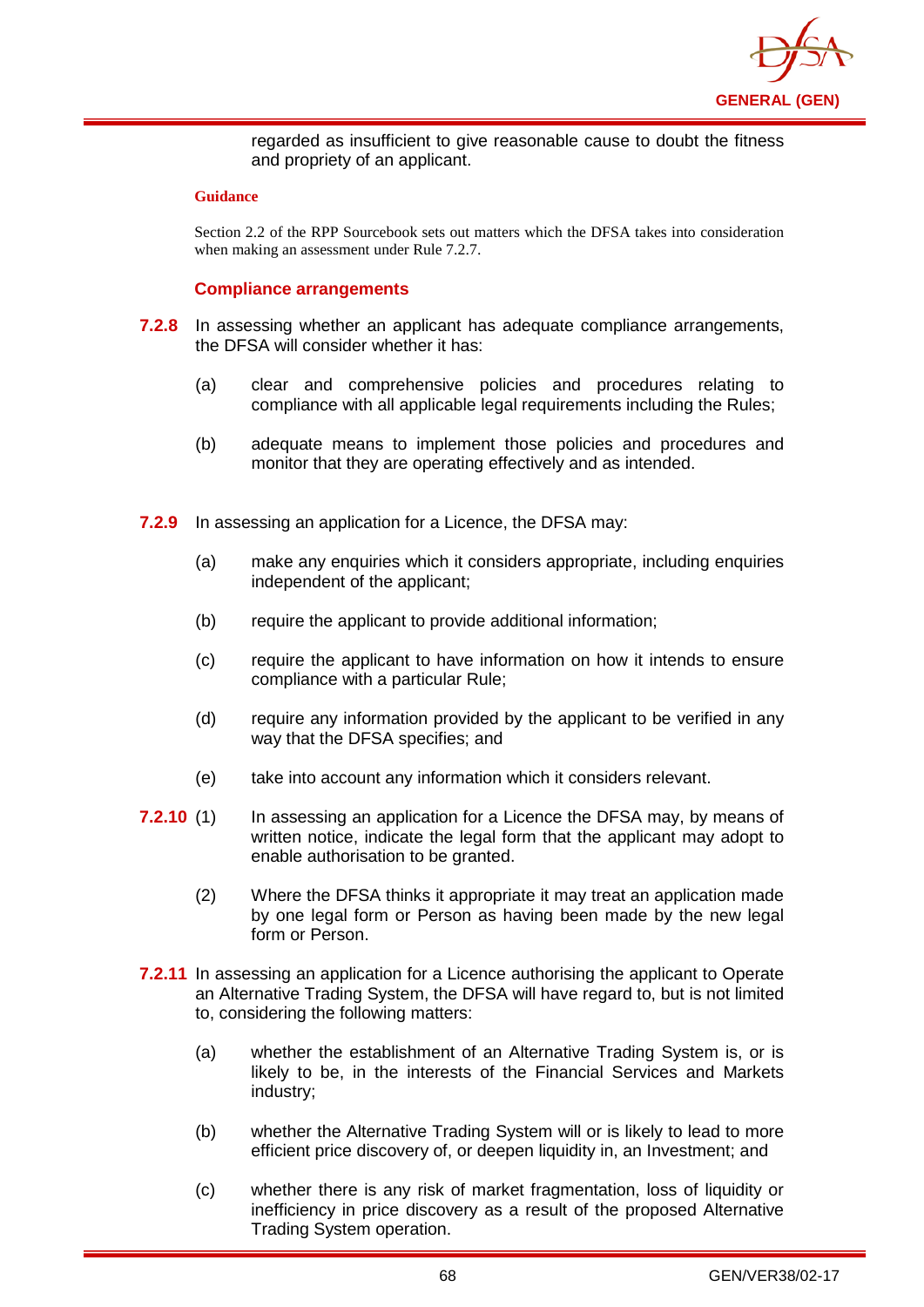

regarded as insufficient to give reasonable cause to doubt the fitness and propriety of an applicant.

#### **Guidance**

Section 2.2 of the RPP Sourcebook sets out matters which the DFSA takes into consideration when making an assessment under Rule 7.2.7.

### **Compliance arrangements**

- **7.2.8** In assessing whether an applicant has adequate compliance arrangements, the DFSA will consider whether it has:
	- (a) clear and comprehensive policies and procedures relating to compliance with all applicable legal requirements including the Rules;
	- (b) adequate means to implement those policies and procedures and monitor that they are operating effectively and as intended.
- **7.2.9** In assessing an application for a Licence, the DFSA may:
	- (a) make any enquiries which it considers appropriate, including enquiries independent of the applicant;
	- (b) require the applicant to provide additional information;
	- (c) require the applicant to have information on how it intends to ensure compliance with a particular Rule;
	- (d) require any information provided by the applicant to be verified in any way that the DFSA specifies; and
	- (e) take into account any information which it considers relevant.
- **7.2.10** (1) In assessing an application for a Licence the DFSA may, by means of written notice, indicate the legal form that the applicant may adopt to enable authorisation to be granted.
	- (2) Where the DFSA thinks it appropriate it may treat an application made by one legal form or Person as having been made by the new legal form or Person.
- **7.2.11** In assessing an application for a Licence authorising the applicant to Operate an Alternative Trading System, the DFSA will have regard to, but is not limited to, considering the following matters:
	- (a) whether the establishment of an Alternative Trading System is, or is likely to be, in the interests of the Financial Services and Markets industry;
	- (b) whether the Alternative Trading System will or is likely to lead to more efficient price discovery of, or deepen liquidity in, an Investment; and
	- (c) whether there is any risk of market fragmentation, loss of liquidity or inefficiency in price discovery as a result of the proposed Alternative Trading System operation.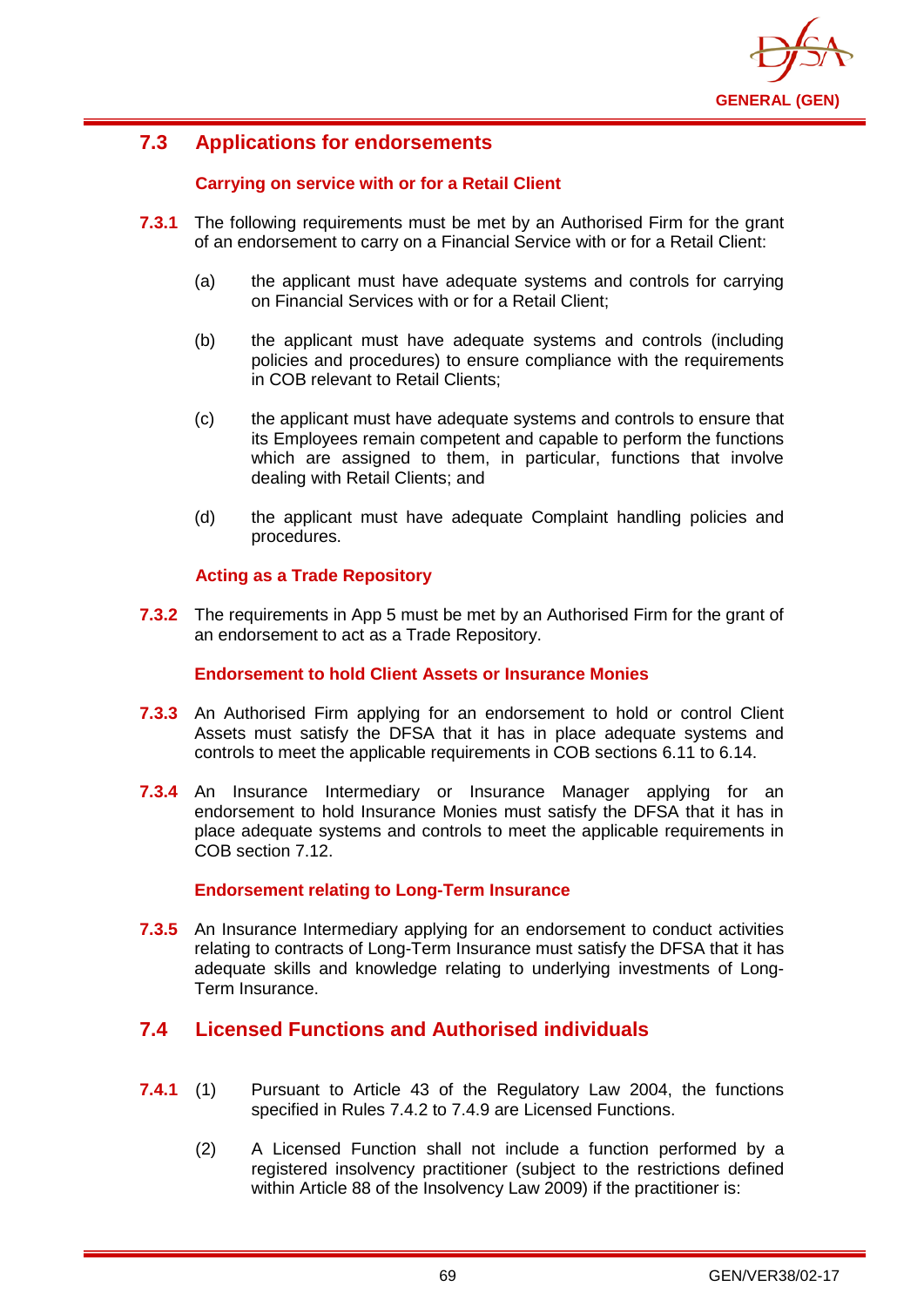

# **7.3 Applications for endorsements**

## **Carrying on service with or for a Retail Client**

- **7.3.1** The following requirements must be met by an Authorised Firm for the grant of an endorsement to carry on a Financial Service with or for a Retail Client:
	- (a) the applicant must have adequate systems and controls for carrying on Financial Services with or for a Retail Client;
	- (b) the applicant must have adequate systems and controls (including policies and procedures) to ensure compliance with the requirements in COB relevant to Retail Clients;
	- (c) the applicant must have adequate systems and controls to ensure that its Employees remain competent and capable to perform the functions which are assigned to them, in particular, functions that involve dealing with Retail Clients; and
	- (d) the applicant must have adequate Complaint handling policies and procedures.

## **Acting as a Trade Repository**

**7.3.2** The requirements in App 5 must be met by an Authorised Firm for the grant of an endorsement to act as a Trade Repository.

#### **Endorsement to hold Client Assets or Insurance Monies**

- **7.3.3** An Authorised Firm applying for an endorsement to hold or control Client Assets must satisfy the DFSA that it has in place adequate systems and controls to meet the applicable requirements in COB sections 6.11 to 6.14.
- **7.3.4** An Insurance Intermediary or Insurance Manager applying for an endorsement to hold Insurance Monies must satisfy the DFSA that it has in place adequate systems and controls to meet the applicable requirements in COB section 7.12.

## **Endorsement relating to Long-Term Insurance**

**7.3.5** An Insurance Intermediary applying for an endorsement to conduct activities relating to contracts of Long-Term Insurance must satisfy the DFSA that it has adequate skills and knowledge relating to underlying investments of Long-Term Insurance.

## **7.4 Licensed Functions and Authorised individuals**

- **7.4.1** (1) Pursuant to Article 43 of the Regulatory Law 2004, the functions specified in Rules 7.4.2 to 7.4.9 are Licensed Functions.
	- (2) A Licensed Function shall not include a function performed by a registered insolvency practitioner (subject to the restrictions defined within Article 88 of the Insolvency Law 2009) if the practitioner is: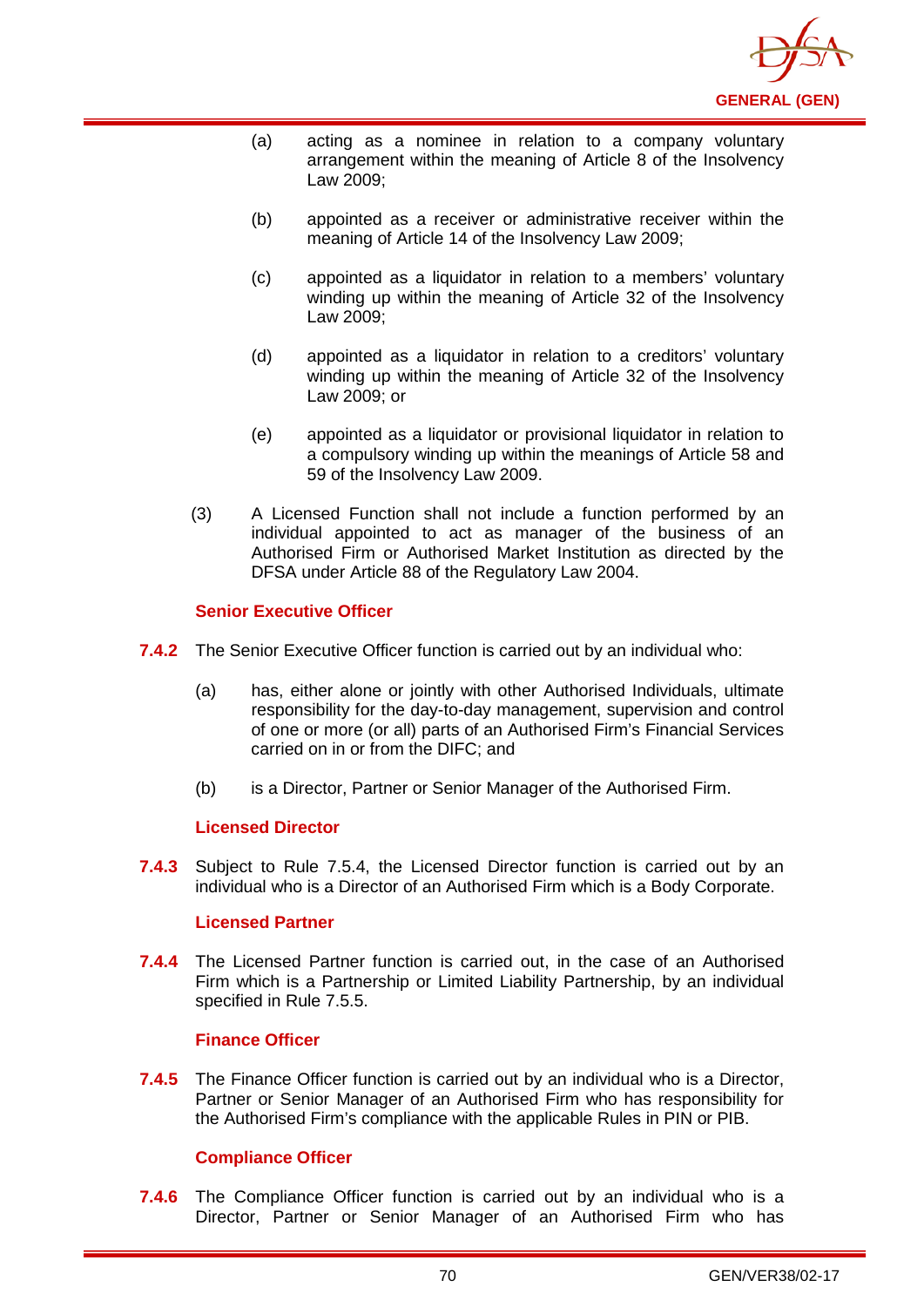

- (a) acting as a nominee in relation to a company voluntary arrangement within the meaning of Article 8 of the Insolvency Law 2009;
- (b) appointed as a receiver or administrative receiver within the meaning of Article 14 of the Insolvency Law 2009;
- (c) appointed as a liquidator in relation to a members' voluntary winding up within the meaning of Article 32 of the Insolvency Law 2009;
- (d) appointed as a liquidator in relation to a creditors' voluntary winding up within the meaning of Article 32 of the Insolvency Law 2009; or
- (e) appointed as a liquidator or provisional liquidator in relation to a compulsory winding up within the meanings of Article 58 and 59 of the Insolvency Law 2009.
- (3) A Licensed Function shall not include a function performed by an individual appointed to act as manager of the business of an Authorised Firm or Authorised Market Institution as directed by the DFSA under Article 88 of the Regulatory Law 2004.

### **Senior Executive Officer**

- **7.4.2** The Senior Executive Officer function is carried out by an individual who:
	- (a) has, either alone or jointly with other Authorised Individuals, ultimate responsibility for the day-to-day management, supervision and control of one or more (or all) parts of an Authorised Firm's Financial Services carried on in or from the DIFC; and
	- (b) is a Director, Partner or Senior Manager of the Authorised Firm.

#### **Licensed Director**

**7.4.3** Subject to Rule 7.5.4, the Licensed Director function is carried out by an individual who is a Director of an Authorised Firm which is a Body Corporate.

#### **Licensed Partner**

**7.4.4** The Licensed Partner function is carried out, in the case of an Authorised Firm which is a Partnership or Limited Liability Partnership, by an individual specified in Rule 7.5.5.

#### **Finance Officer**

**7.4.5** The Finance Officer function is carried out by an individual who is a Director, Partner or Senior Manager of an Authorised Firm who has responsibility for the Authorised Firm's compliance with the applicable Rules in PIN or PIB.

## **Compliance Officer**

**7.4.6** The Compliance Officer function is carried out by an individual who is a Director, Partner or Senior Manager of an Authorised Firm who has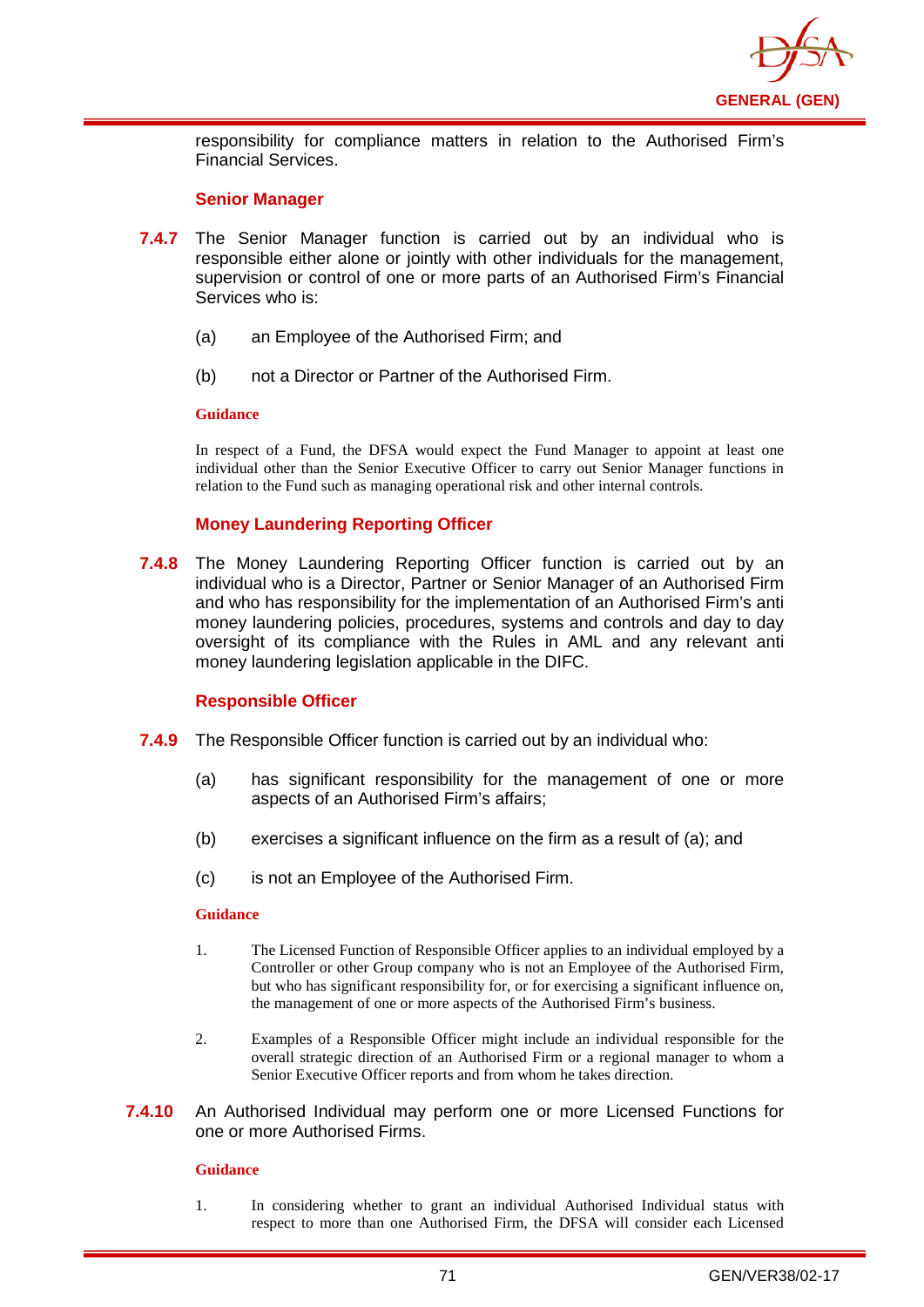

responsibility for compliance matters in relation to the Authorised Firm's Financial Services.

#### **Senior Manager**

- **7.4.7** The Senior Manager function is carried out by an individual who is responsible either alone or jointly with other individuals for the management, supervision or control of one or more parts of an Authorised Firm's Financial Services who is:
	- (a) an Employee of the Authorised Firm; and
	- (b) not a Director or Partner of the Authorised Firm.

#### **Guidance**

In respect of a Fund, the DFSA would expect the Fund Manager to appoint at least one individual other than the Senior Executive Officer to carry out Senior Manager functions in relation to the Fund such as managing operational risk and other internal controls.

### **Money Laundering Reporting Officer**

**7.4.8** The Money Laundering Reporting Officer function is carried out by an individual who is a Director, Partner or Senior Manager of an Authorised Firm and who has responsibility for the implementation of an Authorised Firm's anti money laundering policies, procedures, systems and controls and day to day oversight of its compliance with the Rules in AML and any relevant anti money laundering legislation applicable in the DIFC.

#### **Responsible Officer**

- **7.4.9** The Responsible Officer function is carried out by an individual who:
	- (a) has significant responsibility for the management of one or more aspects of an Authorised Firm's affairs;
	- (b) exercises a significant influence on the firm as a result of (a); and
	- (c) is not an Employee of the Authorised Firm.

#### **Guidance**

- 1. The Licensed Function of Responsible Officer applies to an individual employed by a Controller or other Group company who is not an Employee of the Authorised Firm, but who has significant responsibility for, or for exercising a significant influence on, the management of one or more aspects of the Authorised Firm's business.
- 2. Examples of a Responsible Officer might include an individual responsible for the overall strategic direction of an Authorised Firm or a regional manager to whom a Senior Executive Officer reports and from whom he takes direction.
- **7.4.10** An Authorised Individual may perform one or more Licensed Functions for one or more Authorised Firms.

#### **Guidance**

1. In considering whether to grant an individual Authorised Individual status with respect to more than one Authorised Firm, the DFSA will consider each Licensed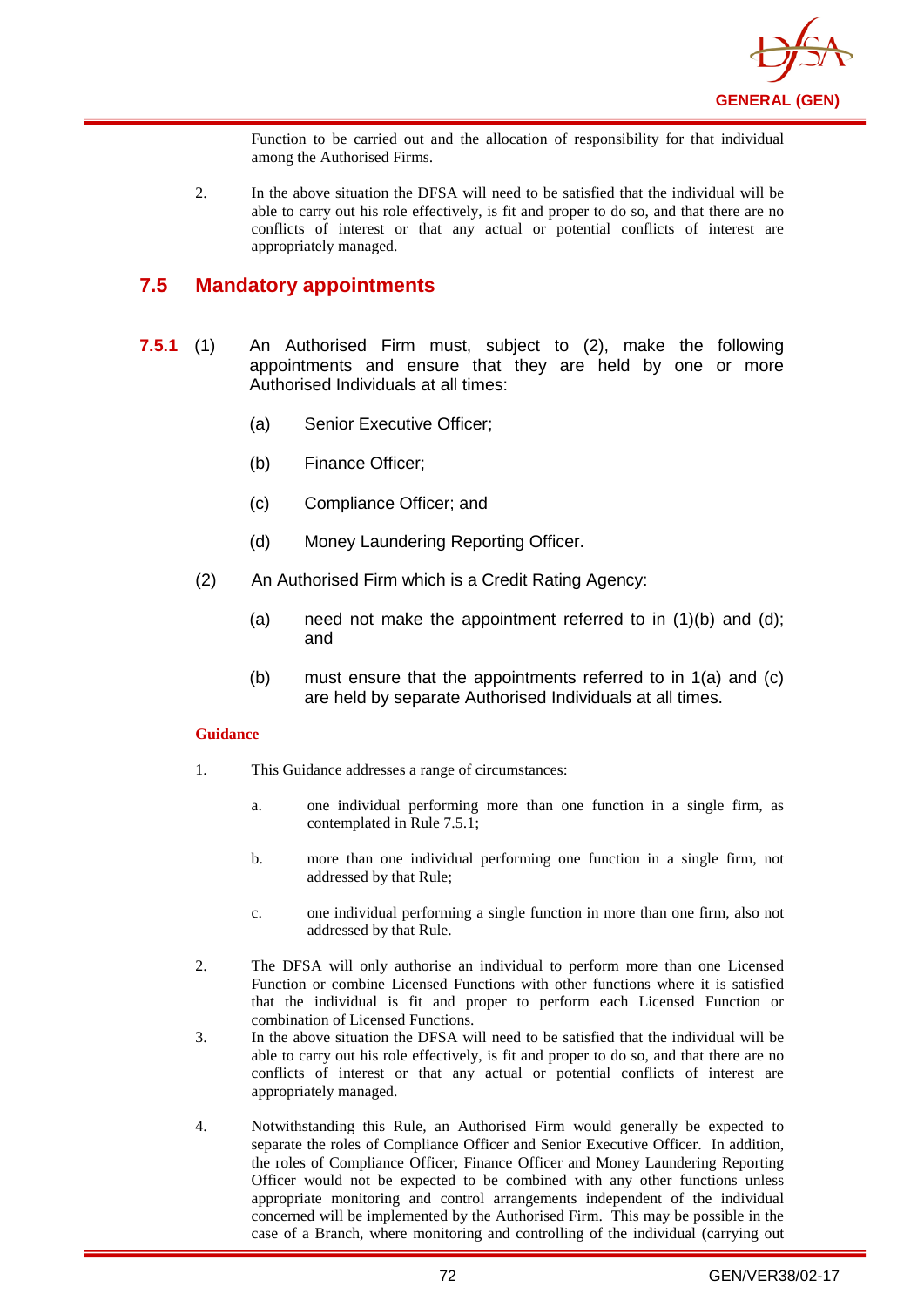

Function to be carried out and the allocation of responsibility for that individual among the Authorised Firms.

2. In the above situation the DFSA will need to be satisfied that the individual will be able to carry out his role effectively, is fit and proper to do so, and that there are no conflicts of interest or that any actual or potential conflicts of interest are appropriately managed.

## **7.5 Mandatory appointments**

- **7.5.1** (1) An Authorised Firm must, subject to (2), make the following appointments and ensure that they are held by one or more Authorised Individuals at all times:
	- (a) Senior Executive Officer;
	- (b) Finance Officer;
	- (c) Compliance Officer; and
	- (d) Money Laundering Reporting Officer.
	- (2) An Authorised Firm which is a Credit Rating Agency:
		- (a) need not make the appointment referred to in  $(1)(b)$  and  $(d)$ ; and
		- (b) must ensure that the appointments referred to in 1(a) and (c) are held by separate Authorised Individuals at all times.

#### **Guidance**

- 1. This Guidance addresses a range of circumstances:
	- a. one individual performing more than one function in a single firm, as contemplated in Rule 7.5.1;
	- b. more than one individual performing one function in a single firm, not addressed by that Rule;
	- c. one individual performing a single function in more than one firm, also not addressed by that Rule.
- 2. The DFSA will only authorise an individual to perform more than one Licensed Function or combine Licensed Functions with other functions where it is satisfied that the individual is fit and proper to perform each Licensed Function or combination of Licensed Functions.
- 3. In the above situation the DFSA will need to be satisfied that the individual will be able to carry out his role effectively, is fit and proper to do so, and that there are no conflicts of interest or that any actual or potential conflicts of interest are appropriately managed.
- 4. Notwithstanding this Rule, an Authorised Firm would generally be expected to separate the roles of Compliance Officer and Senior Executive Officer. In addition, the roles of Compliance Officer, Finance Officer and Money Laundering Reporting Officer would not be expected to be combined with any other functions unless appropriate monitoring and control arrangements independent of the individual concerned will be implemented by the Authorised Firm. This may be possible in the case of a Branch, where monitoring and controlling of the individual (carrying out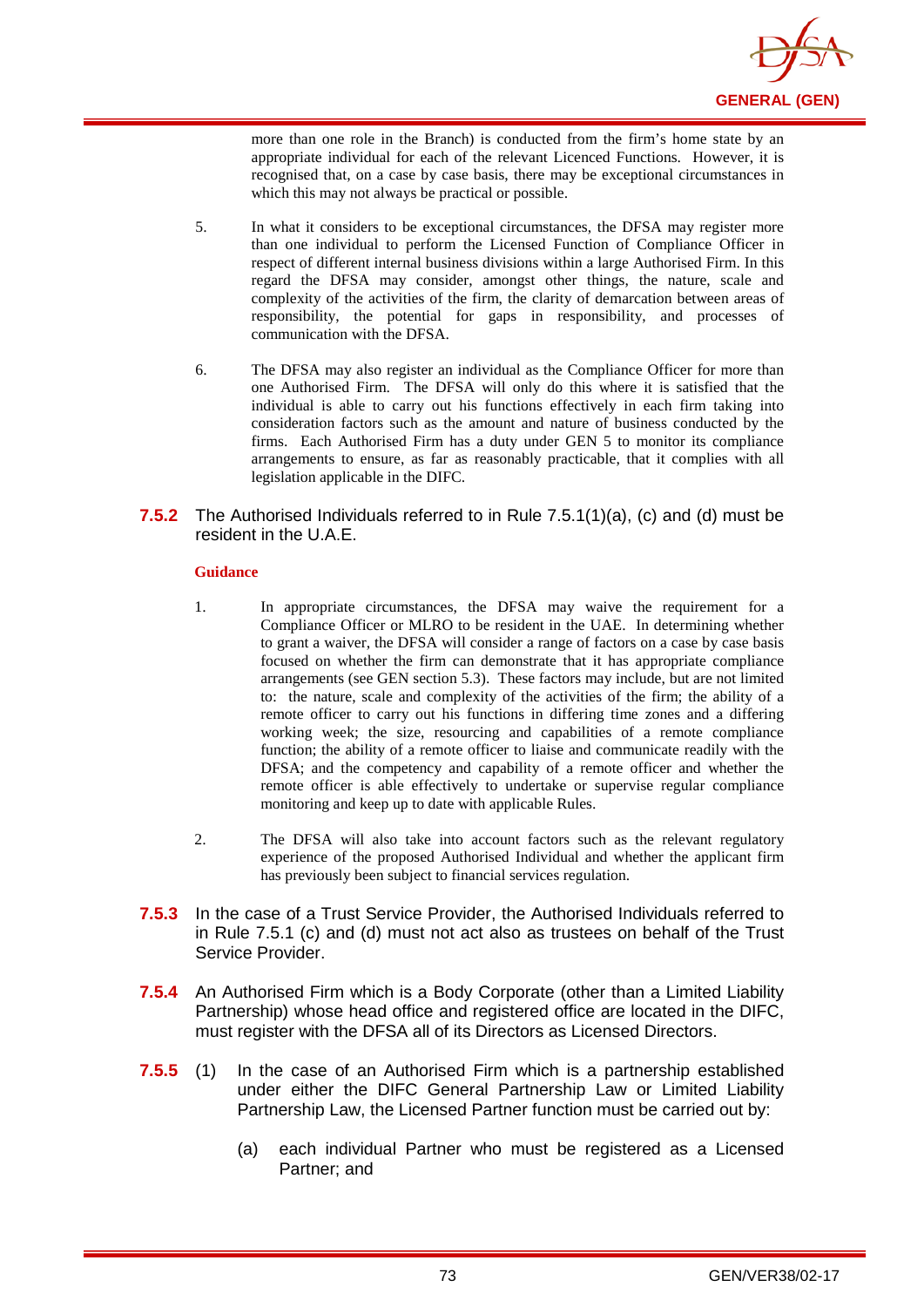

more than one role in the Branch) is conducted from the firm's home state by an appropriate individual for each of the relevant Licenced Functions. However, it is recognised that, on a case by case basis, there may be exceptional circumstances in which this may not always be practical or possible.

- 5. In what it considers to be exceptional circumstances, the DFSA may register more than one individual to perform the Licensed Function of Compliance Officer in respect of different internal business divisions within a large Authorised Firm. In this regard the DFSA may consider, amongst other things, the nature, scale and complexity of the activities of the firm, the clarity of demarcation between areas of responsibility, the potential for gaps in responsibility, and processes of communication with the DFSA.
- 6. The DFSA may also register an individual as the Compliance Officer for more than one Authorised Firm. The DFSA will only do this where it is satisfied that the individual is able to carry out his functions effectively in each firm taking into consideration factors such as the amount and nature of business conducted by the firms. Each Authorised Firm has a duty under GEN 5 to monitor its compliance arrangements to ensure, as far as reasonably practicable, that it complies with all legislation applicable in the DIFC.
- **7.5.2** The Authorised Individuals referred to in Rule 7.5.1(1)(a), (c) and (d) must be resident in the U.A.E.

#### **Guidance**

- 1. In appropriate circumstances, the DFSA may waive the requirement for a Compliance Officer or MLRO to be resident in the UAE. In determining whether to grant a waiver, the DFSA will consider a range of factors on a case by case basis focused on whether the firm can demonstrate that it has appropriate compliance arrangements (see GEN section 5.3). These factors may include, but are not limited to: the nature, scale and complexity of the activities of the firm; the ability of a remote officer to carry out his functions in differing time zones and a differing working week; the size, resourcing and capabilities of a remote compliance function; the ability of a remote officer to liaise and communicate readily with the DFSA; and the competency and capability of a remote officer and whether the remote officer is able effectively to undertake or supervise regular compliance monitoring and keep up to date with applicable Rules.
- 2. The DFSA will also take into account factors such as the relevant regulatory experience of the proposed Authorised Individual and whether the applicant firm has previously been subject to financial services regulation.
- **7.5.3** In the case of a Trust Service Provider, the Authorised Individuals referred to in Rule 7.5.1 (c) and (d) must not act also as trustees on behalf of the Trust Service Provider.
- **7.5.4** An Authorised Firm which is a Body Corporate (other than a Limited Liability Partnership) whose head office and registered office are located in the DIFC, must register with the DFSA all of its Directors as Licensed Directors.
- **7.5.5** (1) In the case of an Authorised Firm which is a partnership established under either the DIFC General Partnership Law or Limited Liability Partnership Law, the Licensed Partner function must be carried out by:
	- (a) each individual Partner who must be registered as a Licensed Partner; and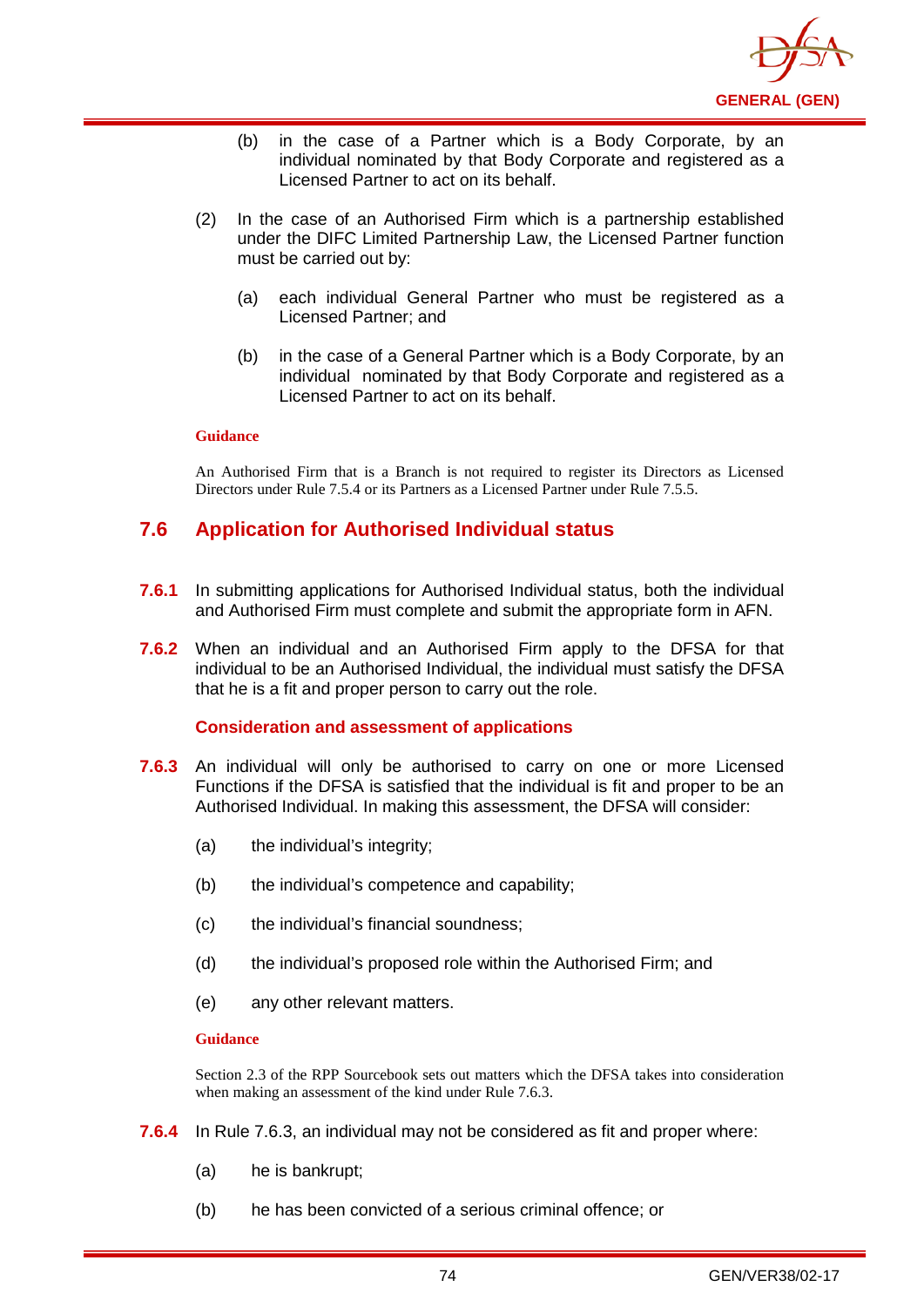

- (b) in the case of a Partner which is a Body Corporate, by an individual nominated by that Body Corporate and registered as a Licensed Partner to act on its behalf.
- (2) In the case of an Authorised Firm which is a partnership established under the DIFC Limited Partnership Law, the Licensed Partner function must be carried out by:
	- (a) each individual General Partner who must be registered as a Licensed Partner; and
	- (b) in the case of a General Partner which is a Body Corporate, by an individual nominated by that Body Corporate and registered as a Licensed Partner to act on its behalf.

An Authorised Firm that is a Branch is not required to register its Directors as Licensed Directors under Rule 7.5.4 or its Partners as a Licensed Partner under Rule 7.5.5.

## **7.6 Application for Authorised Individual status**

- **7.6.1** In submitting applications for Authorised Individual status, both the individual and Authorised Firm must complete and submit the appropriate form in AFN.
- **7.6.2** When an individual and an Authorised Firm apply to the DFSA for that individual to be an Authorised Individual, the individual must satisfy the DFSA that he is a fit and proper person to carry out the role.

#### **Consideration and assessment of applications**

- **7.6.3** An individual will only be authorised to carry on one or more Licensed Functions if the DFSA is satisfied that the individual is fit and proper to be an Authorised Individual. In making this assessment, the DFSA will consider:
	- (a) the individual's integrity;
	- (b) the individual's competence and capability;
	- (c) the individual's financial soundness;
	- (d) the individual's proposed role within the Authorised Firm; and
	- (e) any other relevant matters.

#### **Guidance**

Section 2.3 of the RPP Sourcebook sets out matters which the DFSA takes into consideration when making an assessment of the kind under Rule 7.6.3.

- **7.6.4** In Rule 7.6.3, an individual may not be considered as fit and proper where:
	- (a) he is bankrupt;
	- (b) he has been convicted of a serious criminal offence; or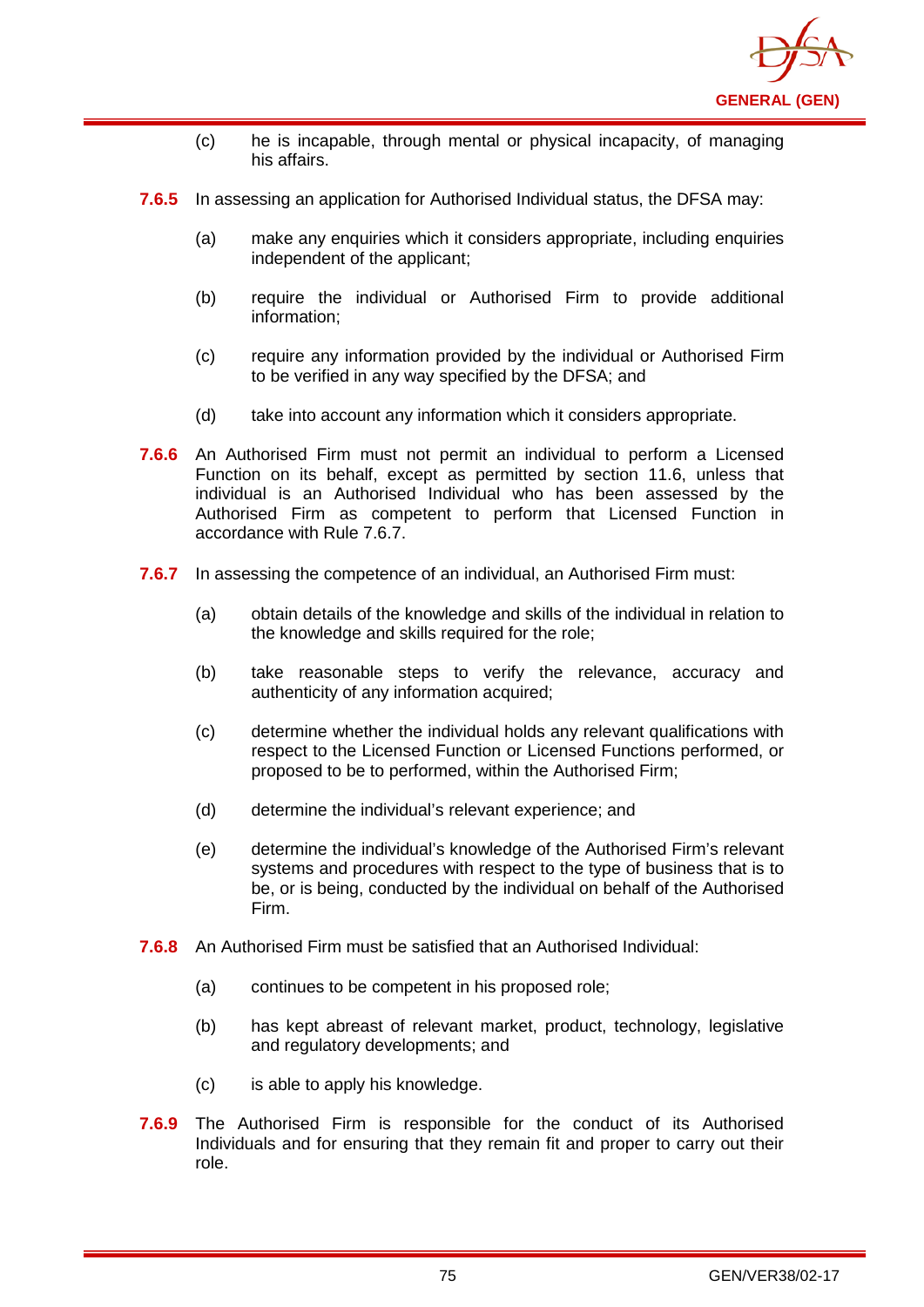

- (c) he is incapable, through mental or physical incapacity, of managing his affairs.
- **7.6.5** In assessing an application for Authorised Individual status, the DFSA may:
	- (a) make any enquiries which it considers appropriate, including enquiries independent of the applicant;
	- (b) require the individual or Authorised Firm to provide additional information;
	- (c) require any information provided by the individual or Authorised Firm to be verified in any way specified by the DFSA; and
	- (d) take into account any information which it considers appropriate.
- **7.6.6** An Authorised Firm must not permit an individual to perform a Licensed Function on its behalf, except as permitted by section 11.6, unless that individual is an Authorised Individual who has been assessed by the Authorised Firm as competent to perform that Licensed Function in accordance with Rule 7.6.7.
- **7.6.7** In assessing the competence of an individual, an Authorised Firm must:
	- (a) obtain details of the knowledge and skills of the individual in relation to the knowledge and skills required for the role;
	- (b) take reasonable steps to verify the relevance, accuracy and authenticity of any information acquired;
	- (c) determine whether the individual holds any relevant qualifications with respect to the Licensed Function or Licensed Functions performed, or proposed to be to performed, within the Authorised Firm;
	- (d) determine the individual's relevant experience; and
	- (e) determine the individual's knowledge of the Authorised Firm's relevant systems and procedures with respect to the type of business that is to be, or is being, conducted by the individual on behalf of the Authorised Firm.
- **7.6.8** An Authorised Firm must be satisfied that an Authorised Individual:
	- (a) continues to be competent in his proposed role;
	- (b) has kept abreast of relevant market, product, technology, legislative and regulatory developments; and
	- (c) is able to apply his knowledge.
- **7.6.9** The Authorised Firm is responsible for the conduct of its Authorised Individuals and for ensuring that they remain fit and proper to carry out their role.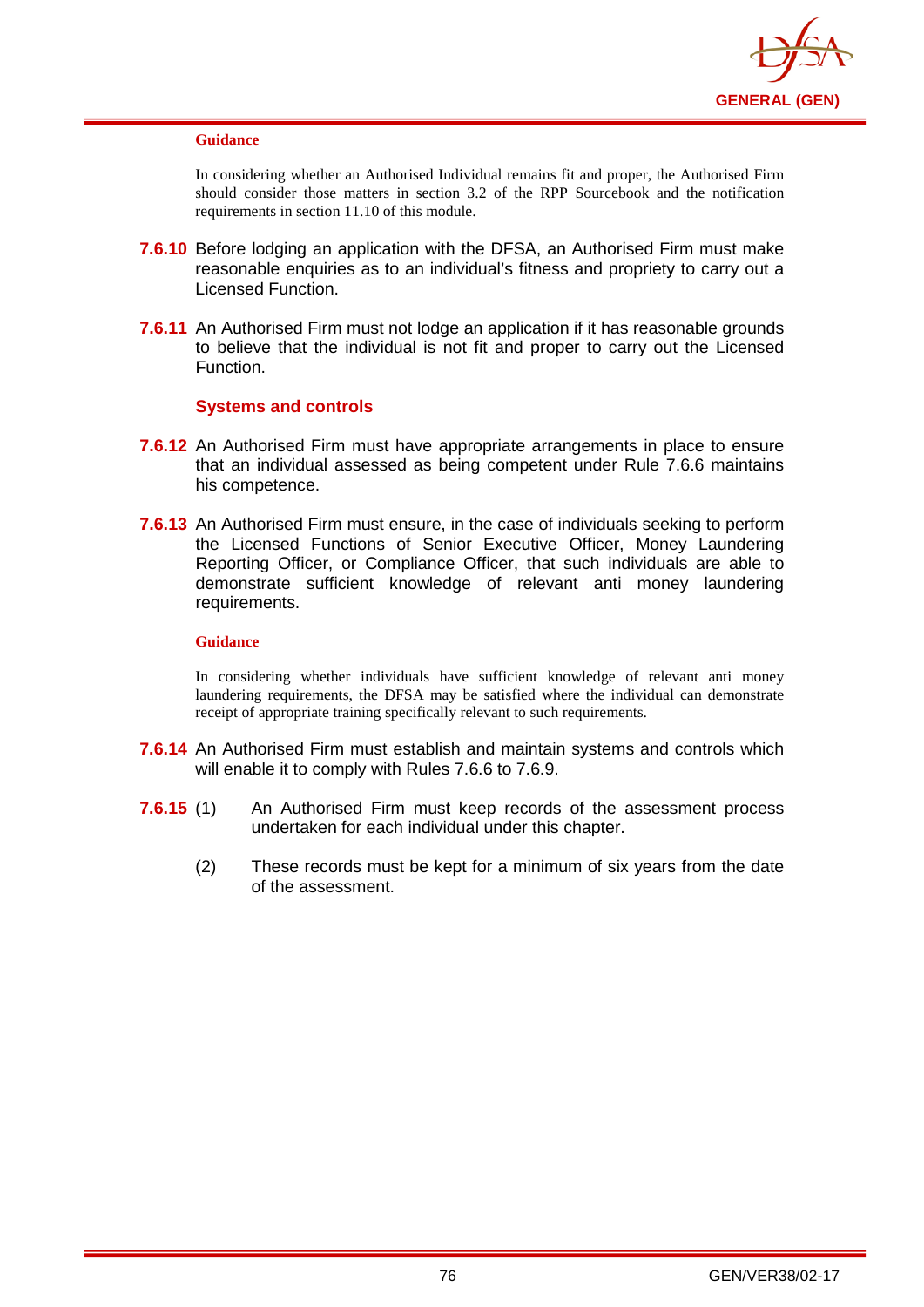

In considering whether an Authorised Individual remains fit and proper, the Authorised Firm should consider those matters in section 3.2 of the RPP Sourcebook and the notification requirements in section 11.10 of this module.

- **7.6.10** Before lodging an application with the DFSA, an Authorised Firm must make reasonable enquiries as to an individual's fitness and propriety to carry out a Licensed Function.
- **7.6.11** An Authorised Firm must not lodge an application if it has reasonable grounds to believe that the individual is not fit and proper to carry out the Licensed Function.

## **Systems and controls**

- **7.6.12** An Authorised Firm must have appropriate arrangements in place to ensure that an individual assessed as being competent under Rule 7.6.6 maintains his competence.
- **7.6.13** An Authorised Firm must ensure, in the case of individuals seeking to perform the Licensed Functions of Senior Executive Officer, Money Laundering Reporting Officer, or Compliance Officer, that such individuals are able to demonstrate sufficient knowledge of relevant anti money laundering requirements.

#### **Guidance**

In considering whether individuals have sufficient knowledge of relevant anti money laundering requirements, the DFSA may be satisfied where the individual can demonstrate receipt of appropriate training specifically relevant to such requirements.

- **7.6.14** An Authorised Firm must establish and maintain systems and controls which will enable it to comply with Rules 7.6.6 to 7.6.9.
- **7.6.15** (1) An Authorised Firm must keep records of the assessment process undertaken for each individual under this chapter.
	- (2) These records must be kept for a minimum of six years from the date of the assessment.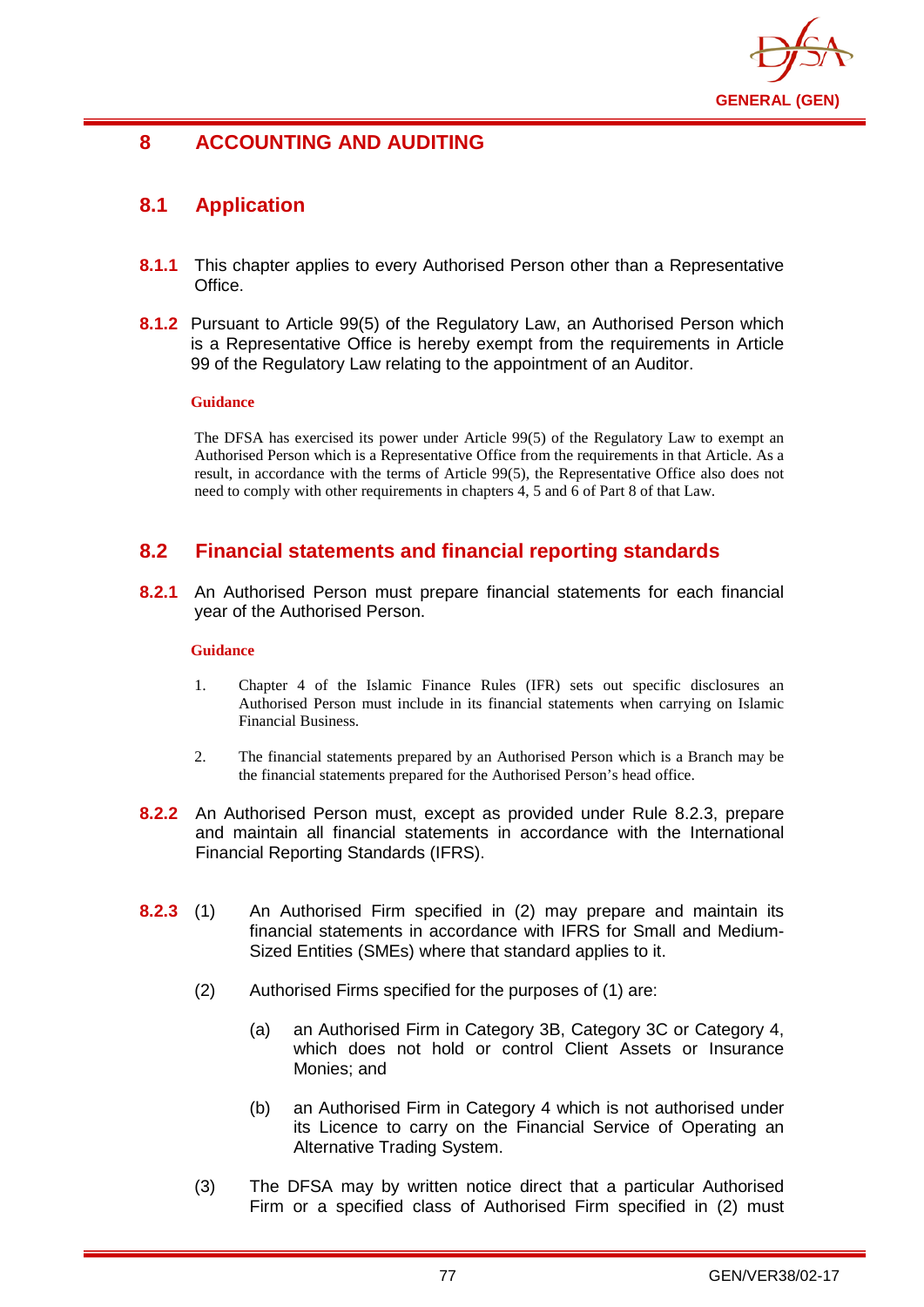

# **8 ACCOUNTING AND AUDITING**

# **8.1 Application**

- **8.1.1** This chapter applies to every Authorised Person other than a Representative Office.
- **8.1.2** Pursuant to Article 99(5) of the Regulatory Law, an Authorised Person which is a Representative Office is hereby exempt from the requirements in Article 99 of the Regulatory Law relating to the appointment of an Auditor.

#### **Guidance**

The DFSA has exercised its power under Article 99(5) of the Regulatory Law to exempt an Authorised Person which is a Representative Office from the requirements in that Article. As a result, in accordance with the terms of Article 99(5), the Representative Office also does not need to comply with other requirements in chapters 4, 5 and 6 of Part 8 of that Law.

# **8.2 Financial statements and financial reporting standards**

**8.2.1** An Authorised Person must prepare financial statements for each financial year of the Authorised Person.

### **Guidance**

- 1. Chapter 4 of the Islamic Finance Rules (IFR) sets out specific disclosures an Authorised Person must include in its financial statements when carrying on Islamic Financial Business.
- 2. The financial statements prepared by an Authorised Person which is a Branch may be the financial statements prepared for the Authorised Person's head office.
- **8.2.2** An Authorised Person must, except as provided under Rule 8.2.3, prepare and maintain all financial statements in accordance with the International Financial Reporting Standards (IFRS).
- **8.2.3** (1) An Authorised Firm specified in (2) may prepare and maintain its financial statements in accordance with IFRS for Small and Medium-Sized Entities (SMEs) where that standard applies to it.
	- (2) Authorised Firms specified for the purposes of (1) are:
		- (a) an Authorised Firm in Category 3B, Category 3C or Category 4, which does not hold or control Client Assets or Insurance Monies; and
		- (b) an Authorised Firm in Category 4 which is not authorised under its Licence to carry on the Financial Service of Operating an Alternative Trading System.
	- (3) The DFSA may by written notice direct that a particular Authorised Firm or a specified class of Authorised Firm specified in (2) must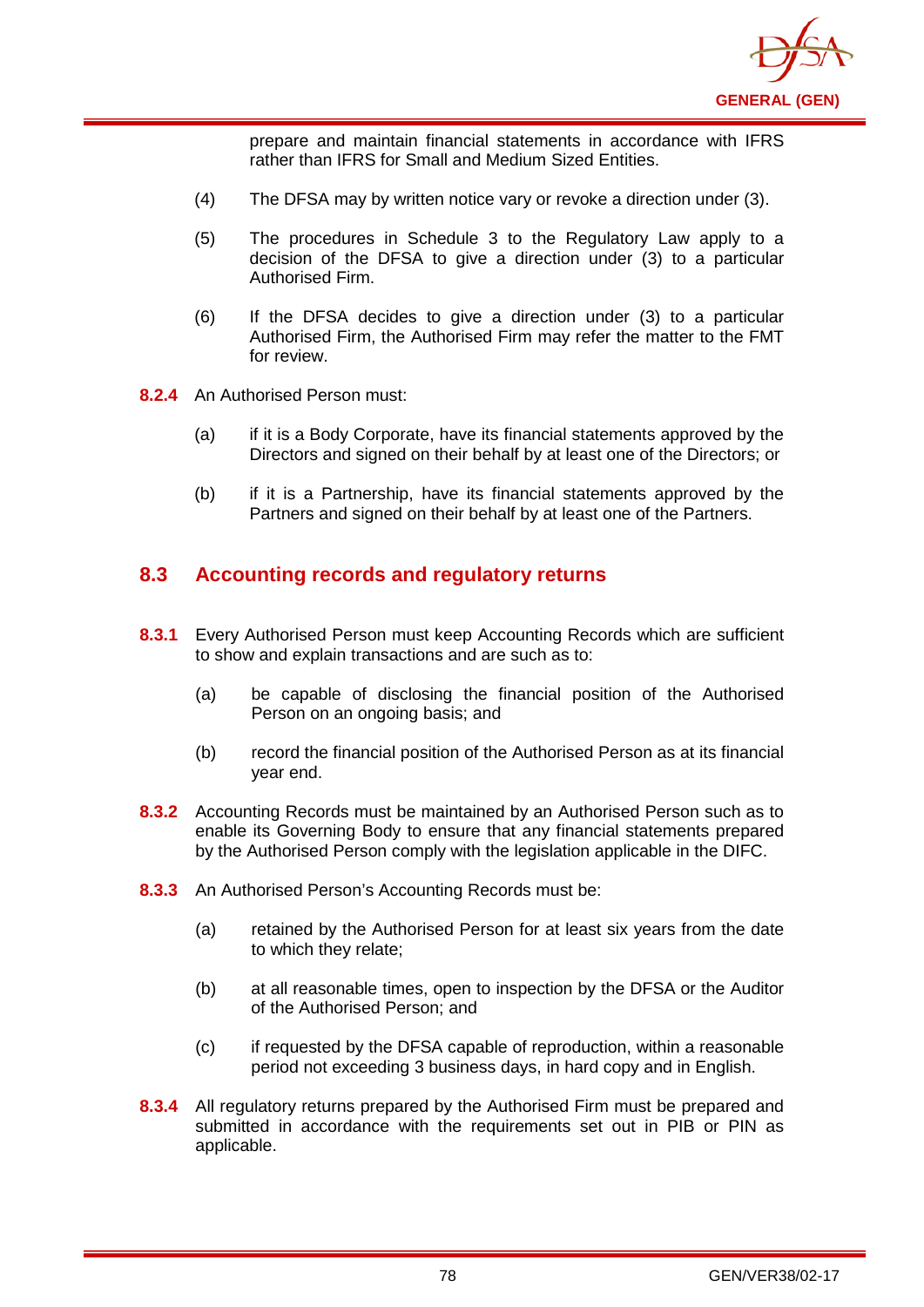

prepare and maintain financial statements in accordance with IFRS rather than IFRS for Small and Medium Sized Entities.

- (4) The DFSA may by written notice vary or revoke a direction under (3).
- (5) The procedures in Schedule 3 to the Regulatory Law apply to a decision of the DFSA to give a direction under (3) to a particular Authorised Firm.
- (6) If the DFSA decides to give a direction under (3) to a particular Authorised Firm, the Authorised Firm may refer the matter to the FMT for review.
- **8.2.4** An Authorised Person must:
	- (a) if it is a Body Corporate, have its financial statements approved by the Directors and signed on their behalf by at least one of the Directors; or
	- (b) if it is a Partnership, have its financial statements approved by the Partners and signed on their behalf by at least one of the Partners.

## **8.3 Accounting records and regulatory returns**

- **8.3.1** Every Authorised Person must keep Accounting Records which are sufficient to show and explain transactions and are such as to:
	- (a) be capable of disclosing the financial position of the Authorised Person on an ongoing basis; and
	- (b) record the financial position of the Authorised Person as at its financial year end.
- **8.3.2** Accounting Records must be maintained by an Authorised Person such as to enable its Governing Body to ensure that any financial statements prepared by the Authorised Person comply with the legislation applicable in the DIFC.
- **8.3.3** An Authorised Person's Accounting Records must be:
	- (a) retained by the Authorised Person for at least six years from the date to which they relate;
	- (b) at all reasonable times, open to inspection by the DFSA or the Auditor of the Authorised Person; and
	- (c) if requested by the DFSA capable of reproduction, within a reasonable period not exceeding 3 business days, in hard copy and in English.
- **8.3.4** All regulatory returns prepared by the Authorised Firm must be prepared and submitted in accordance with the requirements set out in PIB or PIN as applicable.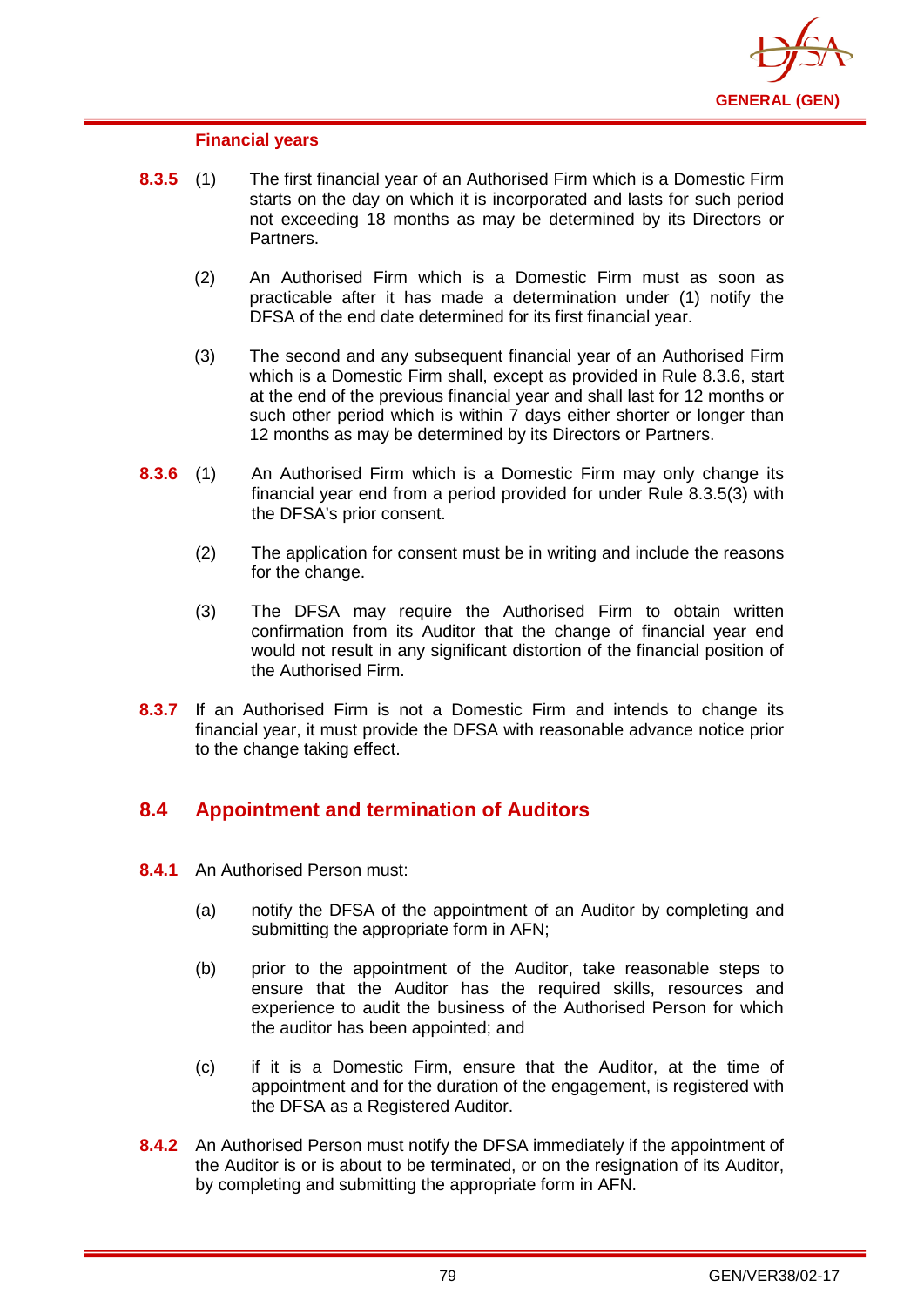

#### **Financial years**

- **8.3.5** (1) The first financial year of an Authorised Firm which is a Domestic Firm starts on the day on which it is incorporated and lasts for such period not exceeding 18 months as may be determined by its Directors or Partners.
	- (2) An Authorised Firm which is a Domestic Firm must as soon as practicable after it has made a determination under (1) notify the DFSA of the end date determined for its first financial year.
	- (3) The second and any subsequent financial year of an Authorised Firm which is a Domestic Firm shall, except as provided in Rule 8.3.6, start at the end of the previous financial year and shall last for 12 months or such other period which is within 7 days either shorter or longer than 12 months as may be determined by its Directors or Partners.
- **8.3.6** (1) An Authorised Firm which is a Domestic Firm may only change its financial year end from a period provided for under Rule 8.3.5(3) with the DFSA's prior consent.
	- (2) The application for consent must be in writing and include the reasons for the change.
	- (3) The DFSA may require the Authorised Firm to obtain written confirmation from its Auditor that the change of financial year end would not result in any significant distortion of the financial position of the Authorised Firm.
- **8.3.7** If an Authorised Firm is not a Domestic Firm and intends to change its financial year, it must provide the DFSA with reasonable advance notice prior to the change taking effect.

## **8.4 Appointment and termination of Auditors**

- **8.4.1** An Authorised Person must:
	- (a) notify the DFSA of the appointment of an Auditor by completing and submitting the appropriate form in AFN;
	- (b) prior to the appointment of the Auditor, take reasonable steps to ensure that the Auditor has the required skills, resources and experience to audit the business of the Authorised Person for which the auditor has been appointed; and
	- (c) if it is a Domestic Firm, ensure that the Auditor, at the time of appointment and for the duration of the engagement, is registered with the DFSA as a Registered Auditor.
- **8.4.2** An Authorised Person must notify the DFSA immediately if the appointment of the Auditor is or is about to be terminated, or on the resignation of its Auditor, by completing and submitting the appropriate form in AFN.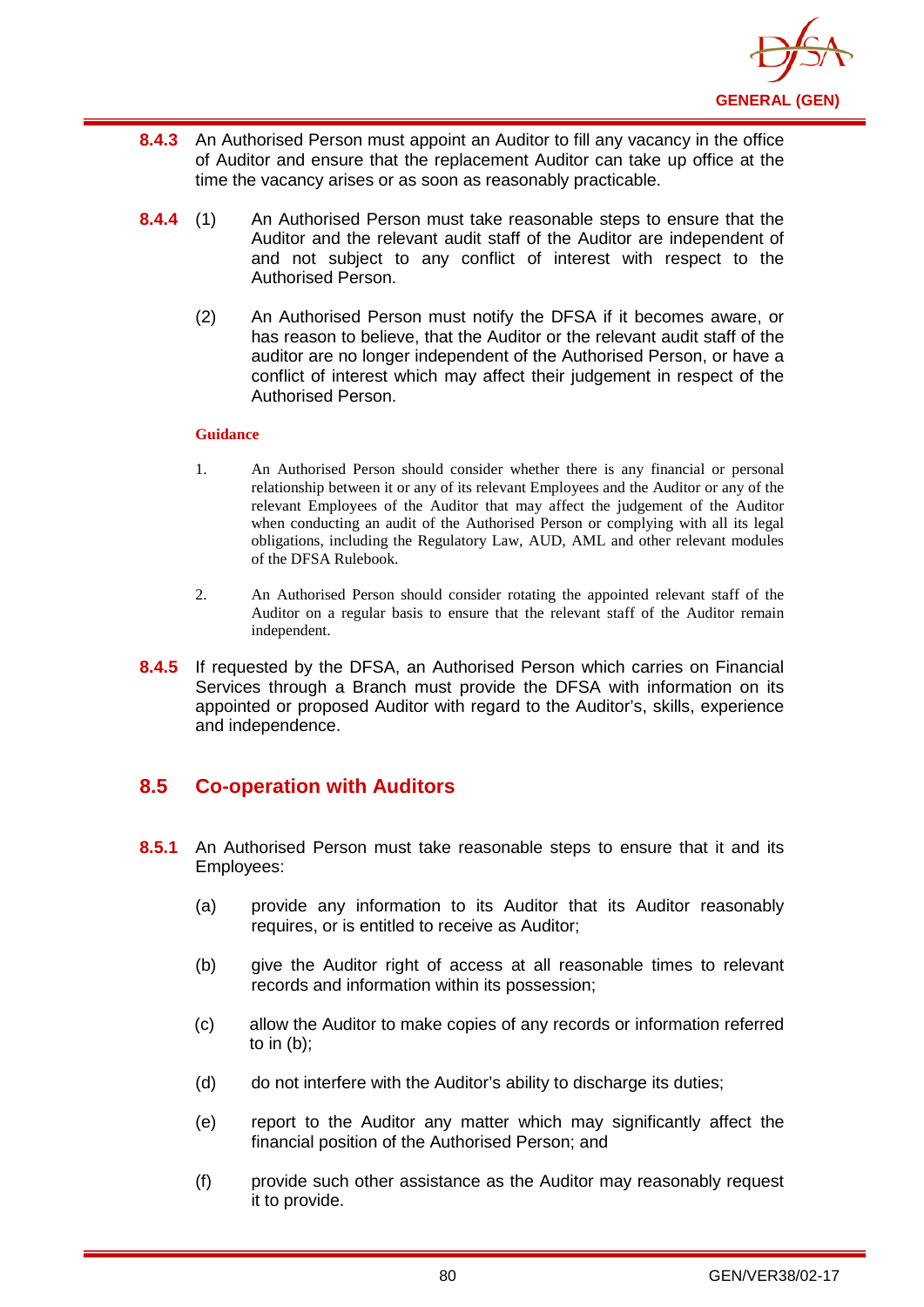

- **8.4.3** An Authorised Person must appoint an Auditor to fill any vacancy in the office of Auditor and ensure that the replacement Auditor can take up office at the time the vacancy arises or as soon as reasonably practicable.
- **8.4.4** (1) An Authorised Person must take reasonable steps to ensure that the Auditor and the relevant audit staff of the Auditor are independent of and not subject to any conflict of interest with respect to the Authorised Person.
	- (2) An Authorised Person must notify the DFSA if it becomes aware, or has reason to believe, that the Auditor or the relevant audit staff of the auditor are no longer independent of the Authorised Person, or have a conflict of interest which may affect their judgement in respect of the Authorised Person.

- 1. An Authorised Person should consider whether there is any financial or personal relationship between it or any of its relevant Employees and the Auditor or any of the relevant Employees of the Auditor that may affect the judgement of the Auditor when conducting an audit of the Authorised Person or complying with all its legal obligations, including the Regulatory Law, AUD, AML and other relevant modules of the DFSA Rulebook.
- 2. An Authorised Person should consider rotating the appointed relevant staff of the Auditor on a regular basis to ensure that the relevant staff of the Auditor remain independent.
- **8.4.5** If requested by the DFSA, an Authorised Person which carries on Financial Services through a Branch must provide the DFSA with information on its appointed or proposed Auditor with regard to the Auditor's, skills, experience and independence.

# **8.5 Co-operation with Auditors**

- **8.5.1** An Authorised Person must take reasonable steps to ensure that it and its Employees:
	- (a) provide any information to its Auditor that its Auditor reasonably requires, or is entitled to receive as Auditor;
	- (b) give the Auditor right of access at all reasonable times to relevant records and information within its possession;
	- (c) allow the Auditor to make copies of any records or information referred to in (b);
	- (d) do not interfere with the Auditor's ability to discharge its duties;
	- (e) report to the Auditor any matter which may significantly affect the financial position of the Authorised Person; and
	- (f) provide such other assistance as the Auditor may reasonably request it to provide.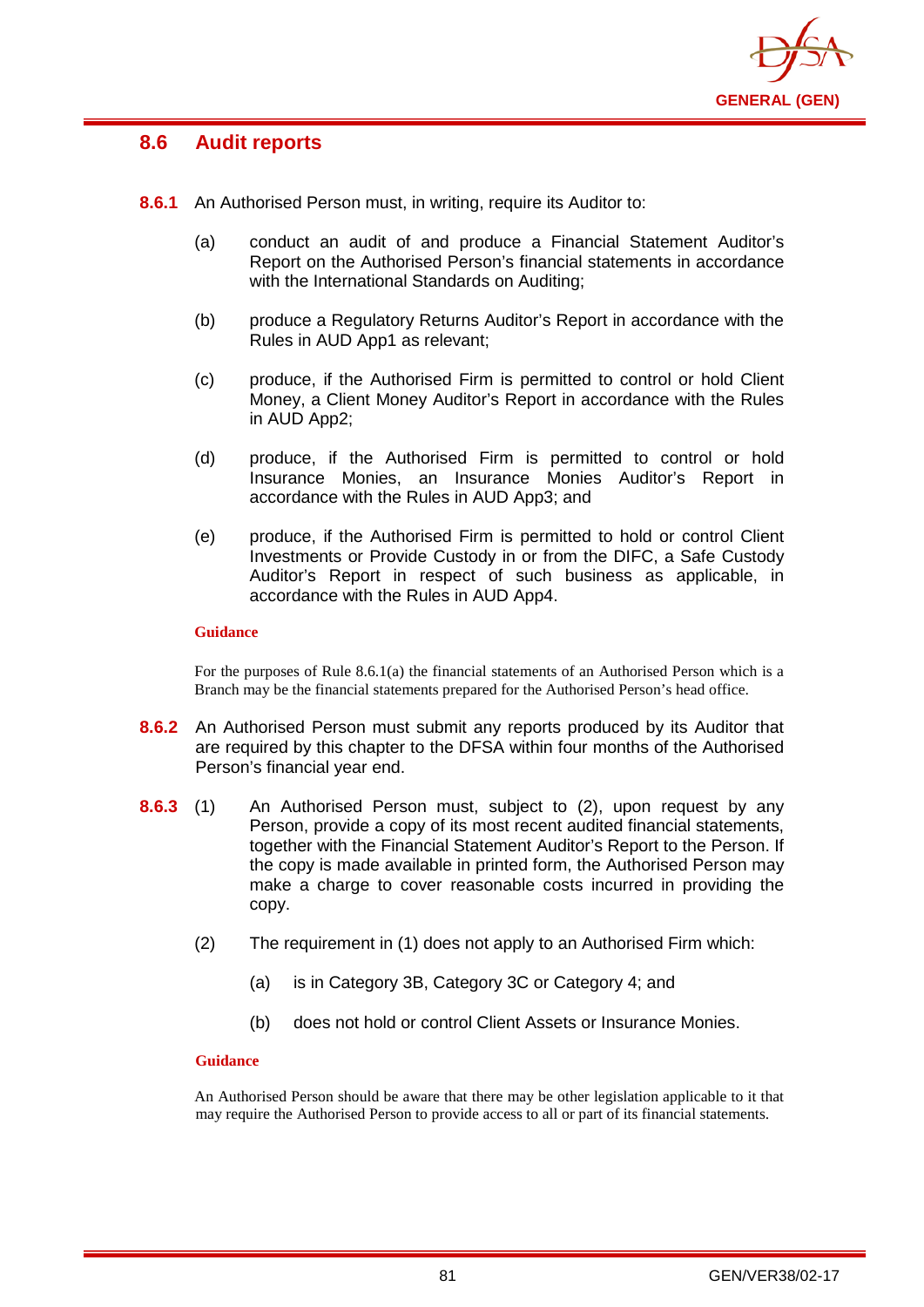

## **8.6 Audit reports**

- **8.6.1** An Authorised Person must, in writing, require its Auditor to:
	- (a) conduct an audit of and produce a Financial Statement Auditor's Report on the Authorised Person's financial statements in accordance with the International Standards on Auditing;
	- (b) produce a Regulatory Returns Auditor's Report in accordance with the Rules in AUD App1 as relevant;
	- (c) produce, if the Authorised Firm is permitted to control or hold Client Money, a Client Money Auditor's Report in accordance with the Rules in AUD App2;
	- (d) produce, if the Authorised Firm is permitted to control or hold Insurance Monies, an Insurance Monies Auditor's Report in accordance with the Rules in AUD App3; and
	- (e) produce, if the Authorised Firm is permitted to hold or control Client Investments or Provide Custody in or from the DIFC, a Safe Custody Auditor's Report in respect of such business as applicable, in accordance with the Rules in AUD App4.

#### **Guidance**

For the purposes of Rule 8.6.1(a) the financial statements of an Authorised Person which is a Branch may be the financial statements prepared for the Authorised Person's head office.

- **8.6.2** An Authorised Person must submit any reports produced by its Auditor that are required by this chapter to the DFSA within four months of the Authorised Person's financial year end.
- **8.6.3** (1) An Authorised Person must, subject to (2), upon request by any Person, provide a copy of its most recent audited financial statements, together with the Financial Statement Auditor's Report to the Person. If the copy is made available in printed form, the Authorised Person may make a charge to cover reasonable costs incurred in providing the copy.
	- (2) The requirement in (1) does not apply to an Authorised Firm which:
		- (a) is in Category 3B, Category 3C or Category 4; and
		- (b) does not hold or control Client Assets or Insurance Monies.

#### **Guidance**

An Authorised Person should be aware that there may be other legislation applicable to it that may require the Authorised Person to provide access to all or part of its financial statements.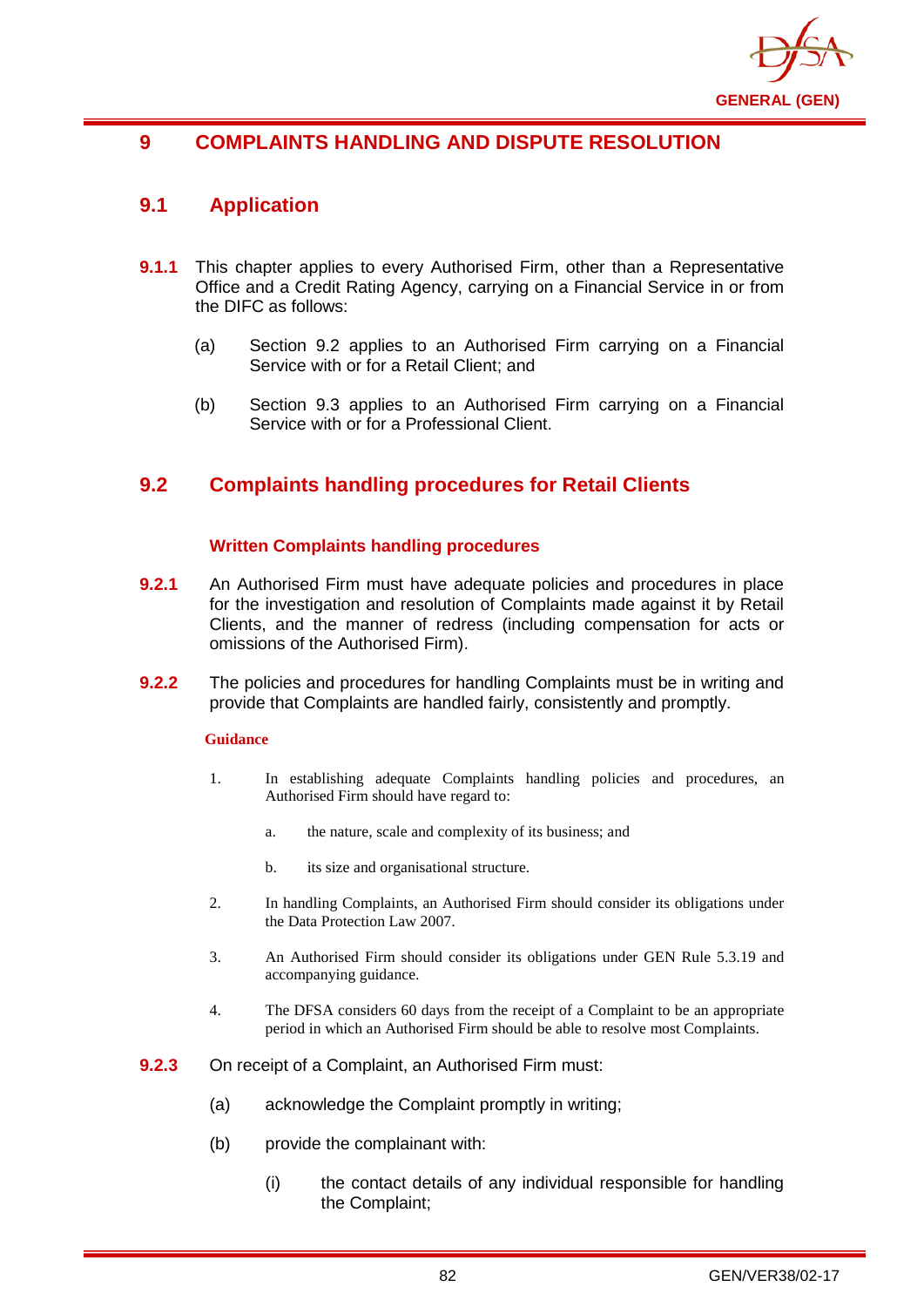

# **9 COMPLAINTS HANDLING AND DISPUTE RESOLUTION**

## **9.1 Application**

- **9.1.1** This chapter applies to every Authorised Firm, other than a Representative Office and a Credit Rating Agency, carrying on a Financial Service in or from the DIFC as follows:
	- (a) Section 9.2 applies to an Authorised Firm carrying on a Financial Service with or for a Retail Client; and
	- (b) Section 9.3 applies to an Authorised Firm carrying on a Financial Service with or for a Professional Client.

# **9.2 Complaints handling procedures for Retail Clients**

## **Written Complaints handling procedures**

- **9.2.1** An Authorised Firm must have adequate policies and procedures in place for the investigation and resolution of Complaints made against it by Retail Clients, and the manner of redress (including compensation for acts or omissions of the Authorised Firm).
- **9.2.2** The policies and procedures for handling Complaints must be in writing and provide that Complaints are handled fairly, consistently and promptly.

#### **Guidance**

- 1. In establishing adequate Complaints handling policies and procedures, an Authorised Firm should have regard to:
	- a. the nature, scale and complexity of its business; and
	- b. its size and organisational structure.
- 2. In handling Complaints, an Authorised Firm should consider its obligations under the Data Protection Law 2007.
- 3. An Authorised Firm should consider its obligations under GEN Rule 5.3.19 and accompanying guidance.
- 4. The DFSA considers 60 days from the receipt of a Complaint to be an appropriate period in which an Authorised Firm should be able to resolve most Complaints.
- **9.2.3** On receipt of a Complaint, an Authorised Firm must:
	- (a) acknowledge the Complaint promptly in writing;
	- (b) provide the complainant with:
		- (i) the contact details of any individual responsible for handling the Complaint;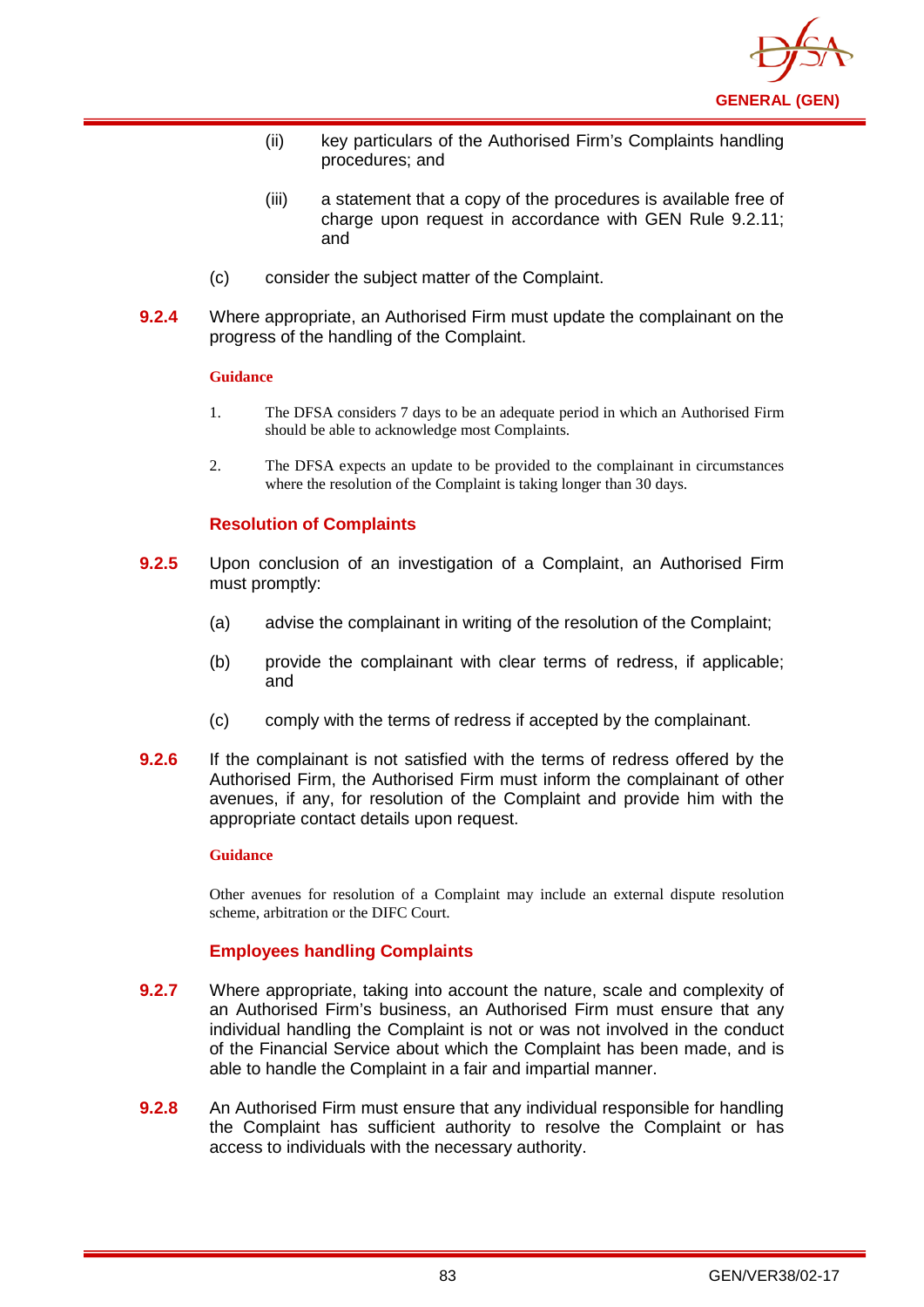

- (ii) key particulars of the Authorised Firm's Complaints handling procedures; and
- (iii) a statement that a copy of the procedures is available free of charge upon request in accordance with GEN Rule 9.2.11; and
- (c) consider the subject matter of the Complaint.
- **9.2.4** Where appropriate, an Authorised Firm must update the complainant on the progress of the handling of the Complaint.

- 1. The DFSA considers 7 days to be an adequate period in which an Authorised Firm should be able to acknowledge most Complaints.
- 2. The DFSA expects an update to be provided to the complainant in circumstances where the resolution of the Complaint is taking longer than 30 days.

### **Resolution of Complaints**

- **9.2.5** Upon conclusion of an investigation of a Complaint, an Authorised Firm must promptly:
	- (a) advise the complainant in writing of the resolution of the Complaint;
	- (b) provide the complainant with clear terms of redress, if applicable; and
	- (c) comply with the terms of redress if accepted by the complainant.
- **9.2.6** If the complainant is not satisfied with the terms of redress offered by the Authorised Firm, the Authorised Firm must inform the complainant of other avenues, if any, for resolution of the Complaint and provide him with the appropriate contact details upon request.

#### **Guidance**

Other avenues for resolution of a Complaint may include an external dispute resolution scheme, arbitration or the DIFC Court.

#### **Employees handling Complaints**

- **9.2.7** Where appropriate, taking into account the nature, scale and complexity of an Authorised Firm's business, an Authorised Firm must ensure that any individual handling the Complaint is not or was not involved in the conduct of the Financial Service about which the Complaint has been made, and is able to handle the Complaint in a fair and impartial manner.
- **9.2.8** An Authorised Firm must ensure that any individual responsible for handling the Complaint has sufficient authority to resolve the Complaint or has access to individuals with the necessary authority.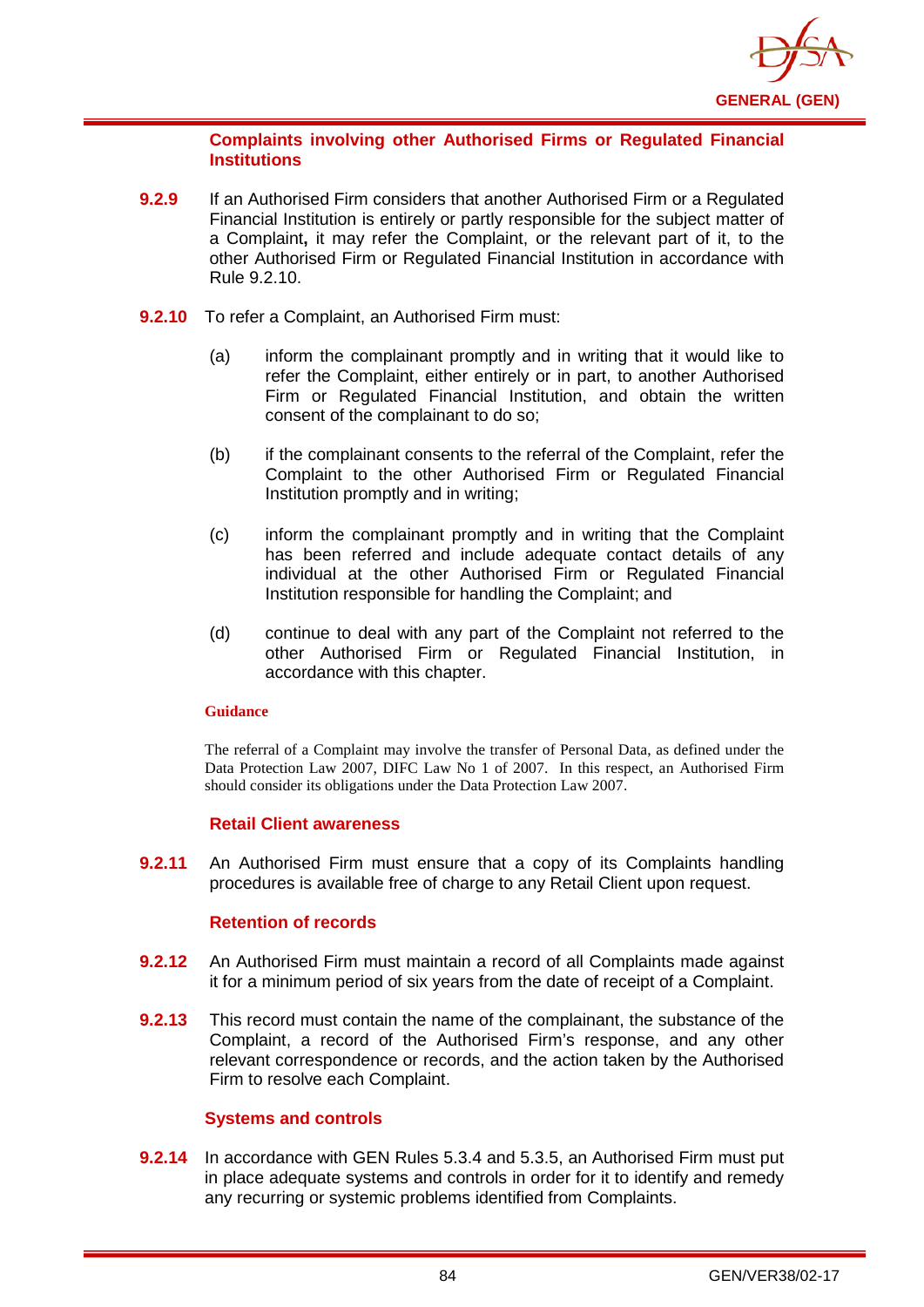

### **Complaints involving other Authorised Firms or Regulated Financial Institutions**

- **9.2.9** If an Authorised Firm considers that another Authorised Firm or a Regulated Financial Institution is entirely or partly responsible for the subject matter of a Complaint**,** it may refer the Complaint, or the relevant part of it, to the other Authorised Firm or Regulated Financial Institution in accordance with Rule 9.2.10.
- **9.2.10** To refer a Complaint, an Authorised Firm must:
	- (a) inform the complainant promptly and in writing that it would like to refer the Complaint, either entirely or in part, to another Authorised Firm or Regulated Financial Institution, and obtain the written consent of the complainant to do so;
	- (b) if the complainant consents to the referral of the Complaint, refer the Complaint to the other Authorised Firm or Regulated Financial Institution promptly and in writing;
	- (c) inform the complainant promptly and in writing that the Complaint has been referred and include adequate contact details of any individual at the other Authorised Firm or Regulated Financial Institution responsible for handling the Complaint; and
	- (d) continue to deal with any part of the Complaint not referred to the other Authorised Firm or Regulated Financial Institution, in accordance with this chapter.

#### **Guidance**

The referral of a Complaint may involve the transfer of Personal Data, as defined under the Data Protection Law 2007, DIFC Law No 1 of 2007. In this respect, an Authorised Firm should consider its obligations under the Data Protection Law 2007.

#### **Retail Client awareness**

**9.2.11** An Authorised Firm must ensure that a copy of its Complaints handling procedures is available free of charge to any Retail Client upon request.

## **Retention of records**

- **9.2.12** An Authorised Firm must maintain a record of all Complaints made against it for a minimum period of six years from the date of receipt of a Complaint.
- **9.2.13** This record must contain the name of the complainant, the substance of the Complaint, a record of the Authorised Firm's response, and any other relevant correspondence or records, and the action taken by the Authorised Firm to resolve each Complaint.

#### **Systems and controls**

**9.2.14** In accordance with GEN Rules 5.3.4 and 5.3.5, an Authorised Firm must put in place adequate systems and controls in order for it to identify and remedy any recurring or systemic problems identified from Complaints.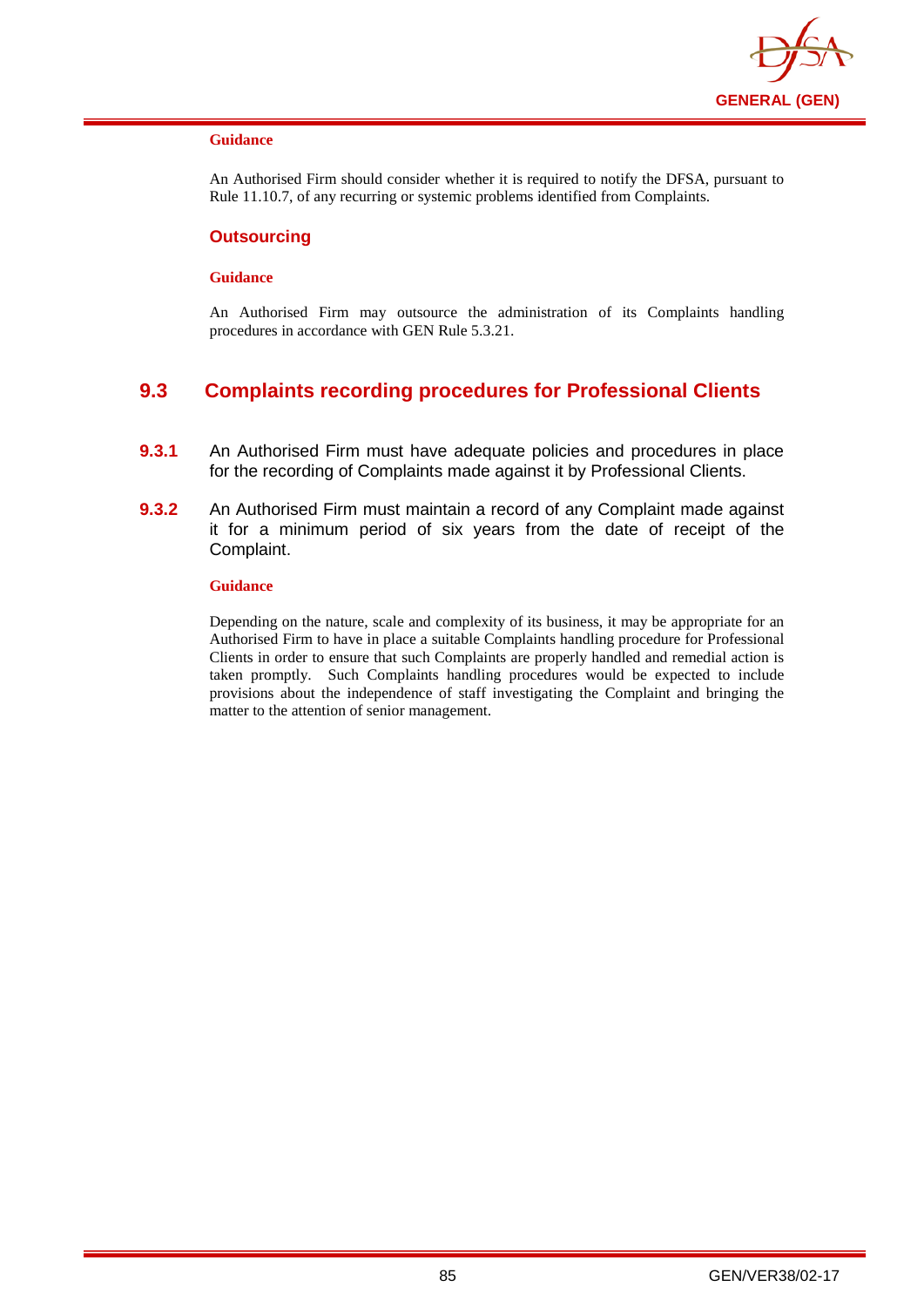

An Authorised Firm should consider whether it is required to notify the DFSA, pursuant to Rule 11.10.7, of any recurring or systemic problems identified from Complaints.

#### **Outsourcing**

#### **Guidance**

An Authorised Firm may outsource the administration of its Complaints handling procedures in accordance with GEN Rule 5.3.21.

## **9.3 Complaints recording procedures for Professional Clients**

- **9.3.1** An Authorised Firm must have adequate policies and procedures in place for the recording of Complaints made against it by Professional Clients.
- **9.3.2** An Authorised Firm must maintain a record of any Complaint made against it for a minimum period of six years from the date of receipt of the Complaint.

#### **Guidance**

Depending on the nature, scale and complexity of its business, it may be appropriate for an Authorised Firm to have in place a suitable Complaints handling procedure for Professional Clients in order to ensure that such Complaints are properly handled and remedial action is taken promptly. Such Complaints handling procedures would be expected to include provisions about the independence of staff investigating the Complaint and bringing the matter to the attention of senior management.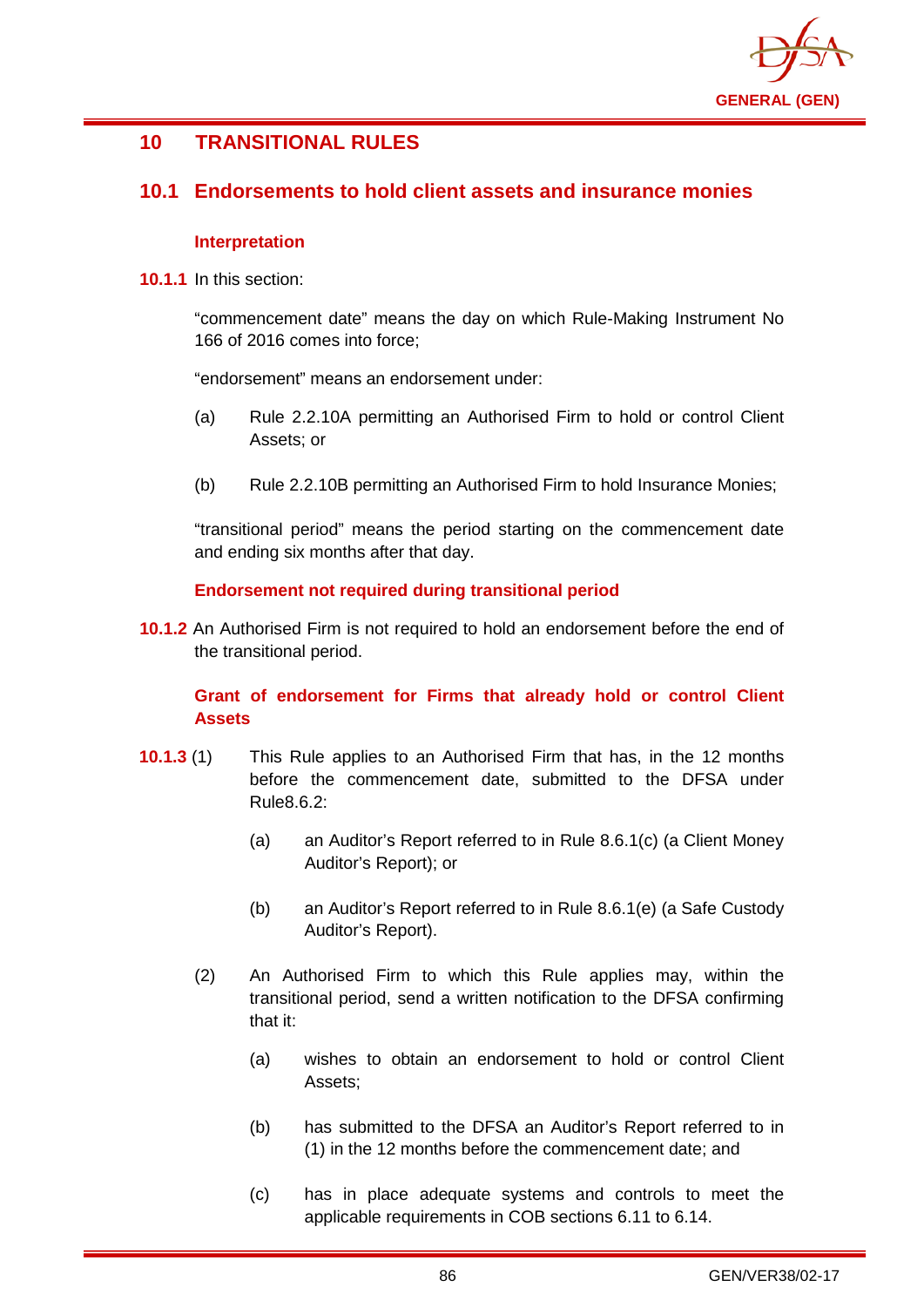

# **10 TRANSITIONAL RULES**

## **10.1 Endorsements to hold client assets and insurance monies**

### **Interpretation**

**10.1.1** In this section:

"commencement date" means the day on which Rule-Making Instrument No 166 of 2016 comes into force;

"endorsement" means an endorsement under:

- (a) Rule 2.2.10A permitting an Authorised Firm to hold or control Client Assets; or
- (b) Rule 2.2.10B permitting an Authorised Firm to hold Insurance Monies;

"transitional period" means the period starting on the commencement date and ending six months after that day.

### **Endorsement not required during transitional period**

**10.1.2** An Authorised Firm is not required to hold an endorsement before the end of the transitional period.

## **Grant of endorsement for Firms that already hold or control Client Assets**

- **10.1.3** (1) This Rule applies to an Authorised Firm that has, in the 12 months before the commencement date, submitted to the DFSA under Rule8.6.2:
	- (a) an Auditor's Report referred to in Rule 8.6.1(c) (a Client Money Auditor's Report); or
	- (b) an Auditor's Report referred to in Rule 8.6.1(e) (a Safe Custody Auditor's Report).
	- (2) An Authorised Firm to which this Rule applies may, within the transitional period, send a written notification to the DFSA confirming that it:
		- (a) wishes to obtain an endorsement to hold or control Client Assets;
		- (b) has submitted to the DFSA an Auditor's Report referred to in (1) in the 12 months before the commencement date; and
		- (c) has in place adequate systems and controls to meet the applicable requirements in COB sections 6.11 to 6.14.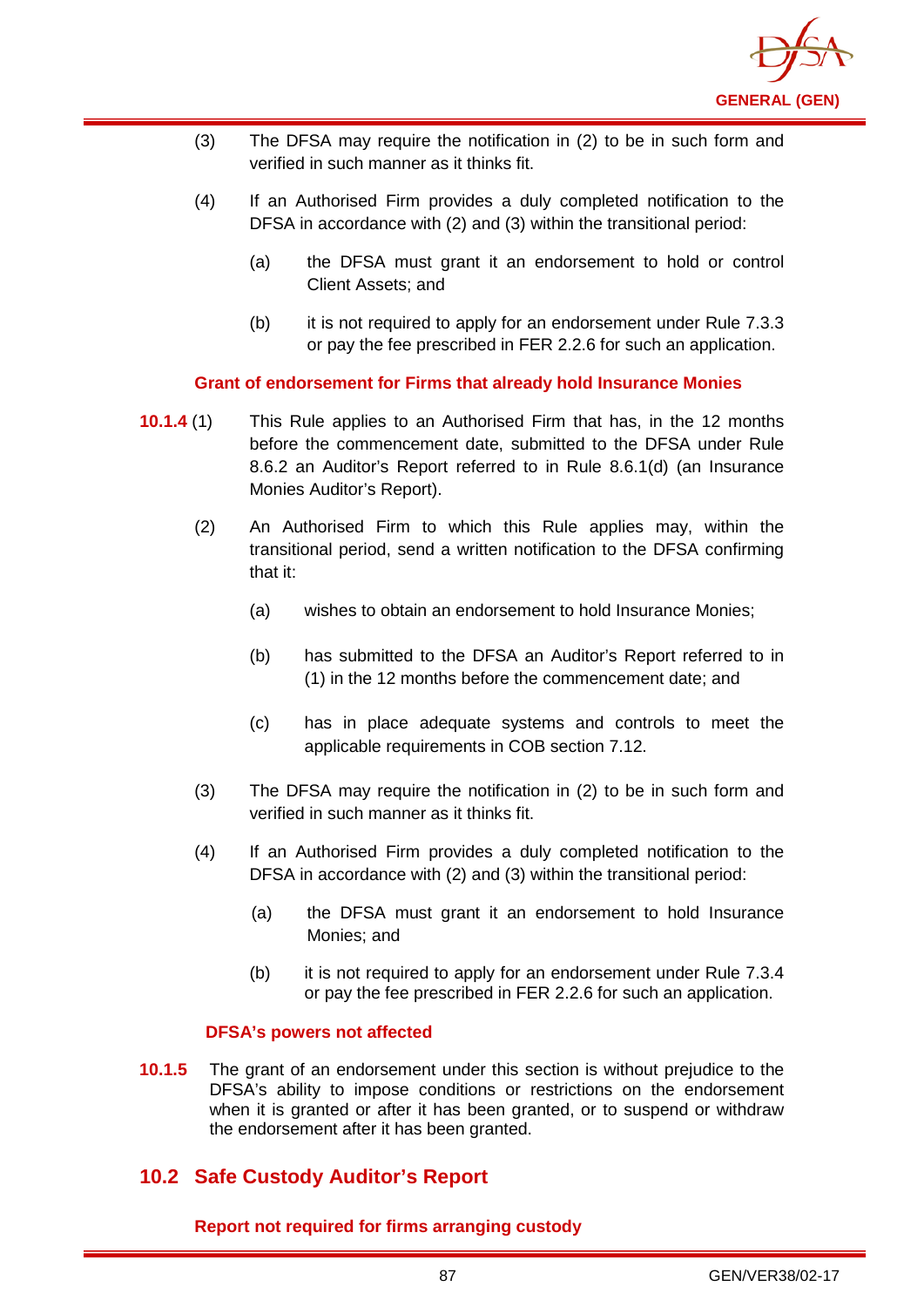

- (3) The DFSA may require the notification in (2) to be in such form and verified in such manner as it thinks fit.
- (4) If an Authorised Firm provides a duly completed notification to the DFSA in accordance with (2) and (3) within the transitional period:
	- (a) the DFSA must grant it an endorsement to hold or control Client Assets; and
	- (b) it is not required to apply for an endorsement under Rule 7.3.3 or pay the fee prescribed in FER 2.2.6 for such an application.

**Grant of endorsement for Firms that already hold Insurance Monies**

- **10.1.4** (1) This Rule applies to an Authorised Firm that has, in the 12 months before the commencement date, submitted to the DFSA under Rule 8.6.2 an Auditor's Report referred to in Rule 8.6.1(d) (an Insurance Monies Auditor's Report).
	- (2) An Authorised Firm to which this Rule applies may, within the transitional period, send a written notification to the DFSA confirming that it:
		- (a) wishes to obtain an endorsement to hold Insurance Monies;
		- (b) has submitted to the DFSA an Auditor's Report referred to in (1) in the 12 months before the commencement date; and
		- (c) has in place adequate systems and controls to meet the applicable requirements in COB section 7.12.
	- (3) The DFSA may require the notification in (2) to be in such form and verified in such manner as it thinks fit.
	- (4) If an Authorised Firm provides a duly completed notification to the DFSA in accordance with (2) and (3) within the transitional period:
		- (a) the DFSA must grant it an endorsement to hold Insurance Monies; and
		- (b) it is not required to apply for an endorsement under Rule 7.3.4 or pay the fee prescribed in FER 2.2.6 for such an application.

## **DFSA's powers not affected**

**10.1.5** The grant of an endorsement under this section is without prejudice to the DFSA's ability to impose conditions or restrictions on the endorsement when it is granted or after it has been granted, or to suspend or withdraw the endorsement after it has been granted.

# **10.2 Safe Custody Auditor's Report**

**Report not required for firms arranging custody**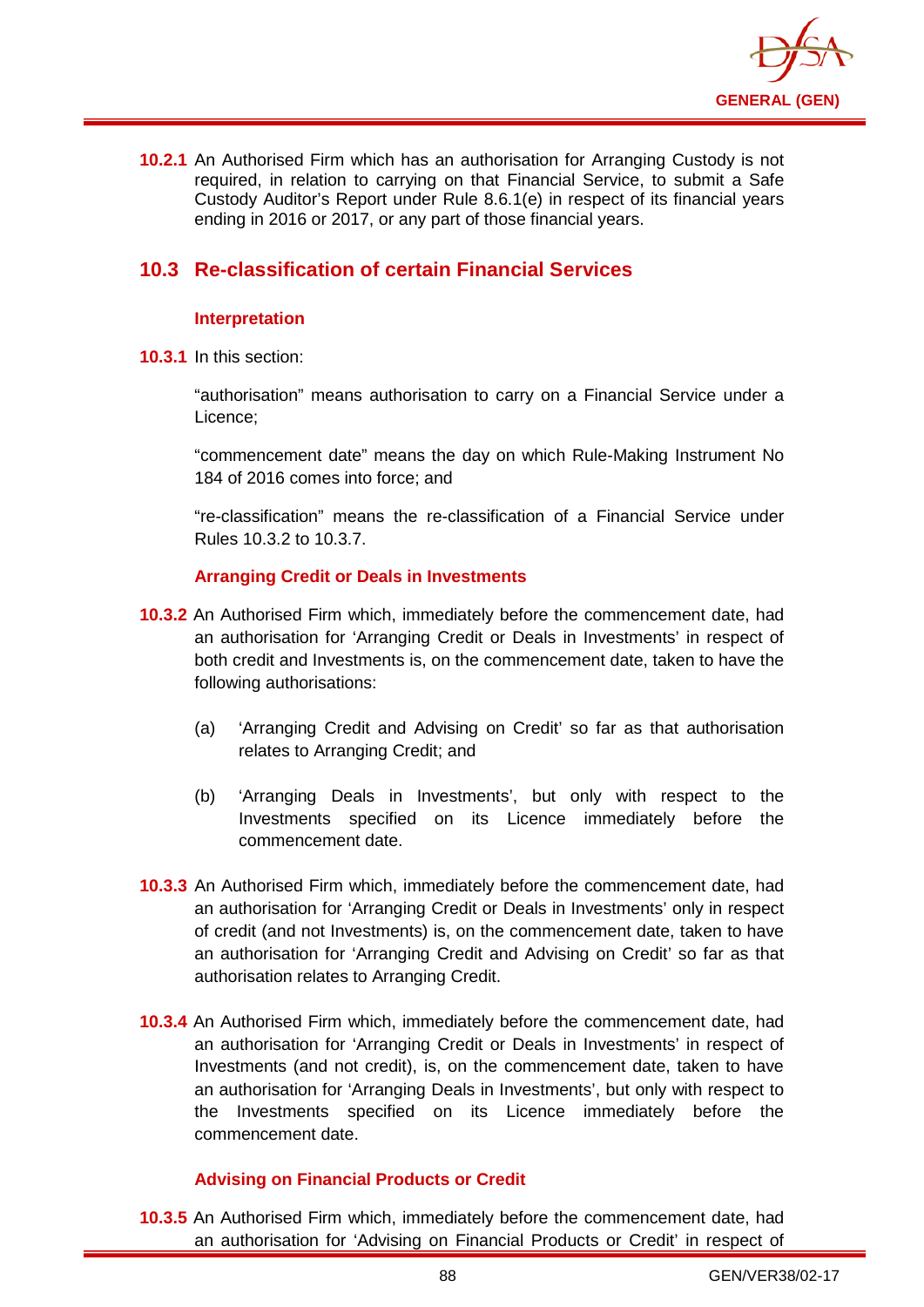

**10.2.1** An Authorised Firm which has an authorisation for Arranging Custody is not required, in relation to carrying on that Financial Service, to submit a Safe Custody Auditor's Report under Rule 8.6.1(e) in respect of its financial years ending in 2016 or 2017, or any part of those financial years.

# **10.3 Re-classification of certain Financial Services**

## **Interpretation**

**10.3.1** In this section:

"authorisation" means authorisation to carry on a Financial Service under a Licence;

"commencement date" means the day on which Rule-Making Instrument No 184 of 2016 comes into force; and

"re-classification" means the re-classification of a Financial Service under Rules 10.3.2 to 10.3.7.

## **Arranging Credit or Deals in Investments**

- **10.3.2** An Authorised Firm which, immediately before the commencement date, had an authorisation for 'Arranging Credit or Deals in Investments' in respect of both credit and Investments is, on the commencement date, taken to have the following authorisations:
	- (a) 'Arranging Credit and Advising on Credit' so far as that authorisation relates to Arranging Credit; and
	- (b) 'Arranging Deals in Investments', but only with respect to the Investments specified on its Licence immediately before the commencement date.
- **10.3.3** An Authorised Firm which, immediately before the commencement date, had an authorisation for 'Arranging Credit or Deals in Investments' only in respect of credit (and not Investments) is, on the commencement date, taken to have an authorisation for 'Arranging Credit and Advising on Credit' so far as that authorisation relates to Arranging Credit.
- **10.3.4** An Authorised Firm which, immediately before the commencement date, had an authorisation for 'Arranging Credit or Deals in Investments' in respect of Investments (and not credit), is, on the commencement date, taken to have an authorisation for 'Arranging Deals in Investments', but only with respect to the Investments specified on its Licence immediately before the commencement date.

## **Advising on Financial Products or Credit**

**10.3.5** An Authorised Firm which, immediately before the commencement date, had an authorisation for 'Advising on Financial Products or Credit' in respect of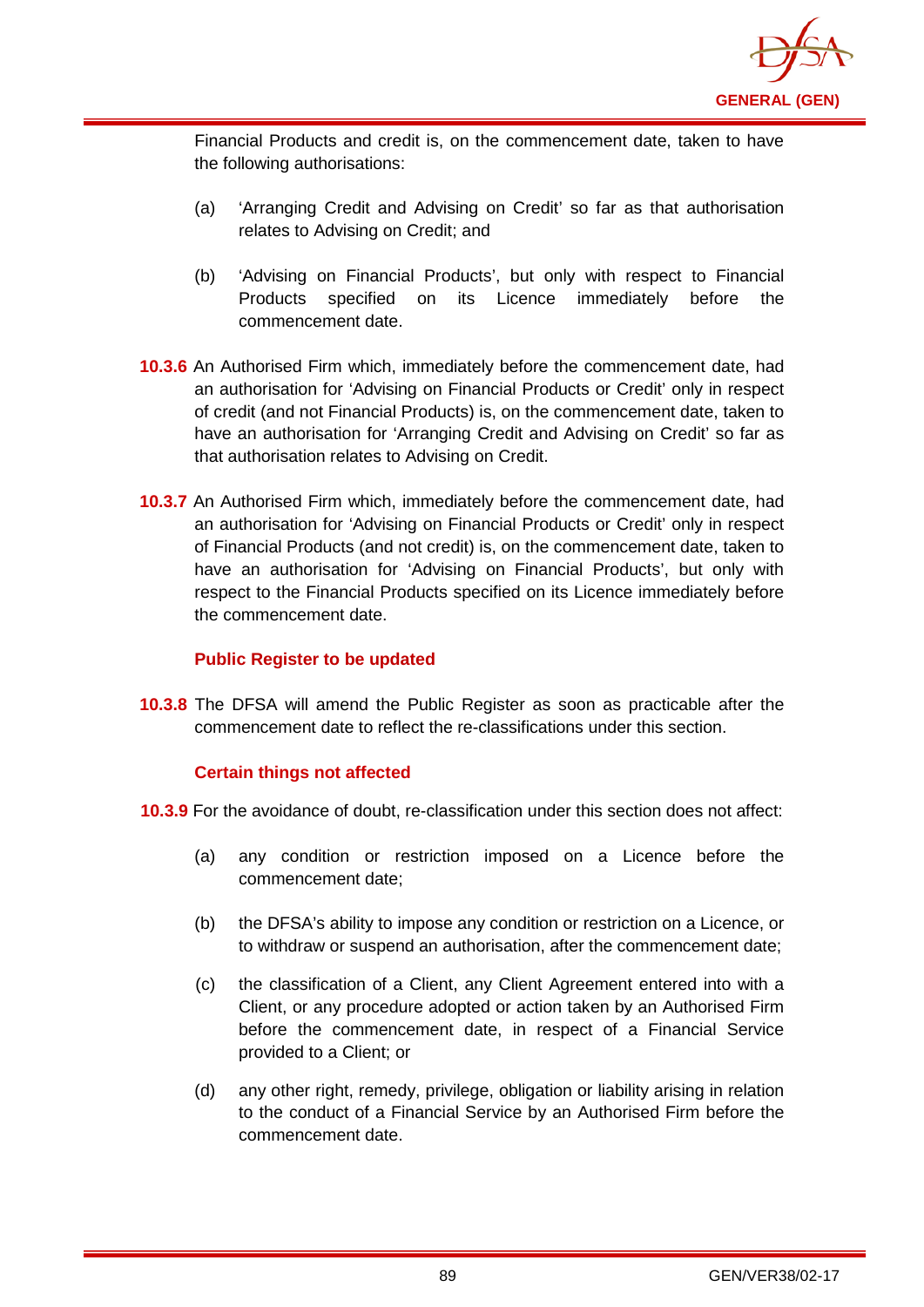

Financial Products and credit is, on the commencement date, taken to have the following authorisations:

- (a) 'Arranging Credit and Advising on Credit' so far as that authorisation relates to Advising on Credit; and
- (b) 'Advising on Financial Products', but only with respect to Financial Products specified on its Licence immediately before the commencement date.
- **10.3.6** An Authorised Firm which, immediately before the commencement date, had an authorisation for 'Advising on Financial Products or Credit' only in respect of credit (and not Financial Products) is, on the commencement date, taken to have an authorisation for 'Arranging Credit and Advising on Credit' so far as that authorisation relates to Advising on Credit.
- **10.3.7** An Authorised Firm which, immediately before the commencement date, had an authorisation for 'Advising on Financial Products or Credit' only in respect of Financial Products (and not credit) is, on the commencement date, taken to have an authorisation for 'Advising on Financial Products', but only with respect to the Financial Products specified on its Licence immediately before the commencement date.

## **Public Register to be updated**

**10.3.8** The DFSA will amend the Public Register as soon as practicable after the commencement date to reflect the re-classifications under this section.

## **Certain things not affected**

- **10.3.9** For the avoidance of doubt, re-classification under this section does not affect:
	- (a) any condition or restriction imposed on a Licence before the commencement date;
	- (b) the DFSA's ability to impose any condition or restriction on a Licence, or to withdraw or suspend an authorisation, after the commencement date;
	- (c) the classification of a Client, any Client Agreement entered into with a Client, or any procedure adopted or action taken by an Authorised Firm before the commencement date, in respect of a Financial Service provided to a Client; or
	- (d) any other right, remedy, privilege, obligation or liability arising in relation to the conduct of a Financial Service by an Authorised Firm before the commencement date.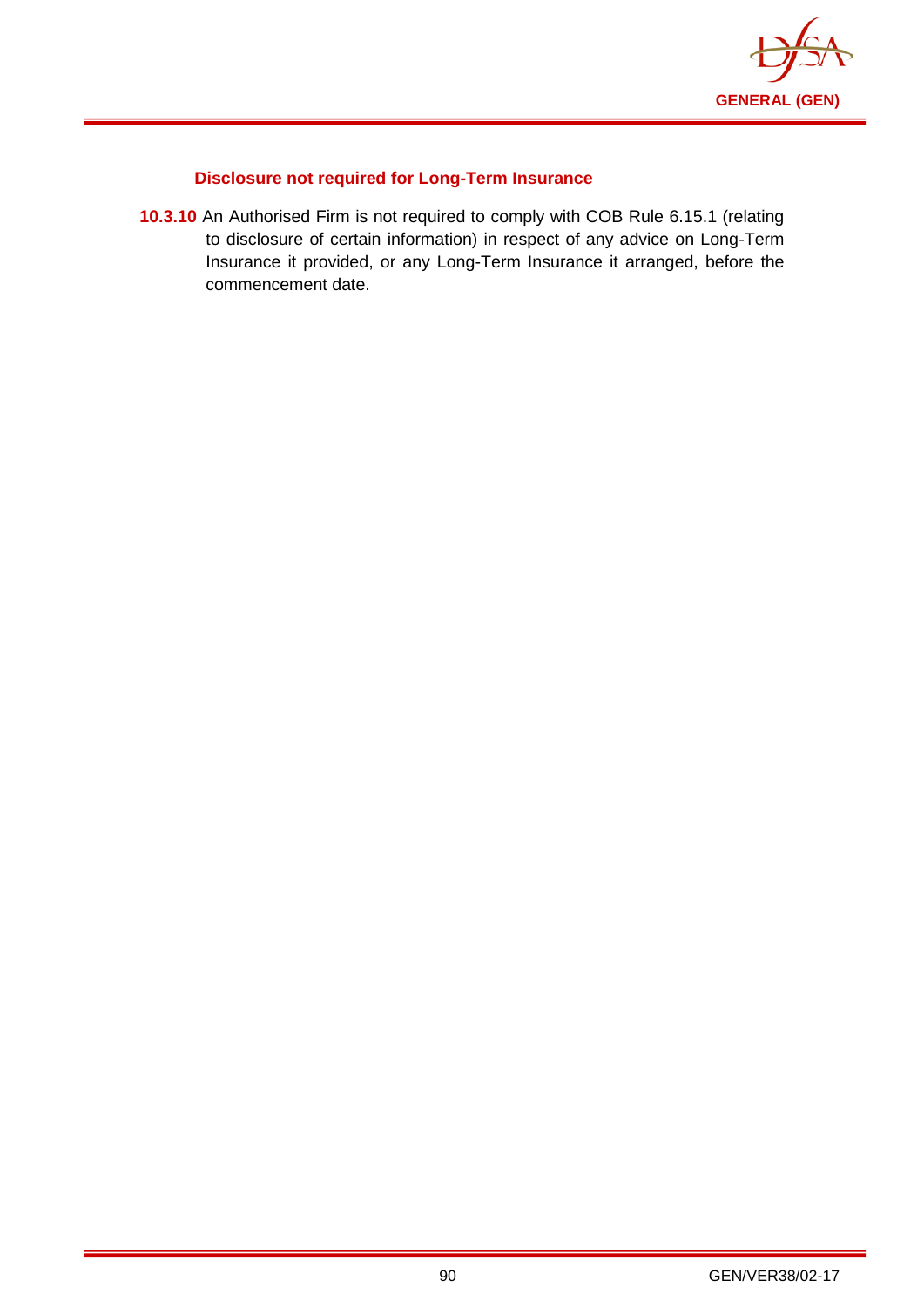

# **Disclosure not required for Long-Term Insurance**

**10.3.10** An Authorised Firm is not required to comply with COB Rule 6.15.1 (relating to disclosure of certain information) in respect of any advice on Long-Term Insurance it provided, or any Long-Term Insurance it arranged, before the commencement date.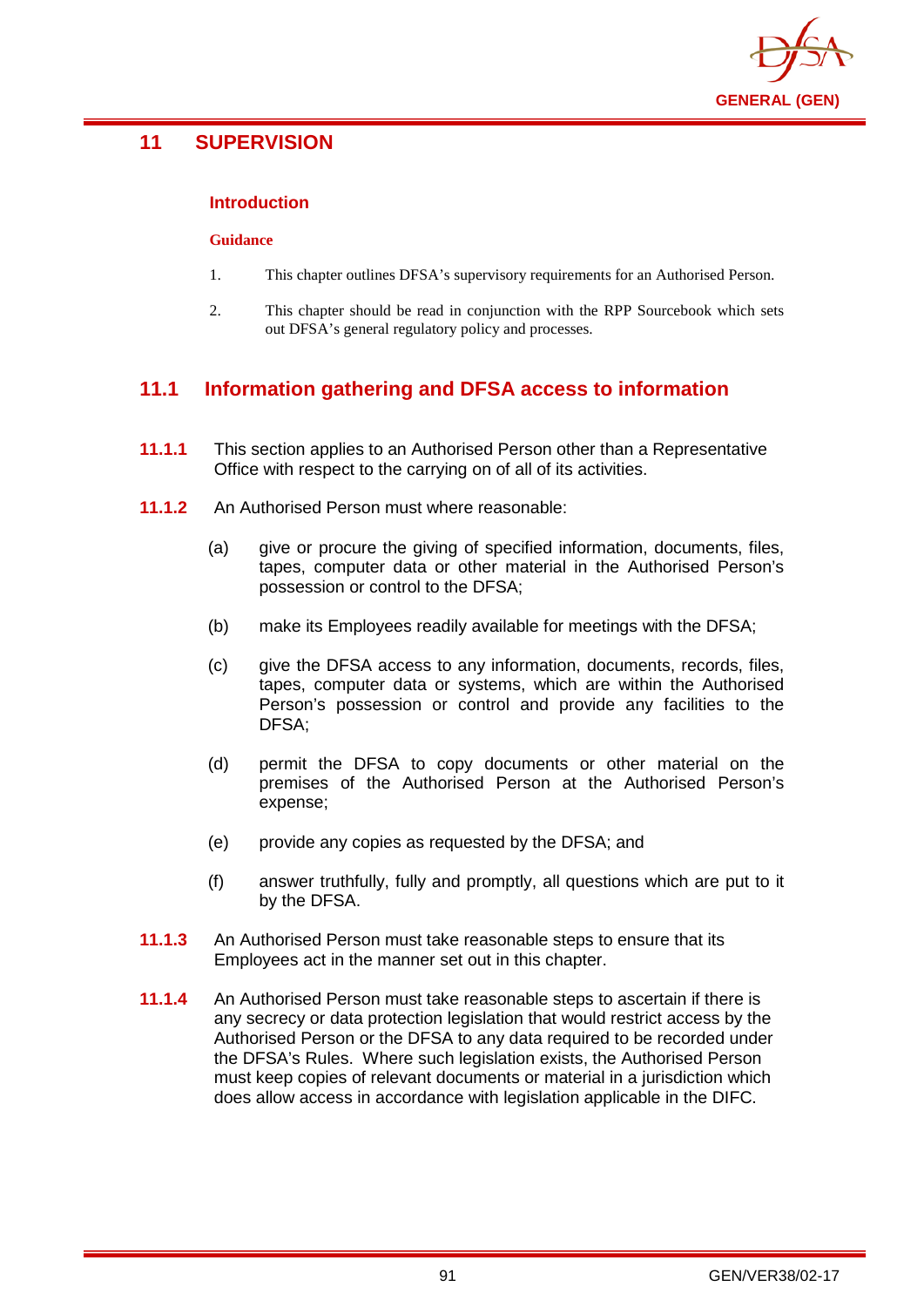

# **11 SUPERVISION**

## **Introduction**

#### **Guidance**

- 1. This chapter outlines DFSA's supervisory requirements for an Authorised Person.
- 2. This chapter should be read in conjunction with the RPP Sourcebook which sets out DFSA's general regulatory policy and processes.

# **11.1 Information gathering and DFSA access to information**

- **11.1.1** This section applies to an Authorised Person other than a Representative Office with respect to the carrying on of all of its activities.
- **11.1.2** An Authorised Person must where reasonable:
	- (a) give or procure the giving of specified information, documents, files, tapes, computer data or other material in the Authorised Person's possession or control to the DFSA;
	- (b) make its Employees readily available for meetings with the DFSA;
	- (c) give the DFSA access to any information, documents, records, files, tapes, computer data or systems, which are within the Authorised Person's possession or control and provide any facilities to the DFSA;
	- (d) permit the DFSA to copy documents or other material on the premises of the Authorised Person at the Authorised Person's expense;
	- (e) provide any copies as requested by the DFSA; and
	- (f) answer truthfully, fully and promptly, all questions which are put to it by the DFSA.
- **11.1.3** An Authorised Person must take reasonable steps to ensure that its Employees act in the manner set out in this chapter.
- **11.1.4** An Authorised Person must take reasonable steps to ascertain if there is any secrecy or data protection legislation that would restrict access by the Authorised Person or the DFSA to any data required to be recorded under the DFSA's Rules. Where such legislation exists, the Authorised Person must keep copies of relevant documents or material in a jurisdiction which does allow access in accordance with legislation applicable in the DIFC.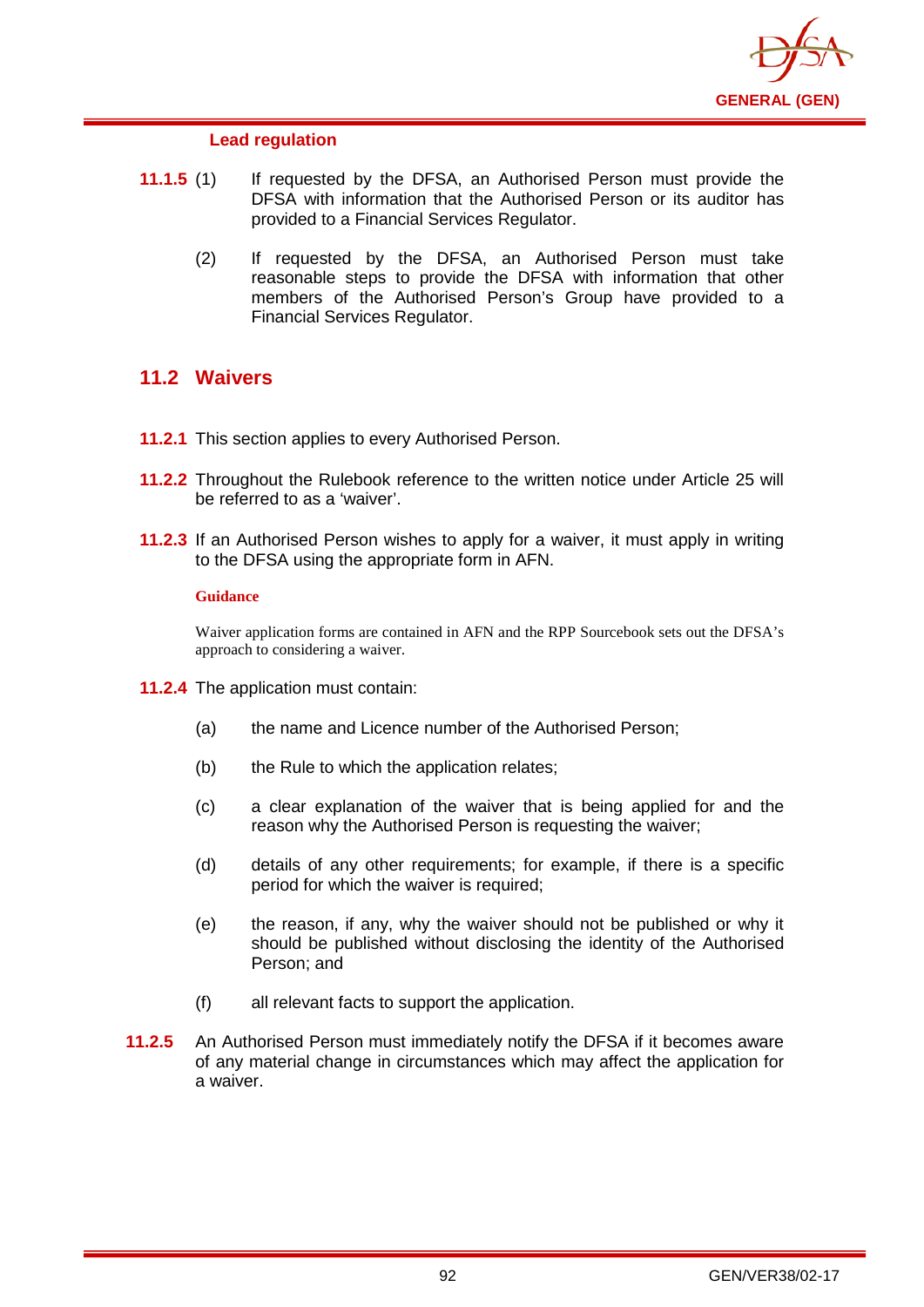

### **Lead regulation**

- **11.1.5** (1) If requested by the DFSA, an Authorised Person must provide the DFSA with information that the Authorised Person or its auditor has provided to a Financial Services Regulator.
	- (2) If requested by the DFSA, an Authorised Person must take reasonable steps to provide the DFSA with information that other members of the Authorised Person's Group have provided to a Financial Services Regulator.

## **11.2 Waivers**

- **11.2.1** This section applies to every Authorised Person.
- **11.2.2** Throughout the Rulebook reference to the written notice under Article 25 will be referred to as a 'waiver'.
- **11.2.3** If an Authorised Person wishes to apply for a waiver, it must apply in writing to the DFSA using the appropriate form in AFN.

#### **Guidance**

Waiver application forms are contained in AFN and the RPP Sourcebook sets out the DFSA's approach to considering a waiver.

- **11.2.4** The application must contain:
	- (a) the name and Licence number of the Authorised Person;
	- (b) the Rule to which the application relates;
	- (c) a clear explanation of the waiver that is being applied for and the reason why the Authorised Person is requesting the waiver;
	- (d) details of any other requirements; for example, if there is a specific period for which the waiver is required;
	- (e) the reason, if any, why the waiver should not be published or why it should be published without disclosing the identity of the Authorised Person; and
	- (f) all relevant facts to support the application.
- **11.2.5** An Authorised Person must immediately notify the DFSA if it becomes aware of any material change in circumstances which may affect the application for a waiver.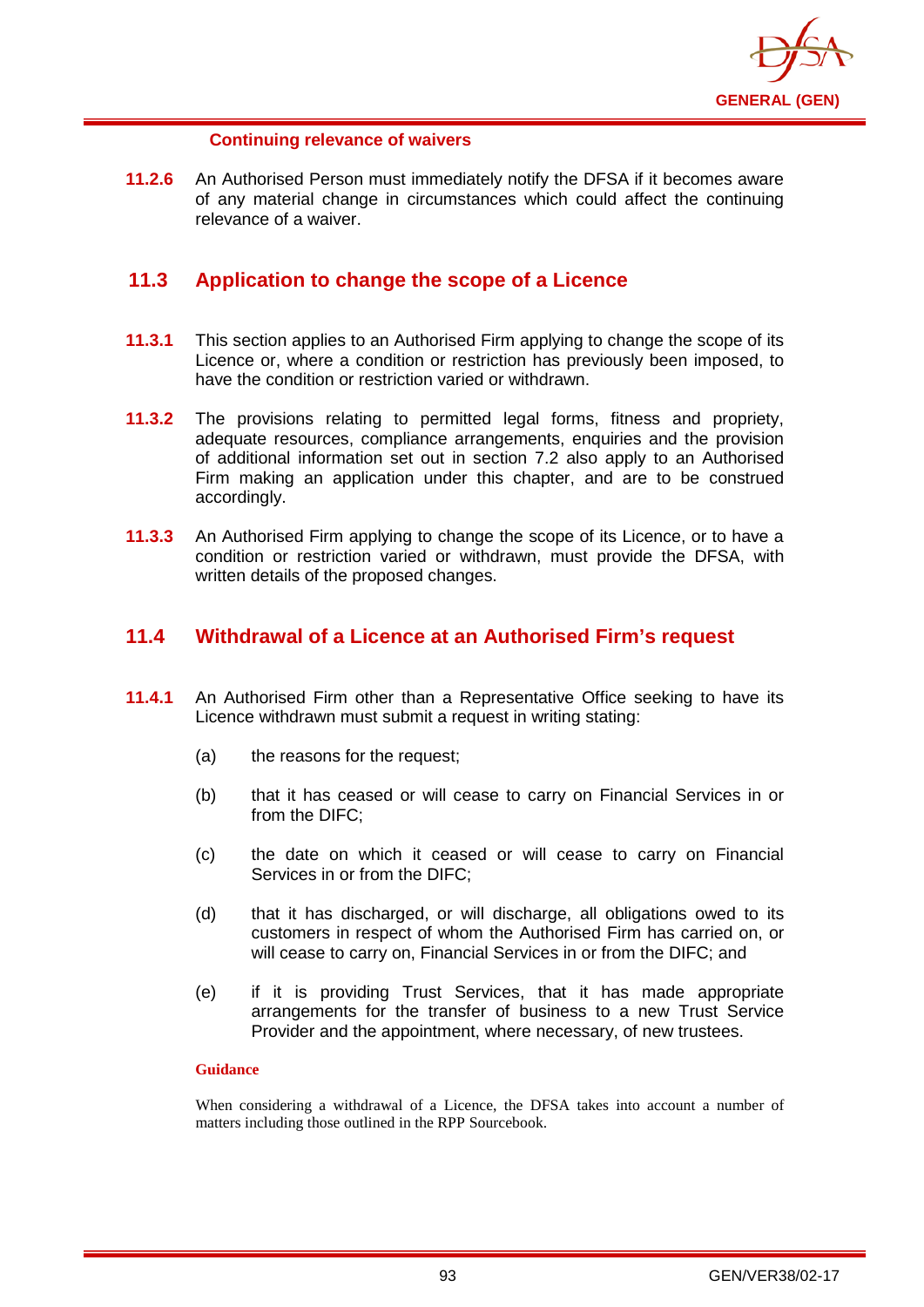

### **Continuing relevance of waivers**

**11.2.6** An Authorised Person must immediately notify the DFSA if it becomes aware of any material change in circumstances which could affect the continuing relevance of a waiver.

## **11.3 Application to change the scope of a Licence**

- **11.3.1** This section applies to an Authorised Firm applying to change the scope of its Licence or, where a condition or restriction has previously been imposed, to have the condition or restriction varied or withdrawn.
- **11.3.2** The provisions relating to permitted legal forms, fitness and propriety, adequate resources, compliance arrangements, enquiries and the provision of additional information set out in section 7.2 also apply to an Authorised Firm making an application under this chapter, and are to be construed accordingly.
- **11.3.3** An Authorised Firm applying to change the scope of its Licence, or to have a condition or restriction varied or withdrawn, must provide the DFSA, with written details of the proposed changes.

## **11.4 Withdrawal of a Licence at an Authorised Firm's request**

- **11.4.1** An Authorised Firm other than a Representative Office seeking to have its Licence withdrawn must submit a request in writing stating:
	- (a) the reasons for the request;
	- (b) that it has ceased or will cease to carry on Financial Services in or from the DIFC;
	- (c) the date on which it ceased or will cease to carry on Financial Services in or from the DIFC;
	- (d) that it has discharged, or will discharge, all obligations owed to its customers in respect of whom the Authorised Firm has carried on, or will cease to carry on, Financial Services in or from the DIFC; and
	- (e) if it is providing Trust Services, that it has made appropriate arrangements for the transfer of business to a new Trust Service Provider and the appointment, where necessary, of new trustees.

#### **Guidance**

When considering a withdrawal of a Licence, the DFSA takes into account a number of matters including those outlined in the RPP Sourcebook.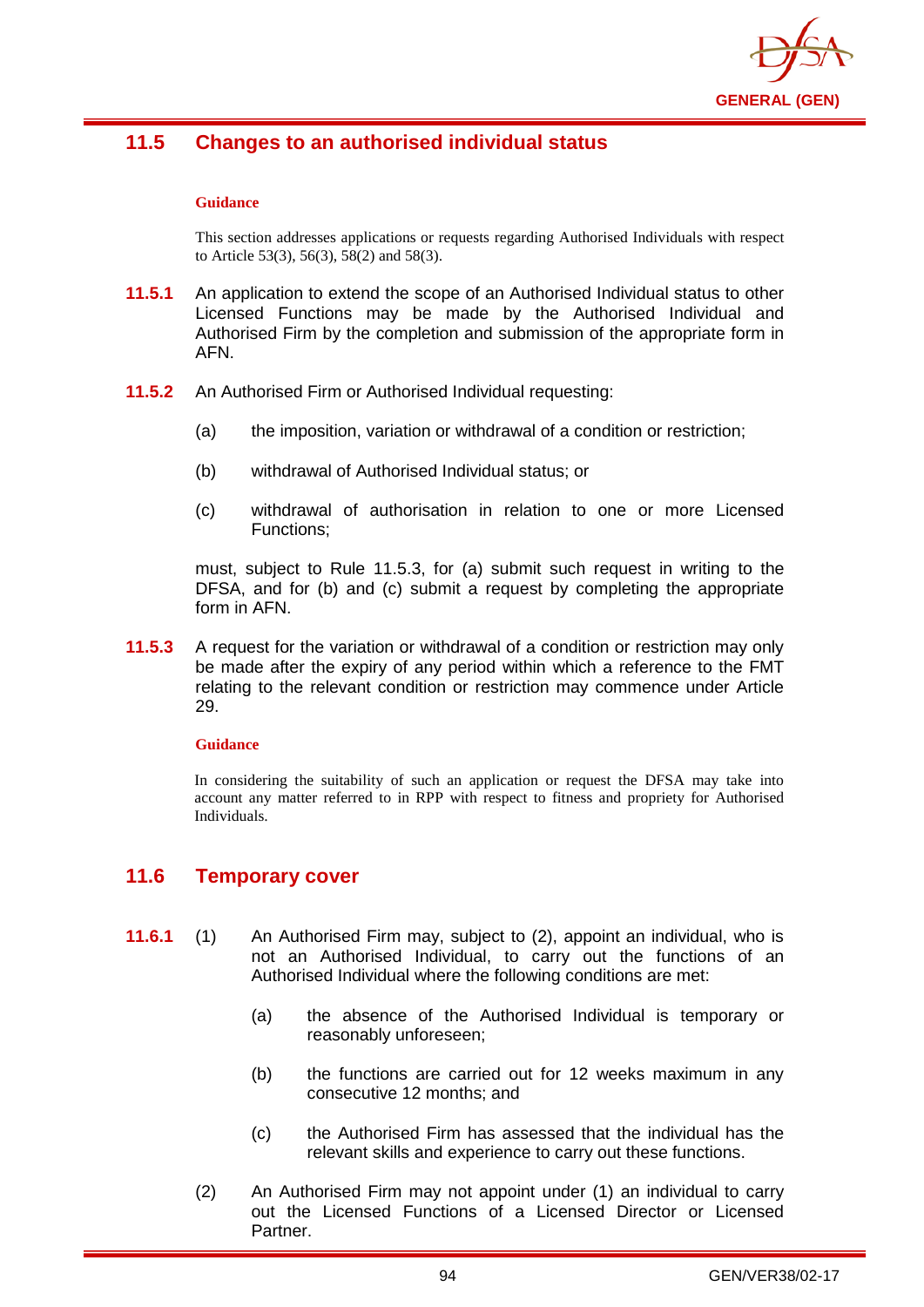

# **11.5 Changes to an authorised individual status**

#### **Guidance**

This section addresses applications or requests regarding Authorised Individuals with respect to Article 53(3), 56(3), 58(2) and 58(3).

- **11.5.1** An application to extend the scope of an Authorised Individual status to other Licensed Functions may be made by the Authorised Individual and Authorised Firm by the completion and submission of the appropriate form in AFN.
- **11.5.2** An Authorised Firm or Authorised Individual requesting:
	- (a) the imposition, variation or withdrawal of a condition or restriction;
	- (b) withdrawal of Authorised Individual status; or
	- (c) withdrawal of authorisation in relation to one or more Licensed Functions;

must, subject to Rule 11.5.3, for (a) submit such request in writing to the DFSA, and for (b) and (c) submit a request by completing the appropriate form in AFN.

**11.5.3** A request for the variation or withdrawal of a condition or restriction may only be made after the expiry of any period within which a reference to the FMT relating to the relevant condition or restriction may commence under Article 29.

#### **Guidance**

In considering the suitability of such an application or request the DFSA may take into account any matter referred to in RPP with respect to fitness and propriety for Authorised Individuals.

## **11.6 Temporary cover**

- **11.6.1** (1) An Authorised Firm may, subject to (2), appoint an individual, who is not an Authorised Individual, to carry out the functions of an Authorised Individual where the following conditions are met:
	- (a) the absence of the Authorised Individual is temporary or reasonably unforeseen;
	- (b) the functions are carried out for 12 weeks maximum in any consecutive 12 months; and
	- (c) the Authorised Firm has assessed that the individual has the relevant skills and experience to carry out these functions.
	- (2) An Authorised Firm may not appoint under (1) an individual to carry out the Licensed Functions of a Licensed Director or Licensed Partner.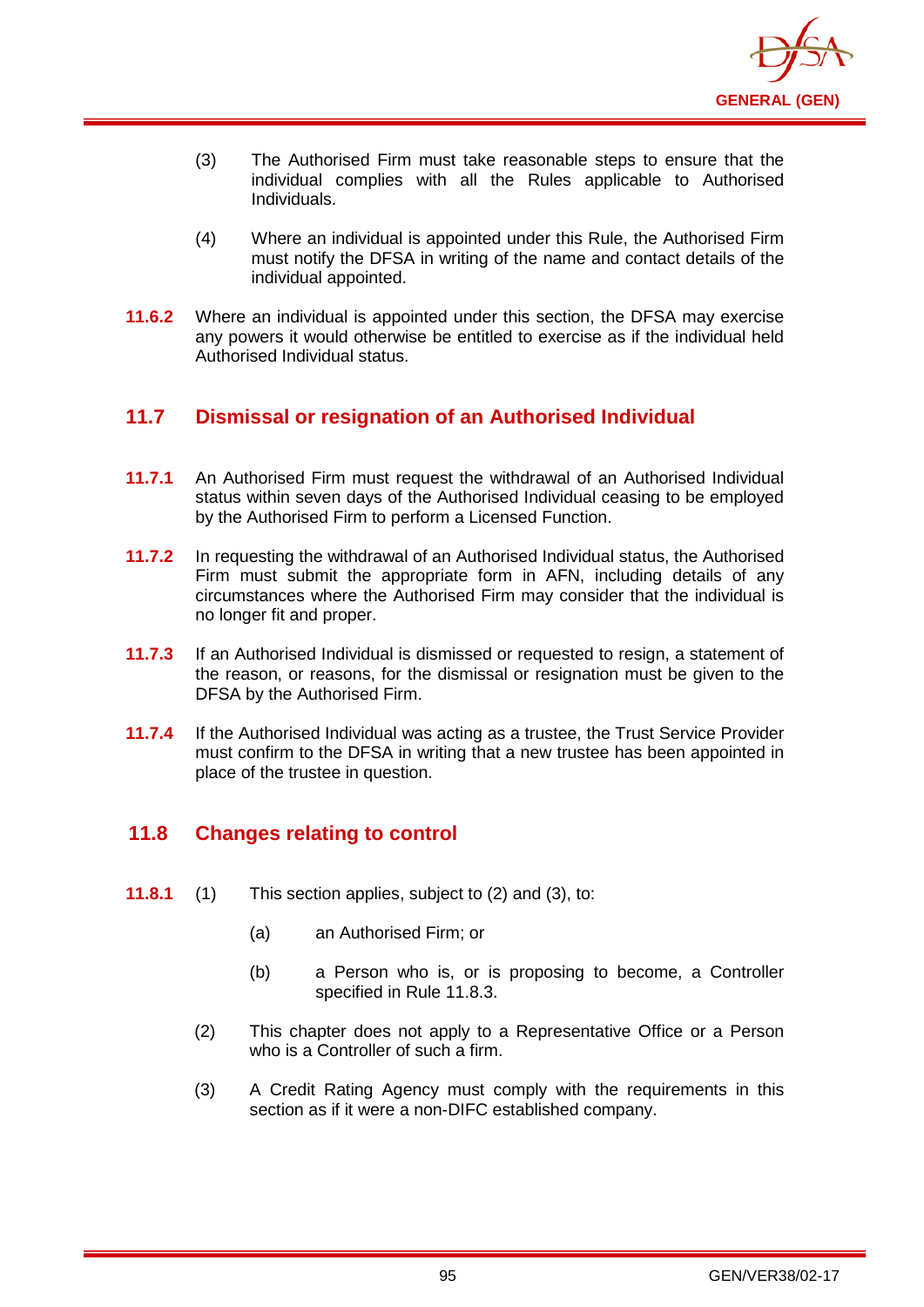

- (3) The Authorised Firm must take reasonable steps to ensure that the individual complies with all the Rules applicable to Authorised Individuals.
- (4) Where an individual is appointed under this Rule, the Authorised Firm must notify the DFSA in writing of the name and contact details of the individual appointed.
- **11.6.2** Where an individual is appointed under this section, the DFSA may exercise any powers it would otherwise be entitled to exercise as if the individual held Authorised Individual status.

# **11.7 Dismissal or resignation of an Authorised Individual**

- **11.7.1** An Authorised Firm must request the withdrawal of an Authorised Individual status within seven days of the Authorised Individual ceasing to be employed by the Authorised Firm to perform a Licensed Function.
- **11.7.2** In requesting the withdrawal of an Authorised Individual status, the Authorised Firm must submit the appropriate form in AFN, including details of any circumstances where the Authorised Firm may consider that the individual is no longer fit and proper.
- **11.7.3** If an Authorised Individual is dismissed or requested to resign, a statement of the reason, or reasons, for the dismissal or resignation must be given to the DFSA by the Authorised Firm.
- **11.7.4** If the Authorised Individual was acting as a trustee, the Trust Service Provider must confirm to the DFSA in writing that a new trustee has been appointed in place of the trustee in question.

# **11.8 Changes relating to control**

- **11.8.1** (1) This section applies, subject to (2) and (3), to:
	- (a) an Authorised Firm; or
	- (b) a Person who is, or is proposing to become, a Controller specified in Rule 11.8.3.
	- (2) This chapter does not apply to a Representative Office or a Person who is a Controller of such a firm.
	- (3) A Credit Rating Agency must comply with the requirements in this section as if it were a non-DIFC established company.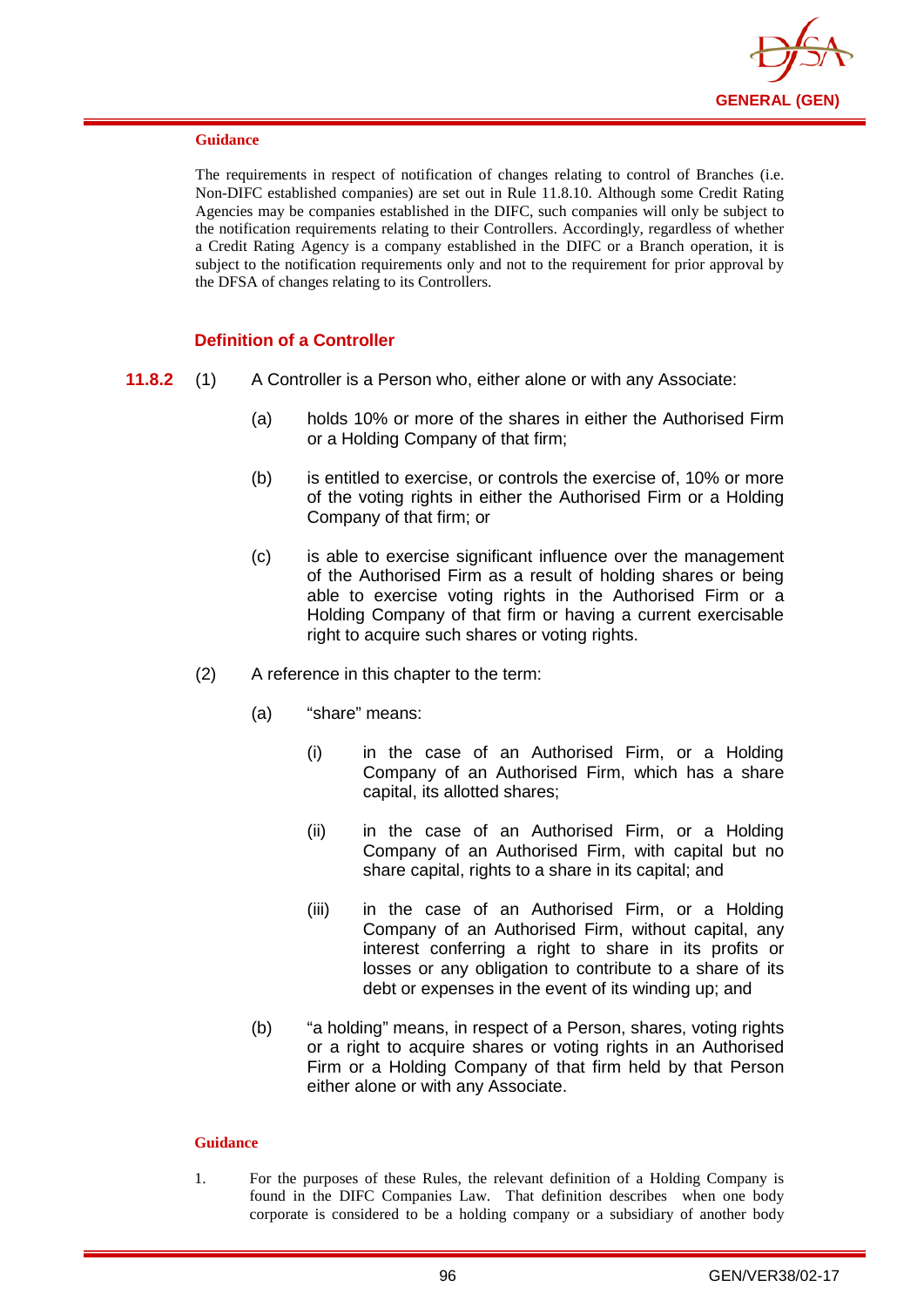

The requirements in respect of notification of changes relating to control of Branches (i.e. Non-DIFC established companies) are set out in Rule 11.8.10. Although some Credit Rating Agencies may be companies established in the DIFC, such companies will only be subject to the notification requirements relating to their Controllers. Accordingly, regardless of whether a Credit Rating Agency is a company established in the DIFC or a Branch operation, it is subject to the notification requirements only and not to the requirement for prior approval by the DFSA of changes relating to its Controllers.

#### **Definition of a Controller**

- **11.8.2** (1) A Controller is a Person who, either alone or with any Associate:
	- (a) holds 10% or more of the shares in either the Authorised Firm or a Holding Company of that firm;
	- (b) is entitled to exercise, or controls the exercise of, 10% or more of the voting rights in either the Authorised Firm or a Holding Company of that firm; or
	- (c) is able to exercise significant influence over the management of the Authorised Firm as a result of holding shares or being able to exercise voting rights in the Authorised Firm or a Holding Company of that firm or having a current exercisable right to acquire such shares or voting rights.
	- (2) A reference in this chapter to the term:
		- (a) "share" means:
			- (i) in the case of an Authorised Firm, or a Holding Company of an Authorised Firm, which has a share capital, its allotted shares;
			- (ii) in the case of an Authorised Firm, or a Holding Company of an Authorised Firm, with capital but no share capital, rights to a share in its capital; and
			- (iii) in the case of an Authorised Firm, or a Holding Company of an Authorised Firm, without capital, any interest conferring a right to share in its profits or losses or any obligation to contribute to a share of its debt or expenses in the event of its winding up; and
		- (b) "a holding" means, in respect of a Person, shares, voting rights or a right to acquire shares or voting rights in an Authorised Firm or a Holding Company of that firm held by that Person either alone or with any Associate.

#### **Guidance**

1. For the purposes of these Rules, the relevant definition of a Holding Company is found in the DIFC Companies Law. That definition describes when one body corporate is considered to be a holding company or a subsidiary of another body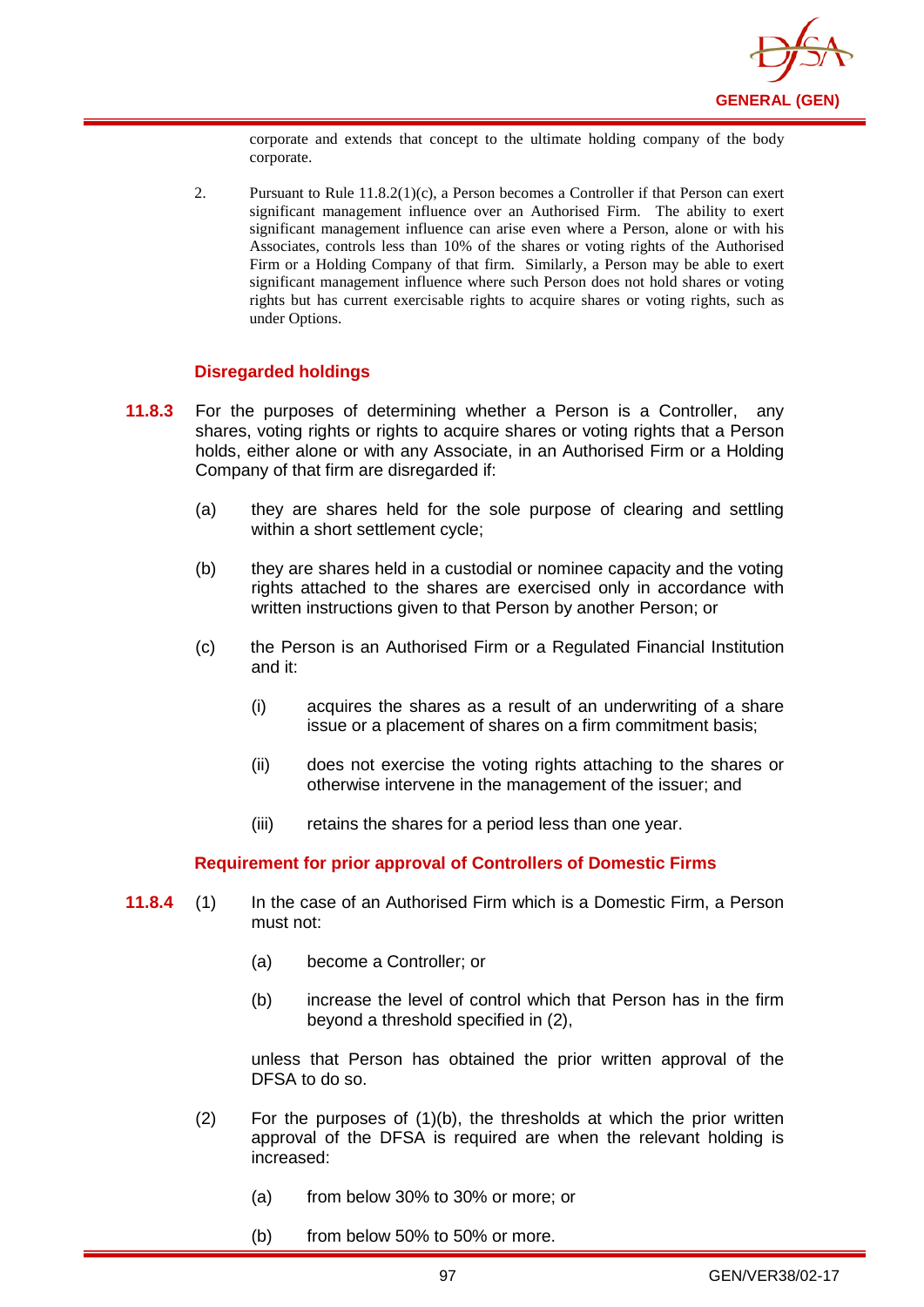

corporate and extends that concept to the ultimate holding company of the body corporate.

2. Pursuant to Rule 11.8.2(1)(c), a Person becomes a Controller if that Person can exert significant management influence over an Authorised Firm. The ability to exert significant management influence can arise even where a Person, alone or with his Associates, controls less than 10% of the shares or voting rights of the Authorised Firm or a Holding Company of that firm. Similarly, a Person may be able to exert significant management influence where such Person does not hold shares or voting rights but has current exercisable rights to acquire shares or voting rights, such as under Options.

### **Disregarded holdings**

- **11.8.3** For the purposes of determining whether a Person is a Controller, any shares, voting rights or rights to acquire shares or voting rights that a Person holds, either alone or with any Associate, in an Authorised Firm or a Holding Company of that firm are disregarded if:
	- (a) they are shares held for the sole purpose of clearing and settling within a short settlement cycle;
	- (b) they are shares held in a custodial or nominee capacity and the voting rights attached to the shares are exercised only in accordance with written instructions given to that Person by another Person; or
	- (c) the Person is an Authorised Firm or a Regulated Financial Institution and it:
		- (i) acquires the shares as a result of an underwriting of a share issue or a placement of shares on a firm commitment basis;
		- (ii) does not exercise the voting rights attaching to the shares or otherwise intervene in the management of the issuer; and
		- (iii) retains the shares for a period less than one year.

#### **Requirement for prior approval of Controllers of Domestic Firms**

- **11.8.4** (1) In the case of an Authorised Firm which is a Domestic Firm, a Person must not:
	- (a) become a Controller; or
	- (b) increase the level of control which that Person has in the firm beyond a threshold specified in (2),

unless that Person has obtained the prior written approval of the DFSA to do so.

- $(2)$  For the purposes of  $(1)(b)$ , the thresholds at which the prior written approval of the DFSA is required are when the relevant holding is increased:
	- (a) from below 30% to 30% or more; or
	- (b) from below 50% to 50% or more.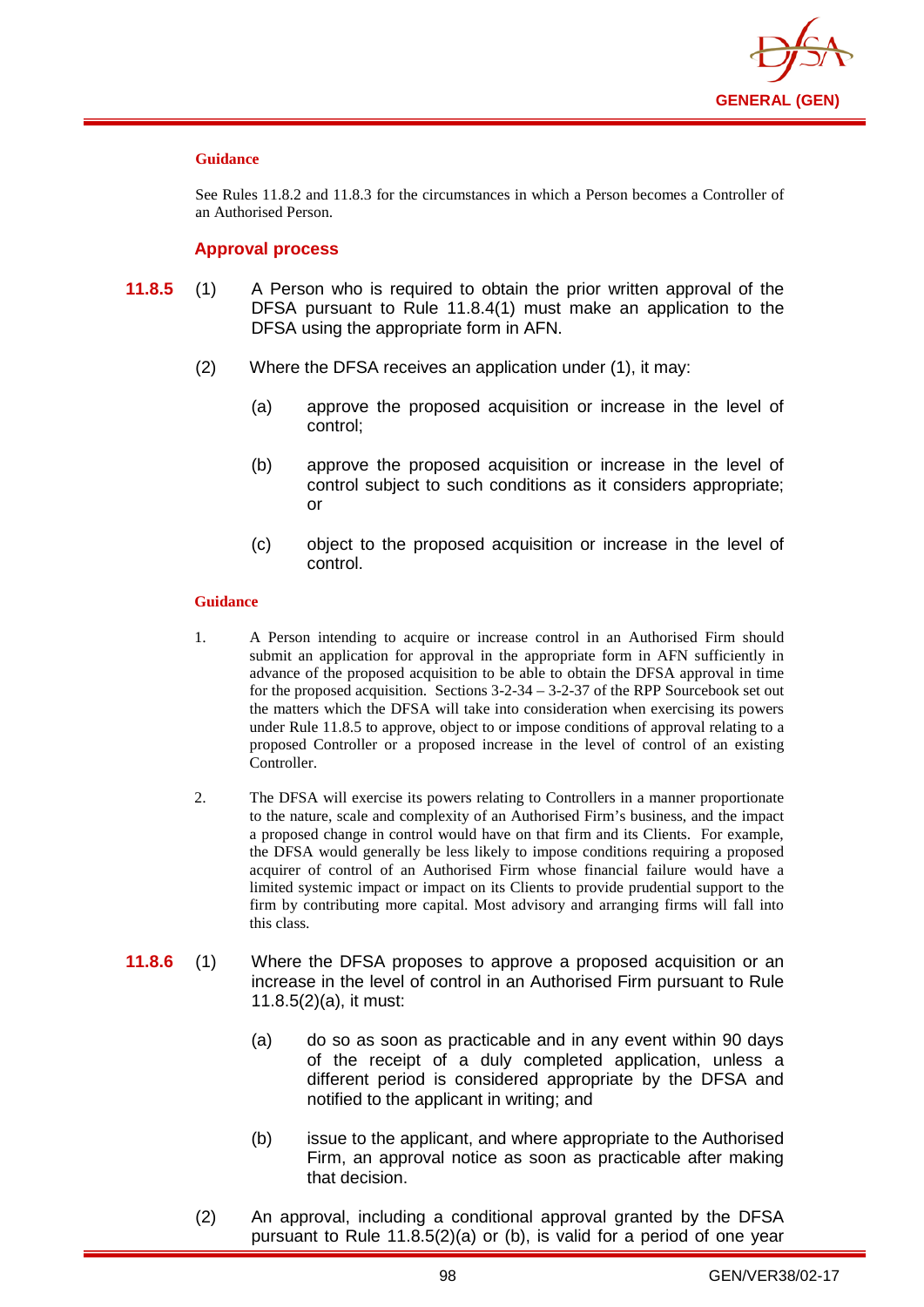

See Rules 11.8.2 and 11.8.3 for the circumstances in which a Person becomes a Controller of an Authorised Person.

#### **Approval process**

- **11.8.5** (1) A Person who is required to obtain the prior written approval of the DFSA pursuant to Rule 11.8.4(1) must make an application to the DFSA using the appropriate form in AFN.
	- (2) Where the DFSA receives an application under (1), it may:
		- (a) approve the proposed acquisition or increase in the level of control;
		- (b) approve the proposed acquisition or increase in the level of control subject to such conditions as it considers appropriate; or
		- (c) object to the proposed acquisition or increase in the level of control.

#### **Guidance**

- 1. A Person intending to acquire or increase control in an Authorised Firm should submit an application for approval in the appropriate form in AFN sufficiently in advance of the proposed acquisition to be able to obtain the DFSA approval in time for the proposed acquisition. Sections 3-2-34 – 3-2-37 of the RPP Sourcebook set out the matters which the DFSA will take into consideration when exercising its powers under Rule 11.8.5 to approve, object to or impose conditions of approval relating to a proposed Controller or a proposed increase in the level of control of an existing Controller.
- 2. The DFSA will exercise its powers relating to Controllers in a manner proportionate to the nature, scale and complexity of an Authorised Firm's business, and the impact a proposed change in control would have on that firm and its Clients. For example, the DFSA would generally be less likely to impose conditions requiring a proposed acquirer of control of an Authorised Firm whose financial failure would have a limited systemic impact or impact on its Clients to provide prudential support to the firm by contributing more capital. Most advisory and arranging firms will fall into this class.
- **11.8.6** (1) Where the DFSA proposes to approve a proposed acquisition or an increase in the level of control in an Authorised Firm pursuant to Rule 11.8.5(2)(a), it must:
	- (a) do so as soon as practicable and in any event within 90 days of the receipt of a duly completed application, unless a different period is considered appropriate by the DFSA and notified to the applicant in writing; and
	- (b) issue to the applicant, and where appropriate to the Authorised Firm, an approval notice as soon as practicable after making that decision.
	- (2) An approval, including a conditional approval granted by the DFSA pursuant to Rule 11.8.5(2)(a) or (b), is valid for a period of one year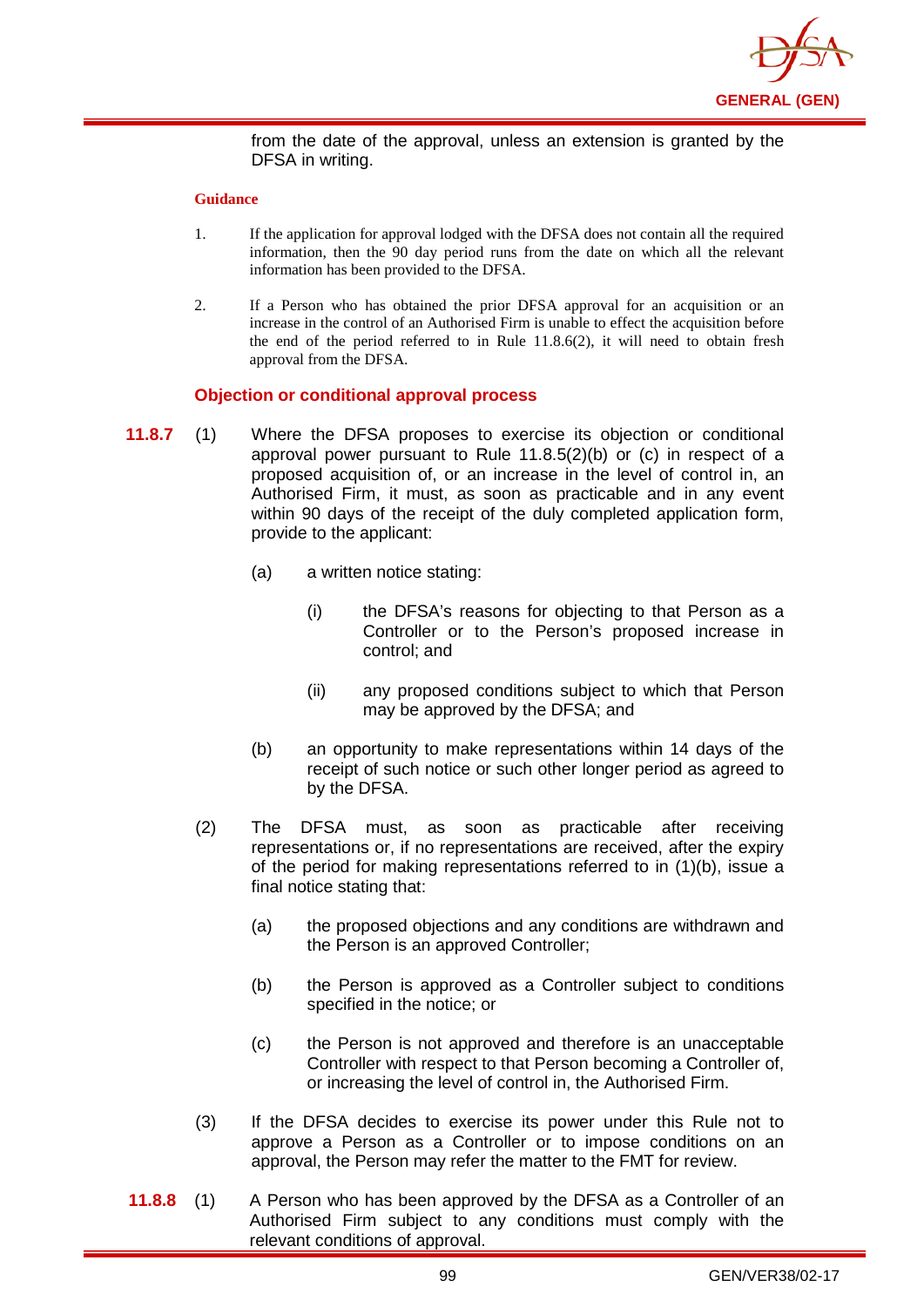

from the date of the approval, unless an extension is granted by the DFSA in writing.

#### **Guidance**

- 1. If the application for approval lodged with the DFSA does not contain all the required information, then the 90 day period runs from the date on which all the relevant information has been provided to the DFSA.
- 2. If a Person who has obtained the prior DFSA approval for an acquisition or an increase in the control of an Authorised Firm is unable to effect the acquisition before the end of the period referred to in Rule 11.8.6(2), it will need to obtain fresh approval from the DFSA.

### **Objection or conditional approval process**

- **11.8.7** (1) Where the DFSA proposes to exercise its objection or conditional approval power pursuant to Rule 11.8.5(2)(b) or (c) in respect of a proposed acquisition of, or an increase in the level of control in, an Authorised Firm, it must, as soon as practicable and in any event within 90 days of the receipt of the duly completed application form, provide to the applicant:
	- (a) a written notice stating:
		- (i) the DFSA's reasons for objecting to that Person as a Controller or to the Person's proposed increase in control; and
		- (ii) any proposed conditions subject to which that Person may be approved by the DFSA; and
	- (b) an opportunity to make representations within 14 days of the receipt of such notice or such other longer period as agreed to by the DFSA.
	- (2) The DFSA must, as soon as practicable after receiving representations or, if no representations are received, after the expiry of the period for making representations referred to in (1)(b), issue a final notice stating that:
		- (a) the proposed objections and any conditions are withdrawn and the Person is an approved Controller;
		- (b) the Person is approved as a Controller subject to conditions specified in the notice; or
		- (c) the Person is not approved and therefore is an unacceptable Controller with respect to that Person becoming a Controller of, or increasing the level of control in, the Authorised Firm.
	- (3) If the DFSA decides to exercise its power under this Rule not to approve a Person as a Controller or to impose conditions on an approval, the Person may refer the matter to the FMT for review.
- **11.8.8** (1) A Person who has been approved by the DFSA as a Controller of an Authorised Firm subject to any conditions must comply with the relevant conditions of approval.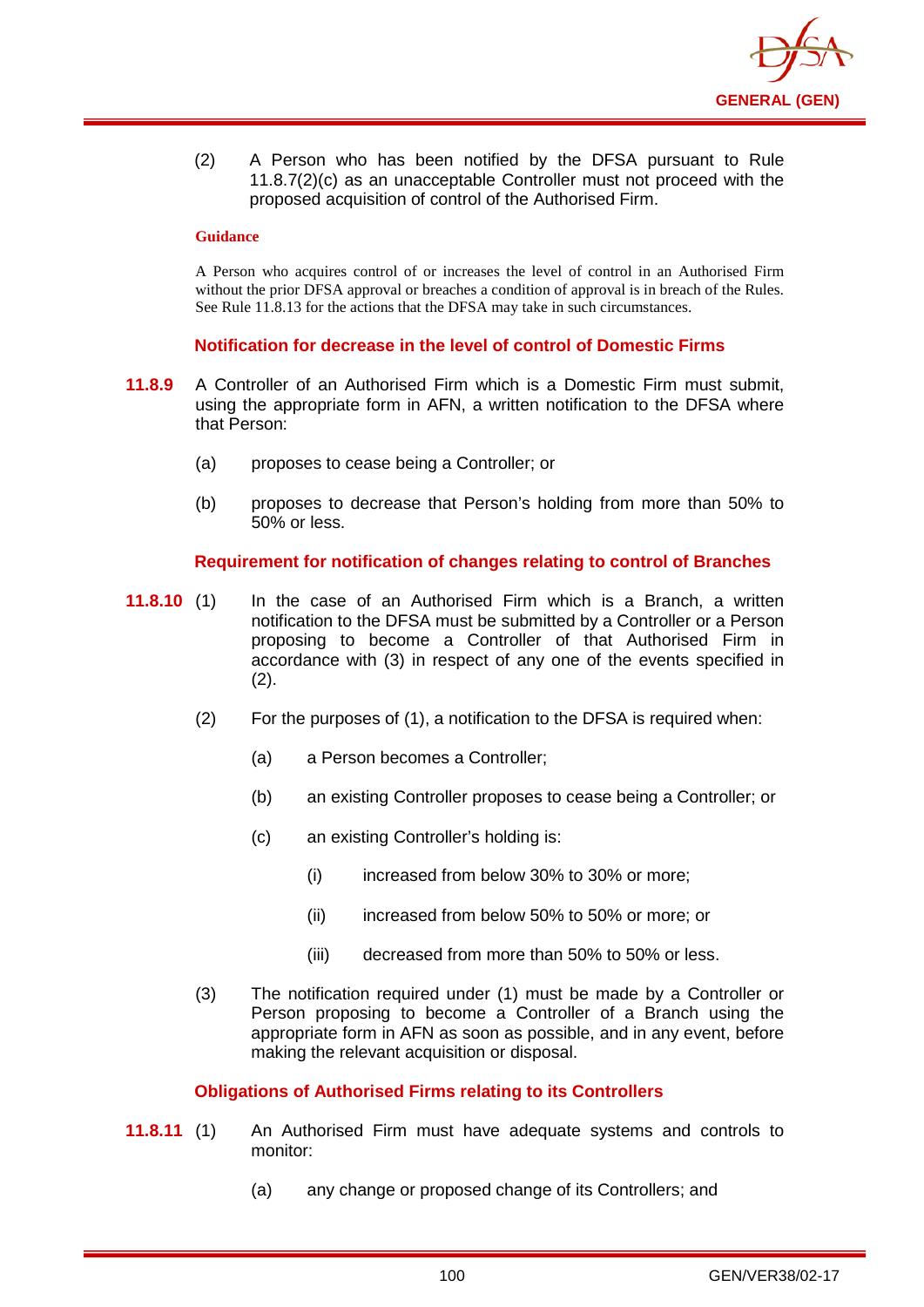

(2) A Person who has been notified by the DFSA pursuant to Rule 11.8.7(2)(c) as an unacceptable Controller must not proceed with the proposed acquisition of control of the Authorised Firm.

#### **Guidance**

A Person who acquires control of or increases the level of control in an Authorised Firm without the prior DFSA approval or breaches a condition of approval is in breach of the Rules. See Rule 11.8.13 for the actions that the DFSA may take in such circumstances.

### **Notification for decrease in the level of control of Domestic Firms**

- **11.8.9** A Controller of an Authorised Firm which is a Domestic Firm must submit, using the appropriate form in AFN, a written notification to the DFSA where that Person:
	- (a) proposes to cease being a Controller; or
	- (b) proposes to decrease that Person's holding from more than 50% to 50% or less.

### **Requirement for notification of changes relating to control of Branches**

- **11.8.10** (1) In the case of an Authorised Firm which is a Branch, a written notification to the DFSA must be submitted by a Controller or a Person proposing to become a Controller of that Authorised Firm in accordance with (3) in respect of any one of the events specified in (2).
	- (2) For the purposes of (1), a notification to the DFSA is required when:
		- (a) a Person becomes a Controller;
		- (b) an existing Controller proposes to cease being a Controller; or
		- (c) an existing Controller's holding is:
			- (i) increased from below 30% to 30% or more;
			- (ii) increased from below 50% to 50% or more; or
			- (iii) decreased from more than 50% to 50% or less.
	- (3) The notification required under (1) must be made by a Controller or Person proposing to become a Controller of a Branch using the appropriate form in AFN as soon as possible, and in any event, before making the relevant acquisition or disposal.

#### **Obligations of Authorised Firms relating to its Controllers**

- **11.8.11** (1) An Authorised Firm must have adequate systems and controls to monitor:
	- (a) any change or proposed change of its Controllers; and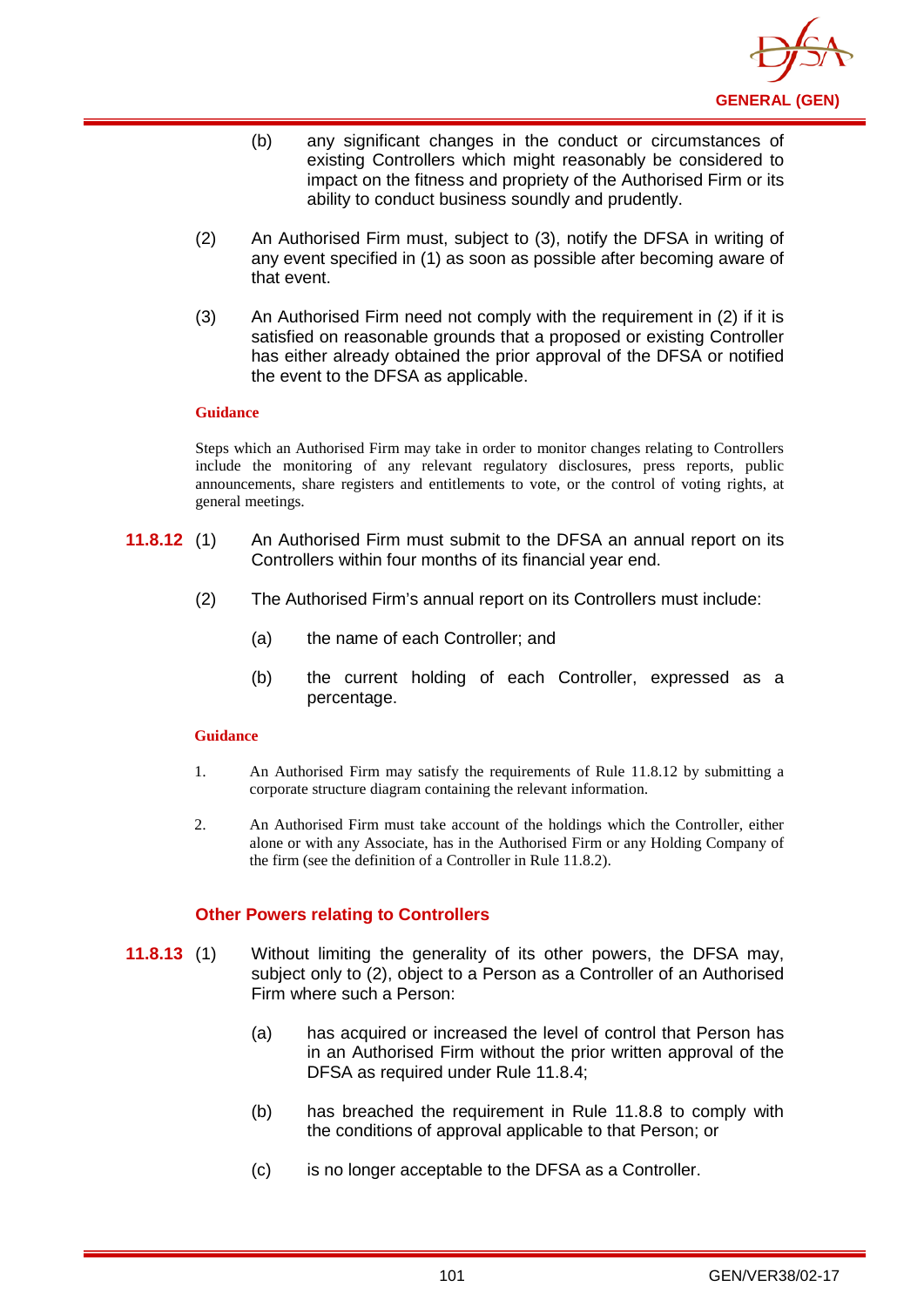

- (b) any significant changes in the conduct or circumstances of existing Controllers which might reasonably be considered to impact on the fitness and propriety of the Authorised Firm or its ability to conduct business soundly and prudently.
- (2) An Authorised Firm must, subject to (3), notify the DFSA in writing of any event specified in (1) as soon as possible after becoming aware of that event.
- (3) An Authorised Firm need not comply with the requirement in (2) if it is satisfied on reasonable grounds that a proposed or existing Controller has either already obtained the prior approval of the DFSA or notified the event to the DFSA as applicable.

Steps which an Authorised Firm may take in order to monitor changes relating to Controllers include the monitoring of any relevant regulatory disclosures, press reports, public announcements, share registers and entitlements to vote, or the control of voting rights, at general meetings.

- **11.8.12** (1) An Authorised Firm must submit to the DFSA an annual report on its Controllers within four months of its financial year end.
	- (2) The Authorised Firm's annual report on its Controllers must include:
		- (a) the name of each Controller; and
		- (b) the current holding of each Controller, expressed as a percentage.

#### **Guidance**

- 1. An Authorised Firm may satisfy the requirements of Rule 11.8.12 by submitting a corporate structure diagram containing the relevant information.
- 2. An Authorised Firm must take account of the holdings which the Controller, either alone or with any Associate, has in the Authorised Firm or any Holding Company of the firm (see the definition of a Controller in Rule 11.8.2).

## **Other Powers relating to Controllers**

- **11.8.13** (1) Without limiting the generality of its other powers, the DFSA may, subject only to (2), object to a Person as a Controller of an Authorised Firm where such a Person:
	- (a) has acquired or increased the level of control that Person has in an Authorised Firm without the prior written approval of the DFSA as required under Rule 11.8.4;
	- (b) has breached the requirement in Rule 11.8.8 to comply with the conditions of approval applicable to that Person; or
	- (c) is no longer acceptable to the DFSA as a Controller.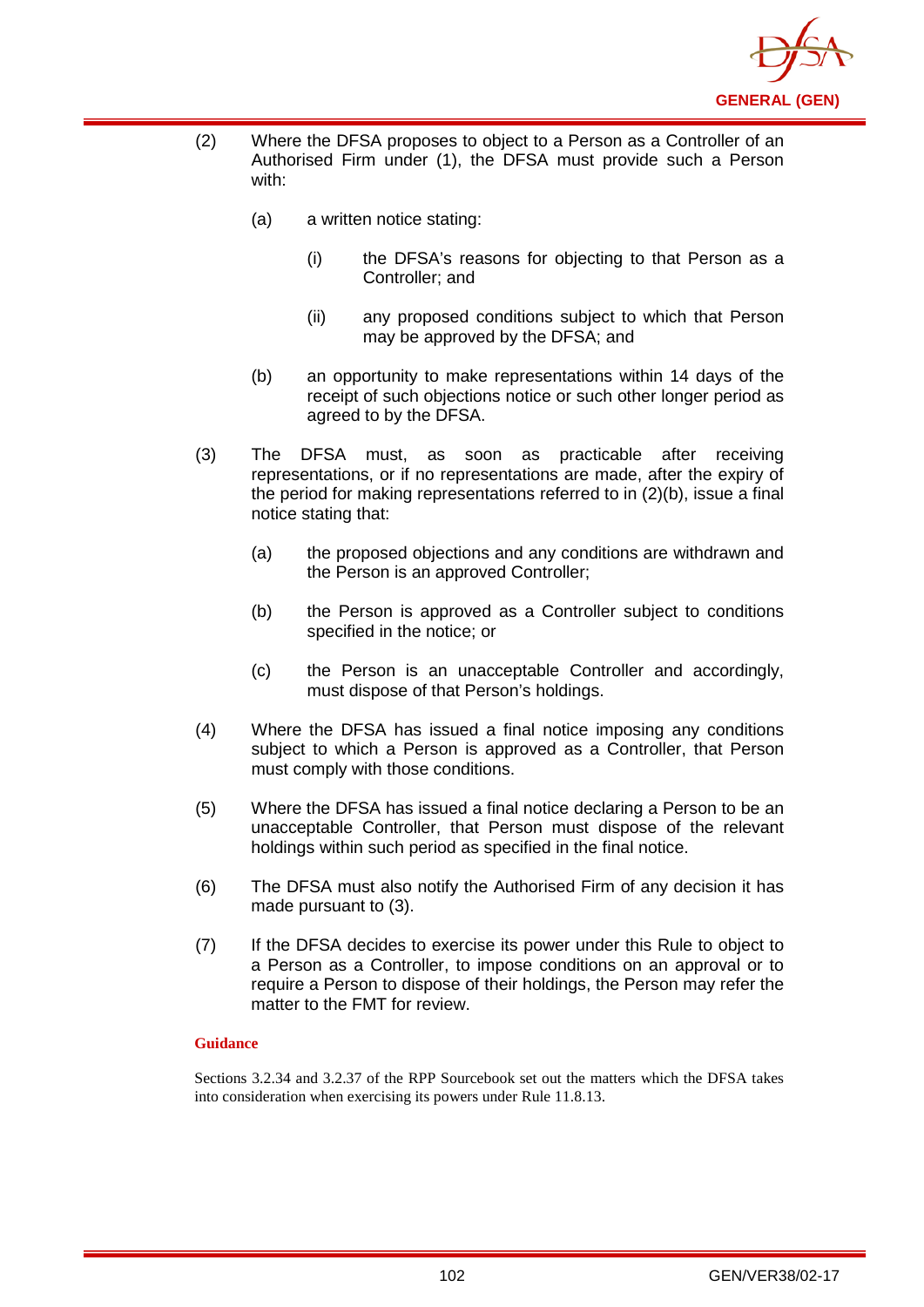

- (2) Where the DFSA proposes to object to a Person as a Controller of an Authorised Firm under (1), the DFSA must provide such a Person with:
	- (a) a written notice stating:
		- (i) the DFSA's reasons for objecting to that Person as a Controller; and
		- (ii) any proposed conditions subject to which that Person may be approved by the DFSA; and
	- (b) an opportunity to make representations within 14 days of the receipt of such objections notice or such other longer period as agreed to by the DFSA.
- (3) The DFSA must, as soon as practicable after receiving representations, or if no representations are made, after the expiry of the period for making representations referred to in (2)(b), issue a final notice stating that:
	- (a) the proposed objections and any conditions are withdrawn and the Person is an approved Controller;
	- (b) the Person is approved as a Controller subject to conditions specified in the notice; or
	- (c) the Person is an unacceptable Controller and accordingly, must dispose of that Person's holdings.
- (4) Where the DFSA has issued a final notice imposing any conditions subject to which a Person is approved as a Controller, that Person must comply with those conditions.
- (5) Where the DFSA has issued a final notice declaring a Person to be an unacceptable Controller, that Person must dispose of the relevant holdings within such period as specified in the final notice.
- (6) The DFSA must also notify the Authorised Firm of any decision it has made pursuant to (3).
- (7) If the DFSA decides to exercise its power under this Rule to object to a Person as a Controller, to impose conditions on an approval or to require a Person to dispose of their holdings, the Person may refer the matter to the FMT for review.

Sections 3.2.34 and 3.2.37 of the RPP Sourcebook set out the matters which the DFSA takes into consideration when exercising its powers under Rule 11.8.13.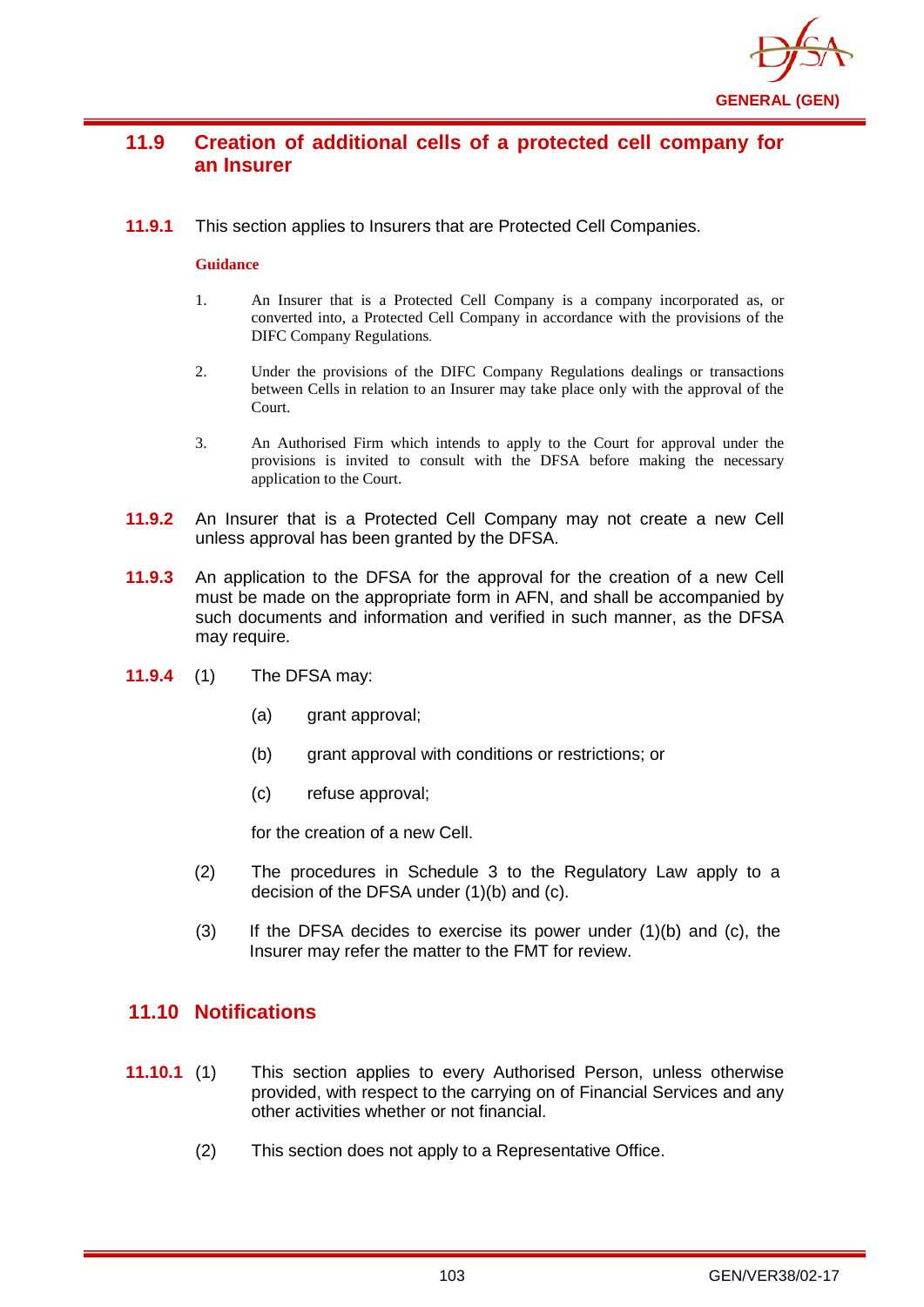

# **11.9 Creation of additional cells of a protected cell company for an Insurer**

**11.9.1** This section applies to Insurers that are Protected Cell Companies.

#### **Guidance**

- 1. An Insurer that is a Protected Cell Company is a company incorporated as, or converted into, a Protected Cell Company in accordance with the provisions of the DIFC Company Regulations.
- 2. Under the provisions of the DIFC Company Regulations dealings or transactions between Cells in relation to an Insurer may take place only with the approval of the Court.
- 3. An Authorised Firm which intends to apply to the Court for approval under the provisions is invited to consult with the DFSA before making the necessary application to the Court.
- **11.9.2** An Insurer that is a Protected Cell Company may not create a new Cell unless approval has been granted by the DFSA.
- **11.9.3** An application to the DFSA for the approval for the creation of a new Cell must be made on the appropriate form in AFN, and shall be accompanied by such documents and information and verified in such manner, as the DFSA may require.
- **11.9.4** (1) The DFSA may:
	- (a) grant approval;
	- (b) grant approval with conditions or restrictions; or
	- (c) refuse approval;

for the creation of a new Cell.

- (2) The procedures in Schedule 3 to the Regulatory Law apply to a decision of the DFSA under (1)(b) and (c).
- $(3)$  If the DFSA decides to exercise its power under  $(1)(b)$  and  $(c)$ , the Insurer may refer the matter to the FMT for review.

## **11.10 Notifications**

- **11.10.1** (1) This section applies to every Authorised Person, unless otherwise provided, with respect to the carrying on of Financial Services and any other activities whether or not financial.
	- (2) This section does not apply to a Representative Office.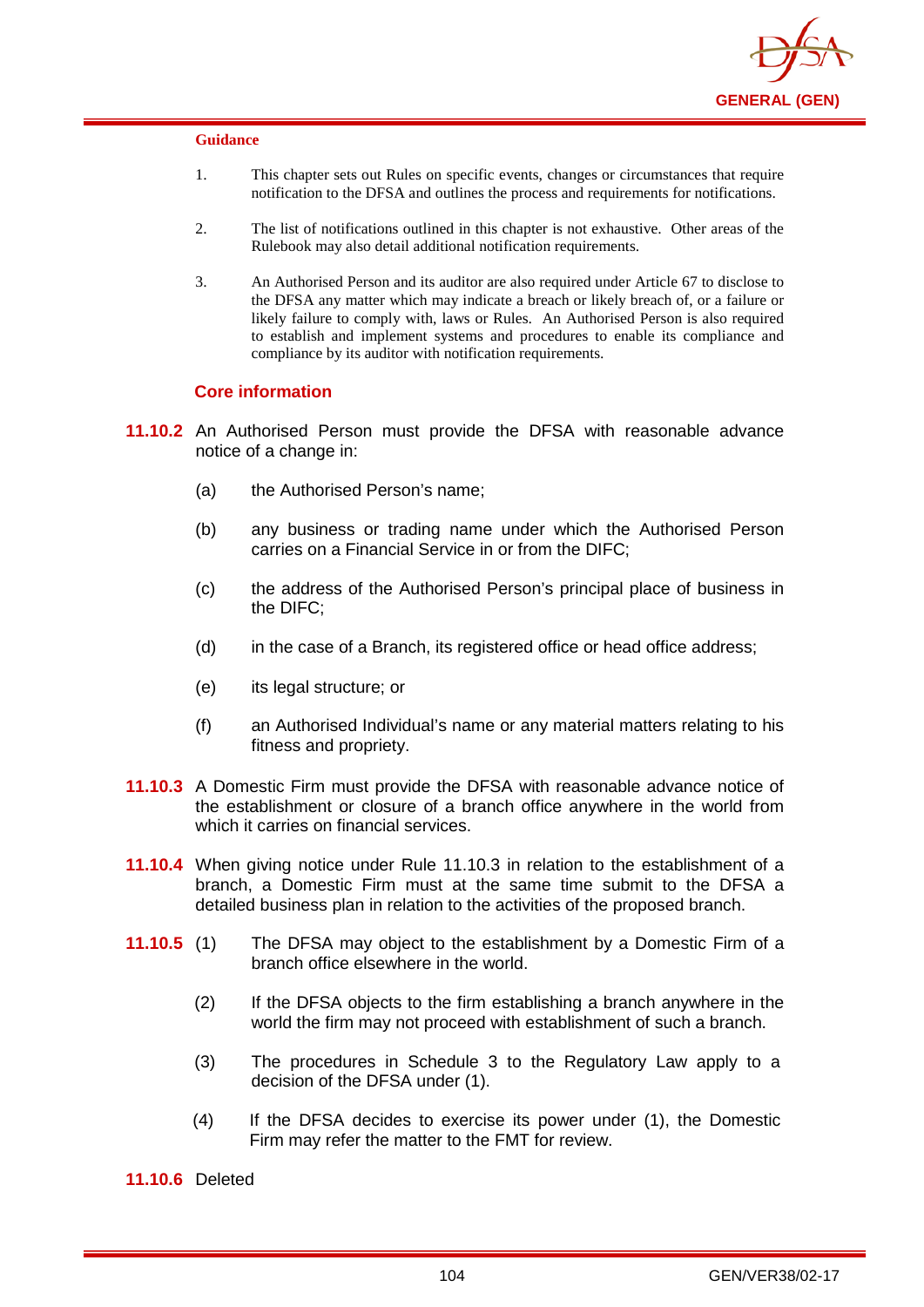

- 1. This chapter sets out Rules on specific events, changes or circumstances that require notification to the DFSA and outlines the process and requirements for notifications.
- 2. The list of notifications outlined in this chapter is not exhaustive. Other areas of the Rulebook may also detail additional notification requirements.
- 3. An Authorised Person and its auditor are also required under Article 67 to disclose to the DFSA any matter which may indicate a breach or likely breach of, or a failure or likely failure to comply with, laws or Rules. An Authorised Person is also required to establish and implement systems and procedures to enable its compliance and compliance by its auditor with notification requirements.

#### **Core information**

- **11.10.2** An Authorised Person must provide the DFSA with reasonable advance notice of a change in:
	- (a) the Authorised Person's name;
	- (b) any business or trading name under which the Authorised Person carries on a Financial Service in or from the DIFC;
	- (c) the address of the Authorised Person's principal place of business in the DIFC;
	- (d) in the case of a Branch, its registered office or head office address;
	- (e) its legal structure; or
	- (f) an Authorised Individual's name or any material matters relating to his fitness and propriety.
- **11.10.3** A Domestic Firm must provide the DFSA with reasonable advance notice of the establishment or closure of a branch office anywhere in the world from which it carries on financial services.
- **11.10.4** When giving notice under Rule 11.10.3 in relation to the establishment of a branch, a Domestic Firm must at the same time submit to the DFSA a detailed business plan in relation to the activities of the proposed branch.
- **11.10.5** (1) The DFSA may object to the establishment by a Domestic Firm of a branch office elsewhere in the world.
	- (2) If the DFSA objects to the firm establishing a branch anywhere in the world the firm may not proceed with establishment of such a branch.
	- (3) The procedures in Schedule 3 to the Regulatory Law apply to a decision of the DFSA under (1).
	- (4) If the DFSA decides to exercise its power under (1), the Domestic Firm may refer the matter to the FMT for review.

**11.10.6** Deleted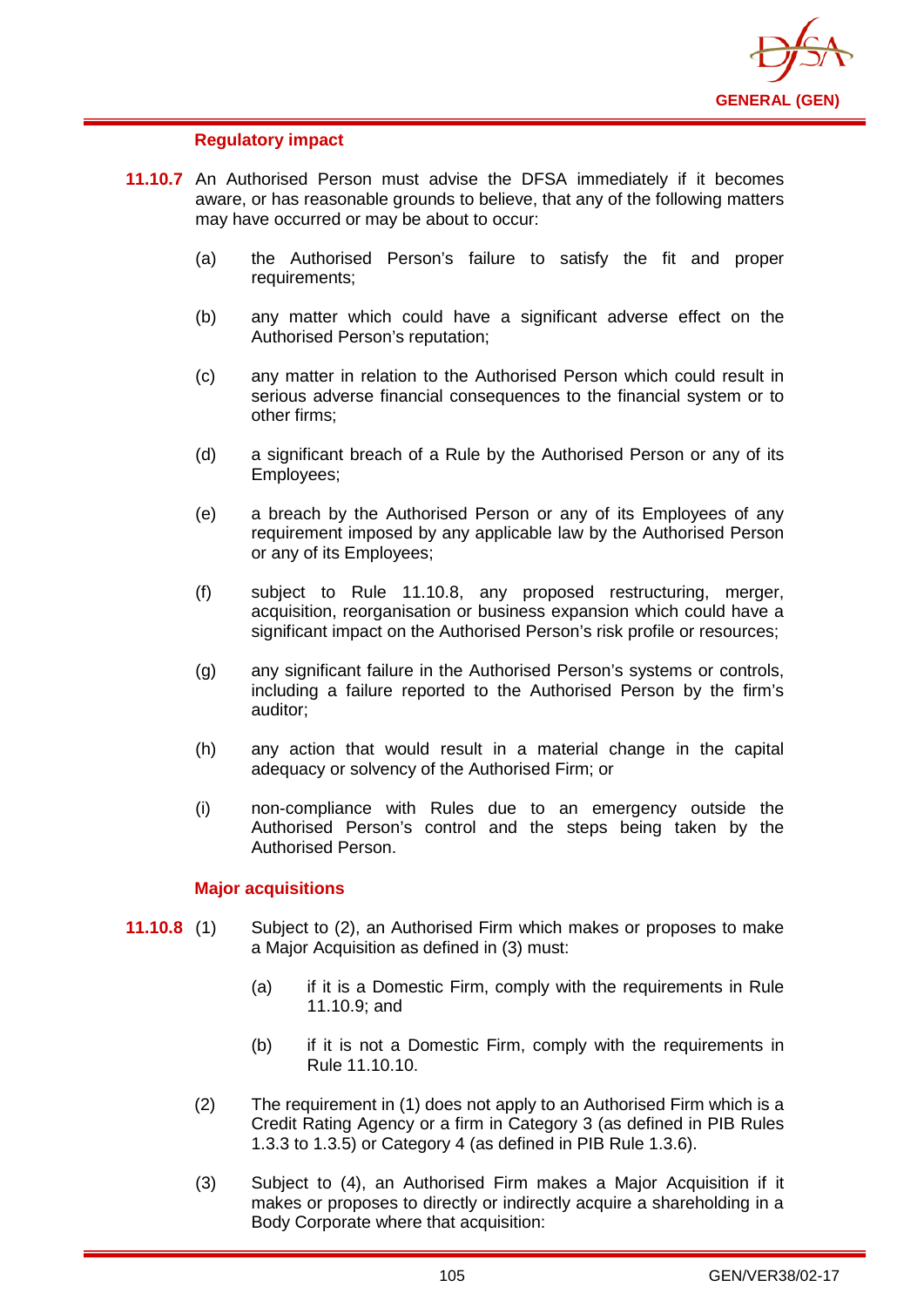

## **Regulatory impact**

- **11.10.7** An Authorised Person must advise the DFSA immediately if it becomes aware, or has reasonable grounds to believe, that any of the following matters may have occurred or may be about to occur:
	- (a) the Authorised Person's failure to satisfy the fit and proper requirements;
	- (b) any matter which could have a significant adverse effect on the Authorised Person's reputation;
	- (c) any matter in relation to the Authorised Person which could result in serious adverse financial consequences to the financial system or to other firms;
	- (d) a significant breach of a Rule by the Authorised Person or any of its Employees;
	- (e) a breach by the Authorised Person or any of its Employees of any requirement imposed by any applicable law by the Authorised Person or any of its Employees;
	- (f) subject to Rule 11.10.8, any proposed restructuring, merger, acquisition, reorganisation or business expansion which could have a significant impact on the Authorised Person's risk profile or resources;
	- (g) any significant failure in the Authorised Person's systems or controls, including a failure reported to the Authorised Person by the firm's auditor;
	- (h) any action that would result in a material change in the capital adequacy or solvency of the Authorised Firm; or
	- (i) non-compliance with Rules due to an emergency outside the Authorised Person's control and the steps being taken by the Authorised Person.

## **Major acquisitions**

- **11.10.8** (1) Subject to (2), an Authorised Firm which makes or proposes to make a Major Acquisition as defined in (3) must:
	- (a) if it is a Domestic Firm, comply with the requirements in Rule 11.10.9; and
	- (b) if it is not a Domestic Firm, comply with the requirements in Rule 11.10.10.
	- (2) The requirement in (1) does not apply to an Authorised Firm which is a Credit Rating Agency or a firm in Category 3 (as defined in PIB Rules 1.3.3 to 1.3.5) or Category 4 (as defined in PIB Rule 1.3.6).
	- (3) Subject to (4), an Authorised Firm makes a Major Acquisition if it makes or proposes to directly or indirectly acquire a shareholding in a Body Corporate where that acquisition: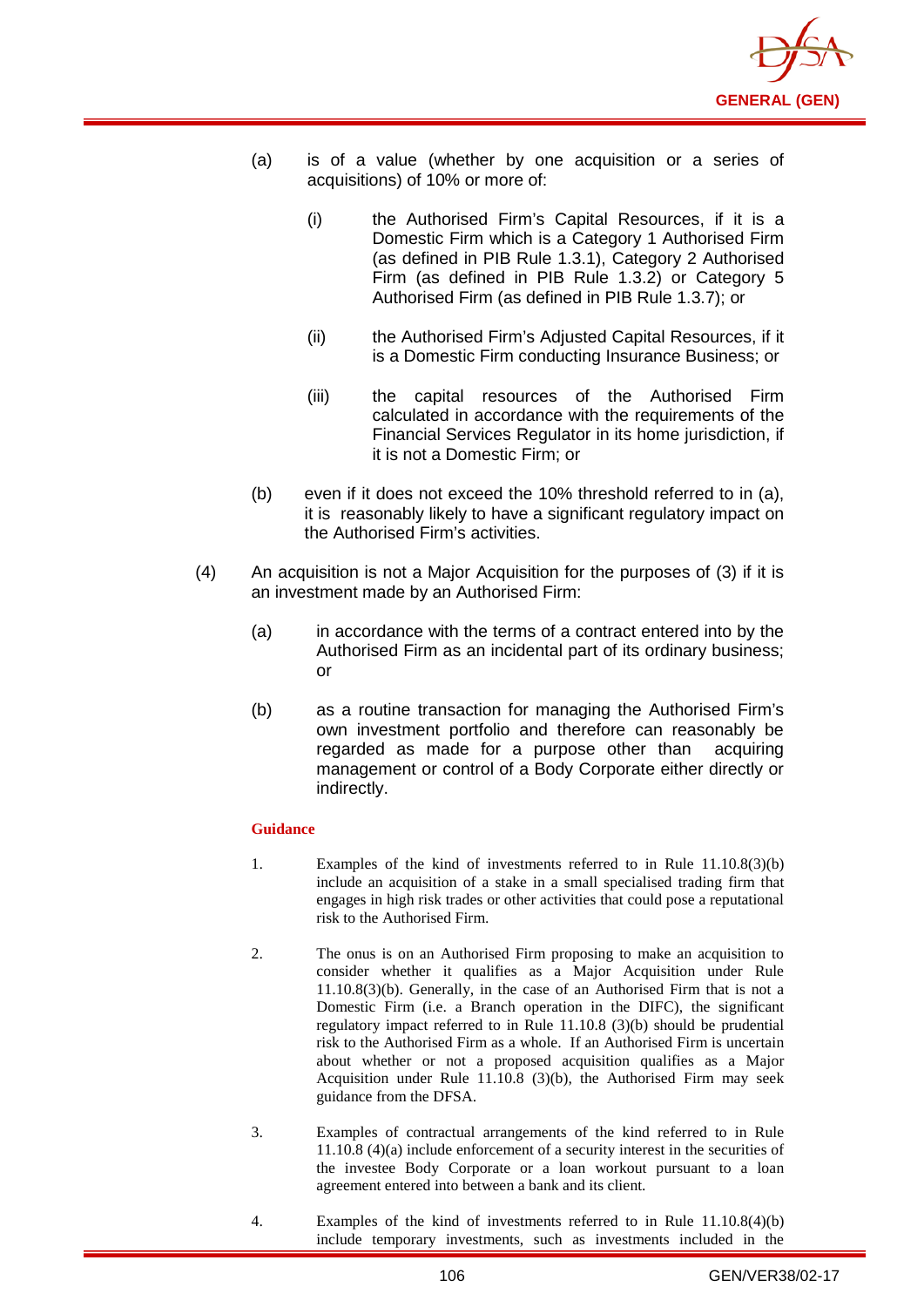

- (a) is of a value (whether by one acquisition or a series of acquisitions) of 10% or more of:
	- (i) the Authorised Firm's Capital Resources, if it is a Domestic Firm which is a Category 1 Authorised Firm (as defined in PIB Rule 1.3.1), Category 2 Authorised Firm (as defined in PIB Rule 1.3.2) or Category 5 Authorised Firm (as defined in PIB Rule 1.3.7); or
	- (ii) the Authorised Firm's Adjusted Capital Resources, if it is a Domestic Firm conducting Insurance Business; or
	- (iii) the capital resources of the Authorised Firm calculated in accordance with the requirements of the Financial Services Regulator in its home jurisdiction, if it is not a Domestic Firm; or
- (b) even if it does not exceed the 10% threshold referred to in (a), it is reasonably likely to have a significant regulatory impact on the Authorised Firm's activities.
- (4) An acquisition is not a Major Acquisition for the purposes of (3) if it is an investment made by an Authorised Firm:
	- (a) in accordance with the terms of a contract entered into by the Authorised Firm as an incidental part of its ordinary business; or
	- (b) as a routine transaction for managing the Authorised Firm's own investment portfolio and therefore can reasonably be regarded as made for a purpose other than acquiring management or control of a Body Corporate either directly or indirectly.

- 1. Examples of the kind of investments referred to in Rule 11.10.8(3)(b) include an acquisition of a stake in a small specialised trading firm that engages in high risk trades or other activities that could pose a reputational risk to the Authorised Firm.
- 2. The onus is on an Authorised Firm proposing to make an acquisition to consider whether it qualifies as a Major Acquisition under Rule 11.10.8(3)(b). Generally, in the case of an Authorised Firm that is not a Domestic Firm (i.e. a Branch operation in the DIFC), the significant regulatory impact referred to in Rule 11.10.8 (3)(b) should be prudential risk to the Authorised Firm as a whole. If an Authorised Firm is uncertain about whether or not a proposed acquisition qualifies as a Major Acquisition under Rule 11.10.8 (3)(b), the Authorised Firm may seek guidance from the DFSA.
- 3. Examples of contractual arrangements of the kind referred to in Rule 11.10.8 (4)(a) include enforcement of a security interest in the securities of the investee Body Corporate or a loan workout pursuant to a loan agreement entered into between a bank and its client.
- 4. Examples of the kind of investments referred to in Rule 11.10.8(4)(b) include temporary investments, such as investments included in the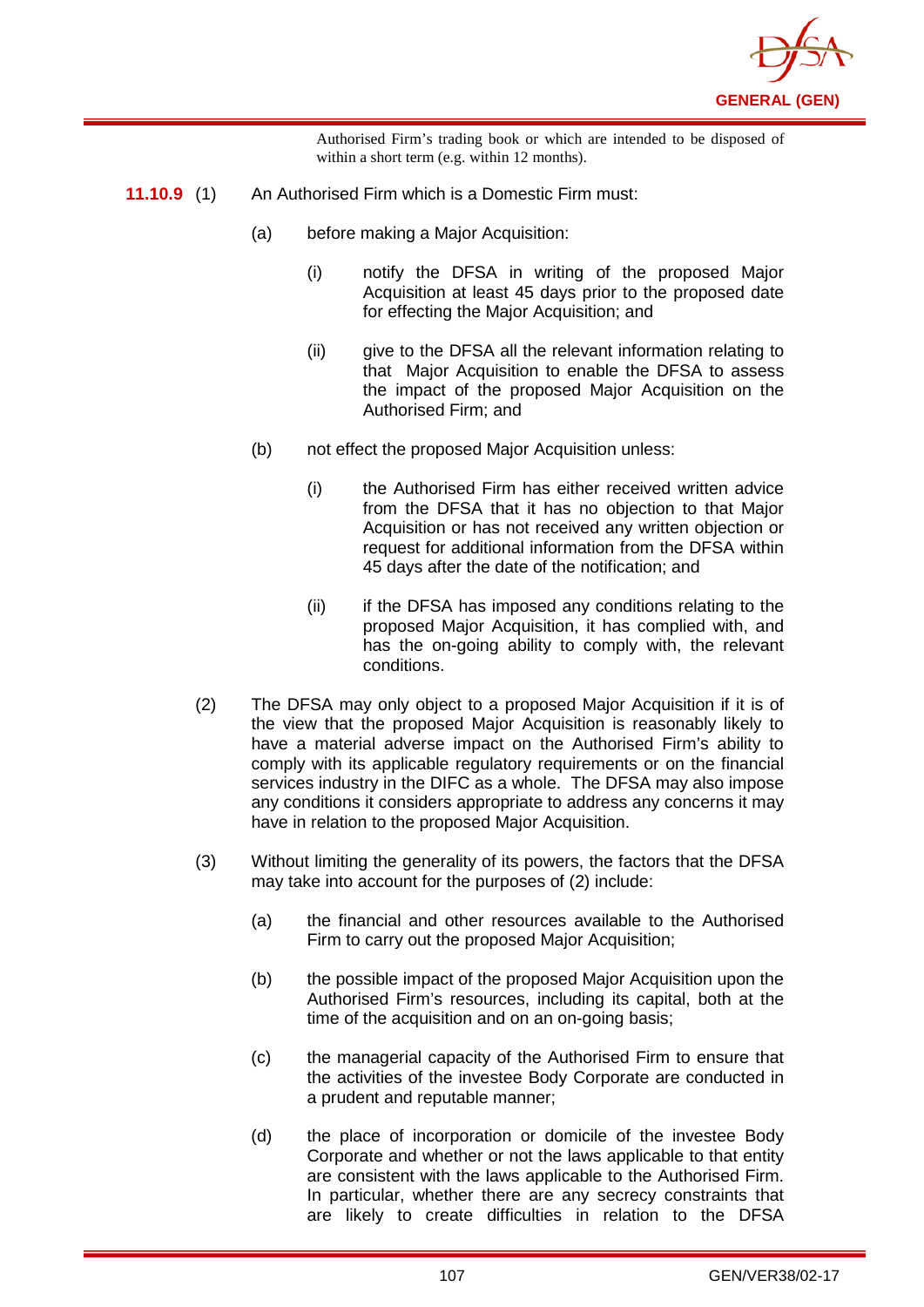

Authorised Firm's trading book or which are intended to be disposed of within a short term (e.g. within 12 months).

- **11.10.9** (1) An Authorised Firm which is a Domestic Firm must:
	- (a) before making a Major Acquisition:
		- (i) notify the DFSA in writing of the proposed Major Acquisition at least 45 days prior to the proposed date for effecting the Major Acquisition; and
		- (ii) give to the DFSA all the relevant information relating to that Major Acquisition to enable the DFSA to assess the impact of the proposed Major Acquisition on the Authorised Firm; and
	- (b) not effect the proposed Major Acquisition unless:
		- (i) the Authorised Firm has either received written advice from the DFSA that it has no objection to that Major Acquisition or has not received any written objection or request for additional information from the DFSA within 45 days after the date of the notification; and
		- (ii) if the DFSA has imposed any conditions relating to the proposed Major Acquisition, it has complied with, and has the on-going ability to comply with, the relevant conditions.
	- (2) The DFSA may only object to a proposed Major Acquisition if it is of the view that the proposed Major Acquisition is reasonably likely to have a material adverse impact on the Authorised Firm's ability to comply with its applicable regulatory requirements or on the financial services industry in the DIFC as a whole. The DFSA may also impose any conditions it considers appropriate to address any concerns it may have in relation to the proposed Major Acquisition.
	- (3) Without limiting the generality of its powers, the factors that the DFSA may take into account for the purposes of (2) include:
		- (a) the financial and other resources available to the Authorised Firm to carry out the proposed Major Acquisition;
		- (b) the possible impact of the proposed Major Acquisition upon the Authorised Firm's resources, including its capital, both at the time of the acquisition and on an on-going basis;
		- (c) the managerial capacity of the Authorised Firm to ensure that the activities of the investee Body Corporate are conducted in a prudent and reputable manner;
		- (d) the place of incorporation or domicile of the investee Body Corporate and whether or not the laws applicable to that entity are consistent with the laws applicable to the Authorised Firm. In particular, whether there are any secrecy constraints that are likely to create difficulties in relation to the DFSA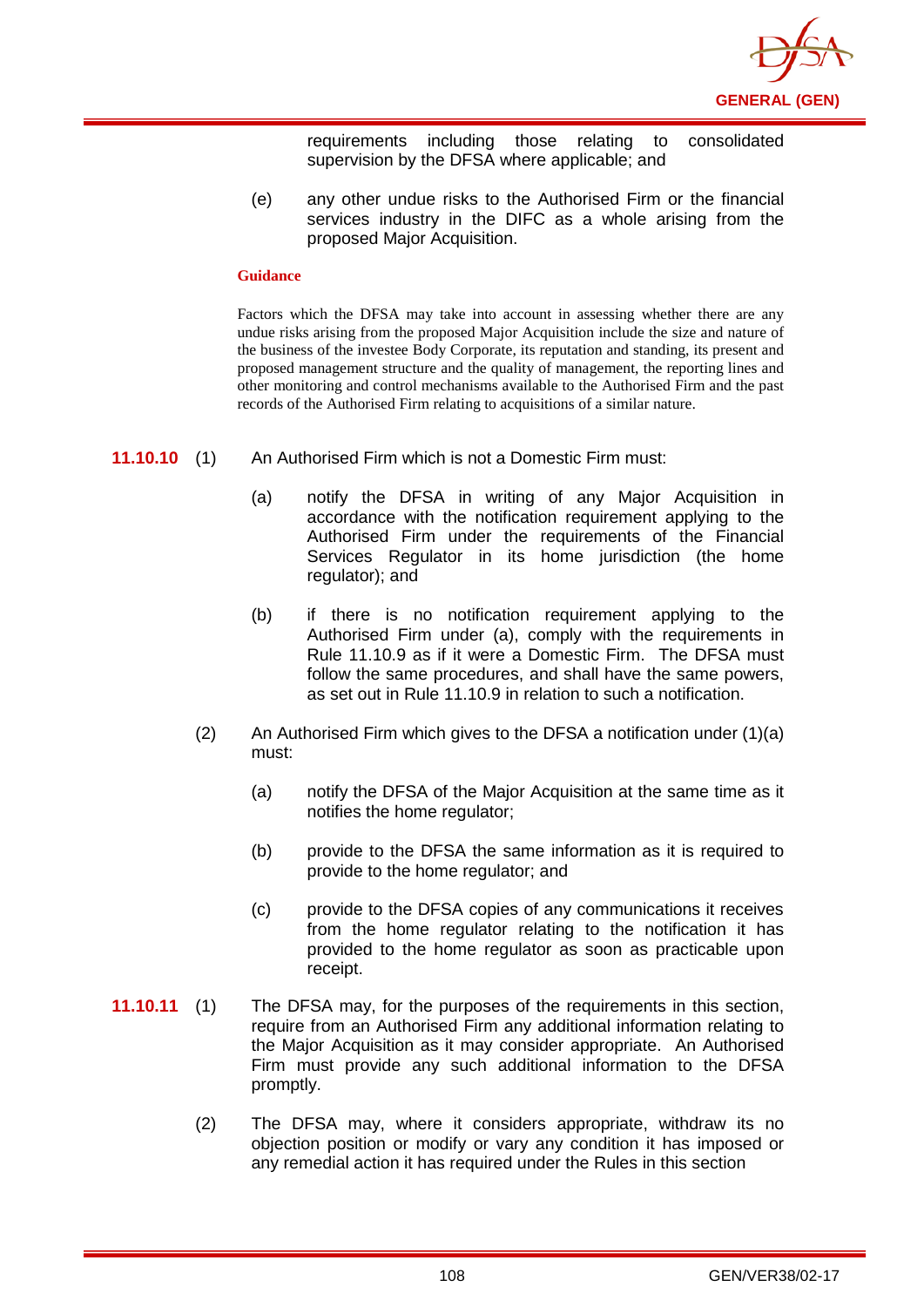

requirements including those relating to consolidated supervision by the DFSA where applicable; and

(e) any other undue risks to the Authorised Firm or the financial services industry in the DIFC as a whole arising from the proposed Major Acquisition.

### **Guidance**

Factors which the DFSA may take into account in assessing whether there are any undue risks arising from the proposed Major Acquisition include the size and nature of the business of the investee Body Corporate, its reputation and standing, its present and proposed management structure and the quality of management, the reporting lines and other monitoring and control mechanisms available to the Authorised Firm and the past records of the Authorised Firm relating to acquisitions of a similar nature.

- **11.10.10** (1) An Authorised Firm which is not a Domestic Firm must:
	- (a) notify the DFSA in writing of any Major Acquisition in accordance with the notification requirement applying to the Authorised Firm under the requirements of the Financial Services Regulator in its home jurisdiction (the home regulator); and
	- (b) if there is no notification requirement applying to the Authorised Firm under (a), comply with the requirements in Rule 11.10.9 as if it were a Domestic Firm. The DFSA must follow the same procedures, and shall have the same powers, as set out in Rule 11.10.9 in relation to such a notification.
	- (2) An Authorised Firm which gives to the DFSA a notification under  $(1)(a)$ must:
		- (a) notify the DFSA of the Major Acquisition at the same time as it notifies the home regulator;
		- (b) provide to the DFSA the same information as it is required to provide to the home regulator; and
		- (c) provide to the DFSA copies of any communications it receives from the home regulator relating to the notification it has provided to the home regulator as soon as practicable upon receipt.
- **11.10.11** (1) The DFSA may, for the purposes of the requirements in this section, require from an Authorised Firm any additional information relating to the Major Acquisition as it may consider appropriate. An Authorised Firm must provide any such additional information to the DFSA promptly.
	- (2) The DFSA may, where it considers appropriate, withdraw its no objection position or modify or vary any condition it has imposed or any remedial action it has required under the Rules in this section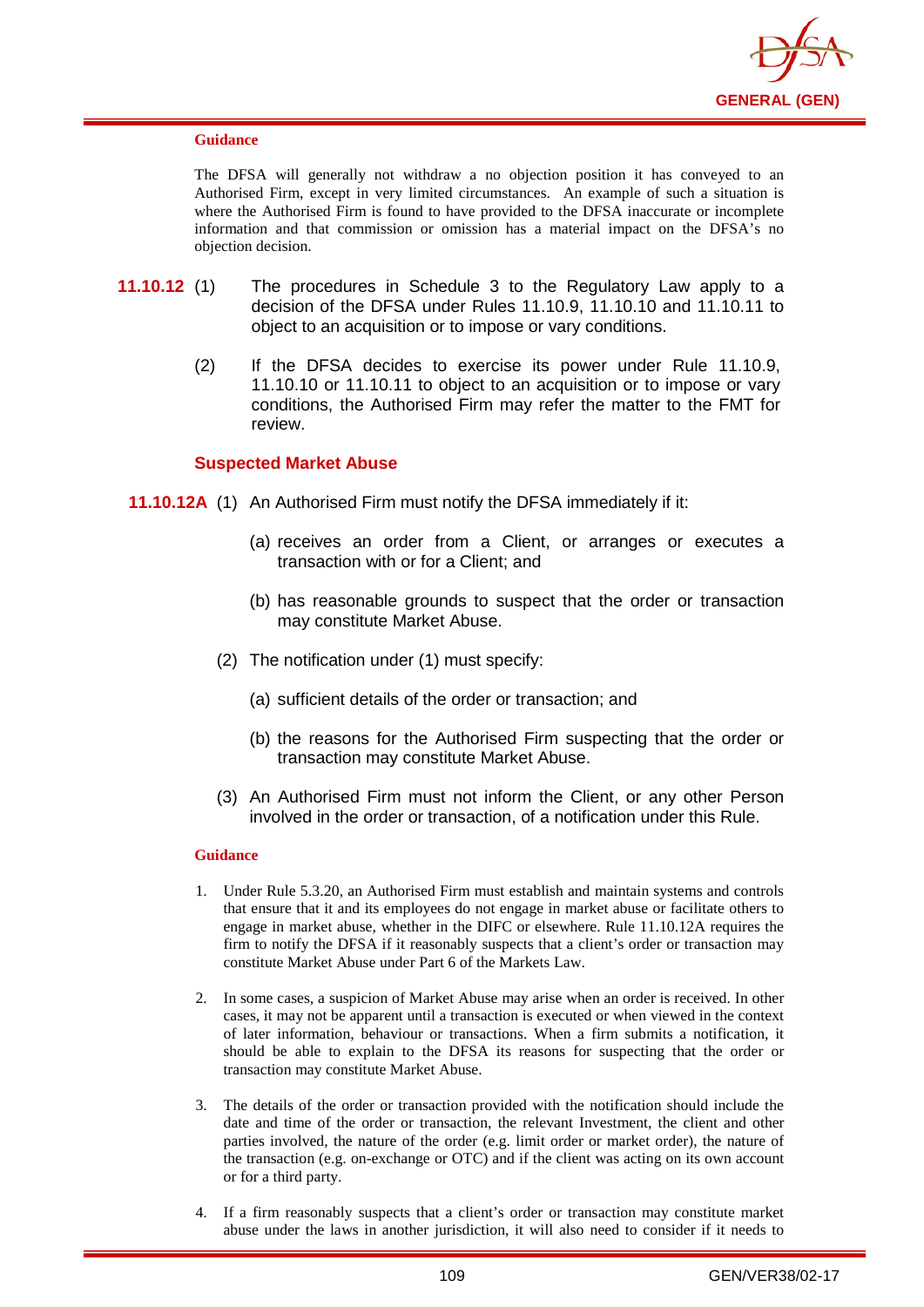

### **Guidance**

The DFSA will generally not withdraw a no objection position it has conveyed to an Authorised Firm, except in very limited circumstances. An example of such a situation is where the Authorised Firm is found to have provided to the DFSA inaccurate or incomplete information and that commission or omission has a material impact on the DFSA's no objection decision.

- **11.10.12** (1) The procedures in Schedule 3 to the Regulatory Law apply to a decision of the DFSA under Rules 11.10.9, 11.10.10 and 11.10.11 to object to an acquisition or to impose or vary conditions.
	- (2) If the DFSA decides to exercise its power under Rule 11.10.9, 11.10.10 or 11.10.11 to object to an acquisition or to impose or vary conditions, the Authorised Firm may refer the matter to the FMT for review.

## **Suspected Market Abuse**

- **11.10.12A** (1) An Authorised Firm must notify the DFSA immediately if it:
	- (a) receives an order from a Client, or arranges or executes a transaction with or for a Client; and
	- (b) has reasonable grounds to suspect that the order or transaction may constitute Market Abuse.
	- (2) The notification under (1) must specify:
		- (a) sufficient details of the order or transaction; and
		- (b) the reasons for the Authorised Firm suspecting that the order or transaction may constitute Market Abuse.
	- (3) An Authorised Firm must not inform the Client, or any other Person involved in the order or transaction, of a notification under this Rule.

- 1. Under Rule 5.3.20, an Authorised Firm must establish and maintain systems and controls that ensure that it and its employees do not engage in market abuse or facilitate others to engage in market abuse, whether in the DIFC or elsewhere. Rule 11.10.12A requires the firm to notify the DFSA if it reasonably suspects that a client's order or transaction may constitute Market Abuse under Part 6 of the Markets Law.
- 2. In some cases, a suspicion of Market Abuse may arise when an order is received. In other cases, it may not be apparent until a transaction is executed or when viewed in the context of later information, behaviour or transactions. When a firm submits a notification, it should be able to explain to the DFSA its reasons for suspecting that the order or transaction may constitute Market Abuse.
- 3. The details of the order or transaction provided with the notification should include the date and time of the order or transaction, the relevant Investment, the client and other parties involved, the nature of the order (e.g. limit order or market order), the nature of the transaction (e.g. on-exchange or OTC) and if the client was acting on its own account or for a third party.
- 4. If a firm reasonably suspects that a client's order or transaction may constitute market abuse under the laws in another jurisdiction, it will also need to consider if it needs to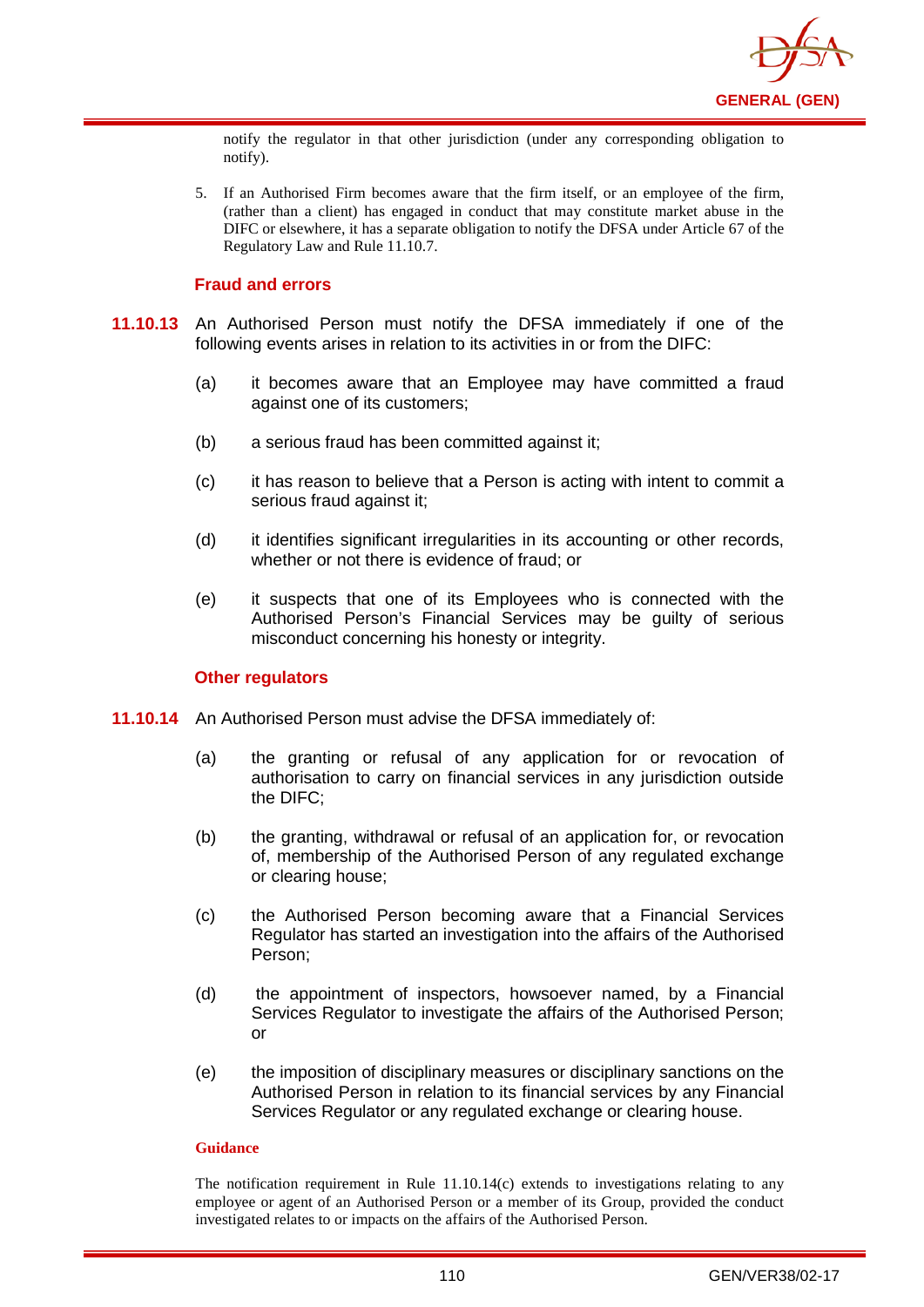

notify the regulator in that other jurisdiction (under any corresponding obligation to notify).

5. If an Authorised Firm becomes aware that the firm itself, or an employee of the firm, (rather than a client) has engaged in conduct that may constitute market abuse in the DIFC or elsewhere, it has a separate obligation to notify the DFSA under Article 67 of the Regulatory Law and Rule 11.10.7.

## **Fraud and errors**

- **11.10.13** An Authorised Person must notify the DFSA immediately if one of the following events arises in relation to its activities in or from the DIFC:
	- (a) it becomes aware that an Employee may have committed a fraud against one of its customers;
	- (b) a serious fraud has been committed against it;
	- (c) it has reason to believe that a Person is acting with intent to commit a serious fraud against it;
	- (d) it identifies significant irregularities in its accounting or other records, whether or not there is evidence of fraud; or
	- (e) it suspects that one of its Employees who is connected with the Authorised Person's Financial Services may be guilty of serious misconduct concerning his honesty or integrity.

## **Other regulators**

- **11.10.14** An Authorised Person must advise the DFSA immediately of:
	- (a) the granting or refusal of any application for or revocation of authorisation to carry on financial services in any jurisdiction outside the DIFC;
	- (b) the granting, withdrawal or refusal of an application for, or revocation of, membership of the Authorised Person of any regulated exchange or clearing house;
	- (c) the Authorised Person becoming aware that a Financial Services Regulator has started an investigation into the affairs of the Authorised Person;
	- (d) the appointment of inspectors, howsoever named, by a Financial Services Regulator to investigate the affairs of the Authorised Person; or
	- (e) the imposition of disciplinary measures or disciplinary sanctions on the Authorised Person in relation to its financial services by any Financial Services Regulator or any regulated exchange or clearing house.

### **Guidance**

The notification requirement in Rule  $11.10.14(c)$  extends to investigations relating to any employee or agent of an Authorised Person or a member of its Group, provided the conduct investigated relates to or impacts on the affairs of the Authorised Person.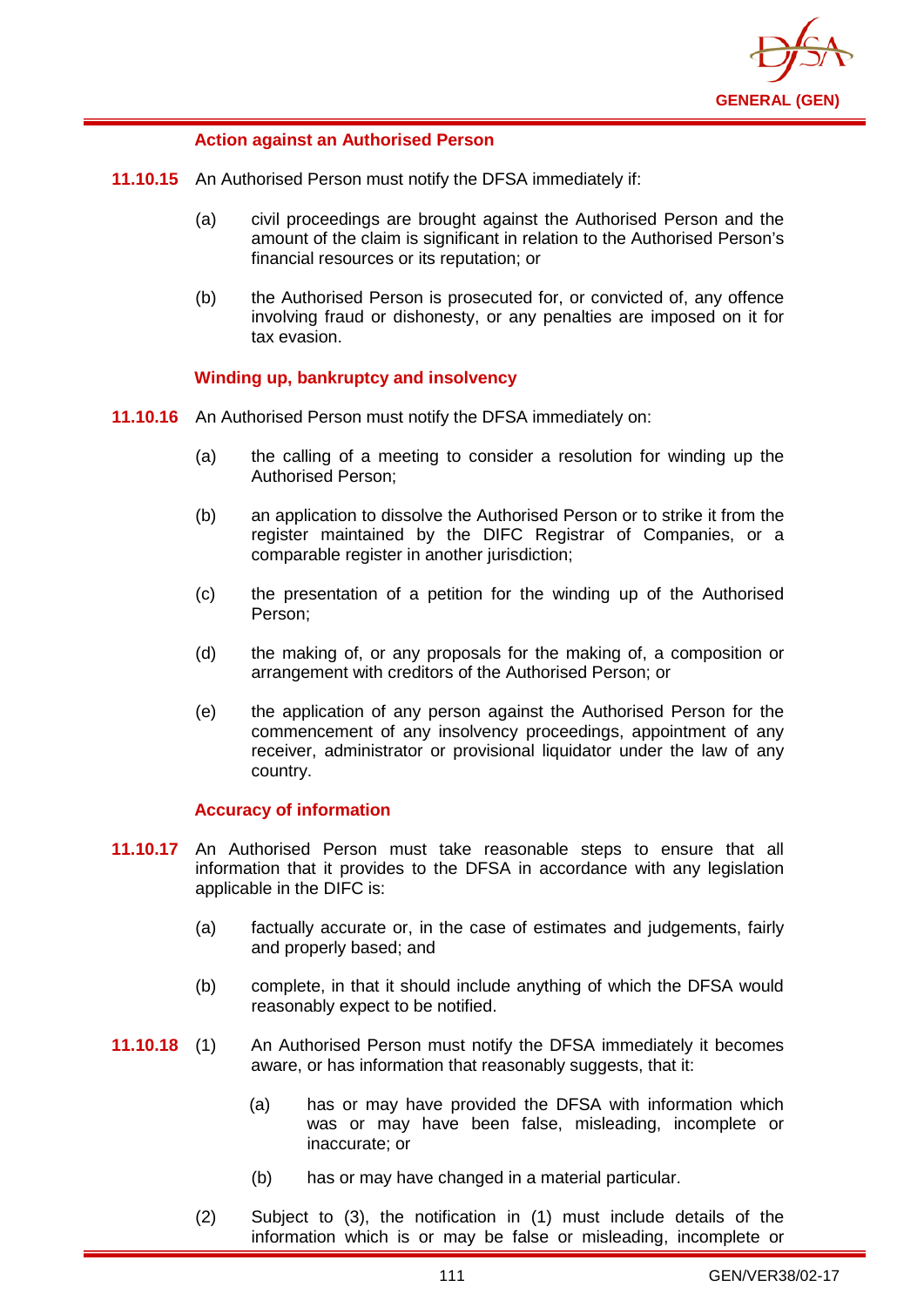

## **Action against an Authorised Person**

- **11.10.15** An Authorised Person must notify the DFSA immediately if:
	- (a) civil proceedings are brought against the Authorised Person and the amount of the claim is significant in relation to the Authorised Person's financial resources or its reputation; or
	- (b) the Authorised Person is prosecuted for, or convicted of, any offence involving fraud or dishonesty, or any penalties are imposed on it for tax evasion.

## **Winding up, bankruptcy and insolvency**

- **11.10.16** An Authorised Person must notify the DFSA immediately on:
	- (a) the calling of a meeting to consider a resolution for winding up the Authorised Person;
	- (b) an application to dissolve the Authorised Person or to strike it from the register maintained by the DIFC Registrar of Companies, or a comparable register in another jurisdiction;
	- (c) the presentation of a petition for the winding up of the Authorised Person;
	- (d) the making of, or any proposals for the making of, a composition or arrangement with creditors of the Authorised Person; or
	- (e) the application of any person against the Authorised Person for the commencement of any insolvency proceedings, appointment of any receiver, administrator or provisional liquidator under the law of any country.

## **Accuracy of information**

- **11.10.17** An Authorised Person must take reasonable steps to ensure that all information that it provides to the DFSA in accordance with any legislation applicable in the DIFC is:
	- (a) factually accurate or, in the case of estimates and judgements, fairly and properly based; and
	- (b) complete, in that it should include anything of which the DFSA would reasonably expect to be notified.
- **11.10.18** (1) An Authorised Person must notify the DFSA immediately it becomes aware, or has information that reasonably suggests, that it:
	- (a) has or may have provided the DFSA with information which was or may have been false, misleading, incomplete or inaccurate; or
	- (b) has or may have changed in a material particular.
	- (2) Subject to (3), the notification in (1) must include details of the information which is or may be false or misleading, incomplete or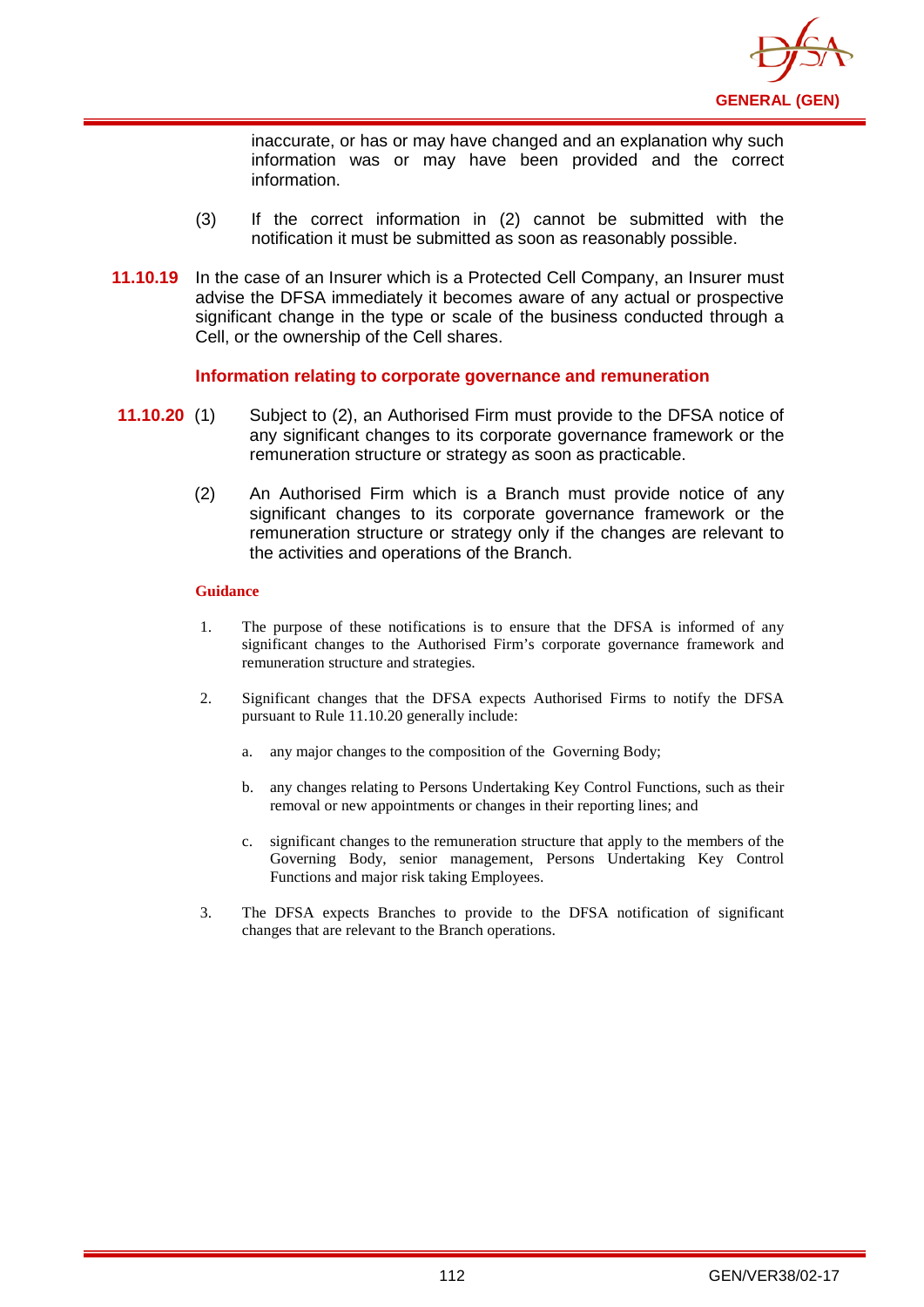

inaccurate, or has or may have changed and an explanation why such information was or may have been provided and the correct information.

- (3) If the correct information in (2) cannot be submitted with the notification it must be submitted as soon as reasonably possible.
- **11.10.19** In the case of an Insurer which is a Protected Cell Company, an Insurer must advise the DFSA immediately it becomes aware of any actual or prospective significant change in the type or scale of the business conducted through a Cell, or the ownership of the Cell shares.

### **Information relating to corporate governance and remuneration**

- **11.10.20** (1) Subject to (2), an Authorised Firm must provide to the DFSA notice of any significant changes to its corporate governance framework or the remuneration structure or strategy as soon as practicable.
	- (2) An Authorised Firm which is a Branch must provide notice of any significant changes to its corporate governance framework or the remuneration structure or strategy only if the changes are relevant to the activities and operations of the Branch.

- 1. The purpose of these notifications is to ensure that the DFSA is informed of any significant changes to the Authorised Firm's corporate governance framework and remuneration structure and strategies.
- 2. Significant changes that the DFSA expects Authorised Firms to notify the DFSA pursuant to Rule 11.10.20 generally include:
	- a. any major changes to the composition of the Governing Body;
	- b. any changes relating to Persons Undertaking Key Control Functions, such as their removal or new appointments or changes in their reporting lines; and
	- c. significant changes to the remuneration structure that apply to the members of the Governing Body, senior management, Persons Undertaking Key Control Functions and major risk taking Employees.
- 3. The DFSA expects Branches to provide to the DFSA notification of significant changes that are relevant to the Branch operations.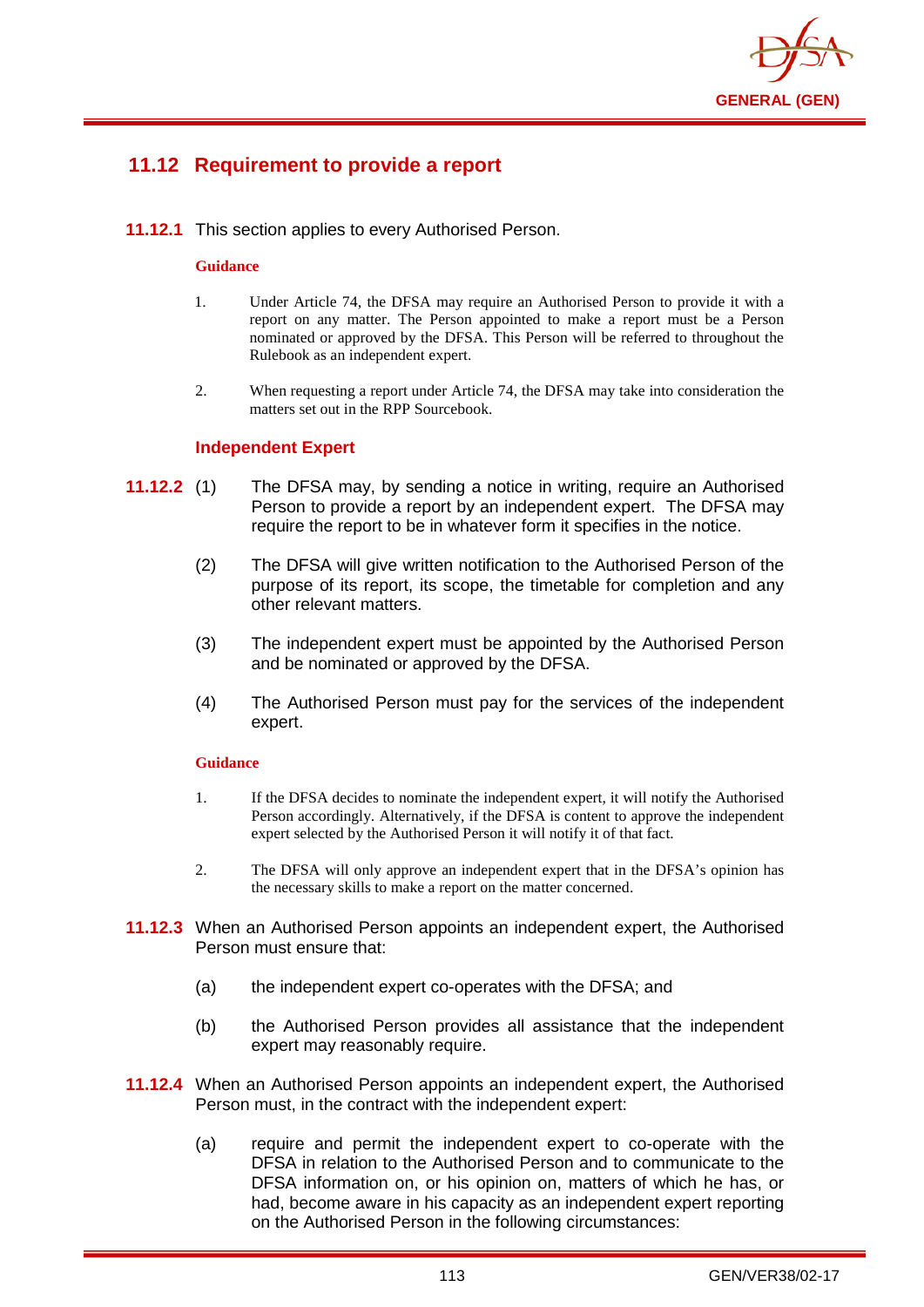

# **11.12 Requirement to provide a report**

**11.12.1** This section applies to every Authorised Person.

### **Guidance**

- 1. Under Article 74, the DFSA may require an Authorised Person to provide it with a report on any matter. The Person appointed to make a report must be a Person nominated or approved by the DFSA. This Person will be referred to throughout the Rulebook as an independent expert.
- 2. When requesting a report under Article 74, the DFSA may take into consideration the matters set out in the RPP Sourcebook.

### **Independent Expert**

- **11.12.2** (1) The DFSA may, by sending a notice in writing, require an Authorised Person to provide a report by an independent expert. The DFSA may require the report to be in whatever form it specifies in the notice.
	- (2) The DFSA will give written notification to the Authorised Person of the purpose of its report, its scope, the timetable for completion and any other relevant matters.
	- (3) The independent expert must be appointed by the Authorised Person and be nominated or approved by the DFSA.
	- (4) The Authorised Person must pay for the services of the independent expert.

- 1. If the DFSA decides to nominate the independent expert, it will notify the Authorised Person accordingly. Alternatively, if the DFSA is content to approve the independent expert selected by the Authorised Person it will notify it of that fact.
- 2. The DFSA will only approve an independent expert that in the DFSA's opinion has the necessary skills to make a report on the matter concerned.
- **11.12.3** When an Authorised Person appoints an independent expert, the Authorised Person must ensure that:
	- (a) the independent expert co-operates with the DFSA; and
	- (b) the Authorised Person provides all assistance that the independent expert may reasonably require.
- **11.12.4** When an Authorised Person appoints an independent expert, the Authorised Person must, in the contract with the independent expert:
	- (a) require and permit the independent expert to co-operate with the DFSA in relation to the Authorised Person and to communicate to the DFSA information on, or his opinion on, matters of which he has, or had, become aware in his capacity as an independent expert reporting on the Authorised Person in the following circumstances: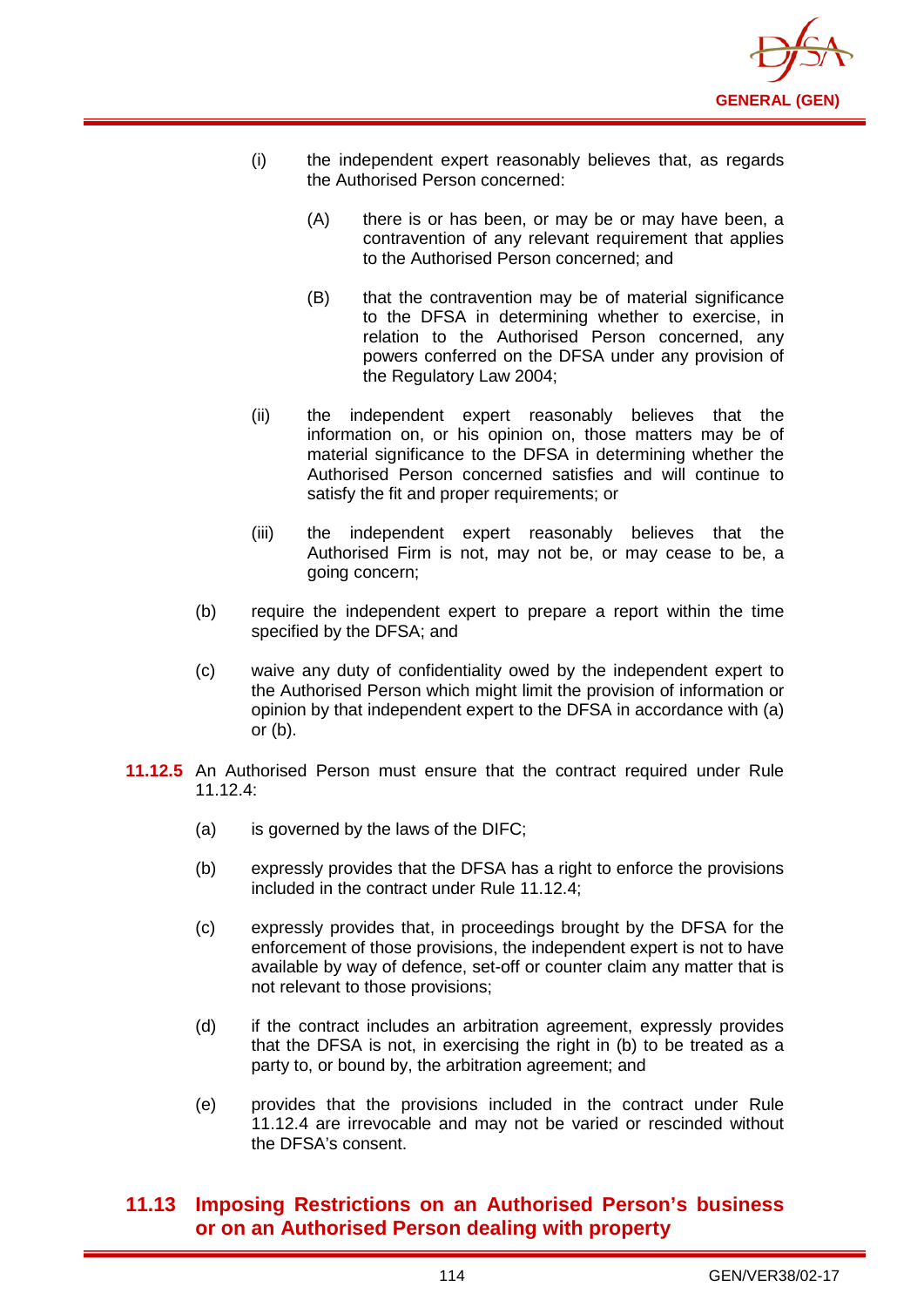

- (i) the independent expert reasonably believes that, as regards the Authorised Person concerned:
	- (A) there is or has been, or may be or may have been, a contravention of any relevant requirement that applies to the Authorised Person concerned; and
	- (B) that the contravention may be of material significance to the DFSA in determining whether to exercise, in relation to the Authorised Person concerned, any powers conferred on the DFSA under any provision of the Regulatory Law 2004;
- (ii) the independent expert reasonably believes that the information on, or his opinion on, those matters may be of material significance to the DFSA in determining whether the Authorised Person concerned satisfies and will continue to satisfy the fit and proper requirements; or
- (iii) the independent expert reasonably believes that the Authorised Firm is not, may not be, or may cease to be, a going concern;
- (b) require the independent expert to prepare a report within the time specified by the DFSA; and
- (c) waive any duty of confidentiality owed by the independent expert to the Authorised Person which might limit the provision of information or opinion by that independent expert to the DFSA in accordance with (a) or (b).
- **11.12.5** An Authorised Person must ensure that the contract required under Rule 11.12.4:
	- (a) is governed by the laws of the DIFC;
	- (b) expressly provides that the DFSA has a right to enforce the provisions included in the contract under Rule 11.12.4;
	- (c) expressly provides that, in proceedings brought by the DFSA for the enforcement of those provisions, the independent expert is not to have available by way of defence, set-off or counter claim any matter that is not relevant to those provisions;
	- (d) if the contract includes an arbitration agreement, expressly provides that the DFSA is not, in exercising the right in (b) to be treated as a party to, or bound by, the arbitration agreement; and
	- (e) provides that the provisions included in the contract under Rule 11.12.4 are irrevocable and may not be varied or rescinded without the DFSA's consent.

# **11.13 Imposing Restrictions on an Authorised Person's business or on an Authorised Person dealing with property**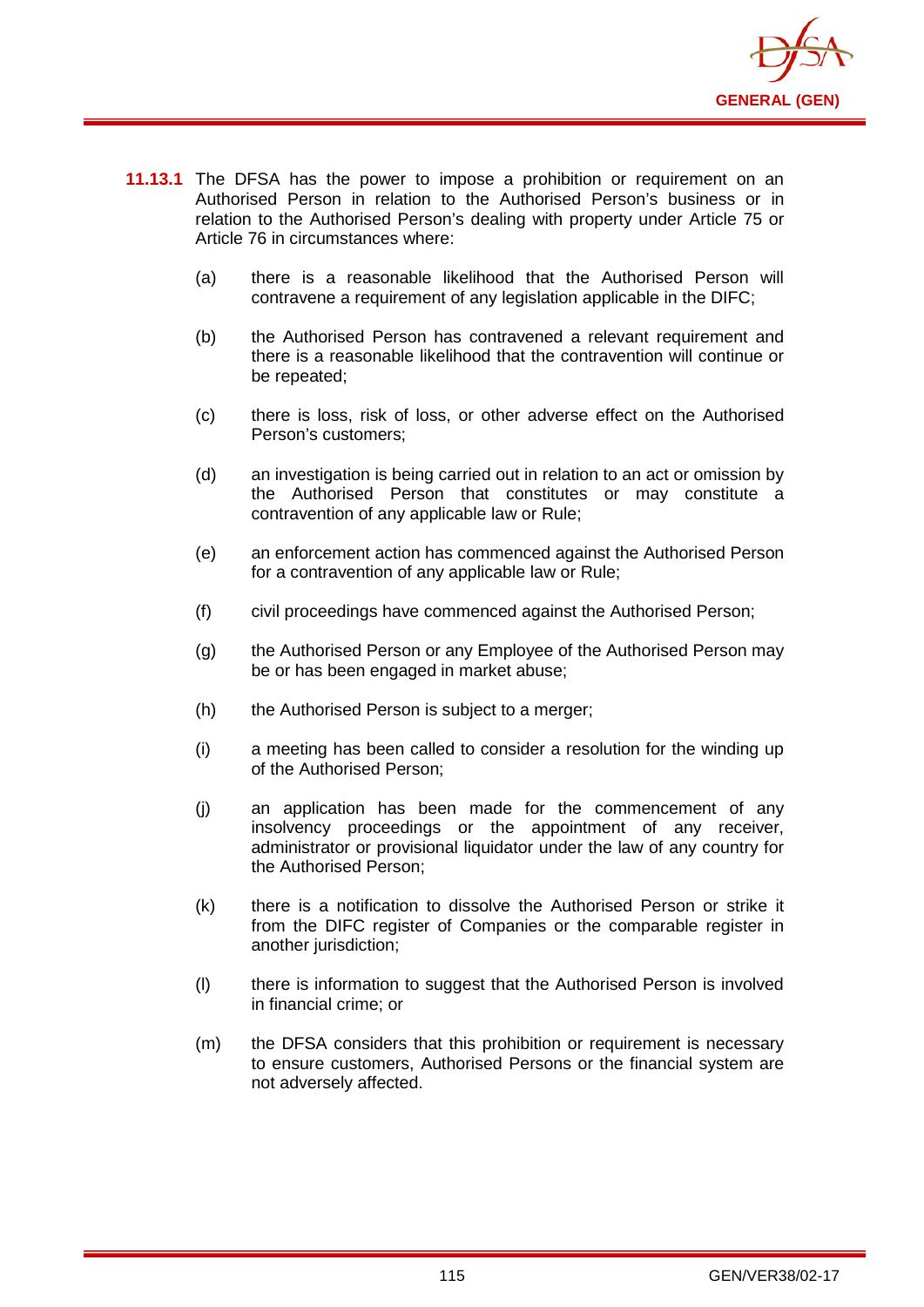

- **11.13.1** The DFSA has the power to impose a prohibition or requirement on an Authorised Person in relation to the Authorised Person's business or in relation to the Authorised Person's dealing with property under Article 75 or Article 76 in circumstances where:
	- (a) there is a reasonable likelihood that the Authorised Person will contravene a requirement of any legislation applicable in the DIFC;
	- (b) the Authorised Person has contravened a relevant requirement and there is a reasonable likelihood that the contravention will continue or be repeated;
	- (c) there is loss, risk of loss, or other adverse effect on the Authorised Person's customers;
	- (d) an investigation is being carried out in relation to an act or omission by the Authorised Person that constitutes or may constitute a contravention of any applicable law or Rule;
	- (e) an enforcement action has commenced against the Authorised Person for a contravention of any applicable law or Rule;
	- (f) civil proceedings have commenced against the Authorised Person;
	- (g) the Authorised Person or any Employee of the Authorised Person may be or has been engaged in market abuse;
	- (h) the Authorised Person is subject to a merger;
	- (i) a meeting has been called to consider a resolution for the winding up of the Authorised Person;
	- (j) an application has been made for the commencement of any insolvency proceedings or the appointment of any receiver, administrator or provisional liquidator under the law of any country for the Authorised Person;
	- (k) there is a notification to dissolve the Authorised Person or strike it from the DIFC register of Companies or the comparable register in another jurisdiction:
	- (l) there is information to suggest that the Authorised Person is involved in financial crime; or
	- (m) the DFSA considers that this prohibition or requirement is necessary to ensure customers, Authorised Persons or the financial system are not adversely affected.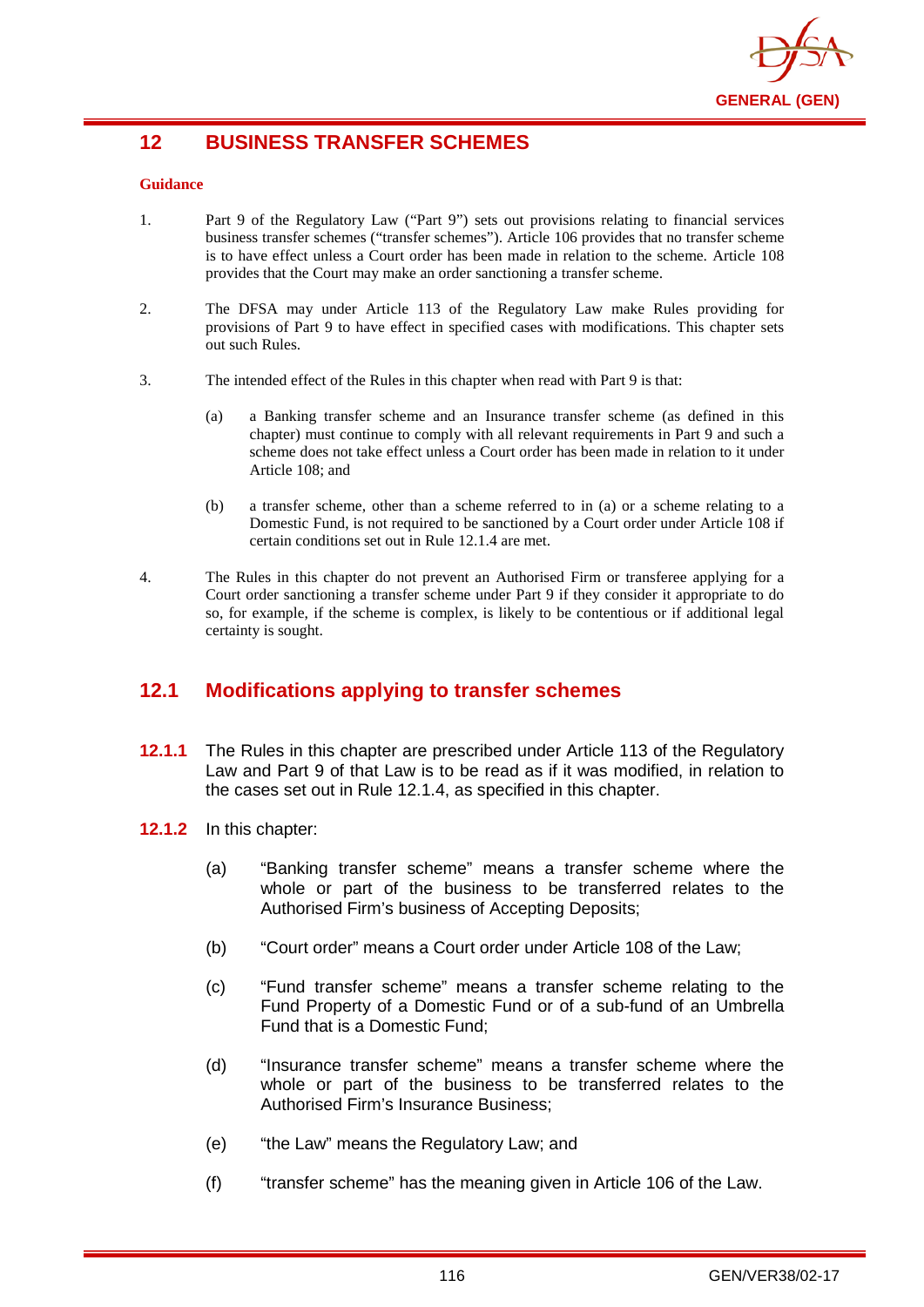

# **12 BUSINESS TRANSFER SCHEMES**

### **Guidance**

- 1. Part 9 of the Regulatory Law ("Part 9") sets out provisions relating to financial services business transfer schemes ("transfer schemes"). Article 106 provides that no transfer scheme is to have effect unless a Court order has been made in relation to the scheme. Article 108 provides that the Court may make an order sanctioning a transfer scheme.
- 2. The DFSA may under Article 113 of the Regulatory Law make Rules providing for provisions of Part 9 to have effect in specified cases with modifications. This chapter sets out such Rules.
- 3. The intended effect of the Rules in this chapter when read with Part 9 is that:
	- (a) a Banking transfer scheme and an Insurance transfer scheme (as defined in this chapter) must continue to comply with all relevant requirements in Part 9 and such a scheme does not take effect unless a Court order has been made in relation to it under Article 108; and
	- (b) a transfer scheme, other than a scheme referred to in (a) or a scheme relating to a Domestic Fund, is not required to be sanctioned by a Court order under Article 108 if certain conditions set out in Rule 12.1.4 are met.
- 4. The Rules in this chapter do not prevent an Authorised Firm or transferee applying for a Court order sanctioning a transfer scheme under Part 9 if they consider it appropriate to do so, for example, if the scheme is complex, is likely to be contentious or if additional legal certainty is sought.

# **12.1 Modifications applying to transfer schemes**

- **12.1.1** The Rules in this chapter are prescribed under Article 113 of the Regulatory Law and Part 9 of that Law is to be read as if it was modified, in relation to the cases set out in Rule 12.1.4, as specified in this chapter.
- **12.1.2** In this chapter:
	- (a) "Banking transfer scheme" means a transfer scheme where the whole or part of the business to be transferred relates to the Authorised Firm's business of Accepting Deposits;
	- (b) "Court order" means a Court order under Article 108 of the Law;
	- (c) "Fund transfer scheme" means a transfer scheme relating to the Fund Property of a Domestic Fund or of a sub-fund of an Umbrella Fund that is a Domestic Fund;
	- (d) "Insurance transfer scheme" means a transfer scheme where the whole or part of the business to be transferred relates to the Authorised Firm's Insurance Business;
	- (e) "the Law" means the Regulatory Law; and
	- (f) "transfer scheme" has the meaning given in Article 106 of the Law.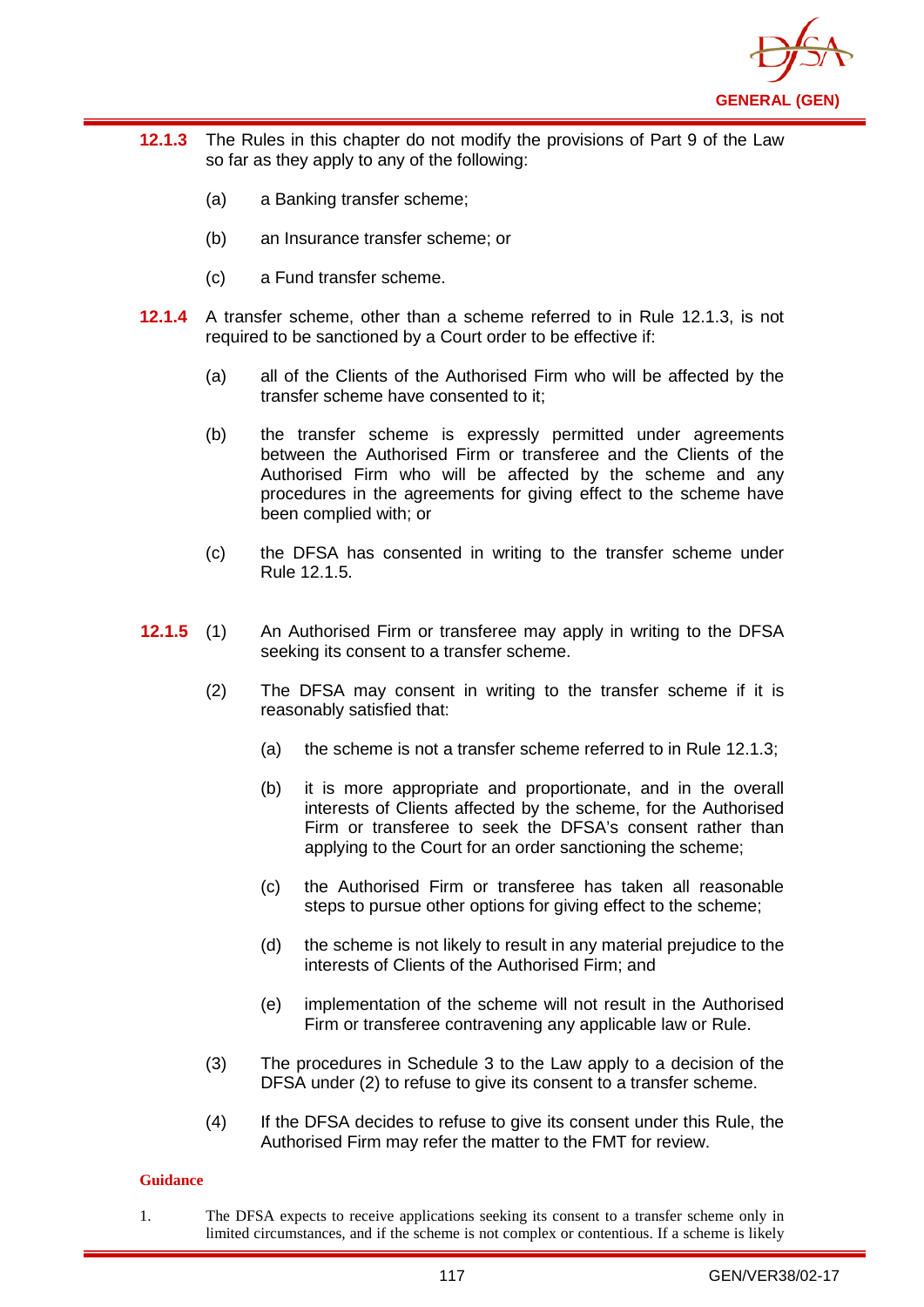

- **12.1.3** The Rules in this chapter do not modify the provisions of Part 9 of the Law so far as they apply to any of the following:
	- (a) a Banking transfer scheme;
	- (b) an Insurance transfer scheme; or
	- (c) a Fund transfer scheme.
- **12.1.4** A transfer scheme, other than a scheme referred to in Rule 12.1.3, is not required to be sanctioned by a Court order to be effective if:
	- (a) all of the Clients of the Authorised Firm who will be affected by the transfer scheme have consented to it;
	- (b) the transfer scheme is expressly permitted under agreements between the Authorised Firm or transferee and the Clients of the Authorised Firm who will be affected by the scheme and any procedures in the agreements for giving effect to the scheme have been complied with; or
	- (c) the DFSA has consented in writing to the transfer scheme under Rule 12.1.5.
- **12.1.5** (1) An Authorised Firm or transferee may apply in writing to the DFSA seeking its consent to a transfer scheme.
	- (2) The DFSA may consent in writing to the transfer scheme if it is reasonably satisfied that:
		- (a) the scheme is not a transfer scheme referred to in Rule 12.1.3;
		- (b) it is more appropriate and proportionate, and in the overall interests of Clients affected by the scheme, for the Authorised Firm or transferee to seek the DFSA's consent rather than applying to the Court for an order sanctioning the scheme;
		- (c) the Authorised Firm or transferee has taken all reasonable steps to pursue other options for giving effect to the scheme;
		- (d) the scheme is not likely to result in any material prejudice to the interests of Clients of the Authorised Firm; and
		- (e) implementation of the scheme will not result in the Authorised Firm or transferee contravening any applicable law or Rule.
	- (3) The procedures in Schedule 3 to the Law apply to a decision of the DFSA under (2) to refuse to give its consent to a transfer scheme.
	- (4) If the DFSA decides to refuse to give its consent under this Rule, the Authorised Firm may refer the matter to the FMT for review.

### **Guidance**

1. The DFSA expects to receive applications seeking its consent to a transfer scheme only in limited circumstances, and if the scheme is not complex or contentious. If a scheme is likely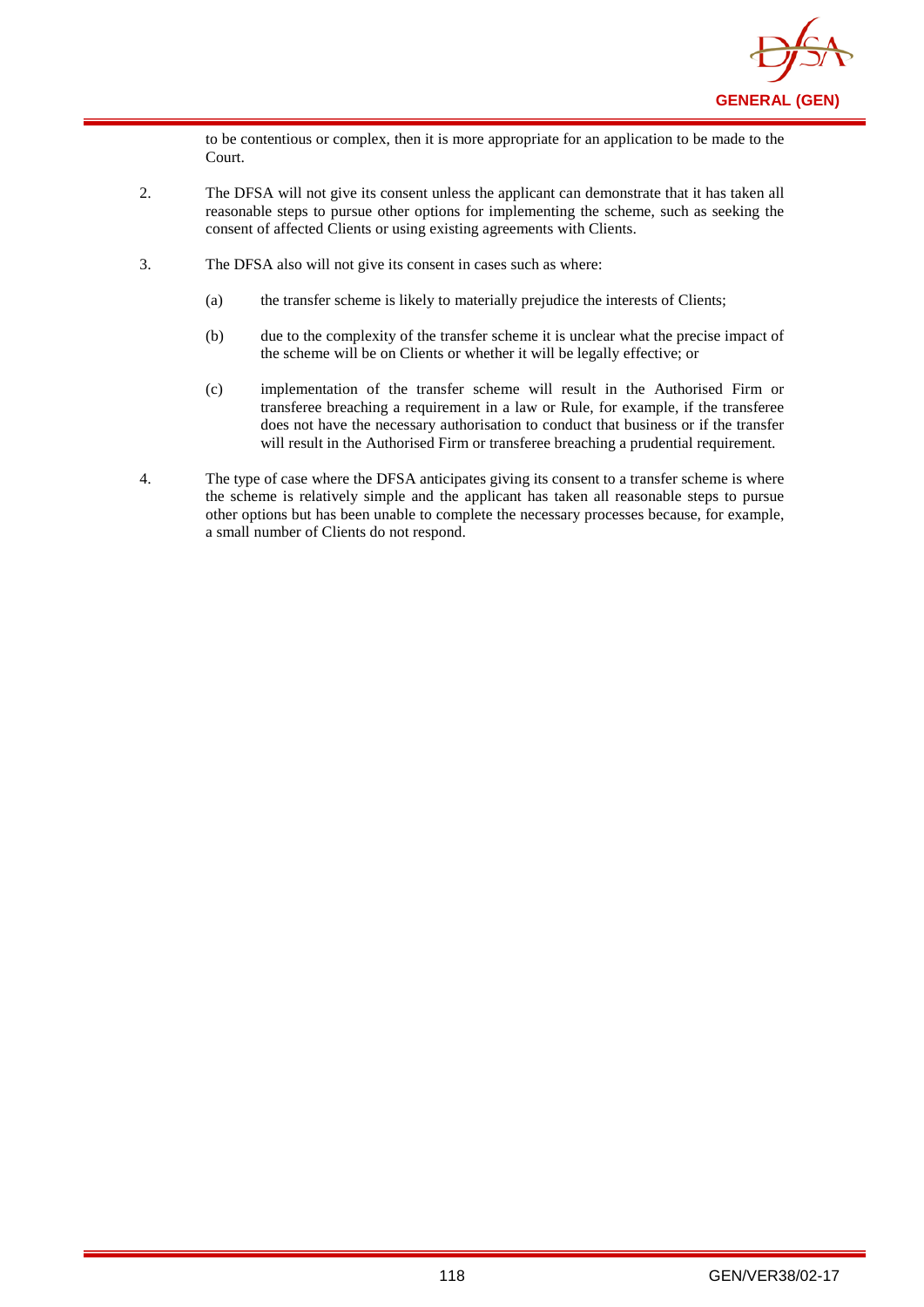

to be contentious or complex, then it is more appropriate for an application to be made to the Court.

- 2. The DFSA will not give its consent unless the applicant can demonstrate that it has taken all reasonable steps to pursue other options for implementing the scheme, such as seeking the consent of affected Clients or using existing agreements with Clients.
- 3. The DFSA also will not give its consent in cases such as where:
	- (a) the transfer scheme is likely to materially prejudice the interests of Clients;
	- (b) due to the complexity of the transfer scheme it is unclear what the precise impact of the scheme will be on Clients or whether it will be legally effective; or
	- (c) implementation of the transfer scheme will result in the Authorised Firm or transferee breaching a requirement in a law or Rule, for example, if the transferee does not have the necessary authorisation to conduct that business or if the transfer will result in the Authorised Firm or transferee breaching a prudential requirement.
- 4. The type of case where the DFSA anticipates giving its consent to a transfer scheme is where the scheme is relatively simple and the applicant has taken all reasonable steps to pursue other options but has been unable to complete the necessary processes because, for example, a small number of Clients do not respond.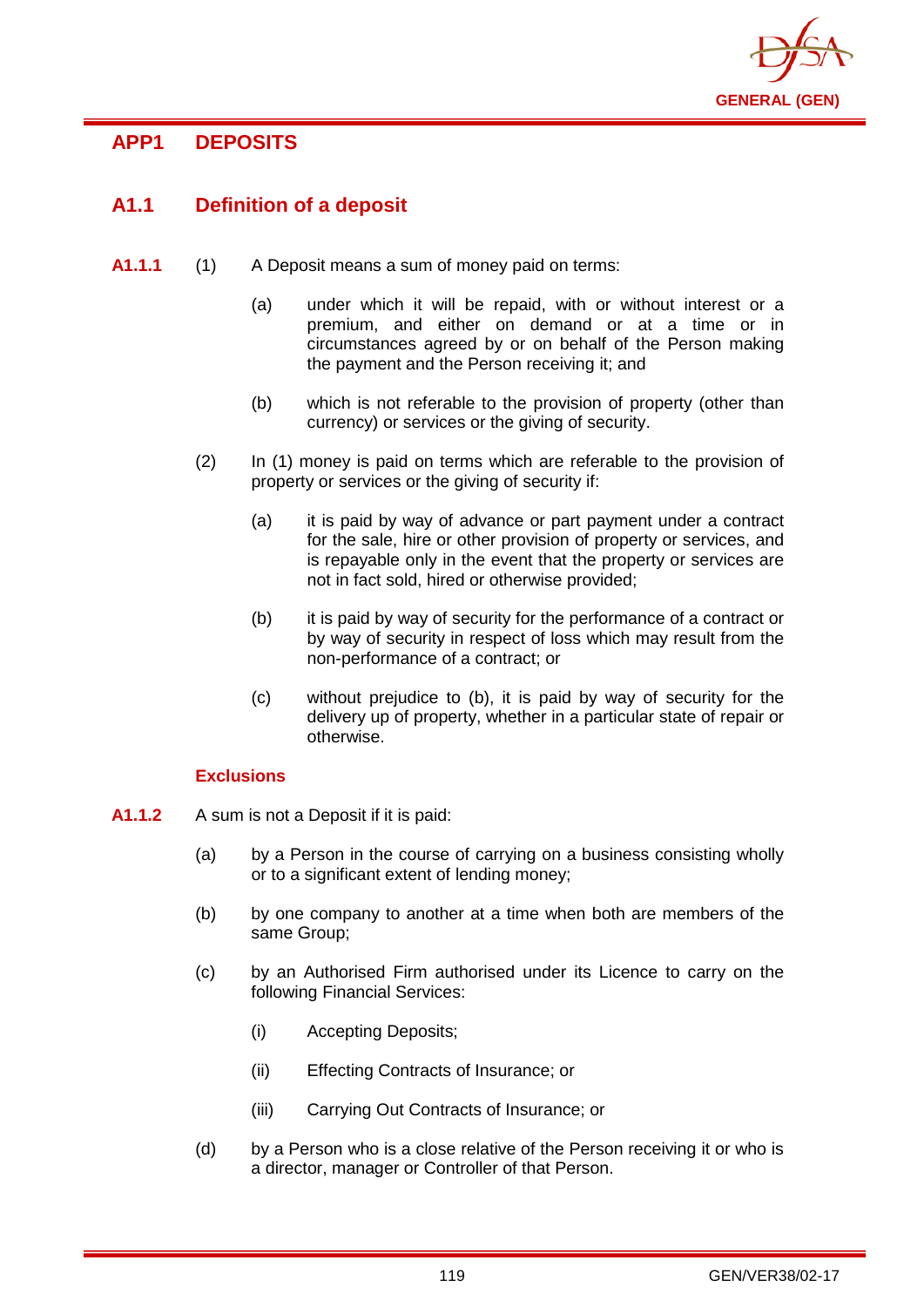

# **APP1 DEPOSITS**

# **A1.1 Definition of a deposit**

- **A1.1.1** (1) A Deposit means a sum of money paid on terms:
	- (a) under which it will be repaid, with or without interest or a premium, and either on demand or at a time or in circumstances agreed by or on behalf of the Person making the payment and the Person receiving it; and
	- (b) which is not referable to the provision of property (other than currency) or services or the giving of security.
	- (2) In (1) money is paid on terms which are referable to the provision of property or services or the giving of security if:
		- (a) it is paid by way of advance or part payment under a contract for the sale, hire or other provision of property or services, and is repayable only in the event that the property or services are not in fact sold, hired or otherwise provided;
		- (b) it is paid by way of security for the performance of a contract or by way of security in respect of loss which may result from the non-performance of a contract; or
		- (c) without prejudice to (b), it is paid by way of security for the delivery up of property, whether in a particular state of repair or otherwise.

## **Exclusions**

- **A1.1.2** A sum is not a Deposit if it is paid:
	- (a) by a Person in the course of carrying on a business consisting wholly or to a significant extent of lending money;
	- (b) by one company to another at a time when both are members of the same Group;
	- (c) by an Authorised Firm authorised under its Licence to carry on the following Financial Services:
		- (i) Accepting Deposits;
		- (ii) Effecting Contracts of Insurance; or
		- (iii) Carrying Out Contracts of Insurance; or
	- (d) by a Person who is a close relative of the Person receiving it or who is a director, manager or Controller of that Person.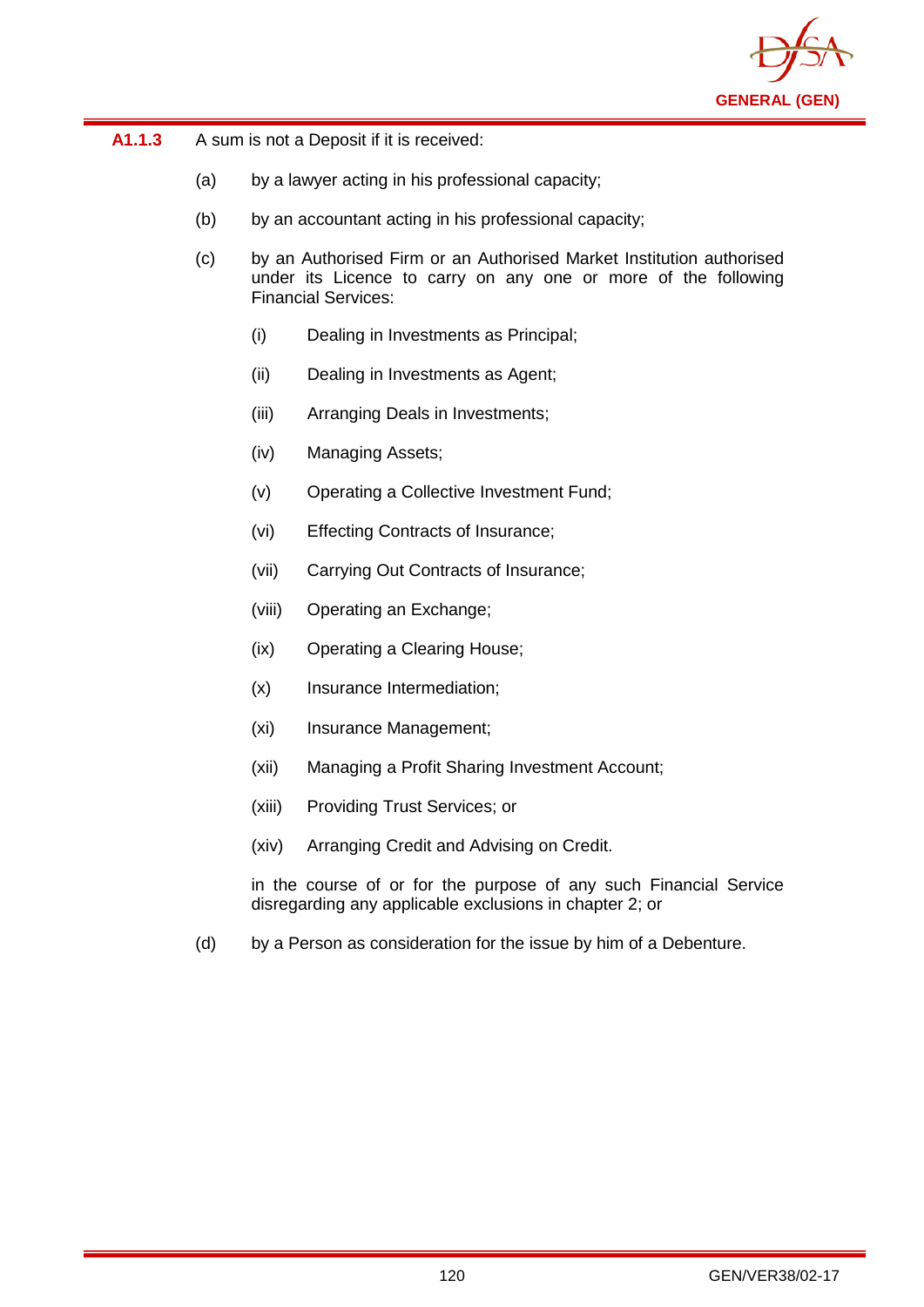

| A1.1.3 | A sum is not a Deposit if it is received: |
|--------|-------------------------------------------|
|--------|-------------------------------------------|

- (a) by a lawyer acting in his professional capacity;
- (b) by an accountant acting in his professional capacity;
- (c) by an Authorised Firm or an Authorised Market Institution authorised under its Licence to carry on any one or more of the following Financial Services:
	- (i) Dealing in Investments as Principal;
	- (ii) Dealing in Investments as Agent;
	- (iii) Arranging Deals in Investments;
	- (iv) Managing Assets;
	- (v) Operating a Collective Investment Fund;
	- (vi) Effecting Contracts of Insurance;
	- (vii) Carrying Out Contracts of Insurance;
	- (viii) Operating an Exchange;
	- (ix) Operating a Clearing House;
	- (x) Insurance Intermediation;
	- (xi) Insurance Management;
	- (xii) Managing a Profit Sharing Investment Account;
	- (xiii) Providing Trust Services; or
	- (xiv) Arranging Credit and Advising on Credit.

in the course of or for the purpose of any such Financial Service disregarding any applicable exclusions in chapter 2; or

(d) by a Person as consideration for the issue by him of a Debenture.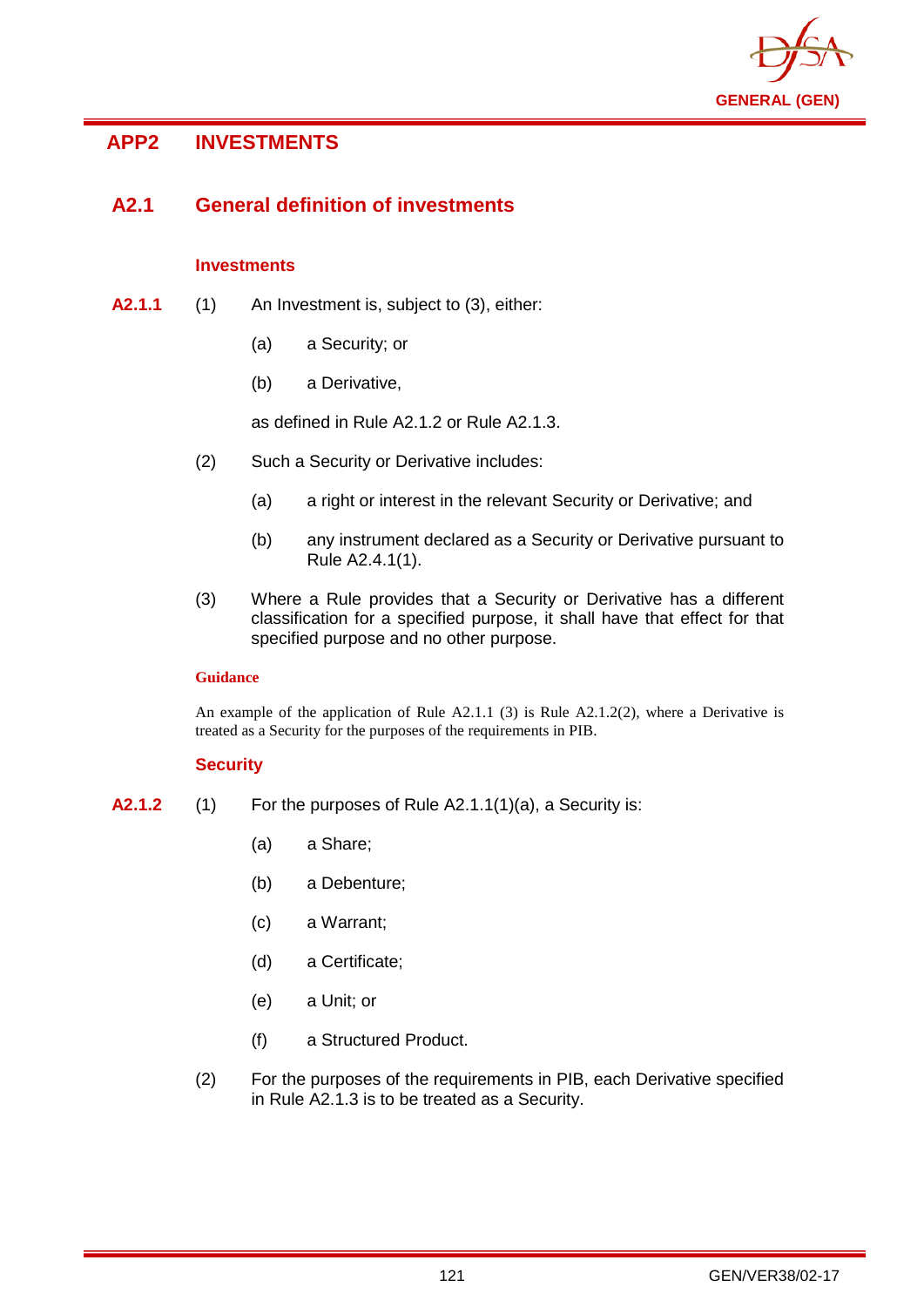

# **APP2 INVESTMENTS**

# **A2.1 General definition of investments**

## **Investments**

- **A2.1.1** (1) An Investment is, subject to (3), either:
	- (a) a Security; or
	- (b) a Derivative,

as defined in Rule A2.1.2 or Rule A2.1.3.

- (2) Such a Security or Derivative includes:
	- (a) a right or interest in the relevant Security or Derivative; and
	- (b) any instrument declared as a Security or Derivative pursuant to Rule A2.4.1(1).
- (3) Where a Rule provides that a Security or Derivative has a different classification for a specified purpose, it shall have that effect for that specified purpose and no other purpose.

## **Guidance**

An example of the application of Rule  $A2.1.1$  (3) is Rule  $A2.1.2(2)$ , where a Derivative is treated as a Security for the purposes of the requirements in PIB.

## **Security**

- **A2.1.2** (1) For the purposes of Rule A2.1.1(1)(a), a Security is:
	- (a) a Share;
	- (b) a Debenture;
	- (c) a Warrant;
	- (d) a Certificate;
	- (e) a Unit; or
	- (f) a Structured Product.
	- (2) For the purposes of the requirements in PIB, each Derivative specified in Rule A2.1.3 is to be treated as a Security.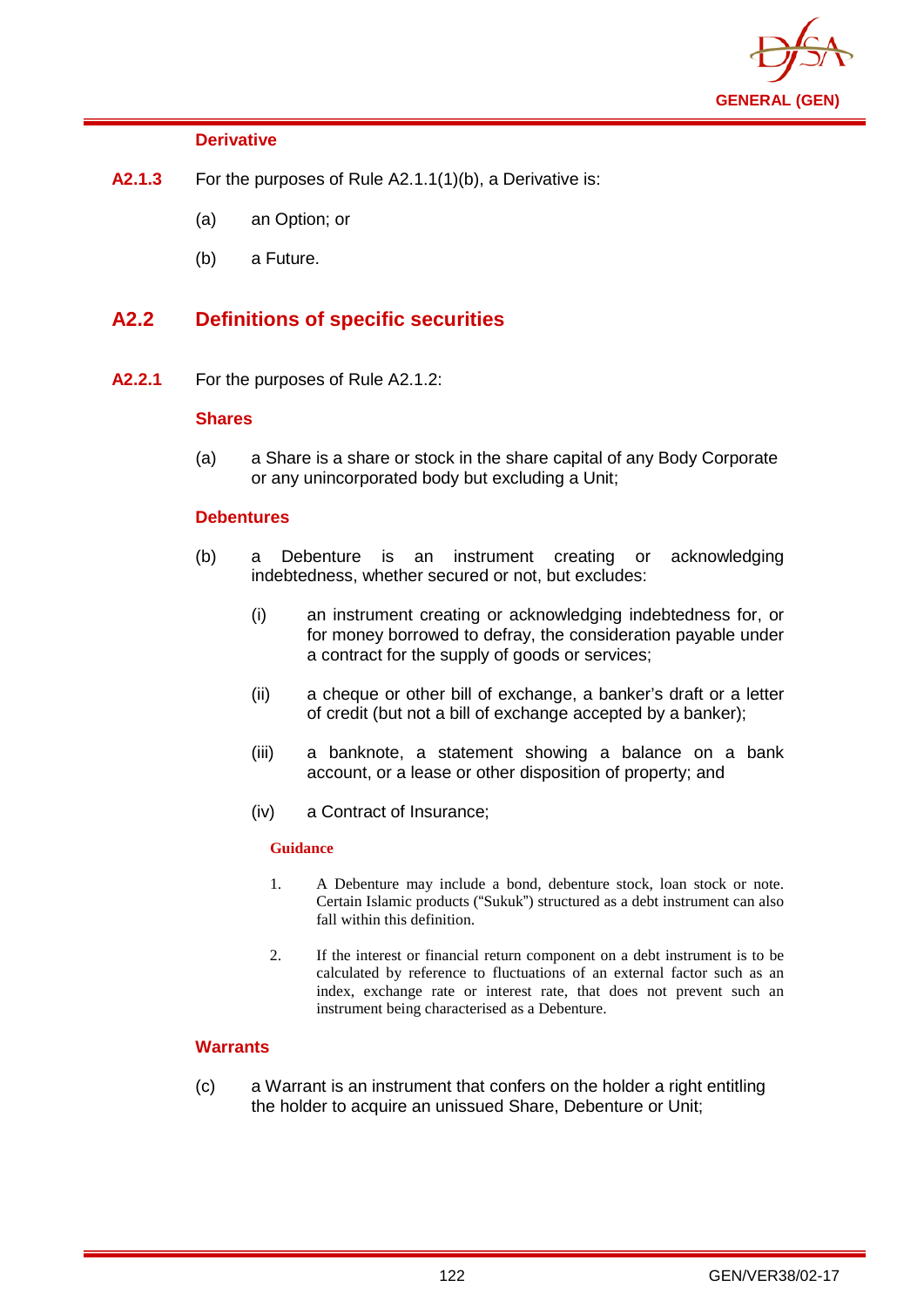

## **Derivative**

- **A2.1.3** For the purposes of Rule A2.1.1(1)(b), a Derivative is:
	- (a) an Option; or
	- (b) a Future.

## **A2.2 Definitions of specific securities**

**A2.2.1** For the purposes of Rule A2.1.2:

## **Shares**

(a) a Share is a share or stock in the share capital of any Body Corporate or any unincorporated body but excluding a Unit;

## **Debentures**

- (b) a Debenture is an instrument creating or acknowledging indebtedness, whether secured or not, but excludes:
	- (i) an instrument creating or acknowledging indebtedness for, or for money borrowed to defray, the consideration payable under a contract for the supply of goods or services;
	- (ii) a cheque or other bill of exchange, a banker's draft or a letter of credit (but not a bill of exchange accepted by a banker);
	- (iii) a banknote, a statement showing a balance on a bank account, or a lease or other disposition of property; and
	- (iv) a Contract of Insurance;

## **Guidance**

- 1. A Debenture may include a bond, debenture stock, loan stock or note. Certain Islamic products ("Sukuk") structured as a debt instrument can also fall within this definition.
- 2. If the interest or financial return component on a debt instrument is to be calculated by reference to fluctuations of an external factor such as an index, exchange rate or interest rate, that does not prevent such an instrument being characterised as a Debenture.

## **Warrants**

(c) a Warrant is an instrument that confers on the holder a right entitling the holder to acquire an unissued Share, Debenture or Unit;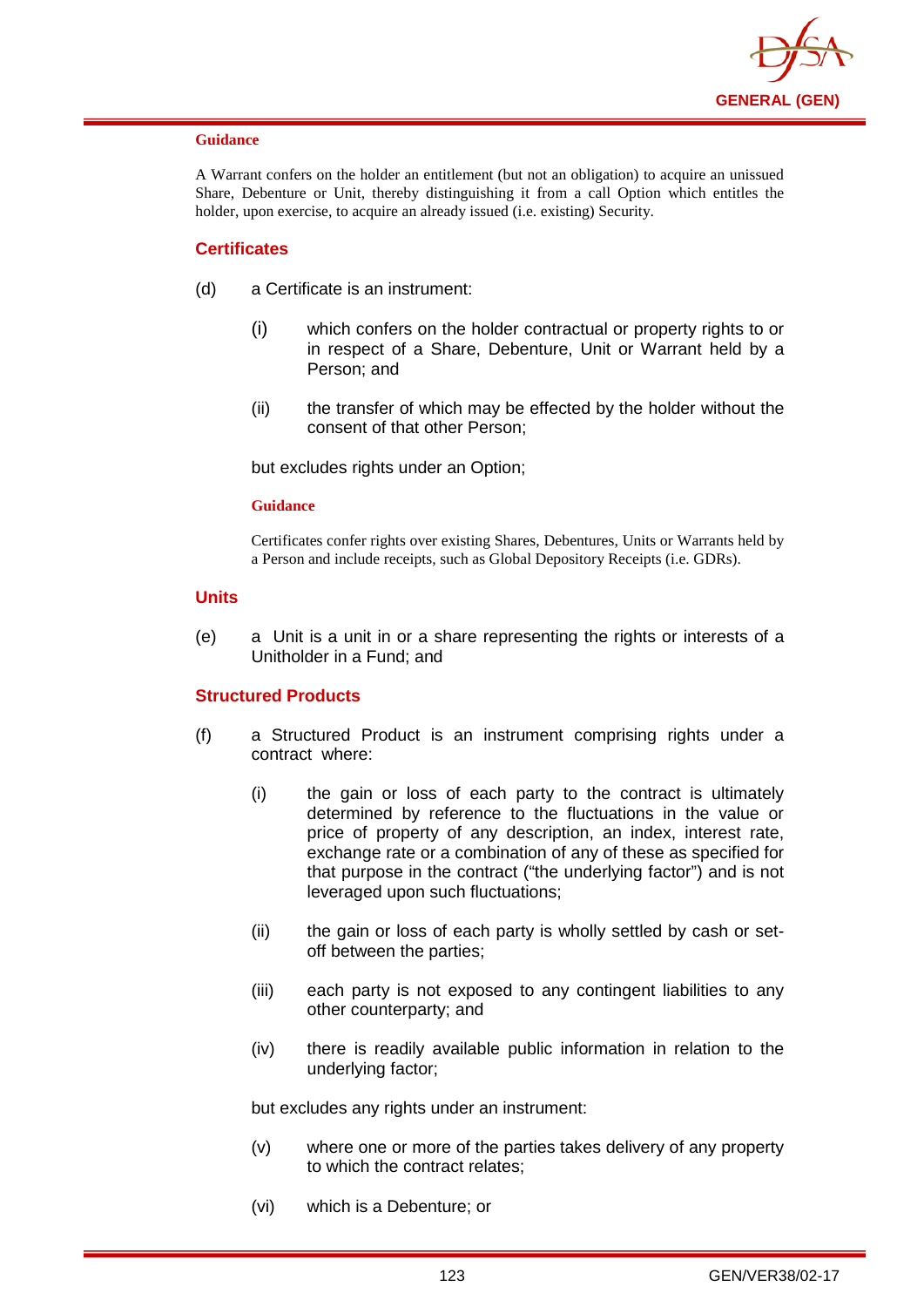

### **Guidance**

A Warrant confers on the holder an entitlement (but not an obligation) to acquire an unissued Share, Debenture or Unit, thereby distinguishing it from a call Option which entitles the holder, upon exercise, to acquire an already issued (i.e. existing) Security.

## **Certificates**

- (d) a Certificate is an instrument:
	- (i) which confers on the holder contractual or property rights to or in respect of a Share, Debenture, Unit or Warrant held by a Person; and
	- (ii) the transfer of which may be effected by the holder without the consent of that other Person;

but excludes rights under an Option;

### **Guidance**

Certificates confer rights over existing Shares, Debentures, Units or Warrants held by a Person and include receipts, such as Global Depository Receipts (i.e. GDRs).

### **Units**

(e) a Unit is a unit in or a share representing the rights or interests of a Unitholder in a Fund; and

## **Structured Products**

- (f) a Structured Product is an instrument comprising rights under a contract where:
	- (i) the gain or loss of each party to the contract is ultimately determined by reference to the fluctuations in the value or price of property of any description, an index, interest rate, exchange rate or a combination of any of these as specified for that purpose in the contract ("the underlying factor") and is not leveraged upon such fluctuations;
	- (ii) the gain or loss of each party is wholly settled by cash or setoff between the parties;
	- (iii) each party is not exposed to any contingent liabilities to any other counterparty; and
	- (iv) there is readily available public information in relation to the underlying factor;

but excludes any rights under an instrument:

- (v) where one or more of the parties takes delivery of any property to which the contract relates;
- (vi) which is a Debenture; or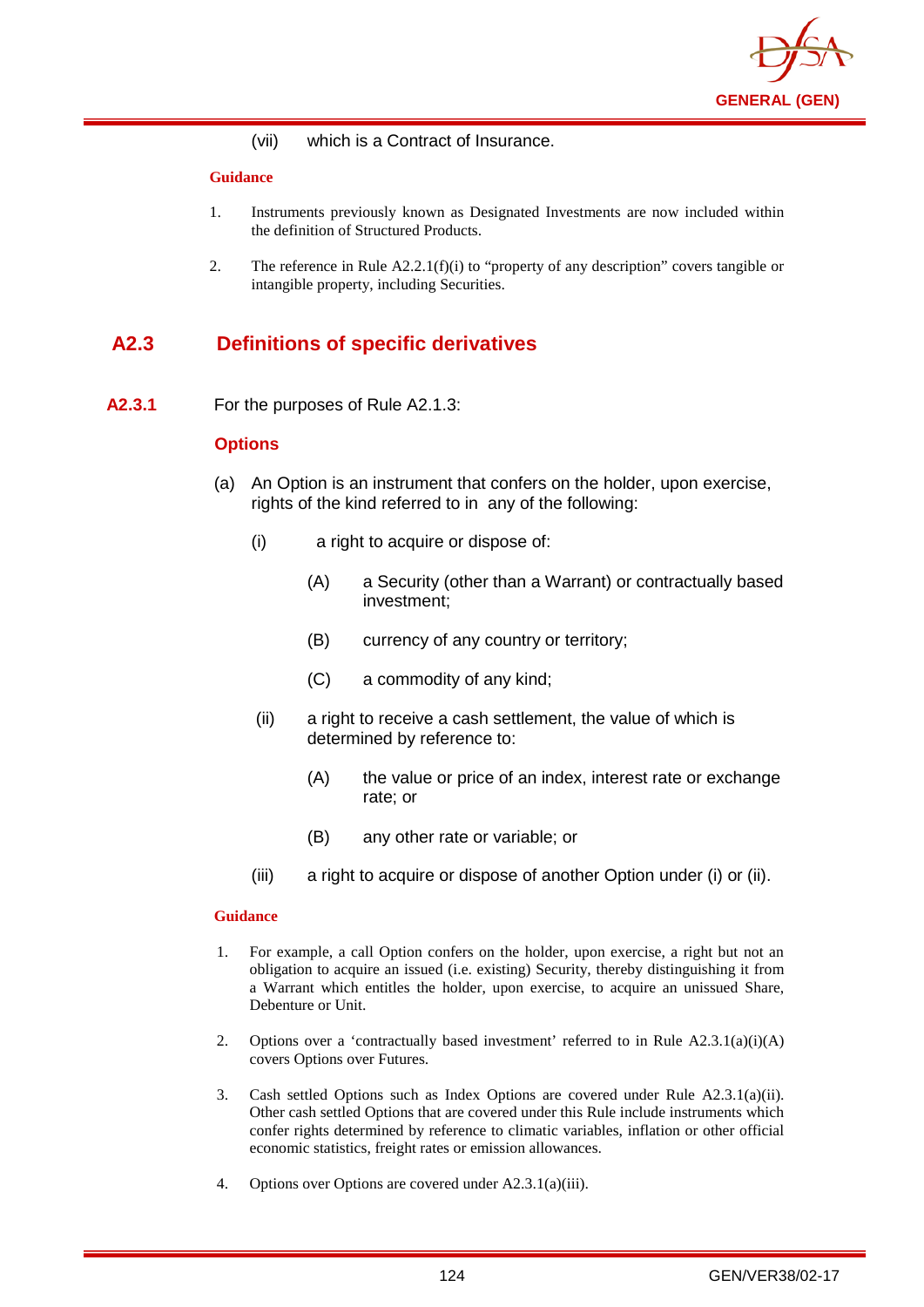

(vii) which is a Contract of Insurance.

### **Guidance**

- 1. Instruments previously known as Designated Investments are now included within the definition of Structured Products.
- 2. The reference in Rule  $A2.2.1(f)(i)$  to "property of any description" covers tangible or intangible property, including Securities.

# **A2.3 Definitions of specific derivatives**

**A2.3.1** For the purposes of Rule A2.1.3:

## **Options**

- (a) An Option is an instrument that confers on the holder, upon exercise, rights of the kind referred to in any of the following:
	- (i) a right to acquire or dispose of:
		- (A) a Security (other than a Warrant) or contractually based investment;
		- (B) currency of any country or territory;
		- (C) a commodity of any kind;
	- (ii) a right to receive a cash settlement, the value of which is determined by reference to:
		- (A) the value or price of an index, interest rate or exchange rate; or
		- (B) any other rate or variable; or
	- (iii) a right to acquire or dispose of another Option under (i) or (ii).

- 1. For example, a call Option confers on the holder, upon exercise, a right but not an obligation to acquire an issued (i.e. existing) Security, thereby distinguishing it from a Warrant which entitles the holder, upon exercise, to acquire an unissued Share, Debenture or Unit.
- 2. Options over a 'contractually based investment' referred to in Rule  $A2.3.1(a)(i)(A)$ covers Options over Futures.
- 3. Cash settled Options such as Index Options are covered under Rule A2.3.1(a)(ii). Other cash settled Options that are covered under this Rule include instruments which confer rights determined by reference to climatic variables, inflation or other official economic statistics, freight rates or emission allowances.
- 4. Options over Options are covered under A2.3.1(a)(iii).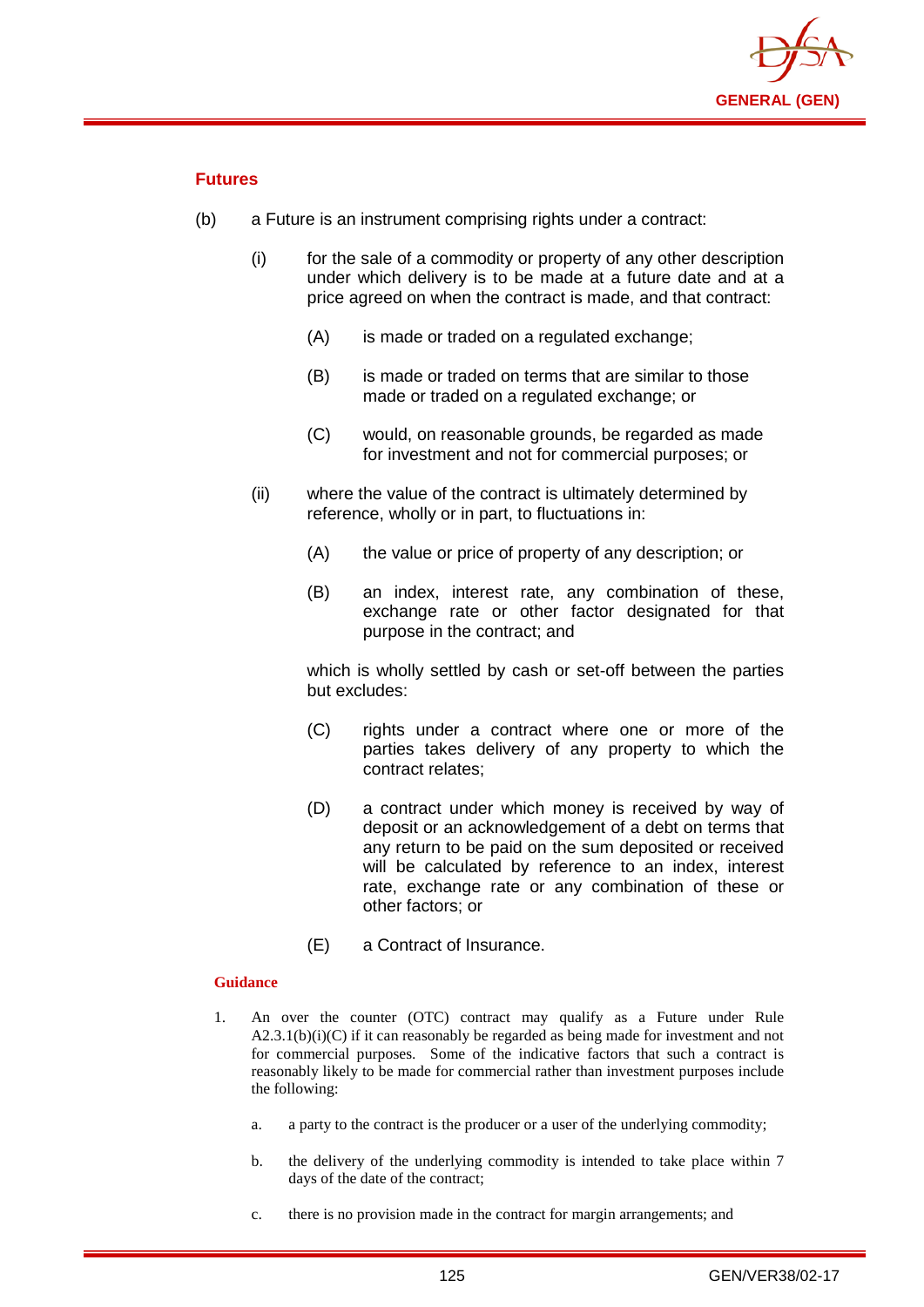

## **Futures**

- (b) a Future is an instrument comprising rights under a contract:
	- (i) for the sale of a commodity or property of any other description under which delivery is to be made at a future date and at a price agreed on when the contract is made, and that contract:
		- (A) is made or traded on a regulated exchange:
		- (B) is made or traded on terms that are similar to those made or traded on a regulated exchange; or
		- (C) would, on reasonable grounds, be regarded as made for investment and not for commercial purposes; or
	- (ii) where the value of the contract is ultimately determined by reference, wholly or in part, to fluctuations in:
		- (A) the value or price of property of any description; or
		- (B) an index, interest rate, any combination of these, exchange rate or other factor designated for that purpose in the contract; and

which is wholly settled by cash or set-off between the parties but excludes:

- (C) rights under a contract where one or more of the parties takes delivery of any property to which the contract relates;
- (D) a contract under which money is received by way of deposit or an acknowledgement of a debt on terms that any return to be paid on the sum deposited or received will be calculated by reference to an index, interest rate, exchange rate or any combination of these or other factors; or
- (E) a Contract of Insurance.

- 1. An over the counter (OTC) contract may qualify as a Future under Rule  $A2.3.1(b)(i)(C)$  if it can reasonably be regarded as being made for investment and not for commercial purposes. Some of the indicative factors that such a contract is reasonably likely to be made for commercial rather than investment purposes include the following:
	- a. a party to the contract is the producer or a user of the underlying commodity;
	- b. the delivery of the underlying commodity is intended to take place within 7 days of the date of the contract;
	- c. there is no provision made in the contract for margin arrangements; and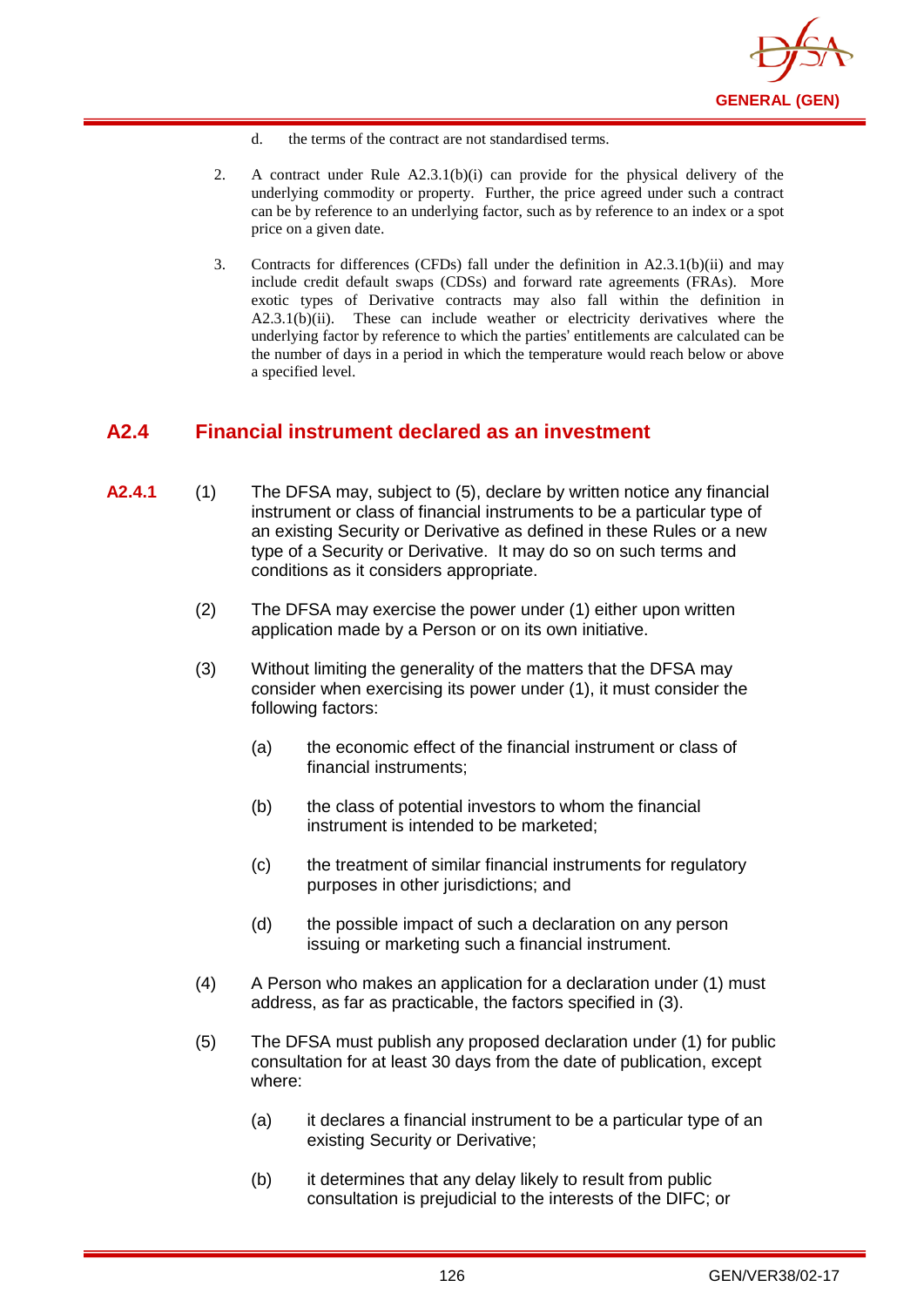

- d. the terms of the contract are not standardised terms.
- 2. A contract under Rule A2.3.1(b)(i) can provide for the physical delivery of the underlying commodity or property. Further, the price agreed under such a contract can be by reference to an underlying factor, such as by reference to an index or a spot price on a given date.
- 3. Contracts for differences (CFDs) fall under the definition in A2.3.1(b)(ii) and may include credit default swaps (CDSs) and forward rate agreements (FRAs). More exotic types of Derivative contracts may also fall within the definition in A2.3.1(b)(ii). These can include weather or electricity derivatives where the underlying factor by reference to which the parties' entitlements are calculated can be the number of days in a period in which the temperature would reach below or above a specified level.

## **A2.4 Financial instrument declared as an investment**

- **A2.4.1** (1) The DFSA may, subject to (5), declare by written notice any financial instrument or class of financial instruments to be a particular type of an existing Security or Derivative as defined in these Rules or a new type of a Security or Derivative. It may do so on such terms and conditions as it considers appropriate.
	- (2) The DFSA may exercise the power under (1) either upon written application made by a Person or on its own initiative.
	- (3) Without limiting the generality of the matters that the DFSA may consider when exercising its power under (1), it must consider the following factors:
		- (a) the economic effect of the financial instrument or class of financial instruments;
		- (b) the class of potential investors to whom the financial instrument is intended to be marketed;
		- (c) the treatment of similar financial instruments for regulatory purposes in other jurisdictions; and
		- (d) the possible impact of such a declaration on any person issuing or marketing such a financial instrument.
	- (4) A Person who makes an application for a declaration under (1) must address, as far as practicable, the factors specified in (3).
	- (5) The DFSA must publish any proposed declaration under (1) for public consultation for at least 30 days from the date of publication, except where:
		- (a) it declares a financial instrument to be a particular type of an existing Security or Derivative;
		- (b) it determines that any delay likely to result from public consultation is prejudicial to the interests of the DIFC; or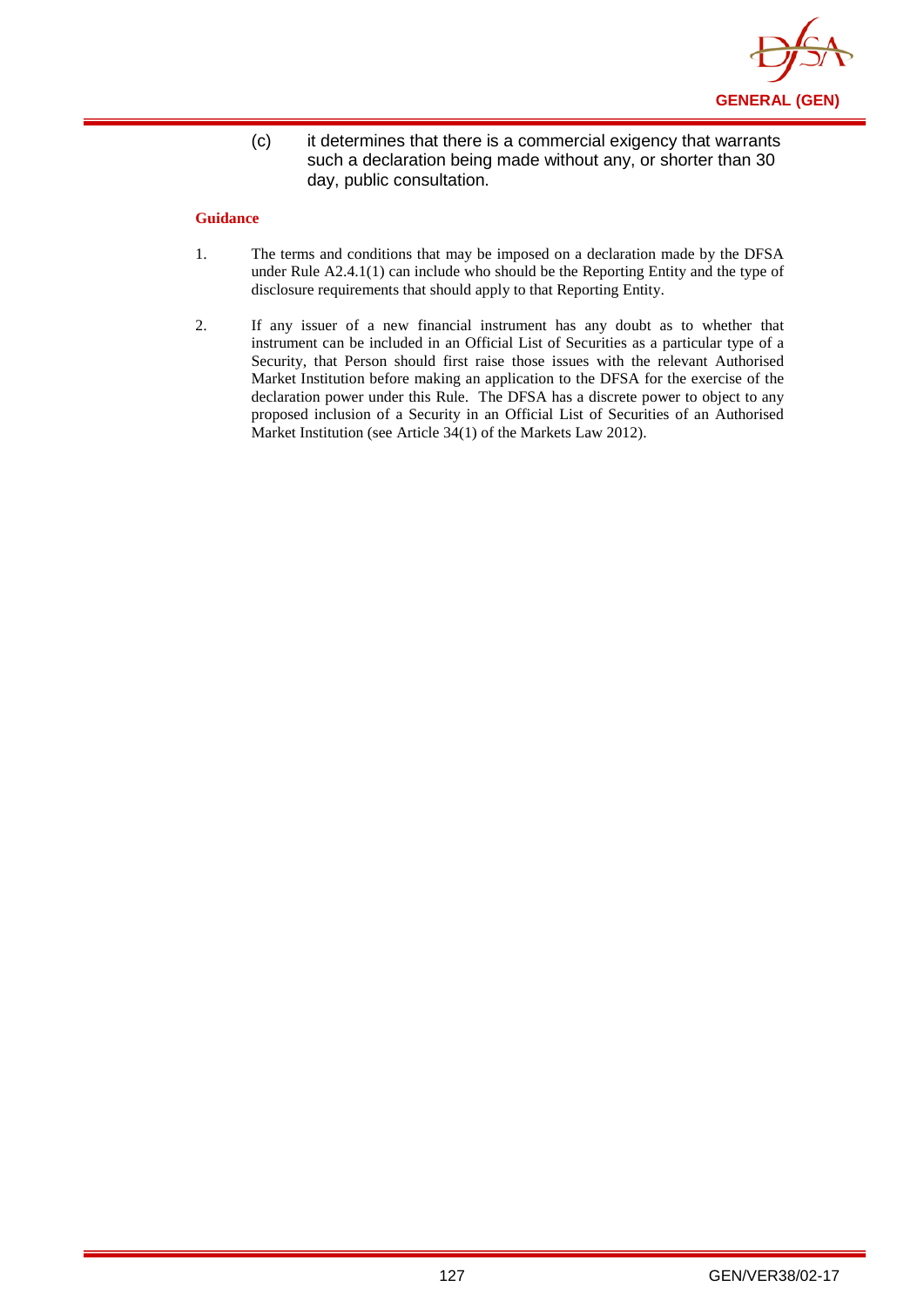

(c) it determines that there is a commercial exigency that warrants such a declaration being made without any, or shorter than 30 day, public consultation.

- 1. The terms and conditions that may be imposed on a declaration made by the DFSA under Rule A2.4.1(1) can include who should be the Reporting Entity and the type of disclosure requirements that should apply to that Reporting Entity.
- 2. If any issuer of a new financial instrument has any doubt as to whether that instrument can be included in an Official List of Securities as a particular type of a Security, that Person should first raise those issues with the relevant Authorised Market Institution before making an application to the DFSA for the exercise of the declaration power under this Rule. The DFSA has a discrete power to object to any proposed inclusion of a Security in an Official List of Securities of an Authorised Market Institution (see Article 34(1) of the Markets Law 2012).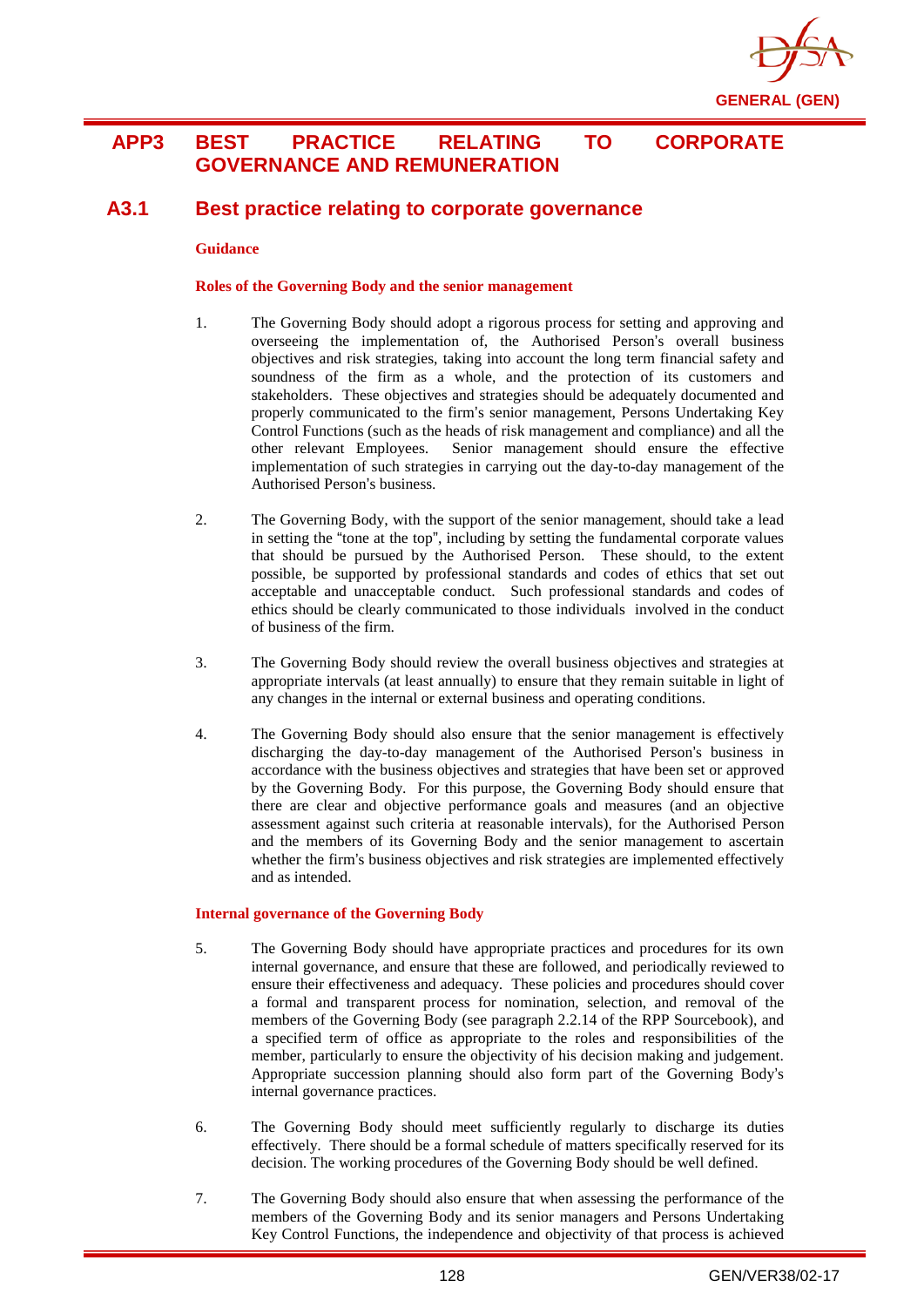

## **APP3 BEST PRACTICE RELATING TO CORPORATE GOVERNANCE AND REMUNERATION**

## **A3.1 Best practice relating to corporate governance**

#### **Guidance**

### **Roles of the Governing Body and the senior management**

- 1. The Governing Body should adopt a rigorous process for setting and approving and overseeing the implementation of, the Authorised Person's overall business objectives and risk strategies, taking into account the long term financial safety and soundness of the firm as a whole, and the protection of its customers and stakeholders. These objectives and strategies should be adequately documented and properly communicated to the firm's senior management, Persons Undertaking Key Control Functions (such as the heads of risk management and compliance) and all the other relevant Employees. Senior management should ensure the effective implementation of such strategies in carrying out the day-to-day management of the Authorised Person's business.
- 2. The Governing Body, with the support of the senior management, should take a lead in setting the "tone at the top", including by setting the fundamental corporate values that should be pursued by the Authorised Person. These should, to the extent possible, be supported by professional standards and codes of ethics that set out acceptable and unacceptable conduct. Such professional standards and codes of ethics should be clearly communicated to those individuals involved in the conduct of business of the firm.
- 3. The Governing Body should review the overall business objectives and strategies at appropriate intervals (at least annually) to ensure that they remain suitable in light of any changes in the internal or external business and operating conditions.
- 4. The Governing Body should also ensure that the senior management is effectively discharging the day-to-day management of the Authorised Person's business in accordance with the business objectives and strategies that have been set or approved by the Governing Body. For this purpose, the Governing Body should ensure that there are clear and objective performance goals and measures (and an objective assessment against such criteria at reasonable intervals), for the Authorised Person and the members of its Governing Body and the senior management to ascertain whether the firm's business objectives and risk strategies are implemented effectively and as intended.

### **Internal governance of the Governing Body**

- 5. The Governing Body should have appropriate practices and procedures for its own internal governance, and ensure that these are followed, and periodically reviewed to ensure their effectiveness and adequacy. These policies and procedures should cover a formal and transparent process for nomination, selection, and removal of the members of the Governing Body (see paragraph 2.2.14 of the RPP Sourcebook), and a specified term of office as appropriate to the roles and responsibilities of the member, particularly to ensure the objectivity of his decision making and judgement. Appropriate succession planning should also form part of the Governing Body's internal governance practices.
- 6. The Governing Body should meet sufficiently regularly to discharge its duties effectively. There should be a formal schedule of matters specifically reserved for its decision. The working procedures of the Governing Body should be well defined.
- 7. The Governing Body should also ensure that when assessing the performance of the members of the Governing Body and its senior managers and Persons Undertaking Key Control Functions, the independence and objectivity of that process is achieved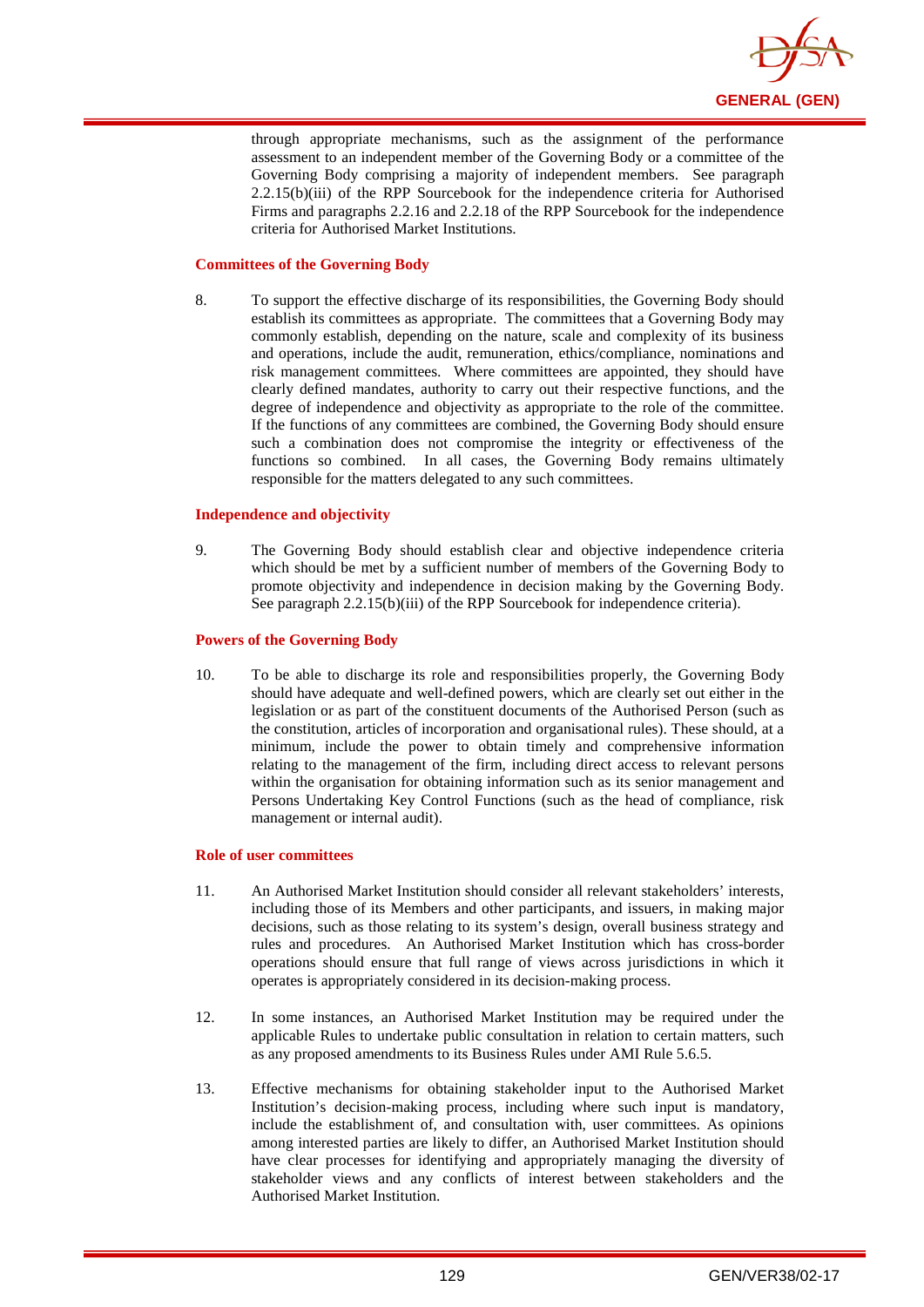

through appropriate mechanisms, such as the assignment of the performance assessment to an independent member of the Governing Body or a committee of the Governing Body comprising a majority of independent members. See paragraph 2.2.15(b)(iii) of the RPP Sourcebook for the independence criteria for Authorised Firms and paragraphs 2.2.16 and 2.2.18 of the RPP Sourcebook for the independence criteria for Authorised Market Institutions.

### **Committees of the Governing Body**

8. To support the effective discharge of its responsibilities, the Governing Body should establish its committees as appropriate. The committees that a Governing Body may commonly establish, depending on the nature, scale and complexity of its business and operations, include the audit, remuneration, ethics/compliance, nominations and risk management committees. Where committees are appointed, they should have clearly defined mandates, authority to carry out their respective functions, and the degree of independence and objectivity as appropriate to the role of the committee. If the functions of any committees are combined, the Governing Body should ensure such a combination does not compromise the integrity or effectiveness of the functions so combined. In all cases, the Governing Body remains ultimately responsible for the matters delegated to any such committees.

### **Independence and objectivity**

9. The Governing Body should establish clear and objective independence criteria which should be met by a sufficient number of members of the Governing Body to promote objectivity and independence in decision making by the Governing Body. See paragraph 2.2.15(b)(iii) of the RPP Sourcebook for independence criteria).

#### **Powers of the Governing Body**

10. To be able to discharge its role and responsibilities properly, the Governing Body should have adequate and well-defined powers, which are clearly set out either in the legislation or as part of the constituent documents of the Authorised Person (such as the constitution, articles of incorporation and organisational rules). These should, at a minimum, include the power to obtain timely and comprehensive information relating to the management of the firm, including direct access to relevant persons within the organisation for obtaining information such as its senior management and Persons Undertaking Key Control Functions (such as the head of compliance, risk management or internal audit).

#### **Role of user committees**

- 11. An Authorised Market Institution should consider all relevant stakeholders' interests, including those of its Members and other participants, and issuers, in making major decisions, such as those relating to its system's design, overall business strategy and rules and procedures. An Authorised Market Institution which has cross-border operations should ensure that full range of views across jurisdictions in which it operates is appropriately considered in its decision-making process.
- 12. In some instances, an Authorised Market Institution may be required under the applicable Rules to undertake public consultation in relation to certain matters, such as any proposed amendments to its Business Rules under AMI Rule 5.6.5.
- 13. Effective mechanisms for obtaining stakeholder input to the Authorised Market Institution's decision-making process, including where such input is mandatory, include the establishment of, and consultation with, user committees. As opinions among interested parties are likely to differ, an Authorised Market Institution should have clear processes for identifying and appropriately managing the diversity of stakeholder views and any conflicts of interest between stakeholders and the Authorised Market Institution.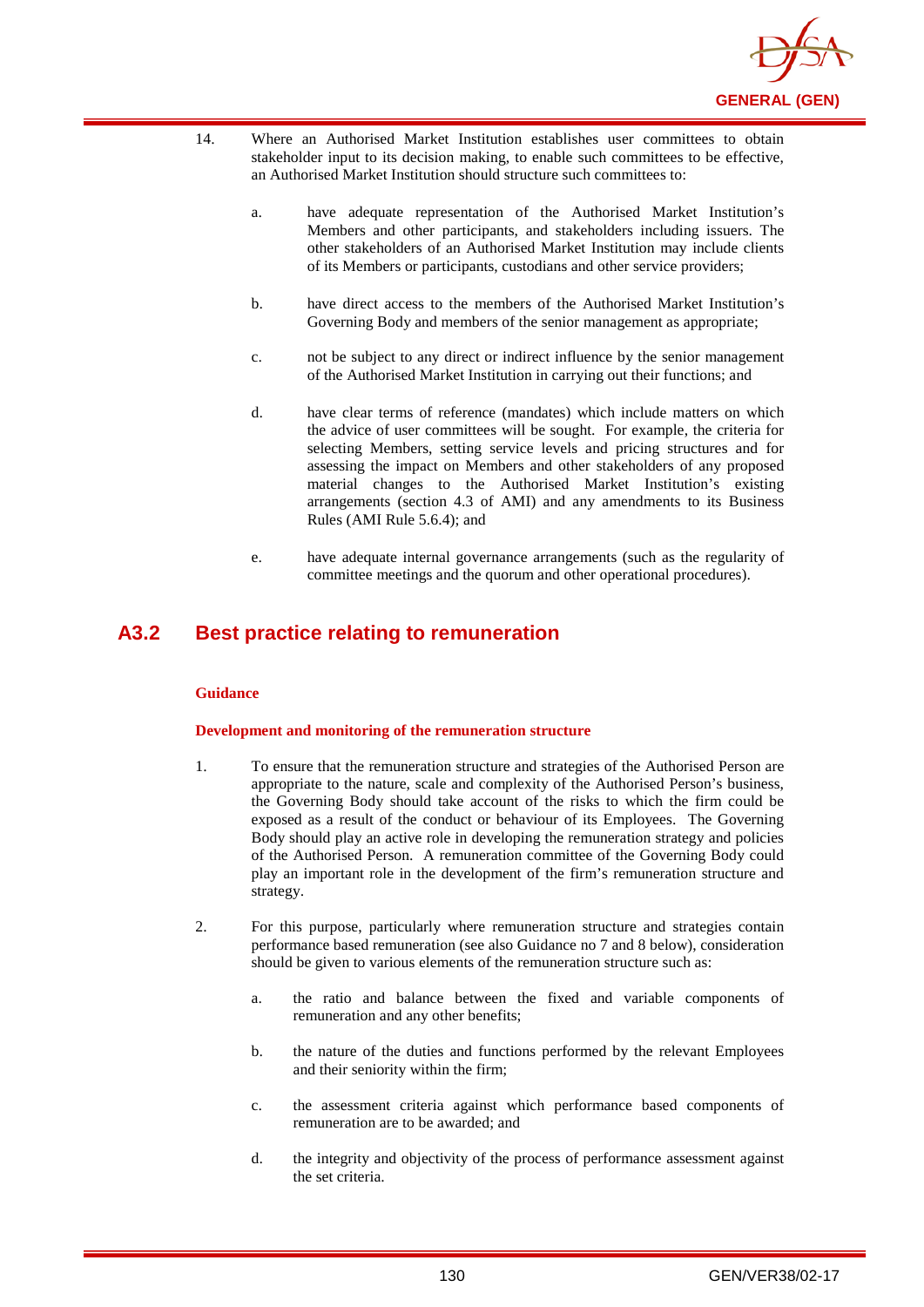

- 14. Where an Authorised Market Institution establishes user committees to obtain stakeholder input to its decision making, to enable such committees to be effective, an Authorised Market Institution should structure such committees to:
	- a. have adequate representation of the Authorised Market Institution's Members and other participants, and stakeholders including issuers. The other stakeholders of an Authorised Market Institution may include clients of its Members or participants, custodians and other service providers;
	- b. have direct access to the members of the Authorised Market Institution's Governing Body and members of the senior management as appropriate;
	- c. not be subject to any direct or indirect influence by the senior management of the Authorised Market Institution in carrying out their functions; and
	- d. have clear terms of reference (mandates) which include matters on which the advice of user committees will be sought. For example, the criteria for selecting Members, setting service levels and pricing structures and for assessing the impact on Members and other stakeholders of any proposed material changes to the Authorised Market Institution's existing arrangements (section 4.3 of AMI) and any amendments to its Business Rules (AMI Rule 5.6.4); and
	- e. have adequate internal governance arrangements (such as the regularity of committee meetings and the quorum and other operational procedures).

## **A3.2 Best practice relating to remuneration**

### **Guidance**

### **Development and monitoring of the remuneration structure**

- 1. To ensure that the remuneration structure and strategies of the Authorised Person are appropriate to the nature, scale and complexity of the Authorised Person's business, the Governing Body should take account of the risks to which the firm could be exposed as a result of the conduct or behaviour of its Employees. The Governing Body should play an active role in developing the remuneration strategy and policies of the Authorised Person. A remuneration committee of the Governing Body could play an important role in the development of the firm's remuneration structure and strategy.
- 2. For this purpose, particularly where remuneration structure and strategies contain performance based remuneration (see also Guidance no 7 and 8 below), consideration should be given to various elements of the remuneration structure such as:
	- a. the ratio and balance between the fixed and variable components of remuneration and any other benefits;
	- b. the nature of the duties and functions performed by the relevant Employees and their seniority within the firm;
	- c. the assessment criteria against which performance based components of remuneration are to be awarded; and
	- d. the integrity and objectivity of the process of performance assessment against the set criteria.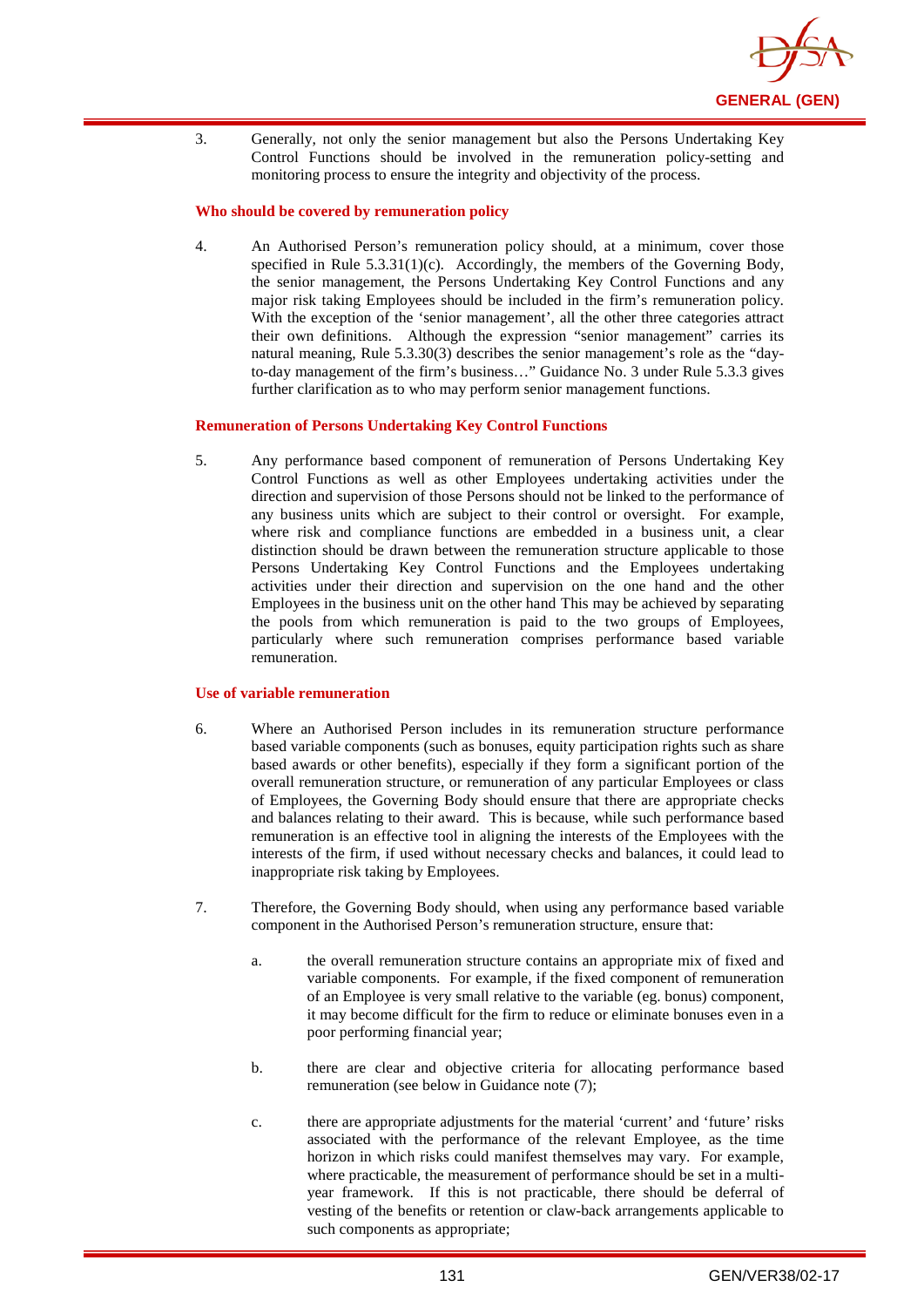

3. Generally, not only the senior management but also the Persons Undertaking Key Control Functions should be involved in the remuneration policy-setting and monitoring process to ensure the integrity and objectivity of the process.

### **Who should be covered by remuneration policy**

4. An Authorised Person's remuneration policy should, at a minimum, cover those specified in Rule 5.3.31(1)(c). Accordingly, the members of the Governing Body, the senior management, the Persons Undertaking Key Control Functions and any major risk taking Employees should be included in the firm's remuneration policy. With the exception of the 'senior management', all the other three categories attract their own definitions. Although the expression "senior management" carries its natural meaning, Rule 5.3.30(3) describes the senior management's role as the "dayto-day management of the firm's business…" Guidance No. 3 under Rule 5.3.3 gives further clarification as to who may perform senior management functions.

#### **Remuneration of Persons Undertaking Key Control Functions**

5. Any performance based component of remuneration of Persons Undertaking Key Control Functions as well as other Employees undertaking activities under the direction and supervision of those Persons should not be linked to the performance of any business units which are subject to their control or oversight. For example, where risk and compliance functions are embedded in a business unit, a clear distinction should be drawn between the remuneration structure applicable to those Persons Undertaking Key Control Functions and the Employees undertaking activities under their direction and supervision on the one hand and the other Employees in the business unit on the other hand This may be achieved by separating the pools from which remuneration is paid to the two groups of Employees, particularly where such remuneration comprises performance based variable remuneration.

#### **Use of variable remuneration**

- 6. Where an Authorised Person includes in its remuneration structure performance based variable components (such as bonuses, equity participation rights such as share based awards or other benefits), especially if they form a significant portion of the overall remuneration structure, or remuneration of any particular Employees or class of Employees, the Governing Body should ensure that there are appropriate checks and balances relating to their award. This is because, while such performance based remuneration is an effective tool in aligning the interests of the Employees with the interests of the firm, if used without necessary checks and balances, it could lead to inappropriate risk taking by Employees.
- 7. Therefore, the Governing Body should, when using any performance based variable component in the Authorised Person's remuneration structure, ensure that:
	- a. the overall remuneration structure contains an appropriate mix of fixed and variable components. For example, if the fixed component of remuneration of an Employee is very small relative to the variable (eg. bonus) component, it may become difficult for the firm to reduce or eliminate bonuses even in a poor performing financial year;
	- b. there are clear and objective criteria for allocating performance based remuneration (see below in Guidance note (7);
	- c. there are appropriate adjustments for the material 'current' and 'future' risks associated with the performance of the relevant Employee, as the time horizon in which risks could manifest themselves may vary. For example, where practicable, the measurement of performance should be set in a multiyear framework. If this is not practicable, there should be deferral of vesting of the benefits or retention or claw-back arrangements applicable to such components as appropriate;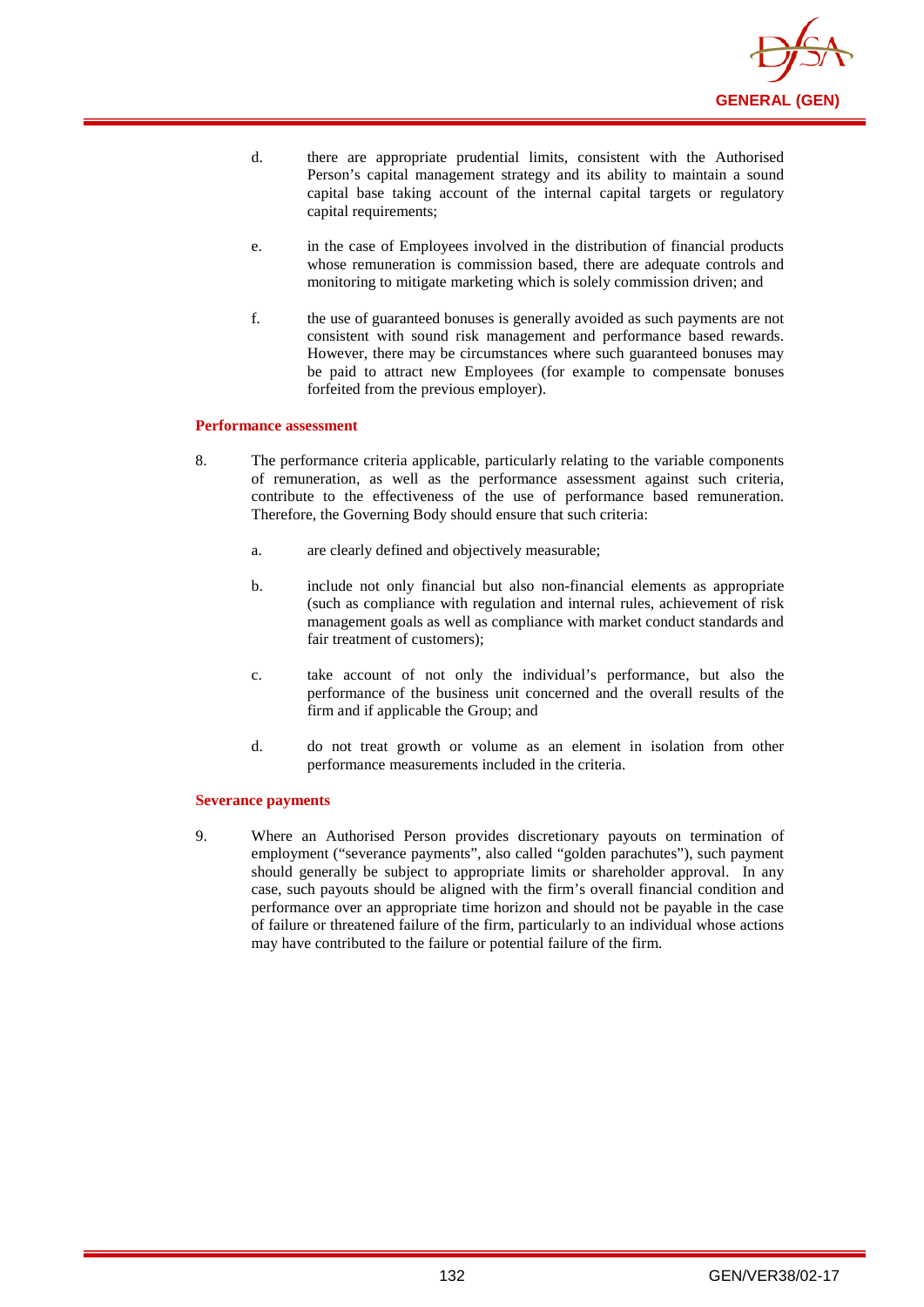

- d. there are appropriate prudential limits, consistent with the Authorised Person's capital management strategy and its ability to maintain a sound capital base taking account of the internal capital targets or regulatory capital requirements;
- e. in the case of Employees involved in the distribution of financial products whose remuneration is commission based, there are adequate controls and monitoring to mitigate marketing which is solely commission driven; and
- f. the use of guaranteed bonuses is generally avoided as such payments are not consistent with sound risk management and performance based rewards. However, there may be circumstances where such guaranteed bonuses may be paid to attract new Employees (for example to compensate bonuses forfeited from the previous employer).

### **Performance assessment**

- 8. The performance criteria applicable, particularly relating to the variable components of remuneration, as well as the performance assessment against such criteria, contribute to the effectiveness of the use of performance based remuneration. Therefore, the Governing Body should ensure that such criteria:
	- a. are clearly defined and objectively measurable;
	- b. include not only financial but also non-financial elements as appropriate (such as compliance with regulation and internal rules, achievement of risk management goals as well as compliance with market conduct standards and fair treatment of customers):
	- c. take account of not only the individual's performance, but also the performance of the business unit concerned and the overall results of the firm and if applicable the Group; and
	- d. do not treat growth or volume as an element in isolation from other performance measurements included in the criteria.

### **Severance payments**

9. Where an Authorised Person provides discretionary payouts on termination of employment ("severance payments", also called "golden parachutes"), such payment should generally be subject to appropriate limits or shareholder approval. In any case, such payouts should be aligned with the firm's overall financial condition and performance over an appropriate time horizon and should not be payable in the case of failure or threatened failure of the firm, particularly to an individual whose actions may have contributed to the failure or potential failure of the firm.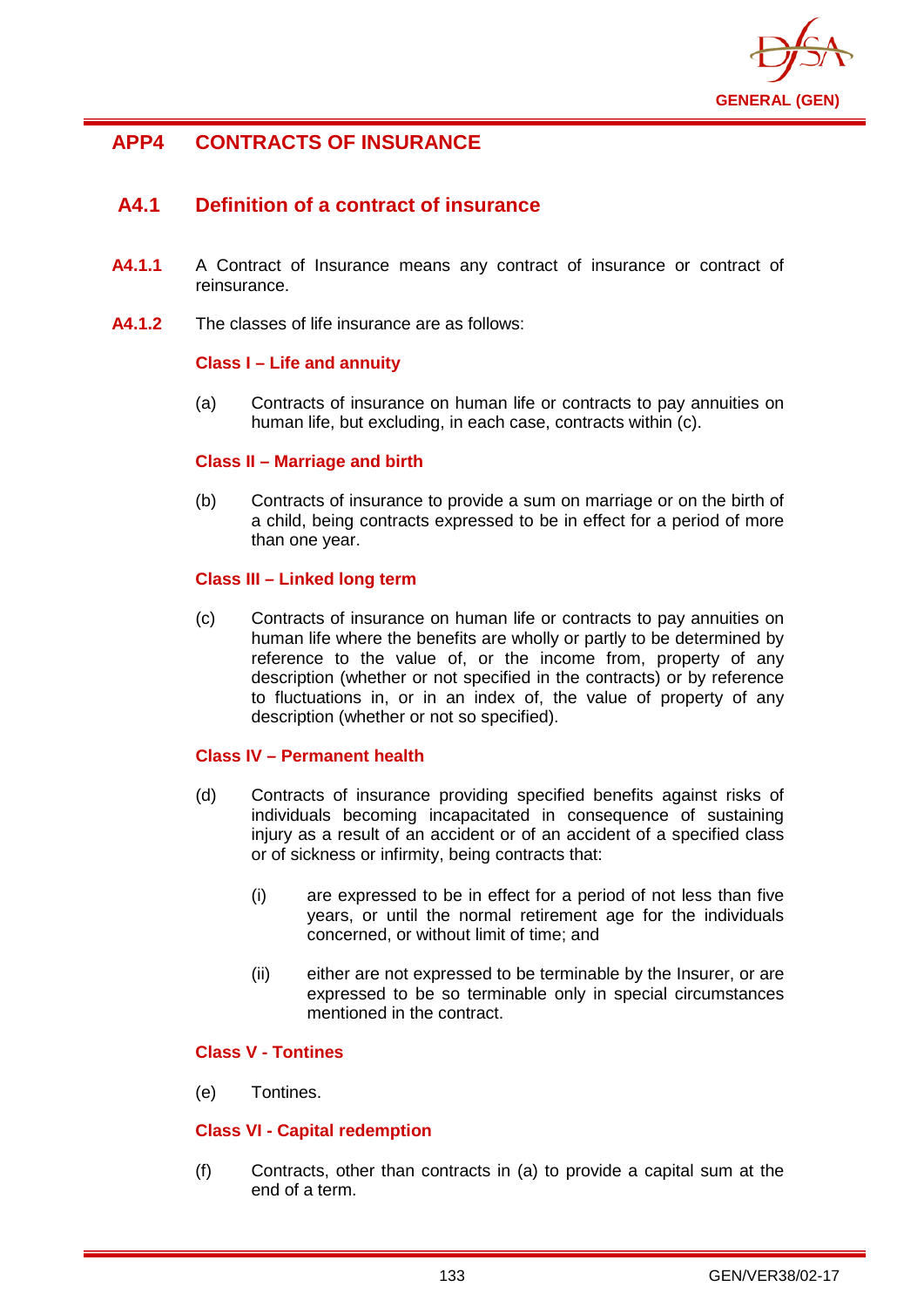

# **APP4 CONTRACTS OF INSURANCE**

# **A4.1 Definition of a contract of insurance**

- **A4.1.1** A Contract of Insurance means any contract of insurance or contract of reinsurance.
- **A4.1.2** The classes of life insurance are as follows:

## **Class I – Life and annuity**

(a) Contracts of insurance on human life or contracts to pay annuities on human life, but excluding, in each case, contracts within (c).

## **Class II – Marriage and birth**

(b) Contracts of insurance to provide a sum on marriage or on the birth of a child, being contracts expressed to be in effect for a period of more than one year.

## **Class III – Linked long term**

(c) Contracts of insurance on human life or contracts to pay annuities on human life where the benefits are wholly or partly to be determined by reference to the value of, or the income from, property of any description (whether or not specified in the contracts) or by reference to fluctuations in, or in an index of, the value of property of any description (whether or not so specified).

## **Class IV – Permanent health**

- (d) Contracts of insurance providing specified benefits against risks of individuals becoming incapacitated in consequence of sustaining injury as a result of an accident or of an accident of a specified class or of sickness or infirmity, being contracts that:
	- (i) are expressed to be in effect for a period of not less than five years, or until the normal retirement age for the individuals concerned, or without limit of time; and
	- (ii) either are not expressed to be terminable by the Insurer, or are expressed to be so terminable only in special circumstances mentioned in the contract.

## **Class V - Tontines**

(e) Tontines.

## **Class VI - Capital redemption**

(f) Contracts, other than contracts in (a) to provide a capital sum at the end of a term.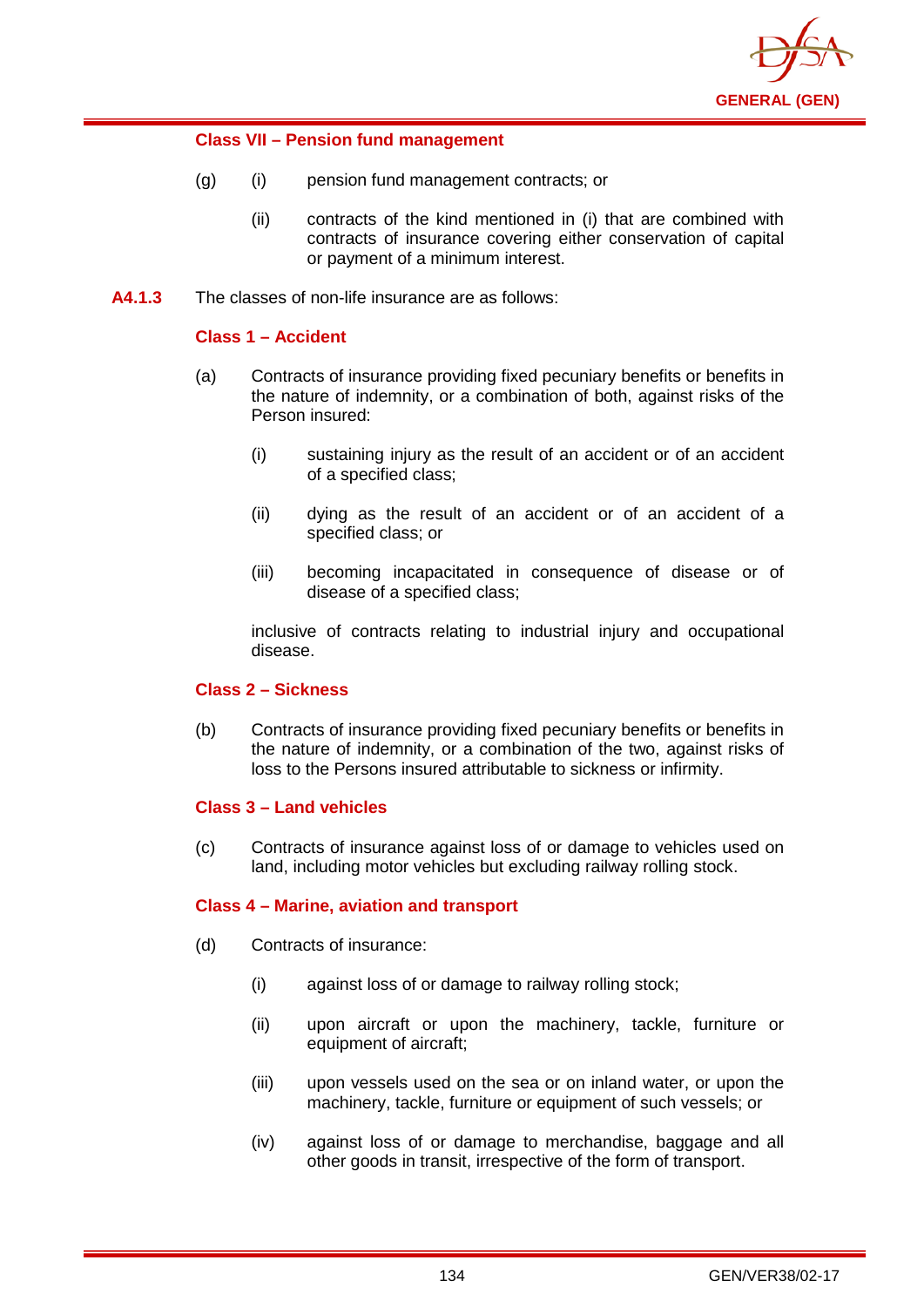

## **Class VII – Pension fund management**

- (g) (i) pension fund management contracts; or
	- (ii) contracts of the kind mentioned in (i) that are combined with contracts of insurance covering either conservation of capital or payment of a minimum interest.
- **A4.1.3** The classes of non-life insurance are as follows:

## **Class 1 – Accident**

- (a) Contracts of insurance providing fixed pecuniary benefits or benefits in the nature of indemnity, or a combination of both, against risks of the Person insured:
	- (i) sustaining injury as the result of an accident or of an accident of a specified class;
	- (ii) dying as the result of an accident or of an accident of a specified class; or
	- (iii) becoming incapacitated in consequence of disease or of disease of a specified class;

inclusive of contracts relating to industrial injury and occupational disease.

## **Class 2 – Sickness**

(b) Contracts of insurance providing fixed pecuniary benefits or benefits in the nature of indemnity, or a combination of the two, against risks of loss to the Persons insured attributable to sickness or infirmity.

## **Class 3 – Land vehicles**

(c) Contracts of insurance against loss of or damage to vehicles used on land, including motor vehicles but excluding railway rolling stock.

## **Class 4 – Marine, aviation and transport**

- (d) Contracts of insurance:
	- (i) against loss of or damage to railway rolling stock;
	- (ii) upon aircraft or upon the machinery, tackle, furniture or equipment of aircraft;
	- (iii) upon vessels used on the sea or on inland water, or upon the machinery, tackle, furniture or equipment of such vessels; or
	- (iv) against loss of or damage to merchandise, baggage and all other goods in transit, irrespective of the form of transport.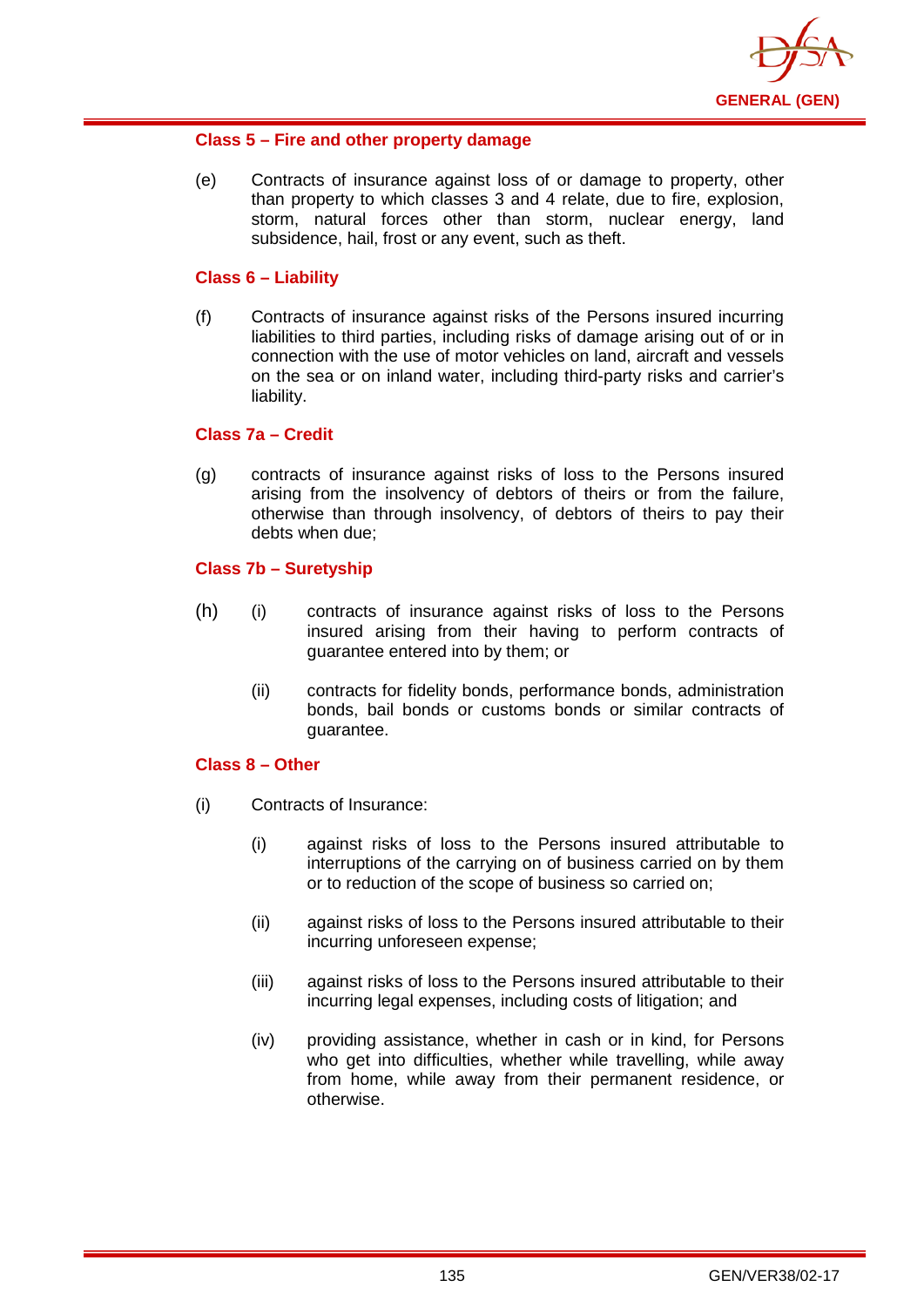

## **Class 5 – Fire and other property damage**

(e) Contracts of insurance against loss of or damage to property, other than property to which classes 3 and 4 relate, due to fire, explosion, storm, natural forces other than storm, nuclear energy, land subsidence, hail, frost or any event, such as theft.

## **Class 6 – Liability**

(f) Contracts of insurance against risks of the Persons insured incurring liabilities to third parties, including risks of damage arising out of or in connection with the use of motor vehicles on land, aircraft and vessels on the sea or on inland water, including third-party risks and carrier's liability.

## **Class 7a – Credit**

(g) contracts of insurance against risks of loss to the Persons insured arising from the insolvency of debtors of theirs or from the failure, otherwise than through insolvency, of debtors of theirs to pay their debts when due;

## **Class 7b – Suretyship**

- (h) (i) contracts of insurance against risks of loss to the Persons insured arising from their having to perform contracts of guarantee entered into by them; or
	- (ii) contracts for fidelity bonds, performance bonds, administration bonds, bail bonds or customs bonds or similar contracts of guarantee.

## **Class 8 – Other**

- (i) Contracts of Insurance:
	- (i) against risks of loss to the Persons insured attributable to interruptions of the carrying on of business carried on by them or to reduction of the scope of business so carried on;
	- (ii) against risks of loss to the Persons insured attributable to their incurring unforeseen expense;
	- (iii) against risks of loss to the Persons insured attributable to their incurring legal expenses, including costs of litigation; and
	- (iv) providing assistance, whether in cash or in kind, for Persons who get into difficulties, whether while travelling, while away from home, while away from their permanent residence, or otherwise.